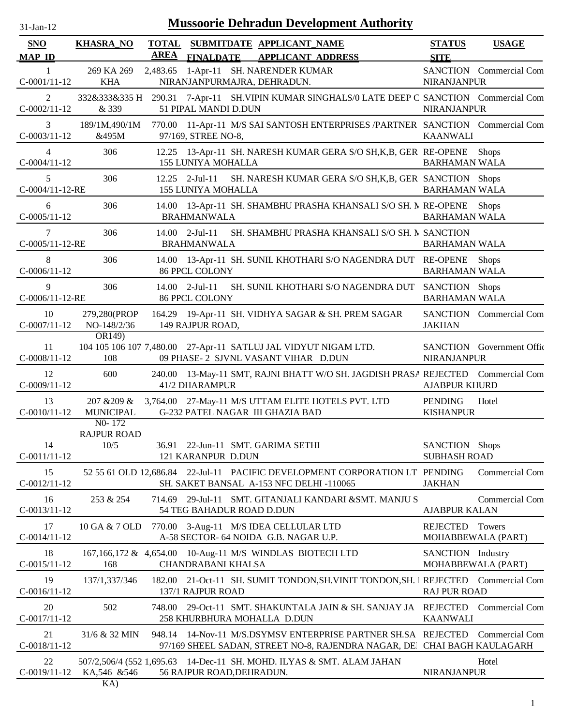| $31-Jan-12$                      | <b>Mussoorie Dehradun Development Authority</b>        |                             |                                                                                                                                          |                                       |                           |  |  |  |  |  |
|----------------------------------|--------------------------------------------------------|-----------------------------|------------------------------------------------------------------------------------------------------------------------------------------|---------------------------------------|---------------------------|--|--|--|--|--|
| <b>SNO</b><br><b>MAP ID</b>      | <b>KHASRA_NO</b>                                       | <b>TOTAL</b><br><b>AREA</b> | SUBMITDATE APPLICANT_NAME<br>FINALDATE APPLICANT ADDRESS                                                                                 | <b>STATUS</b><br><b>SITE</b>          | <b>USAGE</b>              |  |  |  |  |  |
| -1<br>$C-0001/11-12$             | 269 KA 269<br><b>KHA</b>                               |                             | 2,483.65 1-Apr-11 SH. NARENDER KUMAR<br>NIRANJANPURMAJRA, DEHRADUN.                                                                      | <b>NIRANJANPUR</b>                    | SANCTION Commercial Com   |  |  |  |  |  |
| 2<br>$C-0002/11-12$              | & 339                                                  |                             | 332&333&335 H 290.31 7-Apr-11 SH.VIPIN KUMAR SINGHALS/0 LATE DEEP C SANCTION Commercial Com<br>51 PIPAL MANDI D.DUN                      | <b>NIRANJANPUR</b>                    |                           |  |  |  |  |  |
| 3<br>$C-0003/11-12$              | 189/1M,490/1M<br>&495M                                 |                             | 770.00 11-Apr-11 M/S SAI SANTOSH ENTERPRISES /PARTNER SANCTION Commercial Com<br>97/169, STREE NO-8,                                     | <b>KAANWALI</b>                       |                           |  |  |  |  |  |
| $\overline{4}$<br>$C-0004/11-12$ | 306                                                    |                             | 12.25 13-Apr-11 SH. NARESH KUMAR GERA S/O SH, K, B, GER RE-OPENE<br><b>155 LUNIYA MOHALLA</b>                                            | <b>BARHAMAN WALA</b>                  | <b>Shops</b>              |  |  |  |  |  |
| 5<br>C-0004/11-12-RE             | 306                                                    |                             | $12.25$ 2-Jul-11<br>SH. NARESH KUMAR GERA S/O SH, K, B, GER SANCTION Shops<br><b>155 LUNIYA MOHALLA</b>                                  | <b>BARHAMAN WALA</b>                  |                           |  |  |  |  |  |
| 6<br>$C-0005/11-12$              | 306                                                    |                             | 14.00 13-Apr-11 SH. SHAMBHU PRASHA KHANSALI S/O SH. N RE-OPENE Shops<br><b>BRAHMANWALA</b>                                               | <b>BARHAMAN WALA</b>                  |                           |  |  |  |  |  |
| 7<br>C-0005/11-12-RE             | 306                                                    |                             | SH. SHAMBHU PRASHA KHANSALI S/O SH. N SANCTION<br>$14.00$ 2-Jul-11<br><b>BRAHMANWALA</b>                                                 | <b>BARHAMAN WALA</b>                  |                           |  |  |  |  |  |
| 8<br>$C-0006/11-12$              | 306                                                    |                             | 14.00 13-Apr-11 SH. SUNIL KHOTHARI S/O NAGENDRA DUT RE-OPENE<br><b>86 PPCL COLONY</b>                                                    | <b>BARHAMAN WALA</b>                  | <b>Shops</b>              |  |  |  |  |  |
| 9<br>$C-0006/11-12$ -RE          | 306                                                    |                             | SH. SUNIL KHOTHARI S/O NAGENDRA DUT SANCTION Shops<br>$14.00$ 2-Jul-11<br><b>86 PPCL COLONY</b>                                          | <b>BARHAMAN WALA</b>                  |                           |  |  |  |  |  |
| 10<br>$C-0007/11-12$             | 279,280(PROP<br>NO-148/2/36                            |                             | 164.29 19-Apr-11 SH. VIDHYA SAGAR & SH. PREM SAGAR<br>149 RAJPUR ROAD,                                                                   | <b>JAKHAN</b>                         | SANCTION Commercial Com   |  |  |  |  |  |
| 11<br>$C-0008/11-12$             | OR149)<br>108                                          |                             | 104 105 106 107 7,480.00 27-Apr-11 SATLUJ JAL VIDYUT NIGAM LTD.<br>09 PHASE- 2 SJVNL VASANT VIHAR D.DUN                                  | <b>NIRANJANPUR</b>                    | SANCTION Government Offic |  |  |  |  |  |
| 12<br>$C-0009/11-12$             | 600                                                    |                             | 240.00 13-May-11 SMT, RAJNI BHATT W/O SH. JAGDISH PRASA REJECTED Commercial Com<br>41/2 DHARAMPUR                                        | <b>AJABPUR KHURD</b>                  |                           |  |  |  |  |  |
| 13<br>$C-0010/11-12$             | 207 & 209 &<br><b>MUNICIPAL</b><br>N <sub>0</sub> -172 |                             | 3,764.00 27-May-11 M/S UTTAM ELITE HOTELS PVT. LTD<br>G-232 PATEL NAGAR III GHAZIA BAD                                                   | <b>PENDING</b><br><b>KISHANPUR</b>    | Hotel                     |  |  |  |  |  |
| 14<br>$C-0011/11-12$             | <b>RAJPUR ROAD</b><br>10/5                             |                             | 36.91 22-Jun-11 SMT. GARIMA SETHI<br>121 KARANPUR D.DUN                                                                                  | SANCTION Shops<br><b>SUBHASH ROAD</b> |                           |  |  |  |  |  |
| 15<br>$C-0012/11-12$             |                                                        |                             | 52 55 61 OLD 12,686.84 22-Jul-11 PACIFIC DEVELOPMENT CORPORATION LT PENDING<br>SH. SAKET BANSAL A-153 NFC DELHI -110065                  | <b>JAKHAN</b>                         | <b>Commercial Com</b>     |  |  |  |  |  |
| 16<br>$C-0013/11-12$             | 253 & 254                                              |                             | 714.69 29-Jul-11 SMT. GITANJALI KANDARI &SMT. MANJU S<br>54 TEG BAHADUR ROAD D.DUN                                                       | <b>AJABPUR KALAN</b>                  | <b>Commercial Com</b>     |  |  |  |  |  |
| 17<br>$C-0014/11-12$             | 10 GA & 7 OLD                                          |                             | 770.00 3-Aug-11 M/S IDEA CELLULAR LTD<br>A-58 SECTOR- 64 NOIDA G.B. NAGAR U.P.                                                           | REJECTED Towers                       | MOHABBEWALA (PART)        |  |  |  |  |  |
| 18<br>$C-0015/11-12$             | 168                                                    |                             | 167,166,172 & 4,654.00 10-Aug-11 M/S WINDLAS BIOTECH LTD<br><b>CHANDRABANI KHALSA</b>                                                    | SANCTION Industry                     | MOHABBEWALA (PART)        |  |  |  |  |  |
| 19<br>$C-0016/11-12$             | 137/1,337/346                                          |                             | 182.00 21-Oct-11 SH. SUMIT TONDON, SH. VINIT TONDON, SH. 1 REJECTED Commercial Com<br>137/1 RAJPUR ROAD                                  | <b>RAJ PUR ROAD</b>                   |                           |  |  |  |  |  |
| 20<br>$C-0017/11-12$             | 502                                                    | 748.00                      | 29-Oct-11 SMT. SHAKUNTALA JAIN & SH. SANJAY JA<br>258 KHURBHURA MOHALLA D.DUN                                                            | <b>KAANWALI</b>                       | REJECTED Commercial Com   |  |  |  |  |  |
| 21<br>$C-0018/11-12$             | 31/6 & 32 MIN                                          |                             | 948.14 14-Nov-11 M/S.DSYMSV ENTERPRISE PARTNER SH.SA REJECTED<br>97/169 SHEEL SADAN, STREET NO-8, RAJENDRA NAGAR, DE CHAI BAGH KAULAGARH |                                       | Commercial Com            |  |  |  |  |  |
| 22<br>$C-0019/11-12$             | KA,546 &546                                            |                             | 507/2,506/4 (552 1,695.63 14-Dec-11 SH. MOHD. ILYAS & SMT. ALAM JAHAN<br>56 RAJPUR ROAD, DEHRADUN.                                       | <b>NIRANJANPUR</b>                    | Hotel                     |  |  |  |  |  |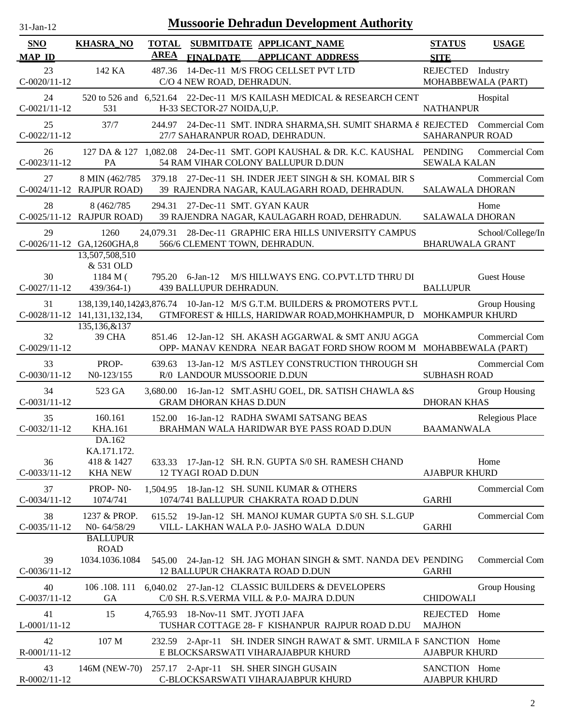| $31$ -Jan-12                |                                                       |                             |                                       | <b>Mussoorie Dehradun Development Authority</b>                                                                                             |                                         |                       |
|-----------------------------|-------------------------------------------------------|-----------------------------|---------------------------------------|---------------------------------------------------------------------------------------------------------------------------------------------|-----------------------------------------|-----------------------|
| <b>SNO</b><br><b>MAP ID</b> | <b>KHASRA_NO</b>                                      | <b>TOTAL</b><br><b>AREA</b> | <b>FINALDATE</b>                      | SUBMITDATE APPLICANT_NAME<br><b>APPLICANT ADDRESS</b>                                                                                       | <b>STATUS</b><br><b>SITE</b>            | <b>USAGE</b>          |
| 23<br>$C-0020/11-12$        | 142 KA                                                | 487.36                      | C/O 4 NEW ROAD, DEHRADUN.             | 14-Dec-11 M/S FROG CELLSET PVT LTD                                                                                                          | REJECTED Industry<br>MOHABBEWALA (PART) |                       |
| 24<br>$C-0021/11-12$        | 531                                                   |                             | H-33 SECTOR-27 NOIDA, U, P.           | 520 to 526 and 6,521.64 22-Dec-11 M/S KAILASH MEDICAL & RESEARCH CENT                                                                       | <b>NATHANPUR</b>                        | Hospital              |
| 25<br>$C-0022/11-12$        | 37/7                                                  |                             |                                       | 244.97 24-Dec-11 SMT. INDRA SHARMA, SH. SUMIT SHARMA & REJECTED Commercial Com<br>27/7 SAHARANPUR ROAD, DEHRADUN.                           | <b>SAHARANPUR ROAD</b>                  |                       |
| 26<br>$C-0023/11-12$        | 127 DA & 127 1.082.08<br>PA                           |                             |                                       | 24-Dec-11 SMT. GOPI KAUSHAL & DR. K.C. KAUSHAL PENDING<br>54 RAM VIHAR COLONY BALLUPUR D.DUN                                                | <b>SEWALA KALAN</b>                     | Commercial Com        |
| 27                          | 8 MIN (462/785<br>C-0024/11-12 RAJPUR ROAD)           | 379.18                      |                                       | 27-Dec-11 SH. INDER JEET SINGH & SH. KOMAL BIR S<br>39 RAJENDRA NAGAR, KAULAGARH ROAD, DEHRADUN.                                            | <b>SALAWALA DHORAN</b>                  | Commercial Com        |
| 28                          | 8 (462/785)<br>C-0025/11-12 RAJPUR ROAD)              | 294.31                      |                                       | 27-Dec-11 SMT. GYAN KAUR<br>39 RAJENDRA NAGAR, KAULAGARH ROAD, DEHRADUN.                                                                    | <b>SALAWALA DHORAN</b>                  | Home                  |
| 29                          | 1260<br>C-0026/11-12 GA,1260GHA,8<br>13,507,508,510   | 24,079.31                   |                                       | 28-Dec-11 GRAPHIC ERA HILLS UNIVERSITY CAMPUS<br>566/6 CLEMENT TOWN, DEHRADUN.                                                              | <b>BHARUWALA GRANT</b>                  | School/College/In     |
| 30<br>$C-0027/11-12$        | & 531 OLD<br>$1184 M$ (<br>$439/364-1)$               | 795.20                      | $6$ -Jan-12<br>439 BALLUPUR DEHRADUN. | M/S HILLWAYS ENG. CO.PVT.LTD THRU DI                                                                                                        | <b>BALLUPUR</b>                         | <b>Guest House</b>    |
| 31                          | C-0028/11-12 141,131,132,134,                         |                             |                                       | 138,139,140,14243,876.74 10-Jan-12 M/S G.T.M. BUILDERS & PROMOTERS PVT.L<br>GTMFOREST & HILLS, HARIDWAR ROAD, MOHKHAMPUR, D MOHKAMPUR KHURD |                                         | Group Housing         |
| 32<br>$C-0029/11-12$        | 135,136,&137<br>39 CHA                                | 851.46                      |                                       | 12-Jan-12 SH. AKASH AGGARWAL & SMT ANJU AGGA<br>OPP-MANAV KENDRA NEAR BAGAT FORD SHOW ROOM M MOHABBEWALA (PART)                             |                                         | <b>Commercial Com</b> |
| 33<br>$C-0030/11-12$        | PROP-<br>N <sub>0</sub> -123/155                      | 639.63                      |                                       | 13-Jan-12 M/S ASTLEY CONSTRUCTION THROUGH SH<br>R/0 LANDOUR MUSSOORIE D.DUN                                                                 | <b>SUBHASH ROAD</b>                     | <b>Commercial Com</b> |
| 34<br>$C-0031/11-12$        | 523 GA                                                | 3.680.00                    | <b>GRAM DHORAN KHAS D.DUN</b>         | 16-Jan-12 SMT.ASHU GOEL, DR. SATISH CHAWLA &S                                                                                               | <b>DHORAN KHAS</b>                      | Group Housing         |
| 35<br>$C-0032/11-12$        | 160.161<br>KHA.161                                    |                             |                                       | 152.00 16-Jan-12 RADHA SWAMI SATSANG BEAS<br>BRAHMAN WALA HARIDWAR BYE PASS ROAD D.DUN                                                      | <b>BAAMANWALA</b>                       | Relegious Place       |
| 36<br>$C-0033/11-12$        | DA.162<br>KA.171.172.<br>418 & 1427<br><b>KHA NEW</b> |                             | 12 TYAGI ROAD D.DUN                   | 633.33 17-Jan-12 SH. R.N. GUPTA S/0 SH. RAMESH CHAND                                                                                        | <b>AJABPUR KHURD</b>                    | Home                  |
| 37<br>$C-0034/11-12$        | PROP-NO-<br>1074/741                                  |                             |                                       | 1,504.95 18-Jan-12 SH. SUNIL KUMAR & OTHERS<br>1074/741 BALLUPUR CHAKRATA ROAD D.DUN                                                        | <b>GARHI</b>                            | Commercial Com        |
| 38<br>$C-0035/11-12$        | 1237 & PROP.<br>N0-64/58/29<br><b>BALLUPUR</b>        |                             |                                       | 615.52 19-Jan-12 SH. MANOJ KUMAR GUPTA S/0 SH. S.L.GUP<br>VILL- LAKHAN WALA P.0- JASHO WALA D.DUN                                           | <b>GARHI</b>                            | Commercial Com        |
| 39<br>$C-0036/11-12$        | <b>ROAD</b><br>1034.1036.1084                         | 545.00                      |                                       | 24-Jan-12 SH. JAG MOHAN SINGH & SMT. NANDA DEV PENDING<br>12 BALLUPUR CHAKRATA ROAD D.DUN                                                   | <b>GARHI</b>                            | <b>Commercial Com</b> |
| 40<br>$C-0037/11-12$        | 106.108.111<br><b>GA</b>                              |                             |                                       | 6,040.02 27-Jan-12 CLASSIC BUILDERS & DEVELOPERS<br>C/0 SH. R.S.VERMA VILL & P.0- MAJRA D.DUN                                               | <b>CHIDOWALI</b>                        | Group Housing         |
| 41<br>$L$ -0001/11-12       | 15                                                    |                             |                                       | 4,765.93 18-Nov-11 SMT. JYOTI JAFA<br>TUSHAR COTTAGE 28- F KISHANPUR RAJPUR ROAD D.DU                                                       | REJECTED<br><b>MAJHON</b>               | Home                  |
| 42<br>R-0001/11-12          | 107 M                                                 |                             |                                       | 232.59 2-Apr-11 SH. INDER SINGH RAWAT & SMT. URMILA R SANCTION Home<br>E BLOCKSARSWATI VIHARAJABPUR KHURD                                   | <b>AJABPUR KHURD</b>                    |                       |
| 43<br>R-0002/11-12          | 146M (NEW-70)                                         |                             |                                       | 257.17 2-Apr-11 SH. SHER SINGH GUSAIN<br>C-BLOCKSARSWATI VIHARAJABPUR KHURD                                                                 | SANCTION Home<br><b>AJABPUR KHURD</b>   |                       |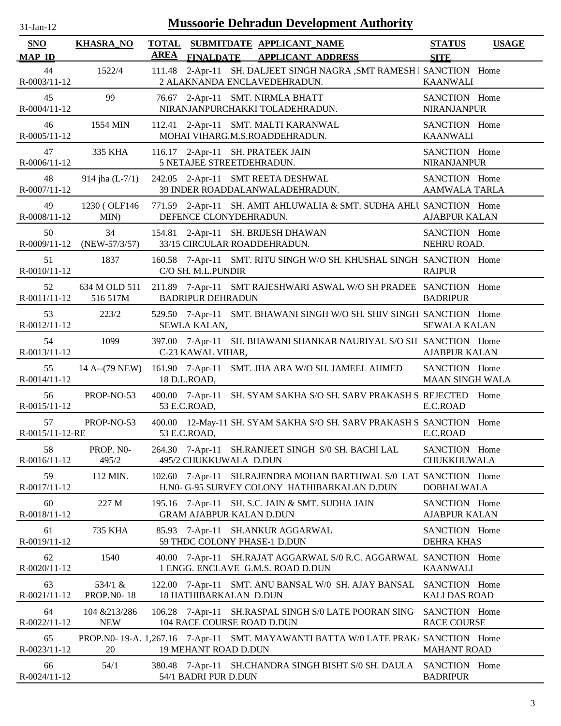| $31$ -Jan-12                        |                                 | <b>Mussoorie Dehradun Development Authority</b>                                                                                       |                                       |
|-------------------------------------|---------------------------------|---------------------------------------------------------------------------------------------------------------------------------------|---------------------------------------|
| <b>SNO</b>                          | <b>KHASRA_NO</b>                | <b>TOTAL</b><br>SUBMITDATE APPLICANT NAME<br><b>AREA</b>                                                                              | <b>STATUS</b><br><b>USAGE</b>         |
| <b>MAP ID</b><br>44<br>R-0003/11-12 | 1522/4                          | FINALDATE APPLICANT ADDRESS<br>2-Apr-11 SH. DALJEET SINGH NAGRA, SMT RAMESH I SANCTION Home<br>111.48<br>2 ALAKNANDA ENCLAVEDEHRADUN. | <b>SITE</b><br><b>KAANWALI</b>        |
| 45                                  | 99                              | 76.67 2-Apr-11 SMT. NIRMLA BHATT                                                                                                      | SANCTION Home                         |
| R-0004/11-12                        |                                 | NIRANJANPURCHAKKI TOLADEHRADUN.                                                                                                       | <b>NIRANJANPUR</b>                    |
| 46                                  | 1554 MIN                        | 112.41 2-Apr-11 SMT. MALTI KARANWAL                                                                                                   | SANCTION Home                         |
| R-0005/11-12                        |                                 | MOHAI VIHARG.M.S.ROADDEHRADUN.                                                                                                        | <b>KAANWALI</b>                       |
| 47                                  | 335 KHA                         | 116.17 2-Apr-11 SH. PRATEEK JAIN                                                                                                      | SANCTION Home                         |
| R-0006/11-12                        |                                 | 5 NETAJEE STREETDEHRADUN.                                                                                                             | <b>NIRANJANPUR</b>                    |
| 48                                  | 914 jha $(L-7/1)$               | 242.05 2-Apr-11 SMT REETA DESHWAL                                                                                                     | SANCTION Home                         |
| R-0007/11-12                        |                                 | 39 INDER ROADDALANWALADEHRADUN.                                                                                                       | <b>AAMWALA TARLA</b>                  |
| 49                                  | 1230 (OLF146                    | 771.59 2-Apr-11 SH. AMIT AHLUWALIA & SMT. SUDHA AHLU SANCTION Home                                                                    | <b>AJABPUR KALAN</b>                  |
| R-0008/11-12                        | MIN)                            | DEFENCE CLONYDEHRADUN.                                                                                                                |                                       |
| 50                                  | 34                              | 154.81 2-Apr-11 SH. BRIJESH DHAWAN                                                                                                    | SANCTION Home                         |
|                                     | R-0009/11-12 (NEW-57/3/57)      | 33/15 CIRCULAR ROADDEHRADUN.                                                                                                          | NEHRU ROAD.                           |
| 51<br>R-0010/11-12                  | 1837                            | 160.58 7-Apr-11 SMT. RITU SINGH W/O SH. KHUSHAL SINGH SANCTION Home<br>C/O SH. M.L.PUNDIR                                             | <b>RAIPUR</b>                         |
| 52                                  | 634 M OLD 511                   | 211.89 7-Apr-11 SMT RAJESHWARI ASWAL W/O SH PRADEE SANCTION Home                                                                      | <b>BADRIPUR</b>                       |
| $R - 0011/11 - 12$                  | 516 517M                        | <b>BADRIPUR DEHRADUN</b>                                                                                                              |                                       |
| 53<br>$R-0012/11-12$                | 223/2                           | 529.50 7-Apr-11 SMT. BHAWANI SINGH W/O SH. SHIV SINGH SANCTION Home<br>SEWLA KALAN,                                                   | <b>SEWALA KALAN</b>                   |
| 54<br>R-0013/11-12                  | 1099                            | 397.00 7-Apr-11 SH. BHAWANI SHANKAR NAURIYAL S/O SH SANCTION Home<br>C-23 KAWAL VIHAR,                                                | <b>AJABPUR KALAN</b>                  |
| 55                                  | 14 A--(79 NEW)                  | 161.90 7-Apr-11 SMT. JHA ARA W/O SH. JAMEEL AHMED                                                                                     | SANCTION Home                         |
| R-0014/11-12                        |                                 | 18 D.L.ROAD,                                                                                                                          | <b>MAAN SINGH WALA</b>                |
| 56                                  | PROP-NO-53                      | 400.00 7-Apr-11 SH. SYAM SAKHA S/O SH. SARV PRAKASH S REJECTED                                                                        | Home                                  |
| R-0015/11-12                        |                                 | 53 E.C.ROAD,                                                                                                                          | E.C.ROAD                              |
| 57<br>R-0015/11-12-RE               | PROP-NO-53                      | 400.00 12-May-11 SH. SYAM SAKHA S/O SH. SARV PRAKASH S SANCTION Home<br>53 E.C.ROAD,                                                  | E.C.ROAD                              |
| 58                                  | PROP. NO-                       | 264.30 7-Apr-11 SH.RANJEET SINGH S/0 SH. BACHI LAL                                                                                    | SANCTION Home                         |
| R-0016/11-12                        | 495/2                           | 495/2 CHUKKUWALA D.DUN                                                                                                                | CHUKKHUWALA                           |
| 59<br>R-0017/11-12                  | 112 MIN.                        | 102.60 7-Apr-11 SH.RAJENDRA MOHAN BARTHWAL S/0 LAT SANCTION Home<br>H.NO- G-95 SURVEY COLONY HATHIBARKALAN D.DUN                      | <b>DOBHALWALA</b>                     |
| 60                                  | 227 M                           | 195.16 7-Apr-11 SH. S.C. JAIN & SMT. SUDHA JAIN                                                                                       | SANCTION Home                         |
| R-0018/11-12                        |                                 | <b>GRAM AJABPUR KALAN D.DUN</b>                                                                                                       | <b>AJABPUR KALAN</b>                  |
| 61                                  | 735 KHA                         | 85.93 7-Apr-11 SH.ANKUR AGGARWAL                                                                                                      | SANCTION Home                         |
| R-0019/11-12                        |                                 | 59 THDC COLONY PHASE-1 D.DUN                                                                                                          | <b>DEHRA KHAS</b>                     |
| 62<br>R-0020/11-12                  | 1540                            | 40.00 7-Apr-11 SH.RAJAT AGGARWAL S/0 R.C. AGGARWAL SANCTION Home<br>1 ENGG. ENCLAVE G.M.S. ROAD D.DUN                                 | <b>KAANWALI</b>                       |
| 63<br>R-0021/11-12                  | 534/1 $\&$<br><b>PROP.NO-18</b> | 7-Apr-11 SMT. ANU BANSAL W/0 SH. AJAY BANSAL<br>122.00<br><b>18 HATHIBARKALAN D.DUN</b>                                               | SANCTION Home<br><b>KALI DAS ROAD</b> |
| 64                                  | 104 & 213/286                   | 106.28 7-Apr-11 SH.RASPAL SINGH S/0 LATE POORAN SING                                                                                  | SANCTION Home                         |
| $R-0022/11-12$                      | <b>NEW</b>                      | 104 RACE COURSE ROAD D.DUN                                                                                                            | <b>RACE COURSE</b>                    |
| 65<br>R-0023/11-12                  | 20                              | PROP.N0-19-A. 1,267.16 7-Apr-11 SMT. MAYAWANTI BATTA W/0 LATE PRAK SANCTION Home<br><b>19 MEHANT ROAD D.DUN</b>                       | <b>MAHANT ROAD</b>                    |
| 66                                  | 54/1                            | 380.48 7-Apr-11 SH.CHANDRA SINGH BISHT S/0 SH. DAULA                                                                                  | SANCTION Home                         |
| R-0024/11-12                        |                                 | 54/1 BADRI PUR D.DUN                                                                                                                  | <b>BADRIPUR</b>                       |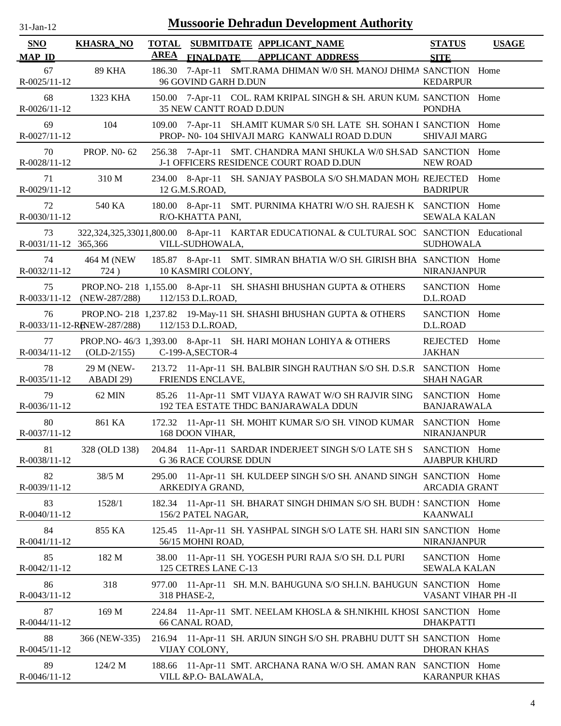| -Jan- |  |
|-------|--|

| <b>SNO</b>                 | <b>KHASRA_NO</b>            | <b>TOTAL</b><br><b>AREA</b> |                              | SUBMITDATE APPLICANT NAME                                                                                            | <b>STATUS</b>                        | <b>USAGE</b> |
|----------------------------|-----------------------------|-----------------------------|------------------------------|----------------------------------------------------------------------------------------------------------------------|--------------------------------------|--------------|
| <b>MAP ID</b>              |                             |                             |                              | FINALDATE APPLICANT ADDRESS                                                                                          | <b>SITE</b>                          |              |
| 67<br>R-0025/11-12         | <b>89 KHA</b>               | 186.30                      | 96 GOVIND GARH D.DUN         | 7-Apr-11 SMT.RAMA DHIMAN W/0 SH. MANOJ DHIMA SANCTION Home                                                           | <b>KEDARPUR</b>                      |              |
| 68<br>R-0026/11-12         | 1323 KHA                    |                             | 35 NEW CANTT ROAD D.DUN      | 150.00 7-Apr-11 COL. RAM KRIPAL SINGH & SH. ARUN KUM/ SANCTION Home                                                  | <b>PONDHA</b>                        |              |
| 69<br>R-0027/11-12         | 104                         |                             |                              | 109.00 7-Apr-11 SH.AMIT KUMAR S/0 SH. LATE SH. SOHAN I SANCTION Home<br>PROP- N0-104 SHIVAJI MARG KANWALI ROAD D.DUN | <b>SHIVAJI MARG</b>                  |              |
| 70<br>R-0028/11-12         | PROP. NO-62                 |                             |                              | 256.38 7-Apr-11 SMT. CHANDRA MANI SHUKLA W/0 SH.SAD SANCTION Home<br>J-1 OFFICERS RESIDENCE COURT ROAD D.DUN         | <b>NEW ROAD</b>                      |              |
| 71<br>R-0029/11-12         | 310 M                       |                             | 12 G.M.S.ROAD,               | 234.00 8-Apr-11 SH. SANJAY PASBOLA S/O SH.MADAN MOH/ REJECTED                                                        | <b>BADRIPUR</b>                      | Home         |
| 72<br>R-0030/11-12         | 540 KA                      |                             | R/O-KHATTA PANI,             | 180.00 8-Apr-11 SMT. PURNIMA KHATRI W/O SH. RAJESH K SANCTION Home                                                   | <b>SEWALA KALAN</b>                  |              |
| 73<br>R-0031/11-12 365,366 |                             |                             | VILL-SUDHOWALA,              | 322,324,325,33011,800.00 8-Apr-11 KARTAR EDUCATIONAL & CULTURAL SOC SANCTION Educational                             | <b>SUDHOWALA</b>                     |              |
| 74<br>$R - 0032/11 - 12$   | 724)                        |                             | 10 KASMIRI COLONY,           | 464 M (NEW 185.87 8-Apr-11 SMT. SIMRAN BHATIA W/O SH. GIRISH BHA SANCTION Home                                       | <b>NIRANJANPUR</b>                   |              |
| 75<br>$R - 0033/11 - 12$   | $(NEW-287/288)$             |                             | 112/153 D.L.ROAD,            | PROP.NO-218 1,155.00 8-Apr-11 SH. SHASHI BHUSHAN GUPTA & OTHERS                                                      | SANCTION Home<br>D.L.ROAD            |              |
| 76                         | R-0033/11-12-RENEW-287/288) |                             | 112/153 D.L.ROAD,            | PROP.NO-218 1,237.82 19-May-11 SH. SHASHI BHUSHAN GUPTA & OTHERS                                                     | SANCTION Home<br>D.L.ROAD            |              |
| 77<br>$R - 0034/11 - 12$   | $(OLD-2/155)$               |                             | C-199-A, SECTOR-4            | PROP.NO-46/3 1,393.00 8-Apr-11 SH. HARI MOHAN LOHIYA & OTHERS                                                        | REJECTED<br><b>JAKHAN</b>            | Home         |
| 78<br>R-0035/11-12         | 29 M (NEW-<br>ABADI 29)     |                             | FRIENDS ENCLAVE,             | 213.72 11-Apr-11 SH. BALBIR SINGH RAUTHAN S/O SH. D.S.R SANCTION Home                                                | <b>SHAH NAGAR</b>                    |              |
| 79<br>R-0036/11-12         | 62 MIN                      |                             |                              | 85.26 11-Apr-11 SMT VIJAYA RAWAT W/O SH RAJVIR SING<br>192 TEA ESTATE THDC BANJARAWALA DDUN                          | SANCTION Home<br><b>BANJARAWALA</b>  |              |
| 80<br>$R - 0037/11 - 12$   | 861 KA                      |                             | 168 DOON VIHAR,              | 172.32 11-Apr-11 SH. MOHIT KUMAR S/O SH. VINOD KUMAR SANCTION Home                                                   | NIRANJANPUR                          |              |
| 81<br>R-0038/11-12         | 328 (OLD 138)               |                             | <b>G 36 RACE COURSE DDUN</b> | 204.84 11-Apr-11 SARDAR INDERJEET SINGH S/O LATE SH S SANCTION Home                                                  | <b>AJABPUR KHURD</b>                 |              |
| 82<br>R-0039/11-12         | 38/5 M                      |                             | ARKEDIYA GRAND,              | 295.00 11-Apr-11 SH. KULDEEP SINGH S/O SH. ANAND SINGH SANCTION Home                                                 | <b>ARCADIA GRANT</b>                 |              |
| 83<br>R-0040/11-12         | 1528/1                      |                             | 156/2 PATEL NAGAR,           | 182.34 11-Apr-11 SH. BHARAT SINGH DHIMAN S/O SH. BUDH : SANCTION Home                                                | <b>KAANWALI</b>                      |              |
| 84<br>R-0041/11-12         | 855 KA                      |                             | 56/15 MOHNI ROAD,            | 125.45 11-Apr-11 SH. YASHPAL SINGH S/O LATE SH. HARI SIN SANCTION Home                                               | <b>NIRANJANPUR</b>                   |              |
| 85<br>R-0042/11-12         | 182 M                       | 38.00                       | 125 CETRES LANE C-13         | 11-Apr-11 SH. YOGESH PURI RAJA S/O SH. D.L PURI                                                                      | SANCTION Home<br><b>SEWALA KALAN</b> |              |
| 86<br>R-0043/11-12         | 318                         | 977.00                      | 318 PHASE-2,                 | 11-Apr-11 SH. M.N. BAHUGUNA S/O SH.I.N. BAHUGUN SANCTION Home                                                        | VASANT VIHAR PH -II                  |              |
| 87<br>R-0044/11-12         | 169 M                       |                             | 66 CANAL ROAD,               | 224.84 11-Apr-11 SMT. NEELAM KHOSLA & SH.NIKHIL KHOSI SANCTION Home                                                  | <b>DHAKPATTI</b>                     |              |
| 88<br>R-0045/11-12         | 366 (NEW-335)               |                             | VIJAY COLONY,                | 216.94 11-Apr-11 SH. ARJUN SINGH S/O SH. PRABHU DUTT SH SANCTION Home                                                | <b>DHORAN KHAS</b>                   |              |
| 89<br>R-0046/11-12         | 124/2 M                     |                             | VILL &P.O- BALAWALA,         | 188.66 11-Apr-11 SMT. ARCHANA RANA W/O SH. AMAN RAN SANCTION Home                                                    | <b>KARANPUR KHAS</b>                 |              |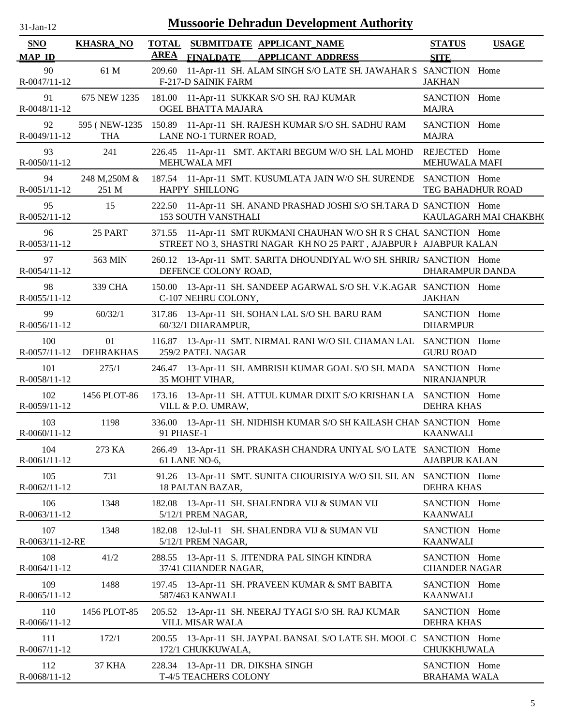| $31$ -Jan-12              |                              |             | <b>Mussoorie Dehradun Development Authority</b>                                                                                         |                                       |                       |
|---------------------------|------------------------------|-------------|-----------------------------------------------------------------------------------------------------------------------------------------|---------------------------------------|-----------------------|
| SNO<br><b>MAP ID</b>      | <b>KHASRA_NO</b>             | <b>AREA</b> | TOTAL SUBMITDATE APPLICANT_NAME<br>FINALDATE APPLICANT ADDRESS                                                                          | <b>STATUS</b><br><b>SITE</b>          | <b>USAGE</b>          |
| 90<br>R-0047/11-12        | 61 M                         | 209.60      | 11-Apr-11 SH. ALAM SINGH S/O LATE SH. JAWAHAR S SANCTION Home<br><b>F-217-D SAINIK FARM</b>                                             | <b>JAKHAN</b>                         |                       |
| 91<br>R-0048/11-12        | 675 NEW 1235                 |             | 181.00 11-Apr-11 SUKKAR S/O SH. RAJ KUMAR<br>OGEL BHATTA MAJARA                                                                         | SANCTION Home<br><b>MAJRA</b>         |                       |
| 92<br>R-0049/11-12        | 595 ( NEW-1235<br><b>THA</b> |             | 150.89 11-Apr-11 SH. RAJESH KUMAR S/O SH. SADHU RAM<br>LANE NO-1 TURNER ROAD,                                                           | SANCTION Home<br><b>MAJRA</b>         |                       |
| 93<br>R-0050/11-12        | 241                          |             | 226.45 11-Apr-11 SMT. AKTARI BEGUM W/O SH. LAL MOHD<br><b>MEHUWALA MFI</b>                                                              | REJECTED Home<br>MEHUWALA MAFI        |                       |
| 94<br>$R - 0051/11 - 12$  | 248 M, 250M &<br>251 M       |             | 187.54 11-Apr-11 SMT. KUSUMLATA JAIN W/O SH. SURENDE SANCTION Home<br>HAPPY SHILLONG                                                    | TEG BAHADHUR ROAD                     |                       |
| 95<br>R-0052/11-12        | 15                           |             | 222.50 11-Apr-11 SH. ANAND PRASHAD JOSHI S/O SH.TARA D SANCTION Home<br><b>153 SOUTH VANSTHALI</b>                                      |                                       | KAULAGARH MAI CHAKBH( |
| 96<br>R-0053/11-12        | 25 PART                      |             | 371.55 11-Apr-11 SMT RUKMANI CHAUHAN W/O SH R S CHAU SANCTION Home<br>STREET NO 3, SHASTRI NAGAR KH NO 25 PART, AJABPUR I AJABPUR KALAN |                                       |                       |
| 97<br>R-0054/11-12        | 563 MIN                      |             | 260.12 13-Apr-11 SMT. SARITA DHOUNDIYAL W/O SH. SHRIRA SANCTION Home<br>DEFENCE COLONY ROAD,                                            | <b>DHARAMPUR DANDA</b>                |                       |
| 98<br>R-0055/11-12        | 339 CHA                      |             | 150.00 13-Apr-11 SH. SANDEEP AGARWAL S/O SH. V.K.AGAR SANCTION Home<br>C-107 NEHRU COLONY,                                              | <b>JAKHAN</b>                         |                       |
| 99<br>R-0056/11-12        | 60/32/1                      |             | 317.86 13-Apr-11 SH. SOHAN LAL S/O SH. BARU RAM<br>60/32/1 DHARAMPUR,                                                                   | SANCTION Home<br><b>DHARMPUR</b>      |                       |
| 100                       | 01<br>R-0057/11-12 DEHRAKHAS |             | 116.87 13-Apr-11 SMT. NIRMAL RANI W/O SH. CHAMAN LAL SANCTION Home<br>259/2 PATEL NAGAR                                                 | <b>GURU ROAD</b>                      |                       |
| 101<br>R-0058/11-12       | 275/1                        |             | 246.47 13-Apr-11 SH. AMBRISH KUMAR GOAL S/O SH. MADA SANCTION Home<br>35 MOHIT VIHAR,                                                   | <b>NIRANJANPUR</b>                    |                       |
| 102<br>$R - 0059/11 - 12$ | 1456 PLOT-86                 |             | 173.16 13-Apr-11 SH. ATTUL KUMAR DIXIT S/O KRISHAN LA SANCTION Home<br>VILL & P.O. UMRAW,                                               | <b>DEHRA KHAS</b>                     |                       |
| 103<br>R-0060/11-12       | 1198                         | 91 PHASE-1  | 336.00 13-Apr-11 SH. NIDHISH KUMAR S/O SH KAILASH CHAN SANCTION Home                                                                    | <b>KAANWALI</b>                       |                       |
| 104<br>R-0061/11-12       | 273 KA                       |             | 266.49 13-Apr-11 SH. PRAKASH CHANDRA UNIYAL S/O LATE SANCTION Home<br>61 LANE NO-6,                                                     | <b>AJABPUR KALAN</b>                  |                       |
| 105<br>R-0062/11-12       | 731                          |             | 91.26 13-Apr-11 SMT. SUNITA CHOURISIYA W/O SH. SH. AN<br>18 PALTAN BAZAR,                                                               | SANCTION Home<br><b>DEHRA KHAS</b>    |                       |
| 106<br>R-0063/11-12       | 1348                         |             | 182.08 13-Apr-11 SH. SHALENDRA VIJ & SUMAN VIJ<br>5/12/1 PREM NAGAR,                                                                    | SANCTION Home<br><b>KAANWALI</b>      |                       |
| 107<br>R-0063/11-12-RE    | 1348                         |             | 182.08 12-Jul-11 SH. SHALENDRA VIJ & SUMAN VIJ<br>5/12/1 PREM NAGAR,                                                                    | SANCTION Home<br><b>KAANWALI</b>      |                       |
| 108<br>R-0064/11-12       | 41/2                         |             | 288.55 13-Apr-11 S. JITENDRA PAL SINGH KINDRA<br>37/41 CHANDER NAGAR,                                                                   | SANCTION Home<br><b>CHANDER NAGAR</b> |                       |
| 109<br>R-0065/11-12       | 1488                         |             | 197.45 13-Apr-11 SH. PRAVEEN KUMAR & SMT BABITA<br>587/463 KANWALI                                                                      | SANCTION Home<br><b>KAANWALI</b>      |                       |
| 110<br>R-0066/11-12       | 1456 PLOT-85                 |             | 205.52 13-Apr-11 SH. NEERAJ TYAGI S/O SH. RAJ KUMAR<br>VILL MISAR WALA                                                                  | SANCTION Home<br><b>DEHRA KHAS</b>    |                       |
| 111<br>R-0067/11-12       | 172/1                        |             | 200.55 13-Apr-11 SH. JAYPAL BANSAL S/O LATE SH. MOOL C<br>172/1 CHUKKUWALA,                                                             | SANCTION Home<br>CHUKKHUWALA          |                       |
| 112<br>R-0068/11-12       | <b>37 KHA</b>                |             | 228.34 13-Apr-11 DR. DIKSHA SINGH<br>T-4/5 TEACHERS COLONY                                                                              | SANCTION Home<br><b>BRAHAMA WALA</b>  |                       |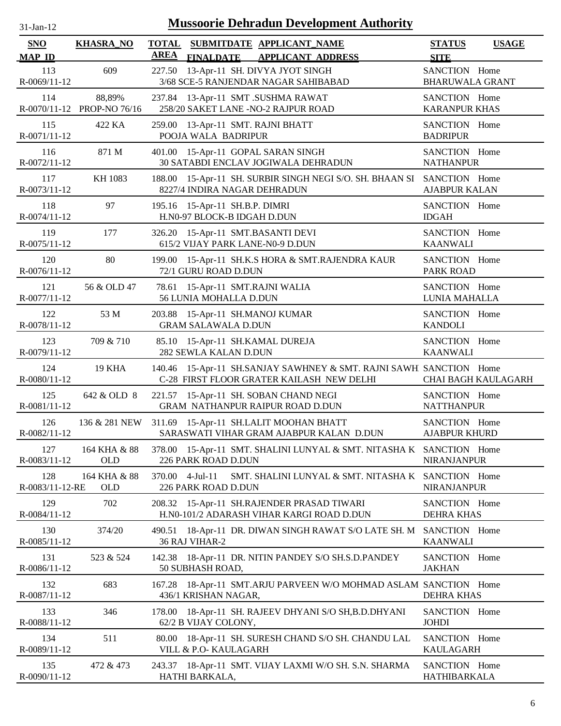| $31$ -Jan- $12$             |                                      |                             | <b>Mussoorie Dehradun Development Authority</b>                                                                  |                                         |                            |
|-----------------------------|--------------------------------------|-----------------------------|------------------------------------------------------------------------------------------------------------------|-----------------------------------------|----------------------------|
| <b>SNO</b><br><b>MAP ID</b> | <b>KHASRA_NO</b>                     | <b>TOTAL</b><br><b>AREA</b> | SUBMITDATE APPLICANT_NAME<br><b>FINALDATE APPLICANT ADDRESS</b>                                                  | <b>STATUS</b><br><b>SITE</b>            | <b>USAGE</b>               |
| 113<br>R-0069/11-12         | 609                                  | 227.50                      | 13-Apr-11 SH. DIVYA JYOT SINGH<br>3/68 SCE-5 RANJENDAR NAGAR SAHIBABAD                                           | SANCTION Home<br><b>BHARUWALA GRANT</b> |                            |
| 114                         | 88,89%<br>R-0070/11-12 PROP-NO 76/16 |                             | 237.84 13-Apr-11 SMT .SUSHMA RAWAT<br>258/20 SAKET LANE -NO-2 RAJPUR ROAD                                        | SANCTION Home<br><b>KARANPUR KHAS</b>   |                            |
| 115<br>R-0071/11-12         | 422 KA                               |                             | 259.00 13-Apr-11 SMT. RAJNI BHATT<br>POOJA WALA BADRIPUR                                                         | SANCTION Home<br><b>BADRIPUR</b>        |                            |
| 116<br>R-0072/11-12         | 871 M                                |                             | 401.00 15-Apr-11 GOPAL SARAN SINGH<br>30 SATABDI ENCLAV JOGIWALA DEHRADUN                                        | SANCTION Home<br><b>NATHANPUR</b>       |                            |
| 117<br>R-0073/11-12         | KH 1083                              |                             | 188.00 15-Apr-11 SH. SURBIR SINGH NEGI S/O. SH. BHAAN SI SANCTION Home<br>8227/4 INDIRA NAGAR DEHRADUN           | <b>AJABPUR KALAN</b>                    |                            |
| 118<br>R-0074/11-12         | 97                                   | 195.16                      | 15-Apr-11 SH.B.P. DIMRI<br>H.N0-97 BLOCK-B IDGAH D.DUN                                                           | SANCTION Home<br><b>IDGAH</b>           |                            |
| 119<br>R-0075/11-12         | 177                                  | 326.20                      | 15-Apr-11 SMT.BASANTI DEVI<br>615/2 VIJAY PARK LANE-N0-9 D.DUN                                                   | SANCTION Home<br><b>KAANWALI</b>        |                            |
| 120<br>R-0076/11-12         | 80                                   | 199.00                      | 15-Apr-11 SH.K.S HORA & SMT.RAJENDRA KAUR<br>72/1 GURU ROAD D.DUN                                                | SANCTION Home<br>PARK ROAD              |                            |
| 121<br>R-0077/11-12         | 56 & OLD 47                          | 78.61                       | 15-Apr-11 SMT.RAJNI WALIA<br>56 LUNIA MOHALLA D.DUN                                                              | SANCTION Home<br>LUNIA MAHALLA          |                            |
| 122<br>R-0078/11-12         | 53 M                                 |                             | 203.88 15-Apr-11 SH.MANOJ KUMAR<br><b>GRAM SALAWALA D.DUN</b>                                                    | SANCTION Home<br><b>KANDOLI</b>         |                            |
| 123<br>R-0079/11-12         | 709 & 710                            |                             | 85.10 15-Apr-11 SH.KAMAL DUREJA<br>282 SEWLA KALAN D.DUN                                                         | SANCTION Home<br><b>KAANWALI</b>        |                            |
| 124<br>R-0080/11-12         | <b>19 KHA</b>                        |                             | 140.46 15-Apr-11 SH.SANJAY SAWHNEY & SMT. RAJNI SAWHI SANCTION Home<br>C-28 FIRST FLOOR GRATER KAILASH NEW DELHI |                                         | <b>CHAI BAGH KAULAGARH</b> |
| 125<br>R-0081/11-12         | 642 & OLD 8                          |                             | 221.57 15-Apr-11 SH. SOBAN CHAND NEGI<br>GRAM NATHANPUR RAIPUR ROAD D.DUN                                        | SANCTION Home<br><b>NATTHANPUR</b>      |                            |
| 126<br>R-0082/11-12         | 136 & 281 NEW                        |                             | 311.69 15-Apr-11 SH.LALIT MOOHAN BHATT<br>SARASWATI VIHAR GRAM AJABPUR KALAN D.DUN                               | SANCTION Home<br><b>AJABPUR KHURD</b>   |                            |
| 127<br>R-0083/11-12         | 164 KHA & 88<br><b>OLD</b>           |                             | 378.00 15-Apr-11 SMT. SHALINI LUNYAL & SMT. NITASHA K SANCTION Home<br>226 PARK ROAD D.DUN                       | <b>NIRANJANPUR</b>                      |                            |
| 128<br>R-0083/11-12-RE      | 164 KHA & 88<br><b>OLD</b>           | 370.00                      | $4$ -Jul-11<br>SMT. SHALINI LUNYAL & SMT. NITASHA K SANCTION Home<br>226 PARK ROAD D.DUN                         | <b>NIRANJANPUR</b>                      |                            |
| 129<br>R-0084/11-12         | 702                                  |                             | 208.32 15-Apr-11 SH.RAJENDER PRASAD TIWARI<br>H.N0-101/2 ADARASH VIHAR KARGI ROAD D.DUN                          | SANCTION Home<br><b>DEHRA KHAS</b>      |                            |
| 130<br>R-0085/11-12         | 374/20                               | 490.51                      | 18-Apr-11 DR. DIWAN SINGH RAWAT S/O LATE SH. M<br>36 RAJ VIHAR-2                                                 | SANCTION Home<br><b>KAANWALI</b>        |                            |
| 131<br>R-0086/11-12         | 523 & 524                            | 142.38                      | 18-Apr-11 DR. NITIN PANDEY S/O SH.S.D.PANDEY<br>50 SUBHASH ROAD,                                                 | SANCTION Home<br><b>JAKHAN</b>          |                            |
| 132<br>R-0087/11-12         | 683                                  | 167.28                      | 18-Apr-11 SMT.ARJU PARVEEN W/O MOHMAD ASLAM SANCTION Home<br>436/1 KRISHAN NAGAR,                                | <b>DEHRA KHAS</b>                       |                            |
| 133<br>R-0088/11-12         | 346                                  | 178.00                      | 18-Apr-11 SH. RAJEEV DHYANI S/O SH,B.D.DHYANI<br>62/2 B VIJAY COLONY,                                            | SANCTION Home<br>JOHDI                  |                            |
| 134<br>R-0089/11-12         | 511                                  | 80.00                       | 18-Apr-11 SH. SURESH CHAND S/O SH. CHANDU LAL<br>VILL & P.O- KAULAGARH                                           | SANCTION Home<br><b>KAULAGARH</b>       |                            |
| 135<br>R-0090/11-12         | 472 & 473                            |                             | 243.37 18-Apr-11 SMT. VIJAY LAXMI W/O SH. S.N. SHARMA<br>HATHI BARKALA,                                          | SANCTION Home<br>HATHIBARKALA           |                            |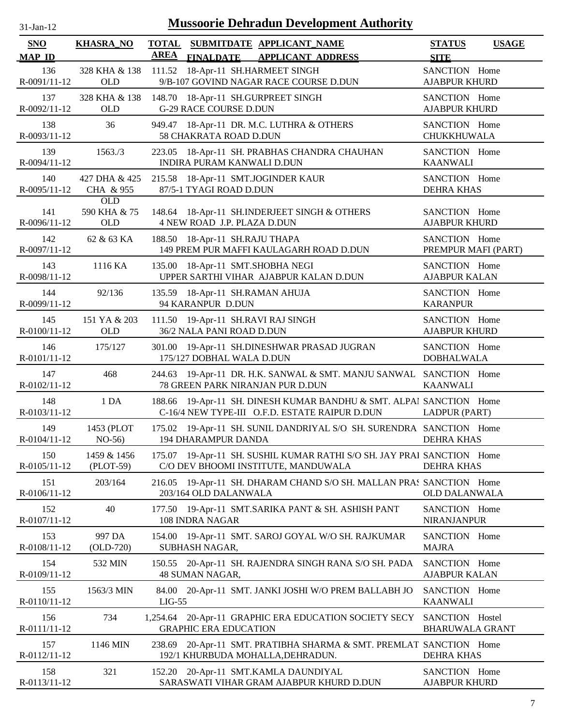| -Jan- |  |
|-------|--|

| SNO                 | <b>KHASRA_NO</b>           | <b>TOTAL</b>                                         |                  | SUBMITDATE APPLICANT NAME                                                                                      | <b>STATUS</b>                             | <b>USAGE</b> |
|---------------------|----------------------------|------------------------------------------------------|------------------|----------------------------------------------------------------------------------------------------------------|-------------------------------------------|--------------|
| <b>MAP ID</b>       |                            | <b>AREA</b>                                          | <b>FINALDATE</b> | <b>APPLICANT ADDRESS</b>                                                                                       | <b>SITE</b>                               |              |
| 136<br>R-0091/11-12 | 328 KHA & 138<br>OLD       |                                                      |                  | 111.52 18-Apr-11 SH.HARMEET SINGH<br>9/B-107 GOVIND NAGAR RACE COURSE D.DUN                                    | SANCTION Home<br><b>AJABPUR KHURD</b>     |              |
| 137<br>R-0092/11-12 | 328 KHA & 138<br>OLD       | <b>G-29 RACE COURSE D.DUN</b>                        |                  | 148.70 18-Apr-11 SH.GURPREET SINGH                                                                             | SANCTION Home<br><b>AJABPUR KHURD</b>     |              |
| 138<br>R-0093/11-12 | 36                         | 58 CHAKRATA ROAD D.DUN                               |                  | 949.47 18-Apr-11 DR. M.C. LUTHRA & OTHERS                                                                      | SANCTION Home<br>CHUKKHUWALA              |              |
| 139<br>R-0094/11-12 | 1563./3                    | INDIRA PURAM KANWALI D.DUN                           |                  | 223.05 18-Apr-11 SH. PRABHAS CHANDRA CHAUHAN                                                                   | SANCTION Home<br><b>KAANWALI</b>          |              |
| 140<br>R-0095/11-12 | 427 DHA & 425<br>CHA & 955 | 87/5-1 TYAGI ROAD D.DUN                              |                  | 215.58 18-Apr-11 SMT.JOGINDER KAUR                                                                             | SANCTION Home<br><b>DEHRA KHAS</b>        |              |
|                     | OLD                        |                                                      |                  |                                                                                                                |                                           |              |
| 141<br>R-0096/11-12 | 590 KHA & 75<br><b>OLD</b> | 4 NEW ROAD J.P. PLAZA D.DUN                          |                  | 148.64 18-Apr-11 SH.INDERJEET SINGH & OTHERS                                                                   | SANCTION Home<br><b>AJABPUR KHURD</b>     |              |
| 142<br>R-0097/11-12 | 62 & 63 KA                 | 188.50 18-Apr-11 SH.RAJU THAPA                       |                  | 149 PREM PUR MAFFI KAULAGARH ROAD D.DUN                                                                        | SANCTION Home<br>PREMPUR MAFI (PART)      |              |
| 143<br>R-0098/11-12 | 1116 KA                    | 135.00                                               |                  | 18-Apr-11 SMT.SHOBHA NEGI<br>UPPER SARTHI VIHAR AJABPUR KALAN D.DUN                                            | SANCTION Home<br><b>AJABPUR KALAN</b>     |              |
| 144<br>R-0099/11-12 | 92/136                     | 135.59 18-Apr-11 SH.RAMAN AHUJA<br>94 KARANPUR D.DUN |                  |                                                                                                                | SANCTION Home<br><b>KARANPUR</b>          |              |
| 145<br>R-0100/11-12 | 151 YA & 203<br><b>OLD</b> | 36/2 NALA PANI ROAD D.DUN                            |                  | 111.50 19-Apr-11 SH.RAVI RAJ SINGH                                                                             | SANCTION Home<br><b>AJABPUR KHURD</b>     |              |
| 146<br>R-0101/11-12 | 175/127                    | 301.00<br>175/127 DOBHAL WALA D.DUN                  |                  | 19-Apr-11 SH.DINESHWAR PRASAD JUGRAN                                                                           | SANCTION Home<br><b>DOBHALWALA</b>        |              |
| 147<br>R-0102/11-12 | 468                        |                                                      |                  | 244.63 19-Apr-11 DR. H.K. SANWAL & SMT. MANJU SANWAL SANCTION Home<br>78 GREEN PARK NIRANJAN PUR D.DUN         | <b>KAANWALI</b>                           |              |
| 148<br>R-0103/11-12 | 1DA                        | 188.66                                               |                  | 19-Apr-11 SH. DINESH KUMAR BANDHU & SMT. ALPAI SANCTION Home<br>C-16/4 NEW TYPE-III O.F.D. ESTATE RAIPUR D.DUN | LADPUR (PART)                             |              |
| 149<br>R-0104/11-12 | 1453 (PLOT<br>$NO-56$      | 194 DHARAMPUR DANDA                                  |                  | 175.02 19-Apr-11 SH. SUNIL DANDRIYAL S/O SH. SURENDRA SANCTION Home                                            | <b>DEHRA KHAS</b>                         |              |
| 150<br>R-0105/11-12 | 1459 & 1456<br>(PLOT-59)   |                                                      |                  | 175.07 19-Apr-11 SH. SUSHIL KUMAR RATHI S/O SH. JAY PRAI SANCTION Home<br>C/O DEV BHOOMI INSTITUTE, MANDUWALA  | <b>DEHRA KHAS</b>                         |              |
| 151<br>R-0106/11-12 | 203/164                    | 216.05<br>203/164 OLD DALANWALA                      |                  | 19-Apr-11 SH. DHARAM CHAND S/O SH. MALLAN PRAS SANCTION Home                                                   | <b>OLD DALANWALA</b>                      |              |
| 152<br>R-0107/11-12 | 40                         | 108 INDRA NAGAR                                      |                  | 177.50 19-Apr-11 SMT.SARIKA PANT & SH. ASHISH PANT                                                             | SANCTION Home<br>NIRANJANPUR              |              |
| 153<br>R-0108/11-12 | 997 DA<br>$(OLD-720)$      | 154.00<br>SUBHASH NAGAR,                             |                  | 19-Apr-11 SMT. SAROJ GOYAL W/O SH. RAJKUMAR                                                                    | SANCTION Home<br><b>MAJRA</b>             |              |
| 154<br>R-0109/11-12 | 532 MIN                    | 150.55<br>48 SUMAN NAGAR,                            |                  | 20-Apr-11 SH. RAJENDRA SINGH RANA S/O SH. PADA                                                                 | SANCTION Home<br><b>AJABPUR KALAN</b>     |              |
| 155<br>R-0110/11-12 | 1563/3 MIN                 | 84.00<br>$LIG-55$                                    |                  | 20-Apr-11 SMT. JANKI JOSHI W/O PREM BALLABH JO                                                                 | SANCTION Home<br><b>KAANWALI</b>          |              |
| 156<br>R-0111/11-12 | 734                        | <b>GRAPHIC ERA EDUCATION</b>                         |                  | 1,254.64 20-Apr-11 GRAPHIC ERA EDUCATION SOCIETY SECY                                                          | SANCTION Hostel<br><b>BHARUWALA GRANT</b> |              |
| 157<br>R-0112/11-12 | 1146 MIN                   | 238.69                                               |                  | 20-Apr-11 SMT. PRATIBHA SHARMA & SMT. PREMLAT SANCTION Home<br>192/1 KHURBUDA MOHALLA, DEHRADUN.               | <b>DEHRA KHAS</b>                         |              |
| 158<br>R-0113/11-12 | 321                        | 152.20                                               |                  | 20-Apr-11 SMT.KAMLA DAUNDIYAL<br>SARASWATI VIHAR GRAM AJABPUR KHURD D.DUN                                      | SANCTION Home<br><b>AJABPUR KHURD</b>     |              |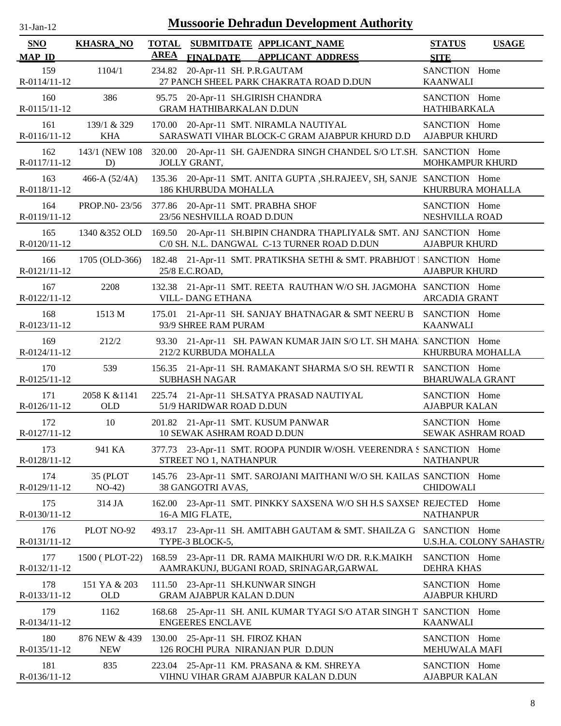| $31$ -Jan-12                | <b>Mussoorie Dehradun Development Authority</b> |             |                                                                      |                                                                                                                                   |                                       |                          |  |  |  |
|-----------------------------|-------------------------------------------------|-------------|----------------------------------------------------------------------|-----------------------------------------------------------------------------------------------------------------------------------|---------------------------------------|--------------------------|--|--|--|
| <b>SNO</b><br><b>MAP ID</b> | <b>KHASRA_NO</b>                                | <b>AREA</b> | <b>FINALDATE</b>                                                     | TOTAL SUBMITDATE APPLICANT NAME<br><b>APPLICANT ADDRESS</b>                                                                       | <b>STATUS</b><br><b>SITE</b>          | <b>USAGE</b>             |  |  |  |
| 159<br>R-0114/11-12         | 1104/1                                          |             | 234.82 20-Apr-11 SH. P.R.GAUTAM                                      | 27 PANCH SHEEL PARK CHAKRATA ROAD D.DUN                                                                                           | SANCTION Home<br><b>KAANWALI</b>      |                          |  |  |  |
| 160<br>R-0115/11-12         | 386                                             |             | 95.75 20-Apr-11 SH.GIRISH CHANDRA<br><b>GRAM HATHIBARKALAN D.DUN</b> |                                                                                                                                   | SANCTION Home<br><b>HATHIBARKALA</b>  |                          |  |  |  |
| 161<br>R-0116/11-12         | 139/1 & 329<br><b>KHA</b>                       |             |                                                                      | 170.00 20-Apr-11 SMT. NIRAMLA NAUTIYAL<br>SARASWATI VIHAR BLOCK-C GRAM AJABPUR KHURD D.D                                          | SANCTION Home<br><b>AJABPUR KHURD</b> |                          |  |  |  |
| 162<br>R-0117/11-12         | 143/1 (NEW 108)<br>D)                           |             | JOLLY GRANT,                                                         | 320.00 20-Apr-11 SH. GAJENDRA SINGH CHANDEL S/O LT.SH. SANCTION Home                                                              | MOHKAMPUR KHURD                       |                          |  |  |  |
| 163<br>R-0118/11-12         | 466-A $(52/4A)$                                 |             | <b>186 KHURBUDA MOHALLA</b>                                          | 135.36 20-Apr-11 SMT. ANITA GUPTA , SH.RAJEEV, SH, SANJE SANCTION Home                                                            | KHURBURA MOHALLA                      |                          |  |  |  |
| 164<br>R-0119/11-12         | PROP.NO-23/56                                   |             | 377.86 20-Apr-11 SMT. PRABHA SHOF<br>23/56 NESHVILLA ROAD D.DUN      |                                                                                                                                   | SANCTION Home<br>NESHVILLA ROAD       |                          |  |  |  |
| 165<br>R-0120/11-12         |                                                 |             |                                                                      | 1340 & 352 OLD 169.50 20-Apr-11 SH.BIPIN CHANDRA THAPLIYAL& SMT. ANJ SANCTION Home<br>C/0 SH. N.L. DANGWAL C-13 TURNER ROAD D.DUN | <b>AJABPUR KHURD</b>                  |                          |  |  |  |
| 166<br>R-0121/11-12         | 1705 (OLD-366)                                  |             | 25/8 E.C.ROAD,                                                       | 182.48 21-Apr-11 SMT. PRATIKSHA SETHI & SMT. PRABHJOT   SANCTION Home                                                             | <b>AJABPUR KHURD</b>                  |                          |  |  |  |
| 167<br>R-0122/11-12         | 2208                                            |             | <b>VILL-DANG ETHANA</b>                                              | 132.38 21-Apr-11 SMT. REETA RAUTHAN W/O SH. JAGMOHA SANCTION Home                                                                 | <b>ARCADIA GRANT</b>                  |                          |  |  |  |
| 168<br>R-0123/11-12         | 1513 M                                          |             | 93/9 SHREE RAM PURAM                                                 | 175.01 21-Apr-11 SH. SANJAY BHATNAGAR & SMT NEERU B SANCTION Home                                                                 | <b>KAANWALI</b>                       |                          |  |  |  |
| 169<br>R-0124/11-12         | 212/2                                           |             | 212/2 KURBUDA MOHALLA                                                | 93.30 21-Apr-11 SH. PAWAN KUMAR JAIN S/O LT. SH MAHAl SANCTION Home                                                               | KHURBURA MOHALLA                      |                          |  |  |  |
| 170<br>R-0125/11-12         | 539                                             |             | <b>SUBHASH NAGAR</b>                                                 | 156.35 21-Apr-11 SH. RAMAKANT SHARMA S/O SH. REWTI R SANCTION Home                                                                | <b>BHARUWALA GRANT</b>                |                          |  |  |  |
| 171<br>$R-0126/11-12$       | 2058 K & 1141<br><b>OLD</b>                     |             | 51/9 HARIDWAR ROAD D.DUN                                             | 225.74 21-Apr-11 SH.SATYA PRASAD NAUTIYAL                                                                                         | SANCTION Home<br><b>AJABPUR KALAN</b> |                          |  |  |  |
| 172<br>R-0127/11-12         | 10                                              |             | 10 SEWAK ASHRAM ROAD D.DUN                                           | 201.82 21-Apr-11 SMT. KUSUM PANWAR                                                                                                | SANCTION Home<br>SEWAK ASHRAM ROAD    |                          |  |  |  |
| 173<br>R-0128/11-12         | 941 KA                                          |             | STREET NO 1, NATHANPUR                                               | 377.73 23-Apr-11 SMT. ROOPA PUNDIR W/OSH. VEERENDRA S SANCTION Home                                                               | <b>NATHANPUR</b>                      |                          |  |  |  |
| 174<br>R-0129/11-12         | 35 (PLOT<br>$NO-42)$                            |             | 38 GANGOTRI AVAS,                                                    | 145.76 23-Apr-11 SMT. SAROJANI MAITHANI W/O SH. KAILAS SANCTION Home                                                              | <b>CHIDOWALI</b>                      |                          |  |  |  |
| 175<br>R-0130/11-12         | 314 JA                                          |             | 16-A MIG FLATE,                                                      | 162.00 23-Apr-11 SMT. PINKKY SAXSENA W/O SH H.S SAXSEN REJECTED Home                                                              | <b>NATHANPUR</b>                      |                          |  |  |  |
| 176<br>R-0131/11-12         | PLOT NO-92                                      |             | TYPE-3 BLOCK-5,                                                      | 493.17 23-Apr-11 SH. AMITABH GAUTAM & SMT. SHAILZA G SANCTION Home                                                                |                                       | U.S.H.A. COLONY SAHASTRA |  |  |  |
| 177<br>R-0132/11-12         | 1500 (PLOT-22)                                  |             |                                                                      | 168.59 23-Apr-11 DR. RAMA MAIKHURI W/O DR. R.K.MAIKH<br>AAMRAKUNJ, BUGANI ROAD, SRINAGAR, GARWAL                                  | SANCTION Home<br><b>DEHRA KHAS</b>    |                          |  |  |  |
| 178<br>R-0133/11-12         | 151 YA & 203<br><b>OLD</b>                      |             | 111.50 23-Apr-11 SH.KUNWAR SINGH<br><b>GRAM AJABPUR KALAN D.DUN</b>  |                                                                                                                                   | SANCTION Home<br><b>AJABPUR KHURD</b> |                          |  |  |  |
| 179<br>R-0134/11-12         | 1162                                            |             | <b>ENGEERES ENCLAVE</b>                                              | 168.68 25-Apr-11 SH. ANIL KUMAR TYAGI S/O ATAR SINGH T SANCTION Home                                                              | <b>KAANWALI</b>                       |                          |  |  |  |
| 180<br>R-0135/11-12         | 876 NEW & 439<br><b>NEW</b>                     |             | 130.00 25-Apr-11 SH. FIROZ KHAN                                      | 126 ROCHI PURA NIRANJAN PUR D.DUN                                                                                                 | SANCTION Home<br>MEHUWALA MAFI        |                          |  |  |  |
| 181<br>R-0136/11-12         | 835                                             |             |                                                                      | 223.04 25-Apr-11 KM. PRASANA & KM. SHREYA<br>VIHNU VIHAR GRAM AJABPUR KALAN D.DUN                                                 | SANCTION Home<br>AJABPUR KALAN        |                          |  |  |  |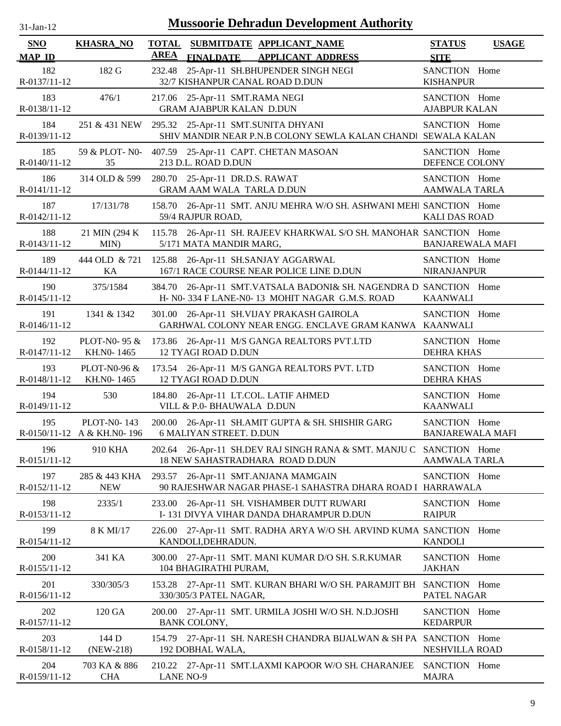| $31$ -Jan-1 |  |
|-------------|--|

| <b>SNO</b><br><b>MAP ID</b> | <b>KHASRA_NO</b>                                 | <b>TOTAL</b><br><b>AREA</b> | <b>FINALDATE</b>                                            | SUBMITDATE APPLICANT NAME<br><b>APPLICANT ADDRESS</b>                                                             | <b>STATUS</b><br><b>SITE</b>             | <b>USAGE</b> |
|-----------------------------|--------------------------------------------------|-----------------------------|-------------------------------------------------------------|-------------------------------------------------------------------------------------------------------------------|------------------------------------------|--------------|
| 182<br>R-0137/11-12         | 182 G                                            | 232.48                      |                                                             | 25-Apr-11 SH.BHUPENDER SINGH NEGI<br>32/7 KISHANPUR CANAL ROAD D.DUN                                              | SANCTION Home<br><b>KISHANPUR</b>        |              |
| 183<br>R-0138/11-12         | 476/1                                            | 217.06                      | 25-Apr-11 SMT.RAMA NEGI<br><b>GRAM AJABPUR KALAN D.DUN</b>  |                                                                                                                   | SANCTION Home<br><b>AJABPUR KALAN</b>    |              |
| 184<br>R-0139/11-12         |                                                  |                             |                                                             | 251 & 431 NEW 295.32 25-Apr-11 SMT.SUNITA DHYANI<br>SHIV MANDIR NEAR P.N.B COLONY SEWLA KALAN CHANDI SEWALA KALAN | SANCTION Home                            |              |
| 185<br>R-0140/11-12         | 35                                               |                             | 213 D.L. ROAD D.DUN                                         | 59 & PLOT- N0- 407.59 25-Apr-11 CAPT. CHETAN MASOAN                                                               | SANCTION Home<br>DEFENCE COLONY          |              |
| 186<br>R-0141/11-12         | 314 OLD & 599                                    |                             | 280.70 25-Apr-11 DR.D.S. RAWAT<br>GRAM AAM WALA TARLA D.DUN |                                                                                                                   | SANCTION Home<br><b>AAMWALA TARLA</b>    |              |
| 187<br>R-0142/11-12         | 17/131/78                                        |                             | 59/4 RAJPUR ROAD,                                           | 158.70 26-Apr-11 SMT. ANJU MEHRA W/O SH. ASHWANI MEHI SANCTION Home                                               | <b>KALI DAS ROAD</b>                     |              |
| 188<br>R-0143/11-12         | 21 MIN (294 K)<br>MIN)                           | 115.78                      | 5/171 MATA MANDIR MARG,                                     | 26-Apr-11 SH. RAJEEV KHARKWAL S/O SH. MANOHAR SANCTION Home                                                       | <b>BANJAREWALA MAFI</b>                  |              |
| 189<br>R-0144/11-12         | KA                                               |                             |                                                             | 444 OLD & 721 125.88 26-Apr-11 SH.SANJAY AGGARWAL<br>167/1 RACE COURSE NEAR POLICE LINE D.DUN                     | SANCTION Home<br><b>NIRANJANPUR</b>      |              |
| 190<br>R-0145/11-12         | 375/1584                                         | 384.70                      |                                                             | 26-Apr-11 SMT.VATSALA BADONI& SH. NAGENDRA D SANCTION Home<br>H- N0-334 F LANE-N0-13 MOHIT NAGAR G.M.S. ROAD      | <b>KAANWALI</b>                          |              |
| 191<br>R-0146/11-12         | 1341 & 1342                                      |                             |                                                             | 301.00 26-Apr-11 SH.VIJAY PRAKASH GAIROLA<br>GARHWAL COLONY NEAR ENGG. ENCLAVE GRAM KANWA KAANWALI                | SANCTION Home                            |              |
| 192<br>R-0147/11-12         | PLOT-N0-95 $\&$<br>KH.NO-1465                    |                             | <b>12 TYAGI ROAD D.DUN</b>                                  | 173.86 26-Apr-11 M/S GANGA REALTORS PVT.LTD                                                                       | SANCTION Home<br><b>DEHRA KHAS</b>       |              |
| 193<br>R-0148/11-12         | PLOT-N0-96 $&$<br>KH.NO-1465                     |                             | <b>12 TYAGI ROAD D.DUN</b>                                  | 173.54 26-Apr-11 M/S GANGA REALTORS PVT. LTD                                                                      | SANCTION Home<br><b>DEHRA KHAS</b>       |              |
| 194<br>R-0149/11-12         | 530                                              |                             | VILL & P.0- BHAUWALA D.DUN                                  | 184.80 26-Apr-11 LT.COL. LATIF AHMED                                                                              | SANCTION Home<br><b>KAANWALI</b>         |              |
| 195                         | <b>PLOT-N0-143</b><br>R-0150/11-12 A & KH.NO-196 |                             | <b>6 MALIYAN STREET. D.DUN</b>                              | 200.00 26-Apr-11 SH.AMIT GUPTA & SH. SHISHIR GARG                                                                 | SANCTION Home<br><b>BANJAREWALA MAFI</b> |              |
| 196<br>R-0151/11-12         | 910 KHA                                          |                             |                                                             | 202.64 26-Apr-11 SH.DEV RAJ SINGH RANA & SMT. MANJU C SANCTION Home<br>18 NEW SAHASTRADHARA ROAD D.DUN            | <b>AAMWALA TARLA</b>                     |              |
| 197<br>R-0152/11-12         | 285 & 443 KHA<br><b>NEW</b>                      |                             |                                                             | 293.57 26-Apr-11 SMT.ANJANA MAMGAIN<br>90 RAJESHWAR NAGAR PHASE-1 SAHASTRA DHARA ROAD I HARRAWALA                 | SANCTION Home                            |              |
| 198<br>R-0153/11-12         | 2335/1                                           | 233.00                      |                                                             | 26-Apr-11 SH. VISHAMBER DUTT RUWARI<br>I-131 DIVYA VIHAR DANDA DHARAMPUR D.DUN                                    | SANCTION Home<br><b>RAIPUR</b>           |              |
| 199<br>R-0154/11-12         | 8 K MI/17                                        | 226.00                      | KANDOLI, DEHRADUN.                                          | 27-Apr-11 SMT. RADHA ARYA W/O SH. ARVIND KUMA SANCTION Home                                                       | <b>KANDOLI</b>                           |              |
| 200<br>R-0155/11-12         | 341 KA                                           | 300.00                      | 104 BHAGIRATHI PURAM,                                       | 27-Apr-11 SMT. MANI KUMAR D/O SH. S.R.KUMAR                                                                       | SANCTION Home<br><b>JAKHAN</b>           |              |
| 201<br>R-0156/11-12         | 330/305/3                                        | 153.28                      | 330/305/3 PATEL NAGAR,                                      | 27-Apr-11 SMT. KURAN BHARI W/O SH. PARAMJIT BH SANCTION Home                                                      | PATEL NAGAR                              |              |
| 202<br>R-0157/11-12         | 120 GA                                           | BANK COLONY,                |                                                             | 200.00 27-Apr-11 SMT. URMILA JOSHI W/O SH. N.D.JOSHI                                                              | SANCTION Home<br><b>KEDARPUR</b>         |              |
| 203<br>R-0158/11-12         | 144 D<br>(NEW-218)                               |                             | 192 DOBHAL WALA,                                            | 154.79 27-Apr-11 SH. NARESH CHANDRA BIJALWAN & SH PA SANCTION Home                                                | NESHVILLA ROAD                           |              |
| 204<br>R-0159/11-12         | 703 KA & 886<br><b>CHA</b>                       | <b>LANE NO-9</b>            |                                                             | 210.22 27-Apr-11 SMT.LAXMI KAPOOR W/O SH. CHARANJEE                                                               | SANCTION Home<br><b>MAJRA</b>            |              |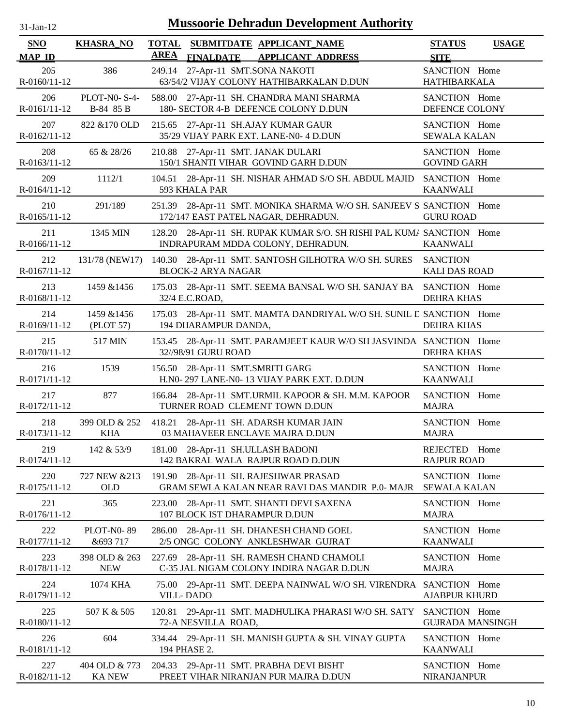| $31$ -Jan-12 |  |
|--------------|--|
|              |  |

| <b>SNO</b><br><b>MAP ID</b> | <b>KHASRA_NO</b>               | <b>TOTAL</b><br><b>AREA</b> | <b>FINALDATE</b>                  | SUBMITDATE APPLICANT NAME<br><b>APPLICANT ADDRESS</b>                                                      | <b>STATUS</b><br><b>SITE</b>             | <b>USAGE</b> |
|-----------------------------|--------------------------------|-----------------------------|-----------------------------------|------------------------------------------------------------------------------------------------------------|------------------------------------------|--------------|
| 205<br>R-0160/11-12         | 386                            | 249.14                      | 27-Apr-11 SMT.SONA NAKOTI         | 63/54/2 VIJAY COLONY HATHIBARKALAN D.DUN                                                                   | SANCTION Home<br><b>HATHIBARKALA</b>     |              |
| 206<br>R-0161/11-12         | PLOT-N0-S-4-<br>B-84 85 B      |                             |                                   | 588.00 27-Apr-11 SH. CHANDRA MANI SHARMA<br>180- SECTOR 4-B DEFENCE COLONY D.DUN                           | SANCTION Home<br>DEFENCE COLONY          |              |
| 207<br>R-0162/11-12         | 822 & 170 OLD                  | 215.65                      |                                   | 27-Apr-11 SH.AJAY KUMAR GAUR<br>35/29 VIJAY PARK EXT. LANE-N0- 4 D.DUN                                     | SANCTION Home<br><b>SEWALA KALAN</b>     |              |
| 208<br>R-0163/11-12         | 65 & 28/26                     | 210.88                      | 27-Apr-11 SMT. JANAK DULARI       | 150/1 SHANTI VIHAR GOVIND GARH D.DUN                                                                       | SANCTION Home<br><b>GOVIND GARH</b>      |              |
| 209<br>R-0164/11-12         | 1112/1                         |                             | 593 KHALA PAR                     | 104.51 28-Apr-11 SH. NISHAR AHMAD S/O SH. ABDUL MAJID SANCTION Home                                        | <b>KAANWALI</b>                          |              |
| 210<br>R-0165/11-12         | 291/189                        |                             |                                   | 251.39 28-Apr-11 SMT. MONIKA SHARMA W/O SH. SANJEEV S SANCTION Home<br>172/147 EAST PATEL NAGAR, DEHRADUN. | <b>GURU ROAD</b>                         |              |
| 211<br>R-0166/11-12         | 1345 MIN                       |                             |                                   | 128.20 28-Apr-11 SH. RUPAK KUMAR S/O. SH RISHI PAL KUM/ SANCTION Home<br>INDRAPURAM MDDA COLONY, DEHRADUN. | <b>KAANWALI</b>                          |              |
| 212<br>R-0167/11-12         | 131/78 (NEW17)                 |                             | <b>BLOCK-2 ARYA NAGAR</b>         | 140.30 28-Apr-11 SMT. SANTOSH GILHOTRA W/O SH. SURES                                                       | <b>SANCTION</b><br><b>KALI DAS ROAD</b>  |              |
| 213<br>R-0168/11-12         | 1459 & 1456                    |                             | 32/4 E.C.ROAD,                    | 175.03 28-Apr-11 SMT. SEEMA BANSAL W/O SH. SANJAY BA SANCTION Home                                         | <b>DEHRA KHAS</b>                        |              |
| 214<br>$R-0169/11-12$       | 1459 & 1456<br>(PLOT 57)       |                             | 194 DHARAMPUR DANDA,              | 175.03 28-Apr-11 SMT. MAMTA DANDRIYAL W/O SH. SUNIL E SANCTION Home                                        | <b>DEHRA KHAS</b>                        |              |
| 215<br>R-0170/11-12         | 517 MIN                        |                             | 32//98/91 GURU ROAD               | 153.45 28-Apr-11 SMT. PARAMJEET KAUR W/O SH JASVINDA SANCTION Home                                         | <b>DEHRA KHAS</b>                        |              |
| 216<br>R-0171/11-12         | 1539                           |                             | 156.50 28-Apr-11 SMT.SMRITI GARG  | H.N0-297 LANE-N0-13 VIJAY PARK EXT. D.DUN                                                                  | SANCTION Home<br><b>KAANWALI</b>         |              |
| 217<br>R-0172/11-12         | 877                            |                             |                                   | 166.84 28-Apr-11 SMT.URMIL KAPOOR & SH. M.M. KAPOOR<br>TURNER ROAD CLEMENT TOWN D.DUN                      | SANCTION Home<br><b>MAJRA</b>            |              |
| 218<br>R-0173/11-12         | 399 OLD & 252<br><b>KHA</b>    |                             |                                   | 418.21 28-Apr-11 SH. ADARSH KUMAR JAIN<br>03 MAHAVEER ENCLAVE MAJRA D.DUN                                  | SANCTION Home<br><b>MAJRA</b>            |              |
| 219<br>R-0174/11-12         | 142 & 53/9                     |                             | 181.00 28-Apr-11 SH.ULLASH BADONI | 142 BAKRAL WALA RAJPUR ROAD D.DUN                                                                          | <b>REJECTED</b><br><b>RAJPUR ROAD</b>    | Home         |
| 220<br>R-0175/11-12         | 727 NEW & 213<br><b>OLD</b>    | 191.90                      |                                   | 28-Apr-11 SH. RAJESHWAR PRASAD<br>GRAM SEWLA KALAN NEAR RAVI DAS MANDIR P.0- MAJR                          | SANCTION Home<br><b>SEWALA KALAN</b>     |              |
| 221<br>R-0176/11-12         | 365                            | 223.00                      | 107 BLOCK IST DHARAMPUR D.DUN     | 28-Apr-11 SMT. SHANTI DEVI SAXENA                                                                          | SANCTION Home<br><b>MAJRA</b>            |              |
| 222<br>R-0177/11-12         | <b>PLOT-N0-89</b><br>&693 717  | 286.00                      |                                   | 28-Apr-11 SH. DHANESH CHAND GOEL<br>2/5 ONGC COLONY ANKLESHWAR GUJRAT                                      | SANCTION Home<br><b>KAANWALI</b>         |              |
| 223<br>R-0178/11-12         | 398 OLD & 263<br><b>NEW</b>    |                             |                                   | 227.69 28-Apr-11 SH. RAMESH CHAND CHAMOLI<br>C-35 JAL NIGAM COLONY INDIRA NAGAR D.DUN                      | SANCTION Home<br><b>MAJRA</b>            |              |
| 224<br>R-0179/11-12         | 1074 KHA                       | 75.00                       | <b>VILL-DADO</b>                  | 29-Apr-11 SMT. DEEPA NAINWAL W/O SH. VIRENDRA SANCTION Home                                                | <b>AJABPUR KHURD</b>                     |              |
| 225<br>R-0180/11-12         | 507 K & 505                    |                             | 72-A NESVILLA ROAD,               | 120.81 29-Apr-11 SMT. MADHULIKA PHARASI W/O SH. SATY                                                       | SANCTION Home<br><b>GUJRADA MANSINGH</b> |              |
| 226<br>R-0181/11-12         | 604                            |                             | 194 PHASE 2.                      | 334.44 29-Apr-11 SH. MANISH GUPTA & SH. VINAY GUPTA                                                        | SANCTION Home<br><b>KAANWALI</b>         |              |
| 227<br>R-0182/11-12         | 404 OLD & 773<br><b>KA NEW</b> |                             |                                   | 204.33 29-Apr-11 SMT. PRABHA DEVI BISHT<br>PREET VIHAR NIRANJAN PUR MAJRA D.DUN                            | SANCTION Home<br><b>NIRANJANPUR</b>      |              |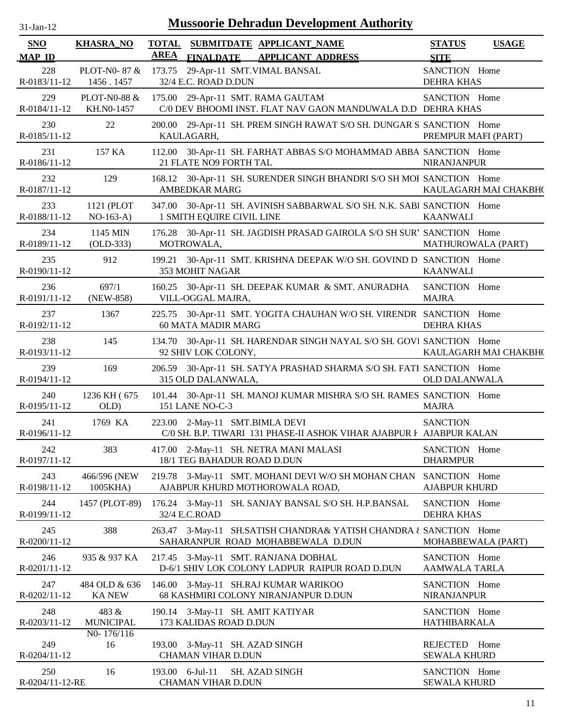| <b>SNO</b><br><b>MAP ID</b> | <b>KHASRA_NO</b>               | AREA   | TOTAL SUBMITDATE APPLICANT NAME<br><b>FINALDATE</b><br><b>APPLICANT ADDRESS</b>                        | <b>STATUS</b><br><b>SITE</b>          | <b>USAGE</b>          |
|-----------------------------|--------------------------------|--------|--------------------------------------------------------------------------------------------------------|---------------------------------------|-----------------------|
| 228<br>R-0183/11-12         | PLOT-N0-87 &<br>1456.1457      |        | 173.75 29-Apr-11 SMT.VIMAL BANSAL<br>32/4 E.C. ROAD D.DUN                                              | SANCTION Home<br><b>DEHRA KHAS</b>    |                       |
| 229<br>R-0184/11-12         | PLOT-N0-88 &<br>KH.NO-1457     |        | 175.00 29-Apr-11 SMT. RAMA GAUTAM<br>C/0 DEV BHOOMI INST. FLAT NAV GAON MANDUWALA D.D DEHRA KHAS       | SANCTION Home                         |                       |
| 230<br>R-0185/11-12         | 22                             | 200.00 | 29-Apr-11 SH. PREM SINGH RAWAT S/O SH. DUNGAR S SANCTION Home<br>KAULAGARH,                            | PREMPUR MAFI (PART)                   |                       |
| 231<br>R-0186/11-12         | 157 KA                         |        | 112.00 30-Apr-11 SH. FARHAT ABBAS S/O MOHAMMAD ABBA SANCTION Home<br>21 FLATE NO9 FORTH TAL            | <b>NIRANJANPUR</b>                    |                       |
| 232<br>R-0187/11-12         | 129                            |        | 168.12 30-Apr-11 SH. SURENDER SINGH BHANDRI S/O SH MOI SANCTION Home<br><b>AMBEDKAR MARG</b>           |                                       | KAULAGARH MAI CHAKBH( |
| 233<br>R-0188/11-12         | 1121 (PLOT<br>$NO-163-A)$      |        | 347.00 30-Apr-11 SH. AVINISH SABBARWAL S/O SH. N.K. SABI SANCTION Home<br>1 SMITH EQUIRE CIVIL LINE    | KAANWALI                              |                       |
| 234<br>R-0189/11-12         | 1145 MIN<br>$(OLD-333)$        |        | 176.28 30-Apr-11 SH. JAGDISH PRASAD GAIROLA S/O SH SUR' SANCTION Home<br>MOTROWALA,                    | MATHUROWALA (PART)                    |                       |
| 235<br>R-0190/11-12         | 912                            | 199.21 | 30-Apr-11 SMT. KRISHNA DEEPAK W/O SH. GOVIND D SANCTION Home<br>353 MOHIT NAGAR                        | <b>KAANWALI</b>                       |                       |
| 236<br>R-0191/11-12         | 697/1<br>(NEW-858)             |        | 160.25 30-Apr-11 SH. DEEPAK KUMAR & SMT. ANURADHA<br>VILL-OGGAL MAJRA,                                 | SANCTION Home<br><b>MAJRA</b>         |                       |
| 237<br>R-0192/11-12         | 1367                           |        | 225.75 30-Apr-11 SMT. YOGITA CHAUHAN W/O SH. VIRENDR SANCTION Home<br><b>60 MATA MADIR MARG</b>        | <b>DEHRA KHAS</b>                     |                       |
| 238<br>R-0193/11-12         | 145                            |        | 134.70 30-Apr-11 SH. HARENDAR SINGH NAYAL S/O SH. GOVI SANCTION Home<br>92 SHIV LOK COLONY,            |                                       | KAULAGARH MAI CHAKBH( |
| 239<br>R-0194/11-12         | 169                            |        | 206.59 30-Apr-11 SH. SATYA PRASHAD SHARMA S/O SH. FATI SANCTION Home<br>315 OLD DALANWALA,             | <b>OLD DALANWALA</b>                  |                       |
| 240<br>R-0195/11-12         | 1236 KH (675<br>OLD)           |        | 101.44 30-Apr-11 SH. MANOJ KUMAR MISHRA S/O SH. RAMES SANCTION Home<br>151 LANE NO-C-3                 | <b>MAJRA</b>                          |                       |
| 241<br>R-0196/11-12         | 1769 KA                        |        | 223.00 2-May-11 SMT.BIMLA DEVI<br>C/0 SH. B.P. TIWARI 131 PHASE-II ASHOK VIHAR AJABPUR I AJABPUR KALAN | <b>SANCTION</b>                       |                       |
| 242<br>R-0197/11-12         | 383                            |        | 417.00 2-May-11 SH. NETRA MANI MALASI<br>18/1 TEG BAHADUR ROAD D.DUN                                   | SANCTION Home<br><b>DHARMPUR</b>      |                       |
| 243<br>R-0198/11-12         | 466/596 (NEW)<br>1005KHA)      |        | 219.78 3-May-11 SMT. MOHANI DEVI W/O SH MOHAN CHAN<br>AJABPUR KHURD MOTHOROWALA ROAD,                  | SANCTION Home<br><b>AJABPUR KHURD</b> |                       |
| 244<br>R-0199/11-12         | 1457 (PLOT-89)                 |        | 176.24 3-May-11 SH. SANJAY BANSAL S/O SH. H.P.BANSAL<br>32/4 E.C.ROAD                                  | SANCTION Home<br><b>DEHRA KHAS</b>    |                       |
| 245<br>R-0200/11-12         | 388                            |        | 263.47 3-May-11 SH.SATISH CHANDRA& YATISH CHANDRA ¿ SANCTION Home<br>SAHARANPUR ROAD MOHABBEWALA D.DUN | MOHABBEWALA (PART)                    |                       |
| 246<br>R-0201/11-12         | 935 & 937 KA                   |        | 217.45 3-May-11 SMT. RANJANA DOBHAL<br>D-6/1 SHIV LOK COLONY LADPUR RAIPUR ROAD D.DUN                  | SANCTION Home<br><b>AAMWALA TARLA</b> |                       |
| 247<br>R-0202/11-12         | 484 OLD & 636<br><b>KA NEW</b> |        | 146.00 3-May-11 SH.RAJ KUMAR WARIKOO<br>68 KASHMIRI COLONY NIRANJANPUR D.DUN                           | SANCTION Home<br><b>NIRANJANPUR</b>   |                       |
| 248<br>R-0203/11-12         | 483 &<br><b>MUNICIPAL</b>      |        | 190.14 3-May-11 SH. AMIT KATIYAR<br>173 KALIDAS ROAD D.DUN                                             | SANCTION Home<br>HATHIBARKALA         |                       |
| 249<br>R-0204/11-12         | NO-176/116<br>16               |        | 193.00 3-May-11 SH. AZAD SINGH<br><b>CHAMAN VIHAR D.DUN</b>                                            | REJECTED Home<br><b>SEWALA KHURD</b>  |                       |
| 250<br>R-0204/11-12-RE      | 16                             |        | 193.00 6-Jul-11<br><b>SH. AZAD SINGH</b><br><b>CHAMAN VIHAR D.DUN</b>                                  | SANCTION Home<br><b>SEWALA KHURD</b>  |                       |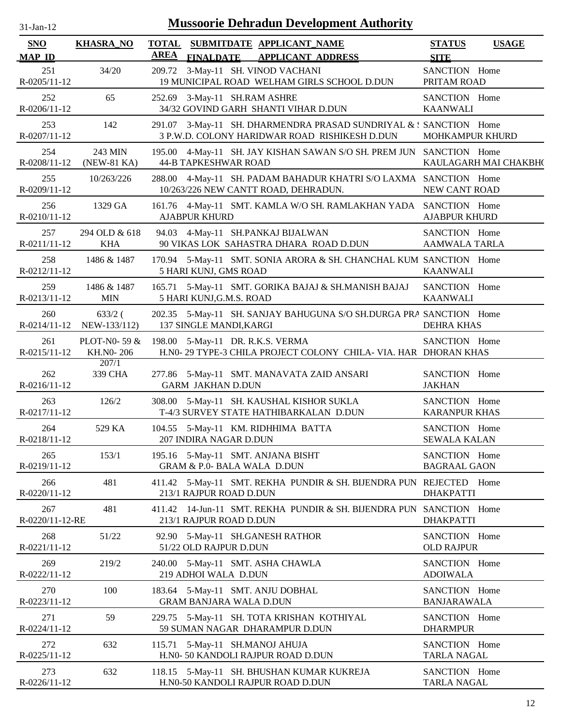| $31$ -Jan-12              |                             |             | <b>Mussoorie Dehradun Development Authority</b>                                                                    |                                       |                       |
|---------------------------|-----------------------------|-------------|--------------------------------------------------------------------------------------------------------------------|---------------------------------------|-----------------------|
| SNO<br><b>MAP ID</b>      | <b>KHASRA_NO</b>            | <b>AREA</b> | TOTAL SUBMITDATE APPLICANT_NAME<br><b>FINALDATE</b><br><b>APPLICANT ADDRESS</b>                                    | <b>STATUS</b><br><b>SITE</b>          | <b>USAGE</b>          |
| 251<br>$R - 0205/11 - 12$ | 34/20                       |             | 209.72 3-May-11 SH. VINOD VACHANI<br>19 MUNICIPAL ROAD WELHAM GIRLS SCHOOL D.DUN                                   | SANCTION Home<br>PRITAM ROAD          |                       |
| 252<br>R-0206/11-12       | 65                          |             | 252.69 3-May-11 SH.RAM ASHRE<br>34/32 GOVIND GARH SHANTI VIHAR D.DUN                                               | SANCTION Home<br><b>KAANWALI</b>      |                       |
| 253<br>R-0207/11-12       | 142                         |             | 291.07 3-May-11 SH. DHARMENDRA PRASAD SUNDRIYAL & : SANCTION Home<br>3 P.W.D. COLONY HARIDWAR ROAD RISHIKESH D.DUN | <b>MOHKAMPUR KHURD</b>                |                       |
| 254<br>R-0208/11-12       | 243 MIN<br>(NEW-81 KA)      |             | 195.00 4-May-11 SH. JAY KISHAN SAWAN S/O SH. PREM JUN SANCTION Home<br><b>44-B TAPKESHWAR ROAD</b>                 |                                       | KAULAGARH MAI CHAKBH( |
| 255<br>R-0209/11-12       | 10/263/226                  |             | 288.00 4-May-11 SH. PADAM BAHADUR KHATRI S/O LAXMA SANCTION Home<br>10/263/226 NEW CANTT ROAD, DEHRADUN.           | NEW CANT ROAD                         |                       |
| 256<br>R-0210/11-12       | 1329 GA                     |             | 161.76 4-May-11 SMT. KAMLA W/O SH. RAMLAKHAN YADA SANCTION Home<br><b>AJABPUR KHURD</b>                            | <b>AJABPUR KHURD</b>                  |                       |
| 257<br>R-0211/11-12       | 294 OLD & 618<br><b>KHA</b> |             | 94.03 4-May-11 SH.PANKAJ BIJALWAN<br>90 VIKAS LOK SAHASTRA DHARA ROAD D.DUN                                        | SANCTION Home<br>AAMWALA TARLA        |                       |
| 258<br>R-0212/11-12       | 1486 & 1487                 |             | 170.94 5-May-11 SMT. SONIA ARORA & SH. CHANCHAL KUM SANCTION Home<br>5 HARI KUNJ, GMS ROAD                         | <b>KAANWALI</b>                       |                       |
| 259<br>R-0213/11-12       | 1486 & 1487<br>MIN          |             | 165.71 5-May-11 SMT. GORIKA BAJAJ & SH.MANISH BAJAJ<br>5 HARI KUNJ, G.M.S. ROAD                                    | SANCTION Home<br>KAANWALI             |                       |
| 260<br>R-0214/11-12       | $633/2$ (<br>NEW-133/112)   |             | 202.35 5-May-11 SH. SANJAY BAHUGUNA S/O SH.DURGA PRA SANCTION Home<br>137 SINGLE MANDI, KARGI                      | <b>DEHRA KHAS</b>                     |                       |
| 261<br>$R - 0215/11 - 12$ | PLOT-N0-59 $&$<br>KH.NO-206 |             | 198.00 5-May-11 DR. R.K.S. VERMA<br>H.NO- 29 TYPE-3 CHILA PROJECT COLONY CHILA- VIA. HAR DHORAN KHAS               | SANCTION Home                         |                       |
| 262<br>R-0216/11-12       | 207/1<br>339 CHA            |             | 277.86 5-May-11 SMT. MANAVATA ZAID ANSARI<br><b>GARM JAKHAN D.DUN</b>                                              | SANCTION Home<br><b>JAKHAN</b>        |                       |
| 263<br>R-0217/11-12       | 126/2                       |             | 308.00 5-May-11 SH. KAUSHAL KISHOR SUKLA<br>T-4/3 SURVEY STATE HATHIBARKALAN D.DUN                                 | SANCTION Home<br><b>KARANPUR KHAS</b> |                       |
| 264<br>R-0218/11-12       | 529 KA                      |             | 104.55 5-May-11 KM. RIDHHIMA BATTA<br>207 INDIRA NAGAR D.DUN                                                       | SANCTION Home<br>SEWALA KALAN         |                       |
| 265<br>R-0219/11-12       | 153/1                       |             | 195.16 5-May-11 SMT. ANJANA BISHT<br>GRAM & P.0- BALA WALA D.DUN                                                   | SANCTION Home<br><b>BAGRAAL GAON</b>  |                       |
| 266<br>R-0220/11-12       | 481                         |             | 411.42 5-May-11 SMT. REKHA PUNDIR & SH. BIJENDRA PUN REJECTED Home<br>213/1 RAJPUR ROAD D.DUN                      | <b>DHAKPATTI</b>                      |                       |
| 267<br>R-0220/11-12-RE    | 481                         |             | 411.42 14-Jun-11 SMT. REKHA PUNDIR & SH. BIJENDRA PUN SANCTION Home<br>213/1 RAJPUR ROAD D.DUN                     | <b>DHAKPATTI</b>                      |                       |
| 268<br>R-0221/11-12       | 51/22                       |             | 92.90 5-May-11 SH.GANESH RATHOR<br>51/22 OLD RAJPUR D.DUN                                                          | SANCTION Home<br><b>OLD RAJPUR</b>    |                       |
| 269<br>R-0222/11-12       | 219/2                       |             | 240.00 5-May-11 SMT. ASHA CHAWLA<br>219 ADHOI WALA D.DUN                                                           | SANCTION Home<br><b>ADOIWALA</b>      |                       |
| 270<br>R-0223/11-12       | 100                         |             | 183.64 5-May-11 SMT. ANJU DOBHAL<br><b>GRAM BANJARA WALA D.DUN</b>                                                 | SANCTION Home<br><b>BANJARAWALA</b>   |                       |
| 271<br>R-0224/11-12       | 59                          |             | 229.75 5-May-11 SH. TOTA KRISHAN KOTHIYAL<br>59 SUMAN NAGAR DHARAMPUR D.DUN                                        | SANCTION Home<br><b>DHARMPUR</b>      |                       |
| 272<br>R-0225/11-12       | 632                         |             | 115.71 5-May-11 SH.MANOJ AHUJA<br>H.N0- 50 KANDOLI RAJPUR ROAD D.DUN                                               | SANCTION Home<br><b>TARLA NAGAL</b>   |                       |
| 273<br>R-0226/11-12       | 632                         |             | 118.15 5-May-11 SH. BHUSHAN KUMAR KUKREJA<br>H.N0-50 KANDOLI RAJPUR ROAD D.DUN                                     | SANCTION Home<br><b>TARLA NAGAL</b>   |                       |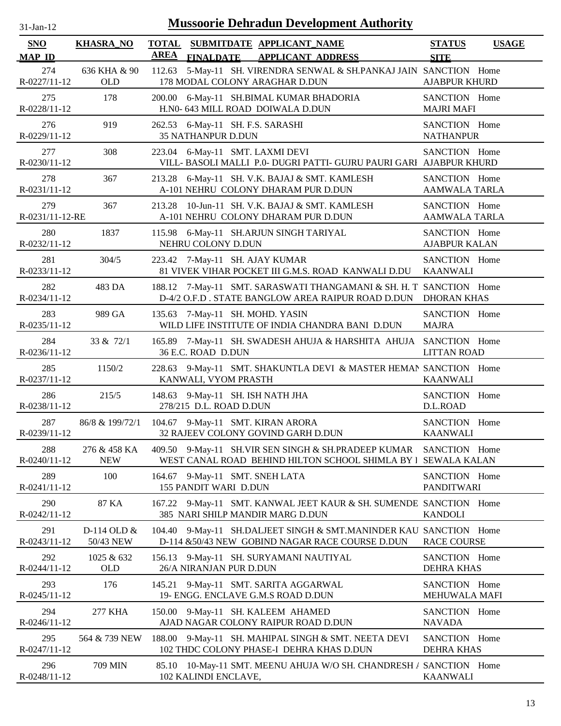| $31$ -Jan-12                | <b>Mussoorie Dehradun Development Authority</b> |                                                                                                                          |                                              |  |  |  |  |
|-----------------------------|-------------------------------------------------|--------------------------------------------------------------------------------------------------------------------------|----------------------------------------------|--|--|--|--|
| <b>SNO</b><br><b>MAP ID</b> | <b>KHASRA_NO</b>                                | TOTAL SUBMITDATE APPLICANT NAME<br><b>AREA</b><br><b>FINALDATE</b><br><b>APPLICANT ADDRESS</b>                           | <b>STATUS</b><br><b>USAGE</b><br><b>SITE</b> |  |  |  |  |
| 274                         | 636 KHA & 90                                    | 112.63 5-May-11 SH. VIRENDRA SENWAL & SH.PANKAJ JAIN SANCTION Home                                                       | <b>AJABPUR KHURD</b>                         |  |  |  |  |
| R-0227/11-12                | <b>OLD</b>                                      | 178 MODAL COLONY ARAGHAR D.DUN                                                                                           |                                              |  |  |  |  |
| 275<br>R-0228/11-12         | 178                                             | 6-May-11 SH.BIMAL KUMAR BHADORIA<br>200.00<br>H.N0- 643 MILL ROAD DOIWALA D.DUN                                          | SANCTION Home<br><b>MAJRI MAFI</b>           |  |  |  |  |
| 276                         | 919                                             | 262.53 6-May-11 SH. F.S. SARASHI                                                                                         | SANCTION Home                                |  |  |  |  |
| R-0229/11-12                |                                                 | <b>35 NATHANPUR D.DUN</b>                                                                                                | <b>NATHANPUR</b>                             |  |  |  |  |
| 277<br>R-0230/11-12         | 308                                             | 6-May-11 SMT. LAXMI DEVI<br>223.04<br>VILL-BASOLI MALLI P.0- DUGRI PATTI- GUJRU PAURI GARI AJABPUR KHURD                 | SANCTION Home                                |  |  |  |  |
| 278<br>R-0231/11-12         | 367                                             | 6-May-11 SH. V.K. BAJAJ & SMT. KAMLESH<br>213.28<br>A-101 NEHRU COLONY DHARAM PUR D.DUN                                  | SANCTION Home<br><b>AAMWALA TARLA</b>        |  |  |  |  |
| 279<br>R-0231/11-12-RE      | 367                                             | 10-Jun-11 SH. V.K. BAJAJ & SMT. KAMLESH<br>213.28<br>A-101 NEHRU COLONY DHARAM PUR D.DUN                                 | SANCTION Home<br><b>AAMWALA TARLA</b>        |  |  |  |  |
| 280                         | 1837                                            | 115.98 6-May-11 SH.ARJUN SINGH TARIYAL                                                                                   | SANCTION Home                                |  |  |  |  |
| R-0232/11-12                |                                                 | NEHRU COLONY D.DUN                                                                                                       | <b>AJABPUR KALAN</b>                         |  |  |  |  |
| 281                         | 304/5                                           | 223.42 7-May-11 SH. AJAY KUMAR                                                                                           | SANCTION Home                                |  |  |  |  |
| R-0233/11-12                |                                                 | 81 VIVEK VIHAR POCKET III G.M.S. ROAD KANWALI D.DU                                                                       | <b>KAANWALI</b>                              |  |  |  |  |
| 282<br>R-0234/11-12         | 483 DA                                          | 188.12 7-May-11 SMT. SARASWATI THANGAMANI & SH. H. T SANCTION Home<br>D-4/2 O.F.D . STATE BANGLOW AREA RAIPUR ROAD D.DUN | <b>DHORAN KHAS</b>                           |  |  |  |  |
| 283                         | 989 GA                                          | 135.63 7-May-11 SH. MOHD. YASIN                                                                                          | SANCTION Home                                |  |  |  |  |
| R-0235/11-12                |                                                 | WILD LIFE INSTITUTE OF INDIA CHANDRA BANI D.DUN                                                                          | <b>MAJRA</b>                                 |  |  |  |  |
| 284<br>R-0236/11-12         | 33 & 72/1                                       | 165.89 7-May-11 SH. SWADESH AHUJA & HARSHITA AHUJA SANCTION Home<br>36 E.C. ROAD D.DUN                                   | <b>LITTAN ROAD</b>                           |  |  |  |  |
| 285<br>R-0237/11-12         | 1150/2                                          | 228.63 9-May-11 SMT. SHAKUNTLA DEVI & MASTER HEMAN SANCTION Home<br>KANWALI, VYOM PRASTH                                 | <b>KAANWALI</b>                              |  |  |  |  |
| 286<br>R-0238/11-12         | 215/5                                           | 9-May-11 SH. ISH NATH JHA<br>148.63<br>278/215 D.L. ROAD D.DUN                                                           | SANCTION Home<br>D.L.ROAD                    |  |  |  |  |
| 287                         | 86/8 & 199/72/1                                 | 104.67 9-May-11 SMT. KIRAN ARORA                                                                                         | SANCTION Home                                |  |  |  |  |
| R-0239/11-12                |                                                 | 32 RAJEEV COLONY GOVIND GARH D.DUN                                                                                       | <b>KAANWALI</b>                              |  |  |  |  |
| 288                         | 276 & 458 KA                                    | 409.50 9-May-11 SH.VIR SEN SINGH & SH.PRADEEP KUMAR                                                                      | SANCTION Home                                |  |  |  |  |
| R-0240/11-12                | <b>NEW</b>                                      | WEST CANAL ROAD BEHIND HILTON SCHOOL SHIMLA BY I                                                                         | <b>SEWALA KALAN</b>                          |  |  |  |  |
| 289                         | 100                                             | 164.67 9-May-11 SMT. SNEH LATA                                                                                           | SANCTION Home                                |  |  |  |  |
| R-0241/11-12                |                                                 | 155 PANDIT WARI D.DUN                                                                                                    | <b>PANDITWARI</b>                            |  |  |  |  |
| 290<br>R-0242/11-12         | 87 KA                                           | 167.22 9-May-11 SMT. KANWAL JEET KAUR & SH. SUMENDE SANCTION Home<br>385 NARI SHILP MANDIR MARG D.DUN                    | <b>KANDOLI</b>                               |  |  |  |  |
| 291                         | D-114 OLD &                                     | 104.40 9-May-11 SH.DALJEET SINGH & SMT.MANINDER KAU SANCTION Home                                                        | <b>RACE COURSE</b>                           |  |  |  |  |
| R-0243/11-12                | 50/43 NEW                                       | D-114 &50/43 NEW GOBIND NAGAR RACE COURSE D.DUN                                                                          |                                              |  |  |  |  |
| 292                         | 1025 & 632                                      | 156.13 9-May-11 SH. SURYAMANI NAUTIYAL                                                                                   | SANCTION Home                                |  |  |  |  |
| R-0244/11-12                | <b>OLD</b>                                      | 26/A NIRANJAN PUR D.DUN                                                                                                  | <b>DEHRA KHAS</b>                            |  |  |  |  |
| 293                         | 176                                             | 145.21 9-May-11 SMT. SARITA AGGARWAL                                                                                     | SANCTION Home                                |  |  |  |  |
| R-0245/11-12                |                                                 | 19- ENGG. ENCLAVE G.M.S ROAD D.DUN                                                                                       | MEHUWALA MAFI                                |  |  |  |  |
| 294                         | 277 KHA                                         | 150.00 9-May-11 SH. KALEEM AHAMED                                                                                        | SANCTION Home                                |  |  |  |  |
| R-0246/11-12                |                                                 | AJAD NAGAR COLONY RAIPUR ROAD D.DUN                                                                                      | <b>NAVADA</b>                                |  |  |  |  |
| 295                         | 564 & 739 NEW                                   | 188.00 9-May-11 SH. MAHIPAL SINGH & SMT. NEETA DEVI                                                                      | SANCTION Home                                |  |  |  |  |
| R-0247/11-12                |                                                 | 102 THDC COLONY PHASE-I DEHRA KHAS D.DUN                                                                                 | <b>DEHRA KHAS</b>                            |  |  |  |  |
| 296<br>R-0248/11-12         | 709 MIN                                         | 85.10 10-May-11 SMT. MEENU AHUJA W/O SH. CHANDRESH / SANCTION Home<br>102 KALINDI ENCLAVE,                               | <b>KAANWALI</b>                              |  |  |  |  |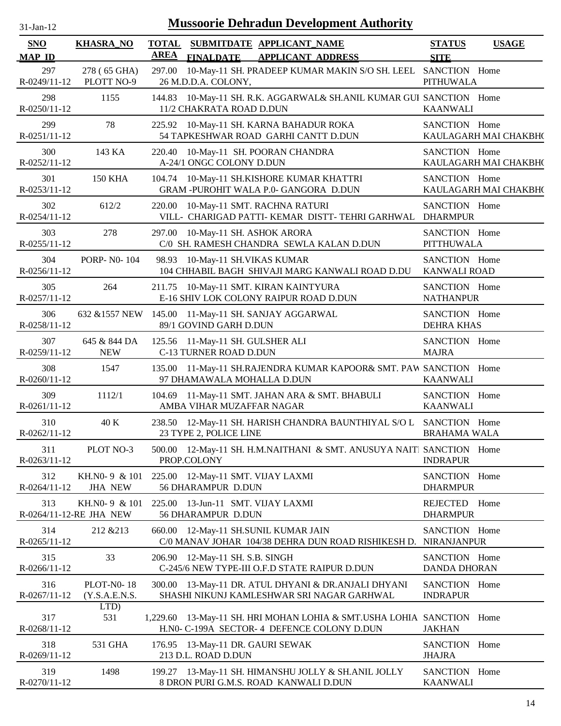| -Jan- |  |
|-------|--|
|       |  |

| <b>SNO</b><br><b>MAP ID</b> | <b>KHASRA_NO</b>                         | <b>TOTAL</b><br><b>AREA</b> | <b>SUBMITDATE APPLICANT_NAME</b><br><b>APPLICANT ADDRESS</b><br><b>FINALDATE</b>                                     | <b>STATUS</b><br><b>SITE</b>         | <b>USAGE</b>          |
|-----------------------------|------------------------------------------|-----------------------------|----------------------------------------------------------------------------------------------------------------------|--------------------------------------|-----------------------|
| 297                         | 278 (65 GHA)                             | 297.00                      | 10-May-11 SH. PRADEEP KUMAR MAKIN S/O SH. LEEL SANCTION Home                                                         |                                      |                       |
| R-0249/11-12                | PLOTT NO-9                               |                             | 26 M.D.D.A. COLONY,                                                                                                  | <b>PITHUWALA</b>                     |                       |
| 298<br>R-0250/11-12         | 1155                                     |                             | 144.83 10-May-11 SH. R.K. AGGARWAL& SH.ANIL KUMAR GUI SANCTION Home<br>11/2 CHAKRATA ROAD D.DUN                      | <b>KAANWALI</b>                      |                       |
| 299<br>$R - 0251/11 - 12$   | 78                                       |                             | 225.92 10-May-11 SH. KARNA BAHADUR ROKA<br>54 TAPKESHWAR ROAD GARHI CANTT D.DUN                                      | SANCTION Home                        | KAULAGARH MAI CHAKBH( |
| 300<br>R-0252/11-12         | 143 KA                                   |                             | 220.40 10-May-11 SH. POORAN CHANDRA<br>A-24/1 ONGC COLONY D.DUN                                                      | SANCTION Home                        | KAULAGARH MAI CHAKBH( |
| 301<br>R-0253/11-12         | <b>150 KHA</b>                           |                             | 104.74 10-May-11 SH.KISHORE KUMAR KHATTRI<br>GRAM -PUROHIT WALA P.0- GANGORA D.DUN                                   | SANCTION Home                        | KAULAGARH MAI CHAKBH( |
| 302<br>R-0254/11-12         | 612/2                                    |                             | 220.00 10-May-11 SMT. RACHNA RATURI<br>VILL- CHARIGAD PATTI-KEMAR DISTT-TEHRI GARHWAL                                | SANCTION Home<br><b>DHARMPUR</b>     |                       |
| 303<br>R-0255/11-12         | 278                                      |                             | 297.00 10-May-11 SH. ASHOK ARORA<br>C/0 SH. RAMESH CHANDRA SEWLA KALAN D.DUN                                         | SANCTION Home<br><b>PITTHUWALA</b>   |                       |
| 304<br>R-0256/11-12         | PORP- N0-104                             |                             | 98.93 10-May-11 SH.VIKAS KUMAR<br>104 CHHABIL BAGH SHIVAJI MARG KANWALI ROAD D.DU                                    | SANCTION Home<br><b>KANWALI ROAD</b> |                       |
| 305<br>R-0257/11-12         | 264                                      | 211.75                      | 10-May-11 SMT. KIRAN KAINTYURA<br>E-16 SHIV LOK COLONY RAIPUR ROAD D.DUN                                             | SANCTION Home<br><b>NATHANPUR</b>    |                       |
| 306<br>R-0258/11-12         |                                          |                             | 632 & 1557 NEW 145.00 11-May-11 SH. SANJAY AGGARWAL<br>89/1 GOVIND GARH D.DUN                                        | SANCTION Home<br><b>DEHRA KHAS</b>   |                       |
| 307<br>R-0259/11-12         | 645 & 844 DA<br><b>NEW</b>               |                             | 125.56 11-May-11 SH. GULSHER ALI<br>C-13 TURNER ROAD D.DUN                                                           | SANCTION Home<br><b>MAJRA</b>        |                       |
| 308<br>$R - 0260/11 - 12$   | 1547                                     |                             | 135.00 11-May-11 SH.RAJENDRA KUMAR KAPOOR& SMT. PAW SANCTION Home<br>97 DHAMAWALA MOHALLA D.DUN                      | <b>KAANWALI</b>                      |                       |
| 309<br>R-0261/11-12         | 1112/1                                   |                             | 104.69 11-May-11 SMT. JAHAN ARA & SMT. BHABULI<br>AMBA VIHAR MUZAFFAR NAGAR                                          | SANCTION Home<br><b>KAANWALI</b>     |                       |
| 310<br>R-0262/11-12         | 40 K                                     |                             | 238.50 12-May-11 SH. HARISH CHANDRA BAUNTHIYAL S/O L<br>23 TYPE 2, POLICE LINE                                       | SANCTION Home<br><b>BRAHAMA WALA</b> |                       |
| 311<br>R-0263/11-12         | PLOT NO-3                                |                             | 500.00 12-May-11 SH. H.M.NAITHANI & SMT. ANUSUYA NAITI SANCTION Home<br>PROP.COLONY                                  | <b>INDRAPUR</b>                      |                       |
| 312<br>R-0264/11-12         | KH.NO- 9 & 101<br><b>JHA NEW</b>         |                             | 225.00 12-May-11 SMT. VIJAY LAXMI<br>56 DHARAMPUR D.DUN                                                              | SANCTION Home<br><b>DHARMPUR</b>     |                       |
| 313                         | KH.NO-9 & 101<br>R-0264/11-12-RE JHA NEW |                             | 225.00 13-Jun-11 SMT. VIJAY LAXMI<br>56 DHARAMPUR D.DUN                                                              | REJECTED Home<br><b>DHARMPUR</b>     |                       |
| 314<br>R-0265/11-12         | 212 & 213                                |                             | 660.00 12-May-11 SH.SUNIL KUMAR JAIN<br>C/0 MANAV JOHAR 104/38 DEHRA DUN ROAD RISHIKESH D.                           | SANCTION Home<br><b>NIRANJANPUR</b>  |                       |
| 315<br>R-0266/11-12         | 33                                       |                             | 206.90 12-May-11 SH. S.B. SINGH<br>C-245/6 NEW TYPE-III O.F.D STATE RAIPUR D.DUN                                     | SANCTION Home<br><b>DANDA DHORAN</b> |                       |
| 316<br>R-0267/11-12         | PLOT-N0-18<br>(Y.S.A.E.N.S.              |                             | 300.00 13-May-11 DR. ATUL DHYANI & DR.ANJALI DHYANI<br>SHASHI NIKUNJ KAMLESHWAR SRI NAGAR GARHWAL                    | SANCTION Home<br><b>INDRAPUR</b>     |                       |
| 317<br>R-0268/11-12         | LTD)<br>531                              |                             | 1,229.60 13-May-11 SH. HRI MOHAN LOHIA & SMT.USHA LOHIA SANCTION Home<br>H.NO- C-199A SECTOR- 4 DEFENCE COLONY D.DUN | <b>JAKHAN</b>                        |                       |
| 318<br>R-0269/11-12         | 531 GHA                                  |                             | 176.95 13-May-11 DR. GAURI SEWAK<br>213 D.L. ROAD D.DUN                                                              | SANCTION Home<br><b>JHAJRA</b>       |                       |
| 319<br>R-0270/11-12         | 1498                                     |                             | 199.27 13-May-11 SH. HIMANSHU JOLLY & SH.ANIL JOLLY<br>8 DRON PURI G.M.S. ROAD KANWALI D.DUN                         | SANCTION Home<br><b>KAANWALI</b>     |                       |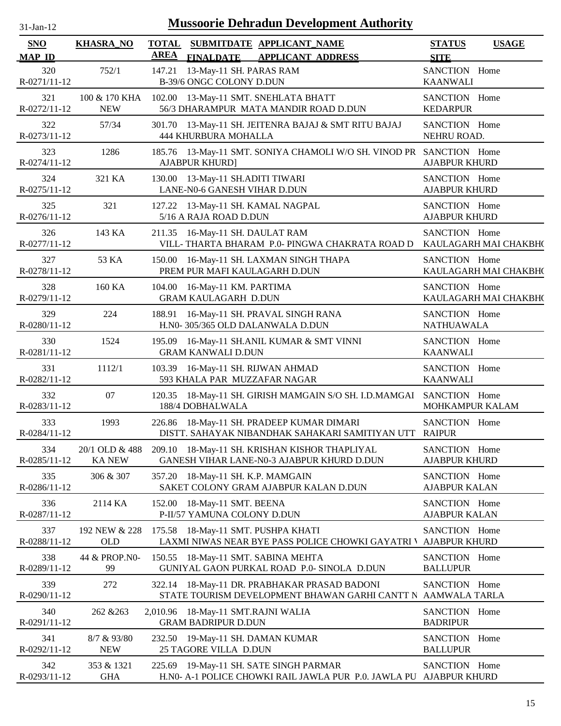| $31$ -Jan- $12$      |                                 |             | <b>Mussoorie Dehradun Development Authority</b>                                                       |                                       |                       |
|----------------------|---------------------------------|-------------|-------------------------------------------------------------------------------------------------------|---------------------------------------|-----------------------|
| SNO<br><b>MAP ID</b> | <b>KHASRA_NO</b>                | <b>AREA</b> | TOTAL SUBMITDATE APPLICANT NAME<br><b>FINALDATE</b><br><b>APPLICANT ADDRESS</b>                       | <b>STATUS</b><br><b>SITE</b>          | <b>USAGE</b>          |
| 320<br>R-0271/11-12  | 752/1                           | 147.21      | 13-May-11 SH. PARAS RAM<br>B-39/6 ONGC COLONY D.DUN                                                   | SANCTION Home<br><b>KAANWALI</b>      |                       |
| 321<br>R-0272/11-12  | 100 & 170 KHA<br><b>NEW</b>     |             | 102.00 13-May-11 SMT. SNEHLATA BHATT<br>56/3 DHARAMPUR MATA MANDIR ROAD D.DUN                         | SANCTION Home<br><b>KEDARPUR</b>      |                       |
| 322<br>R-0273/11-12  | 57/34                           |             | 301.70 13-May-11 SH. JEITENRA BAJAJ & SMT RITU BAJAJ<br><b>444 KHURBURA MOHALLA</b>                   | SANCTION Home<br>NEHRU ROAD.          |                       |
| 323<br>R-0274/11-12  | 1286                            |             | 185.76 13-May-11 SMT. SONIYA CHAMOLI W/O SH. VINOD PR SANCTION Home<br><b>AJABPUR KHURD]</b>          | <b>AJABPUR KHURD</b>                  |                       |
| 324<br>R-0275/11-12  | 321 KA                          |             | 130.00 13-May-11 SH.ADITI TIWARI<br>LANE-N0-6 GANESH VIHAR D.DUN                                      | SANCTION Home<br><b>AJABPUR KHURD</b> |                       |
| 325<br>R-0276/11-12  | 321                             | 127.22      | 13-May-11 SH. KAMAL NAGPAL<br>5/16 A RAJA ROAD D.DUN                                                  | SANCTION Home<br><b>AJABPUR KHURD</b> |                       |
| 326<br>R-0277/11-12  | 143 KA                          |             | 211.35 16-May-11 SH. DAULAT RAM<br>VILL-THARTA BHARAM P.0- PINGWA CHAKRATA ROAD D                     | SANCTION Home                         | KAULAGARH MAI CHAKBH( |
| 327<br>R-0278/11-12  | 53 KA                           | 150.00      | 16-May-11 SH. LAXMAN SINGH THAPA<br>PREM PUR MAFI KAULAGARH D.DUN                                     | SANCTION Home                         | KAULAGARH MAI CHAKBH( |
| 328<br>R-0279/11-12  | 160 KA                          |             | 104.00 16-May-11 KM. PARTIMA<br><b>GRAM KAULAGARH D.DUN</b>                                           | SANCTION Home                         | KAULAGARH MAI CHAKBH( |
| 329<br>R-0280/11-12  | 224                             |             | 188.91 16-May-11 SH. PRAVAL SINGH RANA<br>H.N0-305/365 OLD DALANWALA D.DUN                            | SANCTION Home<br><b>NATHUAWALA</b>    |                       |
| 330<br>R-0281/11-12  | 1524                            |             | 195.09 16-May-11 SH.ANIL KUMAR & SMT VINNI<br><b>GRAM KANWALI D.DUN</b>                               | SANCTION Home<br><b>KAANWALI</b>      |                       |
| 331<br>R-0282/11-12  | 1112/1                          |             | 103.39 16-May-11 SH. RIJWAN AHMAD<br>593 KHALA PAR MUZZAFAR NAGAR                                     | SANCTION Home<br><b>KAANWALI</b>      |                       |
| 332<br>R-0283/11-12  | 07                              |             | 120.35 18-May-11 SH. GIRISH MAMGAIN S/O SH. I.D.MAMGAI SANCTION Home<br>188/4 DOBHALWALA              | MOHKAMPUR KALAM                       |                       |
| 333<br>R-0284/11-12  | 1993                            |             | 226.86 18-May-11 SH. PRADEEP KUMAR DIMARI<br>DISTT. SAHAYAK NIBANDHAK SAHAKARI SAMITIYAN UTT          | SANCTION Home<br>RAIPUR               |                       |
| 334<br>R-0285/11-12  | 20/1 OLD & 488<br><b>KA NEW</b> |             | 209.10 18-May-11 SH. KRISHAN KISHOR THAPLIYAL<br>GANESH VIHAR LANE-N0-3 AJABPUR KHURD D.DUN           | SANCTION Home<br><b>AJABPUR KHURD</b> |                       |
| 335<br>R-0286/11-12  | 306 & 307                       | 357.20      | 18-May-11 SH. K.P. MAMGAIN<br>SAKET COLONY GRAM AJABPUR KALAN D.DUN                                   | SANCTION Home<br><b>AJABPUR KALAN</b> |                       |
| 336<br>R-0287/11-12  | 2114 KA                         | 152.00      | 18-May-11 SMT. BEENA<br>P-II/57 YAMUNA COLONY D.DUN                                                   | SANCTION Home<br><b>AJABPUR KALAN</b> |                       |
| 337<br>R-0288/11-12  | 192 NEW & 228<br>OLD            | 175.58      | 18-May-11 SMT. PUSHPA KHATI<br>LAXMI NIWAS NEAR BYE PASS POLICE CHOWKI GAYATRI V                      | SANCTION Home<br><b>AJABPUR KHURD</b> |                       |
| 338<br>R-0289/11-12  | 44 & PROP.N0-<br>99             | 150.55      | 18-May-11 SMT. SABINA MEHTA<br>GUNIYAL GAON PURKAL ROAD P.0- SINOLA D.DUN                             | SANCTION Home<br><b>BALLUPUR</b>      |                       |
| 339<br>R-0290/11-12  | 272                             | 322.14      | 18-May-11 DR. PRABHAKAR PRASAD BADONI<br>STATE TOURISM DEVELOPMENT BHAWAN GARHI CANTT N               | SANCTION Home<br>AAMWALA TARLA        |                       |
| 340<br>R-0291/11-12  | 262 & 263                       |             | 2,010.96 18-May-11 SMT.RAJNI WALIA<br><b>GRAM BADRIPUR D.DUN</b>                                      | SANCTION Home<br><b>BADRIPUR</b>      |                       |
| 341<br>R-0292/11-12  | 8/7 & 93/80<br><b>NEW</b>       |             | 232.50 19-May-11 SH. DAMAN KUMAR<br>25 TAGORE VILLA D.DUN                                             | SANCTION Home<br><b>BALLUPUR</b>      |                       |
| 342<br>R-0293/11-12  | 353 & 1321<br><b>GHA</b>        | 225.69      | 19-May-11 SH. SATE SINGH PARMAR<br>H.NO- A-1 POLICE CHOWKI RAIL JAWLA PUR P.O. JAWLA PU AJABPUR KHURD | SANCTION Home                         |                       |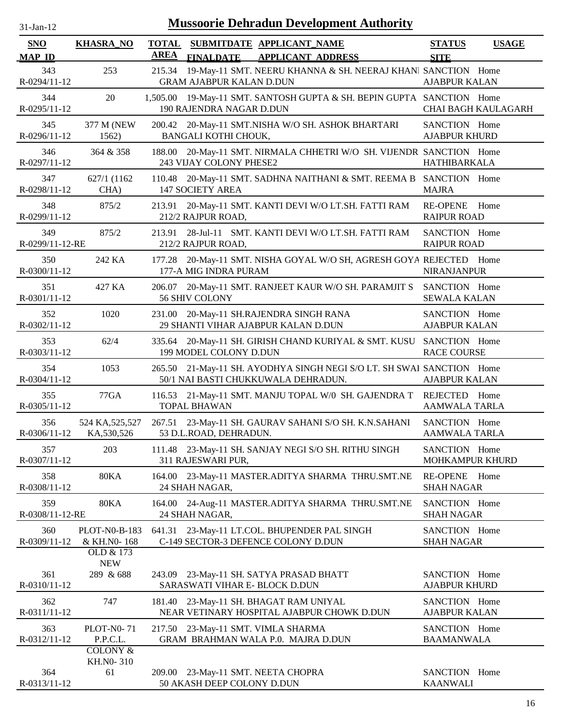| $31-Ian-12$            | <b>Mussoorie Dehradun Development Authority</b>  |              |                                 |                                                                                                       |                                       |                     |  |
|------------------------|--------------------------------------------------|--------------|---------------------------------|-------------------------------------------------------------------------------------------------------|---------------------------------------|---------------------|--|
| <b>SNO</b>             | <b>KHASRA_NO</b>                                 | <b>TOTAL</b> |                                 | SUBMITDATE APPLICANT NAME                                                                             | <b>STATUS</b>                         | <b>USAGE</b>        |  |
| <b>MAP ID</b>          |                                                  | <b>AREA</b>  | <b>FINALDATE</b>                | <b>APPLICANT ADDRESS</b>                                                                              | <b>SITE</b>                           |                     |  |
| 343<br>R-0294/11-12    | 253                                              | 215.34       | <b>GRAM AJABPUR KALAN D.DUN</b> | 19-May-11 SMT. NEERU KHANNA & SH. NEERAJ KHANI SANCTION Home                                          | <b>AJABPUR KALAN</b>                  |                     |  |
| 344<br>R-0295/11-12    | 20                                               | 1,505.00     | 190 RAJENDRA NAGAR D.DUN        | 19-May-11 SMT. SANTOSH GUPTA & SH. BEPIN GUPTA SANCTION Home                                          |                                       | CHAI BAGH KAULAGARH |  |
| 345<br>R-0296/11-12    | 377 M (NEW<br>1562)                              |              | BANGALI KOTHI CHOUK,            | 200.42 20-May-11 SMT.NISHA W/O SH. ASHOK BHARTARI                                                     | SANCTION Home<br><b>AJABPUR KHURD</b> |                     |  |
| 346<br>R-0297/11-12    | 364 & 358                                        | 188.00       | 243 VIJAY COLONY PHESE2         | 20-May-11 SMT. NIRMALA CHHETRI W/O SH. VIJENDR SANCTION Home                                          | <b>HATHIBARKALA</b>                   |                     |  |
| 347<br>R-0298/11-12    | 627/1 (1162)<br>CHA)                             | 110.48       | <b>147 SOCIETY AREA</b>         | 20-May-11 SMT. SADHNA NAITHANI & SMT. REEMA B SANCTION Home                                           | <b>MAJRA</b>                          |                     |  |
| 348<br>R-0299/11-12    | 875/2                                            | 213.91       | 212/2 RAJPUR ROAD,              | 20-May-11 SMT. KANTI DEVI W/O LT.SH. FATTI RAM                                                        | RE-OPENE Home<br><b>RAIPUR ROAD</b>   |                     |  |
| 349<br>R-0299/11-12-RE | 875/2                                            | 213.91       | 212/2 RAJPUR ROAD,              | 28-Jul-11 SMT. KANTI DEVI W/O LT.SH. FATTI RAM                                                        | SANCTION Home<br><b>RAIPUR ROAD</b>   |                     |  |
| 350<br>R-0300/11-12    | 242 KA                                           | 177.28       | 177-A MIG INDRA PURAM           | 20-May-11 SMT. NISHA GOYAL W/O SH, AGRESH GOYA REJECTED Home                                          | <b>NIRANJANPUR</b>                    |                     |  |
| 351<br>R-0301/11-12    | 427 KA                                           | 206.07       | 56 SHIV COLONY                  | 20-May-11 SMT. RANJEET KAUR W/O SH. PARAMJIT S                                                        | SANCTION Home<br><b>SEWALA KALAN</b>  |                     |  |
| 352<br>R-0302/11-12    | 1020                                             | 231.00       |                                 | 20-May-11 SH.RAJENDRA SINGH RANA<br>29 SHANTI VIHAR AJABPUR KALAN D.DUN                               | SANCTION Home<br><b>AJABPUR KALAN</b> |                     |  |
| 353<br>R-0303/11-12    | 62/4                                             | 335.64       | 199 MODEL COLONY D.DUN          | 20-May-11 SH. GIRISH CHAND KURIYAL & SMT. KUSU SANCTION Home                                          | <b>RACE COURSE</b>                    |                     |  |
| 354<br>R-0304/11-12    | 1053                                             | 265.50       |                                 | 21-May-11 SH. AYODHYA SINGH NEGI S/O LT. SH SWAI SANCTION Home<br>50/1 NAI BASTI CHUKKUWALA DEHRADUN. | <b>AJABPUR KALAN</b>                  |                     |  |
| 355<br>R-0305/11-12    | 77GA                                             | 116.53       | <b>TOPAL BHAWAN</b>             | 21-May-11 SMT. MANJU TOPAL W/0 SH. GAJENDRA T REJECTED                                                | <b>AAMWALA TARLA</b>                  | Home                |  |
| 356<br>R-0306/11-12    | 524 KA, 525, 527<br>KA, 530, 526                 |              | 53 D.L.ROAD, DEHRADUN.          | 267.51 23-May-11 SH. GAURAV SAHANI S/O SH. K.N.SAHANI                                                 | SANCTION Home<br><b>AAMWALA TARLA</b> |                     |  |
| 357<br>R-0307/11-12    | 203                                              |              | 311 RAJESWARI PUR,              | 111.48 23-May-11 SH. SANJAY NEGI S/O SH. RITHU SINGH                                                  | SANCTION Home<br>MOHKAMPUR KHURD      |                     |  |
| 358<br>R-0308/11-12    | <b>80KA</b>                                      |              | 24 SHAH NAGAR,                  | 164.00 23-May-11 MASTER.ADITYA SHARMA THRU.SMT.NE                                                     | RE-OPENE Home<br><b>SHAH NAGAR</b>    |                     |  |
| 359<br>R-0308/11-12-RE | <b>80KA</b>                                      |              | 24 SHAH NAGAR,                  | 164.00 24-Aug-11 MASTER.ADITYA SHARMA THRU.SMT.NE                                                     | SANCTION Home<br><b>SHAH NAGAR</b>    |                     |  |
| 360<br>R-0309/11-12    | <b>PLOT-N0-B-183</b><br>& KH.N0-168<br>OLD & 173 |              |                                 | 641.31 23-May-11 LT.COL. BHUPENDER PAL SINGH<br>C-149 SECTOR-3 DEFENCE COLONY D.DUN                   | SANCTION Home<br><b>SHAH NAGAR</b>    |                     |  |
| 361<br>R-0310/11-12    | <b>NEW</b><br>289 & 688                          |              | SARASWATI VIHAR E- BLOCK D.DUN  | 243.09 23-May-11 SH. SATYA PRASAD BHATT                                                               | SANCTION Home<br><b>AJABPUR KHURD</b> |                     |  |
| 362<br>R-0311/11-12    | 747                                              | 181.40       |                                 | 23-May-11 SH. BHAGAT RAM UNIYAL<br>NEAR VETINARY HOSPITAL AJABPUR CHOWK D.DUN                         | SANCTION Home<br><b>AJABPUR KALAN</b> |                     |  |
| 363<br>R-0312/11-12    | <b>PLOT-N0-71</b><br>P.P.C.L.                    |              |                                 | 217.50 23-May-11 SMT. VIMLA SHARMA<br>GRAM BRAHMAN WALA P.0. MAJRA D.DUN                              | SANCTION Home<br><b>BAAMANWALA</b>    |                     |  |
| 364                    | <b>COLONY &amp;</b><br>KH.NO-310<br>61           |              |                                 | 209.00 23-May-11 SMT. NEETA CHOPRA                                                                    | SANCTION Home                         |                     |  |
| R-0313/11-12           |                                                  |              | 50 AKASH DEEP COLONY D.DUN      |                                                                                                       | <b>KAANWALI</b>                       |                     |  |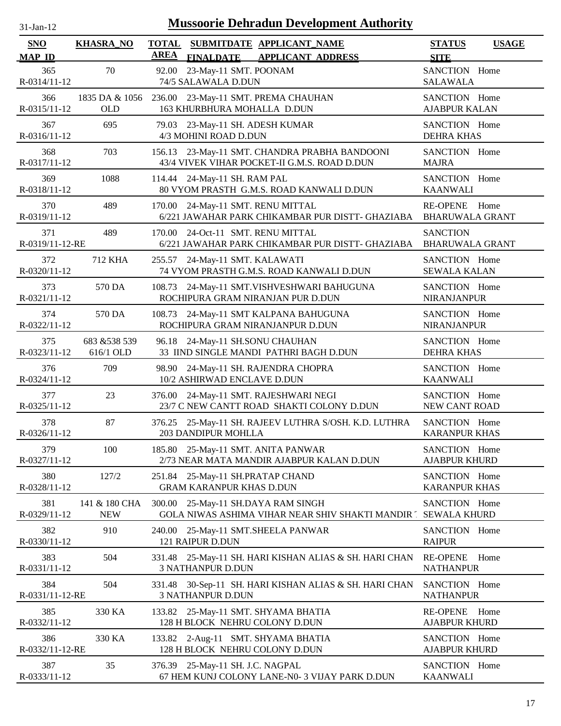| $31-Jan-12$                 |                              | <b>Mussoorie Dehradun Development Authority</b>                                                          |                                                   |
|-----------------------------|------------------------------|----------------------------------------------------------------------------------------------------------|---------------------------------------------------|
| <b>SNO</b><br><b>MAP ID</b> | <b>KHASRA_NO</b>             | <b>TOTAL</b><br>SUBMITDATE APPLICANT_NAME<br><b>AREA</b><br><b>APPLICANT ADDRESS</b><br><b>FINALDATE</b> | <b>STATUS</b><br><b>USAGE</b><br><b>SITE</b>      |
| 365<br>R-0314/11-12         | 70                           | 23-May-11 SMT. POONAM<br>92.00<br>74/5 SALAWALA D.DUN                                                    | SANCTION Home<br><b>SALAWALA</b>                  |
| 366<br>R-0315/11-12         | 1835 DA & 1056<br><b>OLD</b> | 236.00 23-May-11 SMT. PREMA CHAUHAN<br>163 KHURBHURA MOHALLA D.DUN                                       | SANCTION Home<br><b>AJABPUR KALAN</b>             |
| 367<br>R-0316/11-12         | 695                          | 23-May-11 SH. ADESH KUMAR<br>79.03<br>4/3 MOHINI ROAD D.DUN                                              | SANCTION Home<br><b>DEHRA KHAS</b>                |
| 368<br>R-0317/11-12         | 703                          | 23-May-11 SMT. CHANDRA PRABHA BANDOONI<br>156.13<br>43/4 VIVEK VIHAR POCKET-II G.M.S. ROAD D.DUN         | SANCTION Home<br><b>MAJRA</b>                     |
| 369<br>R-0318/11-12         | 1088                         | 114.44 24-May-11 SH. RAM PAL<br>80 VYOM PRASTH G.M.S. ROAD KANWALI D.DUN                                 | SANCTION Home<br><b>KAANWALI</b>                  |
| 370<br>R-0319/11-12         | 489                          | 24-May-11 SMT. RENU MITTAL<br>170.00<br>6/221 JAWAHAR PARK CHIKAMBAR PUR DISTT- GHAZIABA                 | <b>RE-OPENE</b><br>Home<br><b>BHARUWALA GRANT</b> |
| 371<br>R-0319/11-12-RE      | 489                          | 170.00 24-Oct-11 SMT. RENU MITTAL<br>6/221 JAWAHAR PARK CHIKAMBAR PUR DISTT- GHAZIABA                    | <b>SANCTION</b><br><b>BHARUWALA GRANT</b>         |
| 372<br>R-0320/11-12         | 712 KHA                      | 24-May-11 SMT. KALAWATI<br>255.57<br>74 VYOM PRASTH G.M.S. ROAD KANWALI D.DUN                            | SANCTION Home<br><b>SEWALA KALAN</b>              |
| 373<br>R-0321/11-12         | 570 DA                       | 108.73 24-May-11 SMT.VISHVESHWARI BAHUGUNA<br>ROCHIPURA GRAM NIRANJAN PUR D.DUN                          | SANCTION Home<br>NIRANJANPUR                      |
| 374<br>R-0322/11-12         | 570 DA                       | 108.73 24-May-11 SMT KALPANA BAHUGUNA<br>ROCHIPURA GRAM NIRANJANPUR D.DUN                                | SANCTION Home<br><b>NIRANJANPUR</b>               |
| 375<br>R-0323/11-12         | 683 & 538 539<br>616/1 OLD   | 96.18 24-May-11 SH.SONU CHAUHAN<br>33 IIND SINGLE MANDI PATHRI BAGH D.DUN                                | SANCTION Home<br><b>DEHRA KHAS</b>                |
| 376<br>R-0324/11-12         | 709                          | 98.90 24-May-11 SH. RAJENDRA CHOPRA<br>10/2 ASHIRWAD ENCLAVE D.DUN                                       | SANCTION Home<br><b>KAANWALI</b>                  |
| 377<br>R-0325/11-12         | 23                           | 376.00<br>24-May-11 SMT. RAJESHWARI NEGI<br>23/7 C NEW CANTT ROAD SHAKTI COLONY D.DUN                    | SANCTION Home<br>NEW CANT ROAD                    |
| 378<br>R-0326/11-12         | 87                           | 376.25 25-May-11 SH. RAJEEV LUTHRA S/OSH. K.D. LUTHRA<br>203 DANDIPUR MOHLLA                             | SANCTION Home<br><b>KARANPUR KHAS</b>             |
| 379<br>R-0327/11-12         | 100                          | 185.80 25-May-11 SMT. ANITA PANWAR<br>2/73 NEAR MATA MANDIR AJABPUR KALAN D.DUN                          | SANCTION Home<br><b>AJABPUR KHURD</b>             |
| 380<br>R-0328/11-12         | 127/2                        | 251.84<br>25-May-11 SH.PRATAP CHAND<br><b>GRAM KARANPUR KHAS D.DUN</b>                                   | SANCTION Home<br><b>KARANPUR KHAS</b>             |
| 381<br>R-0329/11-12         | 141 & 180 CHA<br><b>NEW</b>  | 25-May-11 SH.DAYA RAM SINGH<br>300.00<br>GOLA NIWAS ASHIMA VIHAR NEAR SHIV SHAKTI MANDIR [ SEWALA KHURD  | SANCTION Home                                     |
| 382<br>R-0330/11-12         | 910                          | 25-May-11 SMT.SHEELA PANWAR<br>240.00<br>121 RAIPUR D.DUN                                                | SANCTION Home<br><b>RAIPUR</b>                    |
| 383<br>R-0331/11-12         | 504                          | 25-May-11 SH. HARI KISHAN ALIAS & SH. HARI CHAN<br>331.48<br><b>3 NATHANPUR D.DUN</b>                    | <b>RE-OPENE</b><br>Home<br><b>NATHANPUR</b>       |
| 384<br>R-0331/11-12-RE      | 504                          | 30-Sep-11 SH. HARI KISHAN ALIAS & SH. HARI CHAN<br>331.48<br><b>3 NATHANPUR D.DUN</b>                    | SANCTION Home<br><b>NATHANPUR</b>                 |
| 385<br>R-0332/11-12         | 330 KA                       | 133.82 25-May-11 SMT. SHYAMA BHATIA<br>128 H BLOCK NEHRU COLONY D.DUN                                    | <b>RE-OPENE</b><br>Home<br><b>AJABPUR KHURD</b>   |
| 386<br>R-0332/11-12-RE      | 330 KA                       | 133.82 2-Aug-11 SMT. SHYAMA BHATIA<br>128 H BLOCK NEHRU COLONY D.DUN                                     | SANCTION Home<br><b>AJABPUR KHURD</b>             |
| 387<br>R-0333/11-12         | 35                           | 376.39 25-May-11 SH. J.C. NAGPAL<br>67 HEM KUNJ COLONY LANE-N0- 3 VIJAY PARK D.DUN                       | SANCTION Home<br><b>KAANWALI</b>                  |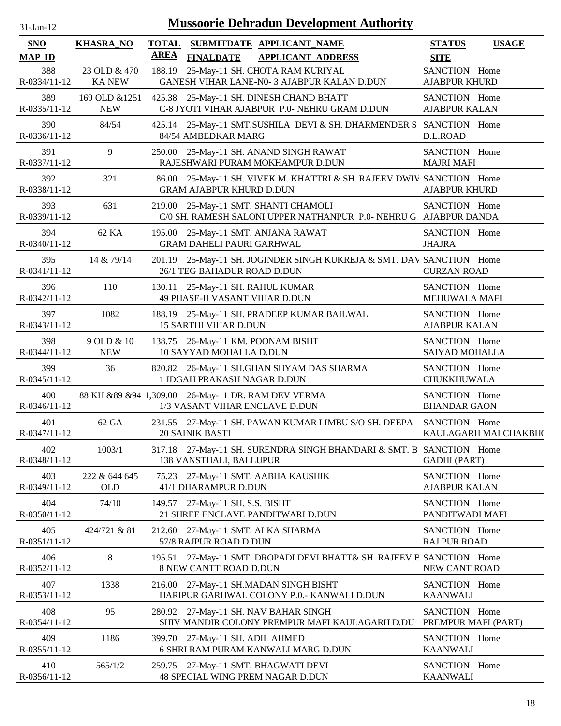| SNO                       | <b>KHASRA_NO</b>              | <b>TOTAL</b> | SUBMITDATE APPLICANT_NAME                                                                               | <b>STATUS</b>                         | <b>USAGE</b>          |
|---------------------------|-------------------------------|--------------|---------------------------------------------------------------------------------------------------------|---------------------------------------|-----------------------|
| <b>MAP ID</b>             |                               | <b>AREA</b>  | <b>FINALDATE</b><br><b>APPLICANT ADDRESS</b>                                                            | <b>SITE</b>                           |                       |
| 388<br>R-0334/11-12       | 23 OLD & 470<br><b>KA NEW</b> |              | 188.19 25-May-11 SH. CHOTA RAM KURIYAL<br>GANESH VIHAR LANE-N0- 3 AJABPUR KALAN D.DUN                   | SANCTION Home<br><b>AJABPUR KHURD</b> |                       |
| 389<br>R-0335/11-12       | 169 OLD & 1251<br><b>NEW</b>  |              | 425.38 25-May-11 SH. DINESH CHAND BHATT<br>C-8 JYOTI VIHAR AJABPUR P.0- NEHRU GRAM D.DUN                | SANCTION Home<br><b>AJABPUR KALAN</b> |                       |
| 390<br>R-0336/11-12       | 84/54                         |              | 425.14 25-May-11 SMT.SUSHILA DEVI & SH. DHARMENDER S SANCTION Home<br>84/54 AMBEDKAR MARG               | D.L.ROAD                              |                       |
| 391<br>R-0337/11-12       | 9                             |              | 250.00 25-May-11 SH. ANAND SINGH RAWAT<br>RAJESHWARI PURAM MOKHAMPUR D.DUN                              | SANCTION Home<br><b>MAJRI MAFI</b>    |                       |
| 392<br>R-0338/11-12       | 321                           |              | 86.00 25-May-11 SH. VIVEK M. KHATTRI & SH. RAJEEV DWIV SANCTION Home<br><b>GRAM AJABPUR KHURD D.DUN</b> | <b>AJABPUR KHURD</b>                  |                       |
| 393<br>R-0339/11-12       | 631                           |              | 219.00 25-May-11 SMT. SHANTI CHAMOLI<br>C/0 SH. RAMESH SALONI UPPER NATHANPUR P.0-NEHRU G AJABPUR DANDA | SANCTION Home                         |                       |
| 394<br>R-0340/11-12       | 62 KA                         |              | 195.00 25-May-11 SMT. ANJANA RAWAT<br><b>GRAM DAHELI PAURI GARHWAL</b>                                  | SANCTION Home<br><b>JHAJRA</b>        |                       |
| 395<br>R-0341/11-12       | 14 & 79/14                    |              | 201.19 25-May-11 SH. JOGINDER SINGH KUKREJA & SMT. DAV SANCTION Home<br>26/1 TEG BAHADUR ROAD D.DUN     | <b>CURZAN ROAD</b>                    |                       |
| 396<br>R-0342/11-12       | 110                           |              | 130.11 25-May-11 SH. RAHUL KUMAR<br>49 PHASE-II VASANT VIHAR D.DUN                                      | SANCTION Home<br>MEHUWALA MAFI        |                       |
| 397<br>R-0343/11-12       | 1082                          |              | 188.19 25-May-11 SH. PRADEEP KUMAR BAILWAL<br><b>15 SARTHI VIHAR D.DUN</b>                              | SANCTION Home<br><b>AJABPUR KALAN</b> |                       |
| 398<br>R-0344/11-12       | 9 OLD & 10<br><b>NEW</b>      |              | 138.75 26-May-11 KM. POONAM BISHT<br>10 SAYYAD MOHALLA D.DUN                                            | SANCTION Home<br>SAIYAD MOHALLA       |                       |
| 399<br>$R - 0345/11 - 12$ | 36                            |              | 820.82 26-May-11 SH.GHAN SHYAM DAS SHARMA<br>1 IDGAH PRAKASH NAGAR D.DUN                                | SANCTION Home<br>CHUKKHUWALA          |                       |
| 400<br>R-0346/11-12       |                               |              | 88 KH & 89 & 94 1,309.00 26-May-11 DR. RAM DEV VERMA<br>1/3 VASANT VIHAR ENCLAVE D.DUN                  | SANCTION Home<br><b>BHANDAR GAON</b>  |                       |
| 401<br>R-0347/11-12       | 62 GA                         |              | 231.55 27-May-11 SH. PAWAN KUMAR LIMBU S/O SH. DEEPA<br><b>20 SAINIK BASTI</b>                          | SANCTION Home                         | KAULAGARH MAI CHAKBH( |
| 402<br>R-0348/11-12       | 1003/1                        |              | 317.18 27-May-11 SH. SURENDRA SINGH BHANDARI & SMT. B SANCTION Home<br>138 VANSTHALI, BALLUPUR          | <b>GADHI</b> (PART)                   |                       |
| 403<br>R-0349/11-12       | 222 & 644 645<br>OLD          |              | 75.23 27-May-11 SMT. AABHA KAUSHIK<br>41/1 DHARAMPUR D.DUN                                              | SANCTION Home<br><b>AJABPUR KALAN</b> |                       |
| 404<br>R-0350/11-12       | 74/10                         |              | 149.57 27-May-11 SH. S.S. BISHT<br>21 SHREE ENCLAVE PANDITWARI D.DUN                                    | SANCTION Home<br>PANDITWADI MAFI      |                       |
| 405<br>R-0351/11-12       | 424/721 & 81                  |              | 212.60 27-May-11 SMT. ALKA SHARMA<br>57/8 RAJPUR ROAD D.DUN                                             | SANCTION Home<br><b>RAJ PUR ROAD</b>  |                       |
| 406<br>R-0352/11-12       | $\,8\,$                       | 195.51       | 27-May-11 SMT. DROPADI DEVI BHATT& SH. RAJEEV B SANCTION Home<br>8 NEW CANTT ROAD D.DUN                 | NEW CANT ROAD                         |                       |
| 407<br>R-0353/11-12       | 1338                          |              | 216.00 27-May-11 SH.MADAN SINGH BISHT<br>HARIPUR GARHWAL COLONY P.0.- KANWALI D.DUN                     | SANCTION Home<br><b>KAANWALI</b>      |                       |
| 408<br>R-0354/11-12       | 95                            |              | 280.92 27-May-11 SH. NAV BAHAR SINGH<br>SHIV MANDIR COLONY PREMPUR MAFI KAULAGARH D.DU                  | SANCTION Home<br>PREMPUR MAFI (PART)  |                       |
| 409<br>R-0355/11-12       | 1186                          |              | 399.70 27-May-11 SH. ADIL AHMED<br>6 SHRI RAM PURAM KANWALI MARG D.DUN                                  | SANCTION Home<br><b>KAANWALI</b>      |                       |
| 410<br>R-0356/11-12       | 565/1/2                       |              | 259.75 27-May-11 SMT. BHAGWATI DEVI<br>48 SPECIAL WING PREM NAGAR D.DUN                                 | SANCTION Home<br><b>KAANWALI</b>      |                       |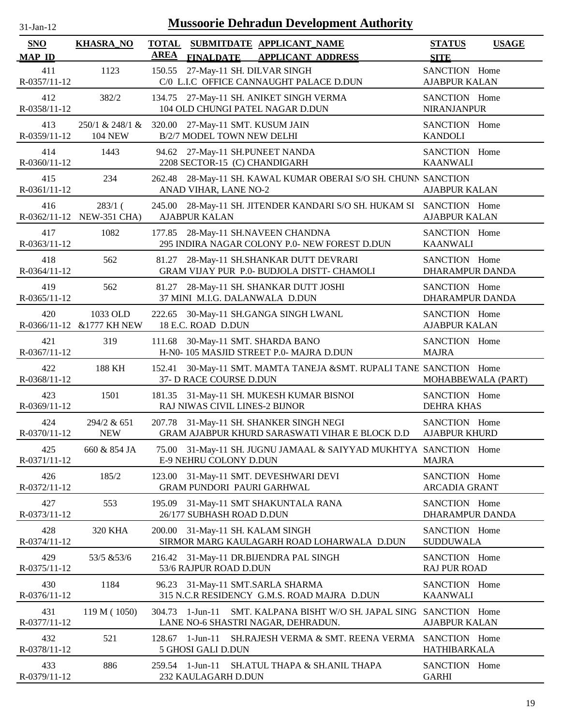| $31$ -Jan-T |  |
|-------------|--|

| <b>SNO</b><br><b>MAP ID</b> | <b>KHASRA_NO</b>                                                   | <b>TOTAL</b><br><b>AREA</b>    | <b>FINALDATE</b>               | SUBMITDATE APPLICANT NAME<br><b>APPLICANT ADDRESS</b>                              | <b>STATUS</b><br><b>SITE</b>            | <b>USAGE</b>       |
|-----------------------------|--------------------------------------------------------------------|--------------------------------|--------------------------------|------------------------------------------------------------------------------------|-----------------------------------------|--------------------|
| 411<br>R-0357/11-12         | 1123                                                               | 150.55                         |                                | 27-May-11 SH. DILVAR SINGH<br>C/0 L.I.C OFFICE CANNAUGHT PALACE D.DUN              | SANCTION Home<br><b>AJABPUR KALAN</b>   |                    |
| 412<br>R-0358/11-12         | 382/2                                                              |                                |                                | 134.75 27-May-11 SH. ANIKET SINGH VERMA<br>104 OLD CHUNGI PATEL NAGAR D.DUN        | SANCTION Home<br>NIRANJANPUR            |                    |
| 413<br>R-0359/11-12         | 250/1 & 248/1 & 320.00 27-May-11 SMT. KUSUM JAIN<br><b>104 NEW</b> |                                | B/2/7 MODEL TOWN NEW DELHI     |                                                                                    | SANCTION Home<br><b>KANDOLI</b>         |                    |
| 414<br>R-0360/11-12         | 1443                                                               |                                |                                | 94.62 27-May-11 SH.PUNEET NANDA<br>2208 SECTOR-15 (C) CHANDIGARH                   | SANCTION Home<br><b>KAANWALI</b>        |                    |
| 415<br>R-0361/11-12         | 234                                                                | 262.48                         | ANAD VIHAR, LANE NO-2          | 28-May-11 SH. KAWAL KUMAR OBERAI S/O SH. CHUNN SANCTION                            | <b>AJABPUR KALAN</b>                    |                    |
| 416                         | $283/1$ (<br>R-0362/11-12 NEW-351 CHA)                             | 245.00<br><b>AJABPUR KALAN</b> |                                | 28-May-11 SH. JITENDER KANDARI S/O SH. HUKAM SI SANCTION Home                      | <b>AJABPUR KALAN</b>                    |                    |
| 417<br>R-0363/11-12         | 1082                                                               | 177.85                         |                                | 28-May-11 SH.NAVEEN CHANDNA<br>295 INDIRA NAGAR COLONY P.0- NEW FOREST D.DUN       | SANCTION Home<br><b>KAANWALI</b>        |                    |
| 418<br>$R-0364/11-12$       | 562                                                                | 81.27                          |                                | 28-May-11 SH.SHANKAR DUTT DEVRARI<br>GRAM VIJAY PUR P.0- BUDJOLA DISTT- CHAMOLI    | SANCTION Home<br>DHARAMPUR DANDA        |                    |
| 419<br>R-0365/11-12         | 562                                                                | 81.27                          |                                | 28-May-11 SH. SHANKAR DUTT JOSHI<br>37 MINI M.I.G. DALANWALA D.DUN                 | SANCTION Home<br>DHARAMPUR DANDA        |                    |
| 420                         | 1033 OLD<br>R-0366/11-12 & 1777 KH NEW                             | 222.65                         | 18 E.C. ROAD D.DUN             | 30-May-11 SH.GANGA SINGH LWANL                                                     | SANCTION Home<br><b>AJABPUR KALAN</b>   |                    |
| 421<br>R-0367/11-12         | 319                                                                | 111.68                         |                                | 30-May-11 SMT. SHARDA BANO<br>H-N0-105 MASJID STREET P.0- MAJRA D.DUN              | SANCTION Home<br><b>MAJRA</b>           |                    |
| 422<br>R-0368/11-12         | 188 KH                                                             | 152.41                         | 37- D RACE COURSE D.DUN        | 30-May-11 SMT. MAMTA TANEJA &SMT. RUPALI TANE SANCTION Home                        |                                         | MOHABBEWALA (PART) |
| 423<br>R-0369/11-12         | 1501                                                               |                                |                                | 181.35 31-May-11 SH. MUKESH KUMAR BISNOI<br>RAJ NIWAS CIVIL LINES-2 BIJNOR         | SANCTION Home<br><b>DEHRA KHAS</b>      |                    |
| 424<br>$R-0370/11-12$       | 294/2 & 651<br><b>NEW</b>                                          | 207.78                         |                                | 31-May-11 SH. SHANKER SINGH NEGI<br>GRAM AJABPUR KHURD SARASWATI VIHAR E BLOCK D.D | SANCTION Home<br><b>AJABPUR KHURD</b>   |                    |
| 425<br>R-0371/11-12         | 660 & 854 JA                                                       |                                | E-9 NEHRU COLONY D.DUN         | 75.00 31-May-11 SH. JUGNU JAMAAL & SAIYYAD MUKHTYA SANCTION Home                   | <b>MAJRA</b>                            |                    |
| 426<br>R-0372/11-12         | 185/2                                                              |                                |                                | 123.00 31-May-11 SMT. DEVESHWARI DEVI<br>GRAM PUNDORI PAURI GARHWAL                | SANCTION Home<br><b>ARCADIA GRANT</b>   |                    |
| 427<br>R-0373/11-12         | 553                                                                | 195.09                         | 26/177 SUBHASH ROAD D.DUN      | 31-May-11 SMT SHAKUNTALA RANA                                                      | SANCTION Home<br><b>DHARAMPUR DANDA</b> |                    |
| 428<br>R-0374/11-12         | 320 KHA                                                            | 200.00                         |                                | 31-May-11 SH. KALAM SINGH<br>SIRMOR MARG KAULAGARH ROAD LOHARWALA D.DUN            | SANCTION Home<br><b>SUDDUWALA</b>       |                    |
| 429<br>R-0375/11-12         | 53/5 & 53/6                                                        | 216.42                         | 53/6 RAJPUR ROAD D.DUN         | 31-May-11 DR.BIJENDRA PAL SINGH                                                    | SANCTION Home<br><b>RAJ PUR ROAD</b>    |                    |
| 430<br>R-0376/11-12         | 1184                                                               | 96.23                          |                                | 31-May-11 SMT.SARLA SHARMA<br>315 N.C.R RESIDENCY G.M.S. ROAD MAJRA D.DUN          | SANCTION Home<br><b>KAANWALI</b>        |                    |
| 431<br>R-0377/11-12         | 119 M (1050)                                                       | 304.73                         | $1$ -Jun- $11$                 | SMT. KALPANA BISHT W/O SH. JAPAL SING<br>LANE NO-6 SHASTRI NAGAR, DEHRADUN.        | SANCTION Home<br><b>AJABPUR KALAN</b>   |                    |
| 432<br>R-0378/11-12         | 521                                                                | 128.67                         | 1-Jun-11<br>5 GHOSI GALI D.DUN | SH.RAJESH VERMA & SMT. REENA VERMA                                                 | SANCTION Home<br>HATHIBARKALA           |                    |
| 433<br>R-0379/11-12         | 886                                                                | 259.54 1-Jun-11                | 232 KAULAGARH D.DUN            | SH.ATUL THAPA & SH.ANIL THAPA                                                      | SANCTION Home<br><b>GARHI</b>           |                    |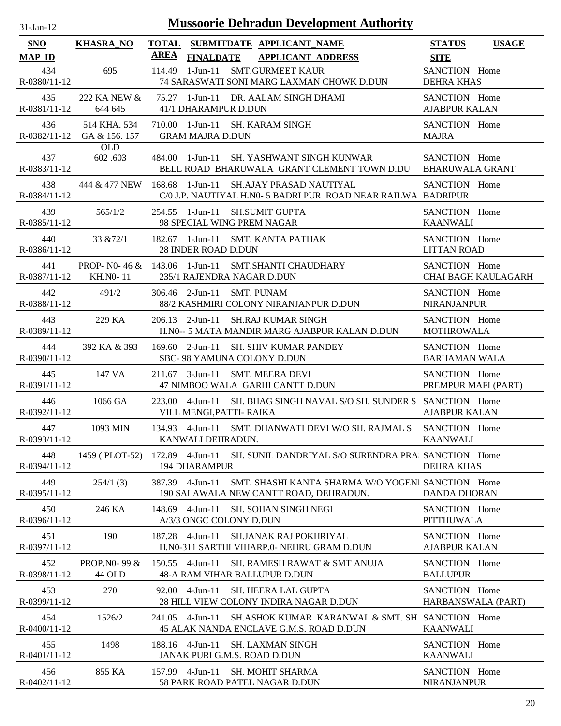| $31$ -Jan-12 |  |
|--------------|--|

| <b>SNO</b>                 | <b>KHASRA_NO</b>              |        |                                                 | TOTAL SUBMITDATE APPLICANT NAME                                                                          | <b>STATUS</b>                           | <b>USAGE</b>               |
|----------------------------|-------------------------------|--------|-------------------------------------------------|----------------------------------------------------------------------------------------------------------|-----------------------------------------|----------------------------|
| <b>MAP ID</b>              |                               | AREA   |                                                 | FINALDATE APPLICANT ADDRESS                                                                              | <b>SITE</b>                             |                            |
| 434<br>R-0380/11-12        | 695                           |        |                                                 | 114.49 1-Jun-11 SMT.GURMEET KAUR<br>74 SARASWATI SONI MARG LAXMAN CHOWK D.DUN                            | SANCTION Home<br><b>DEHRA KHAS</b>      |                            |
| 435<br>R-0381/11-12        | 222 KA NEW &<br>644 645       |        | 41/1 DHARAMPUR D.DUN                            | 75.27 1-Jun-11 DR. AALAM SINGH DHAMI                                                                     | SANCTION Home<br><b>AJABPUR KALAN</b>   |                            |
| 436<br>$R - 0382/11 - 12$  | 514 KHA, 534<br>GA & 156. 157 |        | <b>GRAM MAJRA D.DUN</b>                         | 710.00 1-Jun-11 SH. KARAM SINGH                                                                          | SANCTION Home<br><b>MAJRA</b>           |                            |
| 437<br>R-0383/11-12        | <b>OLD</b><br>602.603         |        |                                                 | 484.00 1-Jun-11 SH. YASHWANT SINGH KUNWAR<br>BELL ROAD BHARUWALA GRANT CLEMENT TOWN D.DU                 | SANCTION Home<br><b>BHARUWALA GRANT</b> |                            |
| 438<br>R-0384/11-12        | 444 & 477 NEW                 |        |                                                 | 168.68 1-Jun-11 SH.AJAY PRASAD NAUTIYAL<br>C/0 J.P. NAUTIYAL H.N0- 5 BADRI PUR ROAD NEAR RAILWA BADRIPUR | SANCTION Home                           |                            |
| 439<br>$R - 0385/11 - 12$  | 565/1/2                       |        | 98 SPECIAL WING PREM NAGAR                      | 254.55 1-Jun-11 SH.SUMIT GUPTA                                                                           | SANCTION Home<br><b>KAANWALI</b>        |                            |
| 440<br>$R - 0386/11 - 12$  | 33 & 72/1                     |        | 28 INDER ROAD D.DUN                             | 182.67 1-Jun-11 SMT. KANTA PATHAK                                                                        | SANCTION Home<br><b>LITTAN ROAD</b>     |                            |
| 441<br>R-0387/11-12        | <b>KH.NO-11</b>               |        | 235/1 RAJENDRA NAGAR D.DUN                      | PROP- N0-46 & 143.06 1-Jun-11 SMT.SHANTI CHAUDHARY                                                       | SANCTION Home                           | <b>CHAI BAGH KAULAGARH</b> |
| 442<br>R-0388/11-12        | 491/2                         |        | 306.46 2-Jun-11 SMT. PUNAM                      | 88/2 KASHMIRI COLONY NIRANJANPUR D.DUN                                                                   | SANCTION Home<br><b>NIRANJANPUR</b>     |                            |
| 443<br>R-0389/11-12        | 229 KA                        |        |                                                 | 206.13 2-Jun-11 SH.RAJ KUMAR SINGH<br>H.NO-- 5 MATA MANDIR MARG AJABPUR KALAN D.DUN                      | SANCTION Home<br><b>MOTHROWALA</b>      |                            |
| 444<br>R-0390/11-12        | 392 KA & 393                  |        |                                                 | 169.60 2-Jun-11 SH. SHIV KUMAR PANDEY<br>SBC- 98 YAMUNA COLONY D.DUN                                     | SANCTION Home<br><b>BARHAMAN WALA</b>   |                            |
| 445<br>R-0391/11-12        | 147 VA                        |        |                                                 | 211.67 3-Jun-11 SMT. MEERA DEVI<br>47 NIMBOO WALA GARHI CANTT D.DUN                                      | SANCTION Home<br>PREMPUR MAFI (PART)    |                            |
| 446<br>$R - 0.392/11 - 12$ | 1066 GA                       |        | VILL MENGI, PATTI- RAIKA                        | 223.00 4-Jun-11 SH. BHAG SINGH NAVAL S/O SH. SUNDER S SANCTION Home                                      | <b>AJABPUR KALAN</b>                    |                            |
| 447<br>$R - 0393/11 - 12$  | 1093 MIN                      |        | KANWALI DEHRADUN.                               | 134.93 4-Jun-11 SMT. DHANWATI DEVI W/O SH. RAJMAL S                                                      | SANCTION Home<br><b>KAANWALI</b>        |                            |
| 448<br>R-0394/11-12        | 1459 (PLOT-52)                |        | <b>194 DHARAMPUR</b>                            | 172.89 4-Jun-11 SH. SUNIL DANDRIYAL S/O SURENDRA PRA: SANCTION Home                                      | <b>DEHRA KHAS</b>                       |                            |
| 449<br>R-0395/11-12        | 254/1(3)                      |        | 387.39 4-Jun-11                                 | SMT, SHASHI KANTA SHARMA W/O YOGENI SANCTION Home<br>190 SALAWALA NEW CANTT ROAD, DEHRADUN.              | <b>DANDA DHORAN</b>                     |                            |
| 450<br>R-0396/11-12        | 246 KA                        |        | $148.69$ 4-Jun-11<br>A/3/3 ONGC COLONY D.DUN    | SH. SOHAN SINGH NEGI                                                                                     | SANCTION Home<br><b>PITTHUWALA</b>      |                            |
| 451<br>R-0397/11-12        | 190                           | 187.28 | 4-Jun-11                                        | <b>SHJANAK RAJ POKHRIYAL</b><br>H.N0-311 SARTHI VIHARP.0- NEHRU GRAM D.DUN                               | SANCTION Home<br><b>AJABPUR KALAN</b>   |                            |
| 452<br>R-0398/11-12        | PROP.NO-99 &<br>44 OLD        |        | $150.55$ 4-Jun-11                               | SH. RAMESH RAWAT & SMT ANUJA<br><b>48-A RAM VIHAR BALLUPUR D.DUN</b>                                     | SANCTION Home<br><b>BALLUPUR</b>        |                            |
| 453<br>R-0399/11-12        | 270                           | 92.00  | $4-Jun-11$                                      | <b>SH. HEERA LAL GUPTA</b><br>28 HILL VIEW COLONY INDIRA NAGAR D.DUN                                     | SANCTION Home                           | HARBANSWALA (PART)         |
| 454<br>$R - 0400/11 - 12$  | 1526/2                        | 241.05 | 4-Jun-11                                        | SH.ASHOK KUMAR KARANWAL & SMT. SH SANCTION Home<br>45 ALAK NANDA ENCLAVE G.M.S. ROAD D.DUN               | <b>KAANWALI</b>                         |                            |
| 455<br>$R-0401/11-12$      | 1498                          |        | 188.16 4-Jun-11<br>JANAK PURI G.M.S. ROAD D.DUN | SH. LAXMAN SINGH                                                                                         | SANCTION Home<br><b>KAANWALI</b>        |                            |
| 456<br>R-0402/11-12        | 855 KA                        |        | 157.99 4-Jun-11                                 | SH. MOHIT SHARMA<br>58 PARK ROAD PATEL NAGAR D.DUN                                                       | SANCTION Home<br><b>NIRANJANPUR</b>     |                            |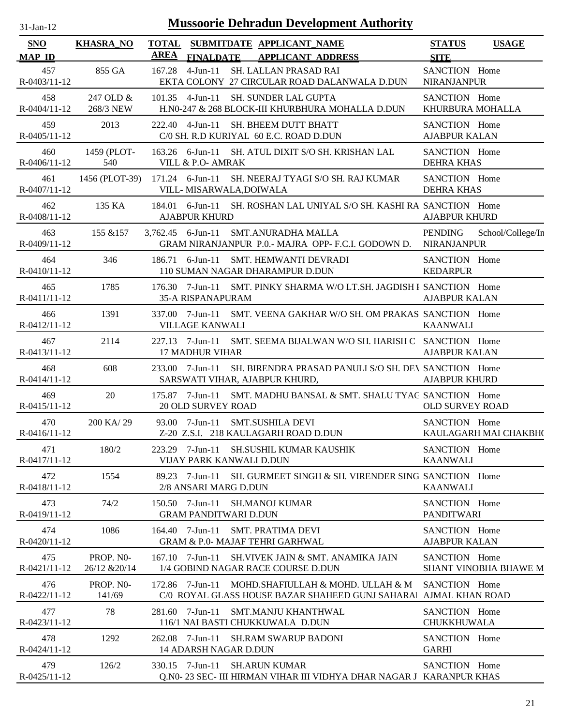| -.ian- |  |
|--------|--|
|        |  |

| <b>SNO</b><br><b>MAP ID</b> | <b>KHASRA NO</b>           | <b>TOTAL</b><br><b>AREA</b> | <b>FINALDATE</b>                                  | SUBMITDATE APPLICANT_NAME<br><b>APPLICANT ADDRESS</b>                                                                | <b>STATUS</b><br><b>SITE</b>          | <b>USAGE</b>          |
|-----------------------------|----------------------------|-----------------------------|---------------------------------------------------|----------------------------------------------------------------------------------------------------------------------|---------------------------------------|-----------------------|
| 457<br>R-0403/11-12         | 855 GA                     | 167.28                      | 4-Jun-11                                          | SH. LALLAN PRASAD RAI<br>EKTA COLONY 27 CIRCULAR ROAD DALANWALA D.DUN                                                | SANCTION Home<br>NIRANJANPUR          |                       |
| 458<br>$R - 0404/11 - 12$   | 247 OLD &<br>268/3 NEW     |                             | $101.35$ 4-Jun-11                                 | <b>SH. SUNDER LAL GUPTA</b><br>H.N0-247 & 268 BLOCK-III KHURBHURA MOHALLA D.DUN                                      | SANCTION Home<br>KHURBURA MOHALLA     |                       |
| 459<br>$R - 0405/11 - 12$   | 2013                       |                             |                                                   | 222.40 4-Jun-11 SH. BHEEM DUTT BHATT<br>C/0 SH. R.D KURIYAL 60 E.C. ROAD D.DUN                                       | SANCTION Home<br><b>AJABPUR KALAN</b> |                       |
| 460<br>$R-0406/11-12$       | 1459 (PLOT-<br>540         |                             | VILL & P.O- AMRAK                                 | 163.26 6-Jun-11 SH. ATUL DIXIT S/O SH. KRISHAN LAL                                                                   | SANCTION Home<br><b>DEHRA KHAS</b>    |                       |
| 461<br>$R-0407/11-12$       |                            |                             | VILL-MISARWALA, DOIWALA                           | 1456 (PLOT-39) 171.24 6-Jun-11 SH. NEERAJ TYAGI S/O SH. RAJ KUMAR                                                    | SANCTION Home<br><b>DEHRA KHAS</b>    |                       |
| 462<br>R-0408/11-12         | 135 KA                     |                             | <b>AJABPUR KHURD</b>                              | 184.01 6-Jun-11 SH. ROSHAN LAL UNIYAL S/O SH. KASHI RA SANCTION Home                                                 | <b>AJABPUR KHURD</b>                  |                       |
| 463<br>R-0409/11-12         | 155 & 157                  |                             |                                                   | 3,762.45 6-Jun-11 SMT.ANURADHA MALLA<br>GRAM NIRANJANPUR P.O.- MAJRA OPP- F.C.I. GODOWN D. NIRANJANPUR               | PENDING                               | School/College/In     |
| 464<br>R-0410/11-12         | 346                        |                             | $186.71$ 6-Jun-11                                 | SMT. HEMWANTI DEVRADI<br>110 SUMAN NAGAR DHARAMPUR D.DUN                                                             | SANCTION Home<br><b>KEDARPUR</b>      |                       |
| 465<br>R-0411/11-12         | 1785                       |                             | <b>35-A RISPANAPURAM</b>                          | 176.30 7-Jun-11 SMT. PINKY SHARMA W/O LT.SH. JAGDISH I SANCTION Home                                                 | <b>AJABPUR KALAN</b>                  |                       |
| 466<br>$R - 0412/11 - 12$   | 1391                       |                             | <b>VILLAGE KANWALI</b>                            | 337.00 7-Jun-11 SMT. VEENA GAKHAR W/O SH. OM PRAKAS SANCTION Home                                                    | <b>KAANWALI</b>                       |                       |
| 467<br>$R - 0413/11 - 12$   | 2114                       |                             | <b>17 MADHUR VIHAR</b>                            | 227.13 7-Jun-11 SMT. SEEMA BIJALWAN W/O SH. HARISH C SANCTION Home                                                   | <b>AJABPUR KALAN</b>                  |                       |
| 468<br>R-0414/11-12         | 608                        |                             |                                                   | 233.00 7-Jun-11 SH. BIRENDRA PRASAD PANULI S/O SH. DEV SANCTION Home<br>SARSWATI VIHAR, AJABPUR KHURD,               | <b>AJABPUR KHURD</b>                  |                       |
| 469<br>$R-0415/11-12$       | 20                         |                             | <b>20 OLD SURVEY ROAD</b>                         | 175.87 7-Jun-11 SMT. MADHU BANSAL & SMT. SHALU TYAC SANCTION Home                                                    | <b>OLD SURVEY ROAD</b>                |                       |
| 470<br>$R-0416/11-12$       | 200 KA/29                  |                             |                                                   | 93.00 7-Jun-11 SMT.SUSHILA DEVI<br>Z-20 Z.S.I. 218 KAULAGARH ROAD D.DUN                                              | SANCTION Home                         | KAULAGARH MAI CHAKBH( |
| 471<br>$R - 0417/11 - 12$   | 180/2                      |                             | VIJAY PARK KANWALI D.DUN                          | 223.29 7-Jun-11 SH.SUSHIL KUMAR KAUSHIK                                                                              | SANCTION Home<br><b>KAANWALI</b>      |                       |
| 472<br>R-0418/11-12         | 1554                       |                             | 2/8 ANSARI MARG D.DUN                             | 89.23 7-Jun-11 SH. GURMEET SINGH & SH. VIRENDER SING SANCTION Home                                                   | <b>KAANWALI</b>                       |                       |
| 473<br>R-0419/11-12         | 74/2                       |                             | $150.50$ 7-Jun-11<br><b>GRAM PANDITWARI D.DUN</b> | SH.MANOJ KUMAR                                                                                                       | SANCTION Home<br><b>PANDITWARI</b>    |                       |
| 474<br>$R - 0420/11 - 12$   | 1086                       |                             | $164.40$ 7-Jun-11                                 | <b>SMT. PRATIMA DEVI</b><br><b>GRAM &amp; P.0- MAJAF TEHRI GARHWAL</b>                                               | SANCTION Home<br><b>AJABPUR KALAN</b> |                       |
| 475<br>R-0421/11-12         | PROP. NO-<br>26/12 & 20/14 |                             | $167.10$ 7-Jun-11                                 | SH.VIVEK JAIN & SMT. ANAMIKA JAIN<br>1/4 GOBIND NAGAR RACE COURSE D.DUN                                              | SANCTION Home                         | SHANT VINOBHA BHAWE M |
| 476<br>R-0422/11-12         | PROP. NO-<br>141/69        |                             |                                                   | 172.86 7-Jun-11 MOHD.SHAFIULLAH & MOHD. ULLAH & M<br>C/0 ROYAL GLASS HOUSE BAZAR SHAHEED GUNJ SAHARA AJMAL KHAN ROAD | SANCTION Home                         |                       |
| 477<br>$R - 0423/11 - 12$   | 78                         | 281.60                      | 7-Jun-11                                          | <b>SMT.MANJU KHANTHWAL</b><br>116/1 NAI BASTI CHUKKUWALA D.DUN                                                       | SANCTION Home<br><b>CHUKKHUWALA</b>   |                       |
| 478<br>$R - 0424/11 - 12$   | 1292                       | 262.08                      | 7-Jun-11<br>14 ADARSH NAGAR D.DUN                 | <b>SH.RAM SWARUP BADONI</b>                                                                                          | SANCTION Home<br><b>GARHI</b>         |                       |
| 479<br>R-0425/11-12         | 126/2                      |                             | $330.15$ 7-Jun-11                                 | <b>SH.ARUN KUMAR</b><br>Q.N0-23 SEC- III HIRMAN VIHAR III VIDHYA DHAR NAGAR J KARANPUR KHAS                          | SANCTION Home                         |                       |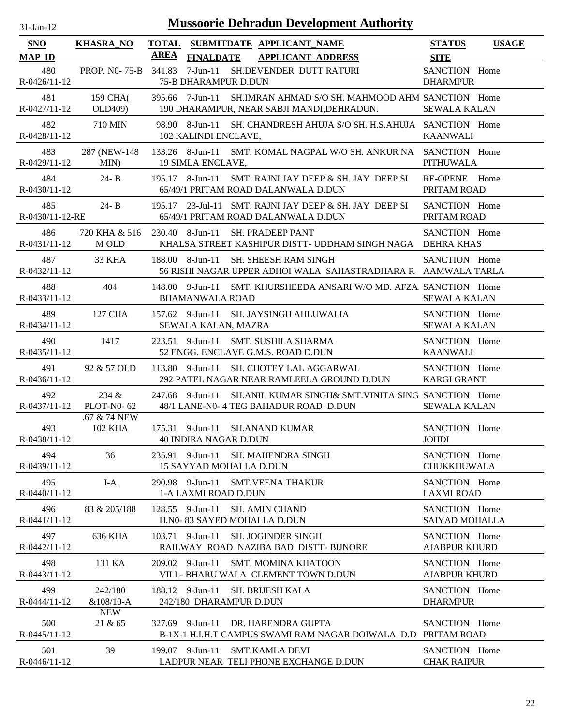| $31 - Jan - 12$ |  |
|-----------------|--|
|                 |  |

| SNO                       | <b>KHASRA_NO</b>           | <b>TOTAL</b> |                                            | SUBMITDATE APPLICANT_NAME                                                                                      | <b>STATUS</b>                         | <b>USAGE</b> |
|---------------------------|----------------------------|--------------|--------------------------------------------|----------------------------------------------------------------------------------------------------------------|---------------------------------------|--------------|
| <b>MAP ID</b>             |                            | AREA         |                                            | FINALDATE APPLICANT ADDRESS                                                                                    | <b>SITE</b>                           |              |
| 480<br>$R-0426/11-12$     |                            |              | 75-B DHARAMPUR D.DUN                       | PROP. NO-75-B 341.83 7-Jun-11 SH.DEVENDER DUTT RATURI                                                          | SANCTION Home<br><b>DHARMPUR</b>      |              |
| 481<br>R-0427/11-12       | 159 CHA(<br>OLD409)        |              |                                            | 395.66 7-Jun-11 SH.IMRAN AHMAD S/O SH. MAHMOOD AHM SANCTION Home<br>190 DHARAMPUR, NEAR SABJI MANDI, DEHRADUN. | <b>SEWALA KALAN</b>                   |              |
| 482<br>R-0428/11-12       | 710 MIN                    |              | 102 KALINDI ENCLAVE,                       | 98.90 8-Jun-11 SH. CHANDRESH AHUJA S/O SH. H.S.AHUJA SANCTION Home                                             | <b>KAANWALI</b>                       |              |
| 483<br>R-0429/11-12       | 287 (NEW-148)<br>MIN)      |              | 19 SIMLA ENCLAVE,                          | 133.26 8-Jun-11 SMT. KOMAL NAGPAL W/O SH. ANKUR NA SANCTION Home                                               | <b>PITHUWALA</b>                      |              |
| 484<br>$R-0430/11-12$     | $24 - B$                   |              |                                            | 195.17 8-Jun-11 SMT. RAJNI JAY DEEP & SH. JAY DEEP SI<br>65/49/1 PRITAM ROAD DALANWALA D.DUN                   | RE-OPENE Home<br>PRITAM ROAD          |              |
| 485<br>R-0430/11-12-RE    | $24 - B$                   |              |                                            | 195.17 23-Jul-11 SMT. RAJNI JAY DEEP & SH. JAY DEEP SI<br>65/49/1 PRITAM ROAD DALANWALA D.DUN                  | SANCTION Home<br>PRITAM ROAD          |              |
| 486<br>$R-0431/11-12$     | 720 KHA & 516<br>M OLD     |              |                                            | 230.40 8-Jun-11 SH. PRADEEP PANT<br>KHALSA STREET KASHIPUR DISTT- UDDHAM SINGH NAGA DEHRA KHAS                 | SANCTION Home                         |              |
| 487<br>R-0432/11-12       | 33 KHA                     |              | $188.00$ 8-Jun-11                          | SH. SHEESH RAM SINGH<br>56 RISHI NAGAR UPPER ADHOI WALA SAHASTRADHARA R AAMWALA TARLA                          | SANCTION Home                         |              |
| 488<br>$R-0433/11-12$     | 404                        |              | <b>BHAMANWALA ROAD</b>                     | 148.00 9-Jun-11 SMT. KHURSHEEDA ANSARI W/O MD. AFZA. SANCTION Home                                             | <b>SEWALA KALAN</b>                   |              |
| 489<br>$R-0434/11-12$     | 127 CHA                    |              | SEWALA KALAN, MAZRA                        | 157.62 9-Jun-11 SH. JAYSINGH AHLUWALIA                                                                         | SANCTION Home<br><b>SEWALA KALAN</b>  |              |
| 490<br>$R-0435/11-12$     | 1417                       |              |                                            | 223.51 9-Jun-11 SMT. SUSHILA SHARMA<br>52 ENGG. ENCLAVE G.M.S. ROAD D.DUN                                      | SANCTION Home<br><b>KAANWALI</b>      |              |
| 491<br>$R - 0436/11 - 12$ | 92 & 57 OLD                |              |                                            | 113.80 9-Jun-11 SH. CHOTEY LAL AGGARWAL<br>292 PATEL NAGAR NEAR RAMLEELA GROUND D.DUN                          | SANCTION Home<br><b>KARGI GRANT</b>   |              |
| 492<br>R-0437/11-12       | 234 &<br><b>PLOT-N0-62</b> |              |                                            | 247.68 9-Jun-11 SH.ANIL KUMAR SINGH& SMT.VINITA SING SANCTION Home<br>48/1 LANE-N0- 4 TEG BAHADUR ROAD D.DUN   | <b>SEWALA KALAN</b>                   |              |
| 493<br>R-0438/11-12       | .67 & 74 NEW<br>102 KHA    |              | <b>40 INDIRA NAGAR D.DUN</b>               | 175.31 9-Jun-11 SH.ANAND KUMAR                                                                                 | SANCTION Home<br><b>JOHDI</b>         |              |
| 494<br>R-0439/11-12       | 36                         |              | 15 SAYYAD MOHALLA D.DUN                    | 235.91 9-Jun-11 SH. MAHENDRA SINGH                                                                             | SANCTION Home<br><b>CHUKKHUWALA</b>   |              |
| 495<br>$R - 0440/11 - 12$ | $I-A$                      |              | 290.98 9-Jun-11<br>1-A LAXMI ROAD D.DUN    | SMT.VEENA THAKUR                                                                                               | SANCTION Home<br><b>LAXMI ROAD</b>    |              |
| 496<br>$R-0441/11-12$     | 83 & 205/188               | 128.55       | 9-Jun-11                                   | <b>SH. AMIN CHAND</b><br>H.NO-83 SAYED MOHALLA D.DUN                                                           | SANCTION Home<br>SAIYAD MOHALLA       |              |
| 497<br>$R - 0442/11 - 12$ | 636 KHA                    |              | $103.71$ 9-Jun-11                          | <b>SH. JOGINDER SINGH</b><br>RAILWAY ROAD NAZIBA BAD DISTT- BIJNORE                                            | SANCTION Home<br><b>AJABPUR KHURD</b> |              |
| 498<br>$R - 0443/11 - 12$ | 131 KA                     |              | $209.02$ 9-Jun-11                          | <b>SMT. MOMINA KHATOON</b><br>VILL- BHARU WALA CLEMENT TOWN D.DUN                                              | SANCTION Home<br><b>AJABPUR KHURD</b> |              |
| 499<br>$R - 0444/11 - 12$ | 242/180<br>$&108/10-A$     |              | 188.12 9-Jun-11<br>242/180 DHARAMPUR D.DUN | SH. BRIJESH KALA                                                                                               | SANCTION Home<br><b>DHARMPUR</b>      |              |
| 500<br>$R - 0445/11 - 12$ | <b>NEW</b><br>21 & 65      |              | 327.69 9-Jun-11                            | DR. HARENDRA GUPTA<br>B-1X-1 H.I.H.T CAMPUS SWAMI RAM NAGAR DOIWALA D.D                                        | SANCTION Home<br>PRITAM ROAD          |              |
| 501<br>R-0446/11-12       | 39                         |              | 199.07 9-Jun-11                            | <b>SMT.KAMLA DEVI</b><br>LADPUR NEAR TELI PHONE EXCHANGE D.DUN                                                 | SANCTION Home<br><b>CHAK RAIPUR</b>   |              |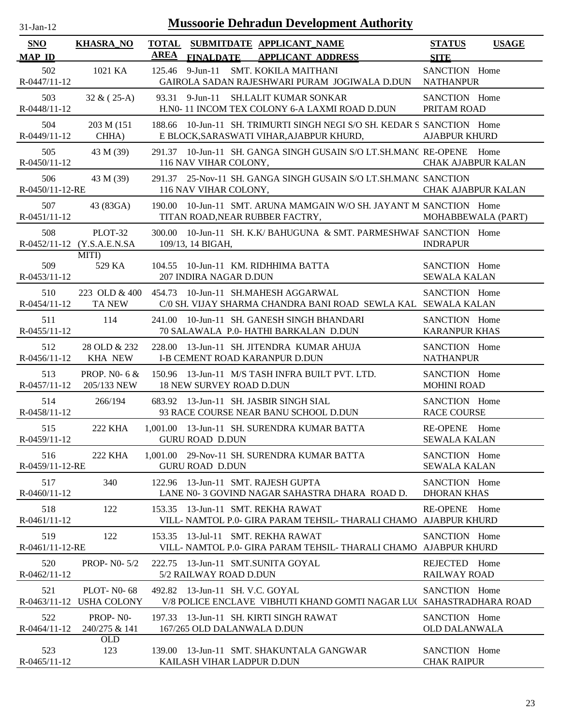| $31 - Jan - 12$ |  |
|-----------------|--|
|                 |  |

| SNO                       | <b>KHASRA NO</b>                                        | <b>AREA</b> |                                 | TOTAL SUBMITDATE APPLICANT_NAME                                                                                     | <b>STATUS</b>                         | <b>USAGE</b>              |
|---------------------------|---------------------------------------------------------|-------------|---------------------------------|---------------------------------------------------------------------------------------------------------------------|---------------------------------------|---------------------------|
| <b>MAP ID</b><br>502      | 1021 KA                                                 |             |                                 | FINALDATE APPLICANT ADDRESS<br>125.46 9-Jun-11 SMT. KOKILA MAITHANI                                                 | <b>SITE</b><br>SANCTION Home          |                           |
| R-0447/11-12              |                                                         |             |                                 | GAIROLA SADAN RAJESHWARI PURAM JOGIWALA D.DUN NATHANPUR                                                             |                                       |                           |
| 503<br>R-0448/11-12       | $32 & (25-A)$                                           |             |                                 | 93.31 9-Jun-11 SH.LALIT KUMAR SONKAR<br>H.N0- 11 INCOM TEX COLONY 6-A LAXMI ROAD D.DUN                              | SANCTION Home<br>PRITAM ROAD          |                           |
| 504<br>R-0449/11-12       | 203 M (151)<br>CHHA)                                    |             |                                 | 188.66 10-Jun-11 SH. TRIMURTI SINGH NEGI S/O SH. KEDAR S SANCTION Home<br>E BLOCK, SARASWATI VIHAR, AJABPUR KHURD,  | <b>AJABPUR KHURD</b>                  |                           |
| 505<br>R-0450/11-12       | 43 M (39)                                               |             | 116 NAV VIHAR COLONY,           | 291.37 10-Jun-11 SH. GANGA SINGH GUSAIN S/O LT.SH.MANC RE-OPENE Home                                                |                                       | <b>CHAK AJABPUR KALAN</b> |
| 506<br>R-0450/11-12-RE    | 43 M (39)                                               |             | 116 NAV VIHAR COLONY,           | 291.37 25-Nov-11 SH. GANGA SINGH GUSAIN S/O LT.SH.MANC SANCTION<br><u> 1990 - John Barnett, francuski politik (</u> |                                       | <b>CHAK AJABPUR KALAN</b> |
| 507<br>R-0451/11-12       | 43 (83GA)                                               |             |                                 | 190.00 10-Jun-11 SMT. ARUNA MAMGAIN W/O SH. JAYANT M SANCTION Home<br>TITAN ROAD, NEAR RUBBER FACTRY,               |                                       | MOHABBEWALA (PART)        |
| 508                       | PLOT-32<br>R-0452/11-12 (Y.S.A.E.N.SA 109/13, 14 BIGAH, | 300.00      |                                 | 10-Jun-11 SH. K.K/BAHUGUNA & SMT. PARMESHWAF SANCTION Home                                                          | <b>INDRAPUR</b>                       |                           |
| 509<br>$R-0453/11-12$     | MITI)<br>529 KA                                         | 104.55      | 207 INDIRA NAGAR D.DUN          | 10-Jun-11 KM, RIDHHIMA BATTA                                                                                        | SANCTION Home<br><b>SEWALA KALAN</b>  |                           |
| 510<br>$R - 0454/11 - 12$ | TA NEW                                                  |             |                                 | 223 OLD & 400 454.73 10-Jun-11 SH.MAHESH AGGARWAL<br>C/0 SH. VIJAY SHARMA CHANDRA BANI ROAD SEWLA KAL SEWALA KALAN  | SANCTION Home                         |                           |
| 511<br>$R-0455/11-12$     | 114                                                     |             |                                 | 241.00 10-Jun-11 SH. GANESH SINGH BHANDARI<br>70 SALAWALA P.0- HATHI BARKALAN D.DUN                                 | SANCTION Home<br><b>KARANPUR KHAS</b> |                           |
| 512<br>R-0456/11-12       | 28 OLD & 232<br>KHA NEW                                 |             |                                 | 228.00 13-Jun-11 SH. JITENDRA KUMAR AHUJA<br>I-B CEMENT ROAD KARANPUR D.DUN                                         | SANCTION Home<br><b>NATHANPUR</b>     |                           |
| 513                       | PROP. NO- $6 &$<br>R-0457/11-12 205/133 NEW             |             | <b>18 NEW SURVEY ROAD D.DUN</b> | 150.96 13-Jun-11 M/S TASH INFRA BUILT PVT. LTD.                                                                     | SANCTION Home<br><b>MOHINI ROAD</b>   |                           |
| 514<br>R-0458/11-12       | 266/194                                                 |             |                                 | 683.92 13-Jun-11 SH. JASBIR SINGH SIAL<br>93 RACE COURSE NEAR BANU SCHOOL D.DUN                                     | SANCTION Home<br><b>RACE COURSE</b>   |                           |
| 515<br>R-0459/11-12       | 222 KHA                                                 |             | <b>GURU ROAD D.DUN</b>          | 1,001.00 13-Jun-11 SH. SURENDRA KUMAR BATTA                                                                         | RE-OPENE Home<br><b>SEWALA KALAN</b>  |                           |
| 516<br>R-0459/11-12-RE    | 222 KHA                                                 |             | <b>GURU ROAD D.DUN</b>          | 1,001.00 29-Nov-11 SH. SURENDRA KUMAR BATTA                                                                         | SANCTION Home<br><b>SEWALA KALAN</b>  |                           |
| 517<br>R-0460/11-12       | 340                                                     | 122.96      |                                 | 13-Jun-11 SMT. RAJESH GUPTA<br>LANE N0-3 GOVIND NAGAR SAHASTRA DHARA ROAD D.                                        | SANCTION Home<br><b>DHORAN KHAS</b>   |                           |
| 518<br>$R-0461/11-12$     | 122                                                     | 153.35      |                                 | 13-Jun-11 SMT, REKHA RAWAT<br>VILL-NAMTOL P.0- GIRA PARAM TEHSIL-THARALI CHAMO AJABPUR KHURD                        | <b>RE-OPENE</b>                       | Home                      |
| 519<br>R-0461/11-12-RE    | 122                                                     | 153.35      |                                 | 13-Jul-11 SMT. REKHA RAWAT<br>VILL-NAMTOL P.0- GIRA PARAM TEHSIL-THARALI CHAMO AJABPUR KHURD                        | SANCTION Home                         |                           |
| 520<br>R-0462/11-12       | <b>PROP-NO-5/2</b>                                      | 222.75      | 5/2 RAILWAY ROAD D.DUN          | 13-Jun-11 SMT.SUNITA GOYAL                                                                                          | REJECTED Home<br><b>RAILWAY ROAD</b>  |                           |
| 521                       | <b>PLOT-N0-68</b><br>R-0463/11-12 USHA COLONY           |             | 492.82 13-Jun-11 SH. V.C. GOYAL | V/8 POLICE ENCLAVE VIBHUTI KHAND GOMTI NAGAR LU( SAHASTRADHARA ROAD                                                 | SANCTION Home                         |                           |
| 522<br>$R-0464/11-12$     | PROP-NO-<br>240/275 & 141                               |             | 167/265 OLD DALANWALA D.DUN     | 197.33 13-Jun-11 SH. KIRTI SINGH RAWAT                                                                              | SANCTION Home<br><b>OLD DALANWALA</b> |                           |
| 523<br>$R-0465/11-12$     | <b>OLD</b><br>123                                       |             | KAILASH VIHAR LADPUR D.DUN      | 139.00 13-Jun-11 SMT. SHAKUNTALA GANGWAR                                                                            | SANCTION Home<br><b>CHAK RAIPUR</b>   |                           |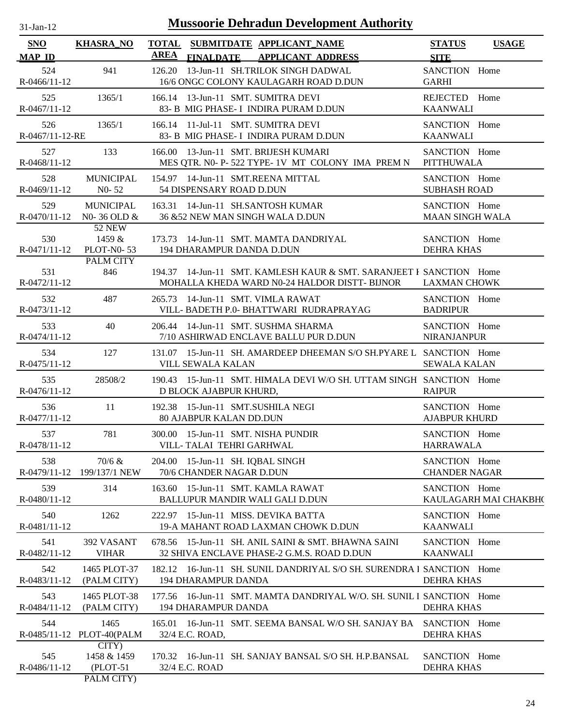| $31$ -Jan-12                | <b>Mussoorie Dehradun Development Authority</b> |                             |                                |  |                                                                                                                      |                                         |                       |  |  |
|-----------------------------|-------------------------------------------------|-----------------------------|--------------------------------|--|----------------------------------------------------------------------------------------------------------------------|-----------------------------------------|-----------------------|--|--|
| <b>SNO</b><br><b>MAP ID</b> | <b>KHASRA_NO</b>                                | <b>TOTAL</b><br><b>AREA</b> | <b>FINALDATE</b>               |  | SUBMITDATE APPLICANT NAME<br><b>APPLICANT ADDRESS</b>                                                                | <b>STATUS</b><br><b>SITE</b>            | <b>USAGE</b>          |  |  |
| 524<br>R-0466/11-12         | 941                                             | 126.20                      |                                |  | 13-Jun-11 SH.TRILOK SINGH DADWAL<br>16/6 ONGC COLONY KAULAGARH ROAD D.DUN                                            | SANCTION Home<br><b>GARHI</b>           |                       |  |  |
| 525<br>R-0467/11-12         | 1365/1                                          |                             |                                |  | 166.14 13-Jun-11 SMT. SUMITRA DEVI<br>83- B MIG PHASE- I INDIRA PURAM D.DUN                                          | REJECTED Home<br><b>KAANWALI</b>        |                       |  |  |
| 526<br>R-0467/11-12-RE      | 1365/1                                          |                             |                                |  | 166.14 11-Jul-11 SMT. SUMITRA DEVI<br>83- B MIG PHASE- I INDIRA PURAM D.DUN                                          | SANCTION Home<br><b>KAANWALI</b>        |                       |  |  |
| 527<br>$R - 0468/11 - 12$   | 133                                             |                             |                                |  | 166.00 13-Jun-11 SMT. BRIJESH KUMARI<br>MES QTR. N0- P-522 TYPE-1V MT COLONY IMA PREM N                              | SANCTION Home<br>PITTHUWALA             |                       |  |  |
| 528<br>R-0469/11-12         | <b>MUNICIPAL</b><br>$N0 - 52$                   |                             | 54 DISPENSARY ROAD D.DUN       |  | 154.97 14-Jun-11 SMT.REENA MITTAL                                                                                    | SANCTION Home<br><b>SUBHASH ROAD</b>    |                       |  |  |
| 529<br>R-0470/11-12         | <b>MUNICIPAL</b><br>N0-36 OLD &                 |                             |                                |  | 163.31 14-Jun-11 SH.SANTOSH KUMAR<br>36 &52 NEW MAN SINGH WALA D.DUN                                                 | SANCTION Home<br><b>MAAN SINGH WALA</b> |                       |  |  |
| 530<br>R-0471/11-12         | <b>52 NEW</b><br>1459 &<br><b>PLOT-N0-53</b>    |                             |                                |  | 173.73 14-Jun-11 SMT. MAMTA DANDRIYAL<br>194 DHARAMPUR DANDA D.DUN                                                   | SANCTION Home<br><b>DEHRA KHAS</b>      |                       |  |  |
| 531<br>R-0472/11-12         | PALM CITY<br>846                                |                             |                                |  | 194.37 14-Jun-11 SMT. KAMLESH KAUR & SMT. SARANJEET I SANCTION Home<br>MOHALLA KHEDA WARD N0-24 HALDOR DISTT- BIJNOR | <b>LAXMAN CHOWK</b>                     |                       |  |  |
| 532<br>R-0473/11-12         | 487                                             |                             |                                |  | 265.73 14-Jun-11 SMT. VIMLA RAWAT<br>VILL- BADETH P.0- BHATTWARI RUDRAPRAYAG                                         | SANCTION Home<br><b>BADRIPUR</b>        |                       |  |  |
| 533<br>$R - 0474/11 - 12$   | 40                                              |                             |                                |  | 206.44 14-Jun-11 SMT. SUSHMA SHARMA<br>7/10 ASHIRWAD ENCLAVE BALLU PUR D.DUN                                         | SANCTION Home<br><b>NIRANJANPUR</b>     |                       |  |  |
| 534<br>R-0475/11-12         | 127                                             |                             | VILL SEWALA KALAN              |  | 131.07 15-Jun-11 SH. AMARDEEP DHEEMAN S/O SH.PYARE L SANCTION Home                                                   | <b>SEWALA KALAN</b>                     |                       |  |  |
| 535<br>R-0476/11-12         | 28508/2                                         |                             | D BLOCK AJABPUR KHURD,         |  | 190.43 15-Jun-11 SMT. HIMALA DEVI W/O SH. UTTAM SINGH SANCTION Home                                                  | <b>RAIPUR</b>                           |                       |  |  |
| 536<br>R-0477/11-12         | 11                                              |                             | <b>80 AJABPUR KALAN DD.DUN</b> |  | 192.38 15-Jun-11 SMT.SUSHILA NEGI                                                                                    | SANCTION Home<br><b>AJABPUR KHURD</b>   |                       |  |  |
| 537<br>R-0478/11-12         | 781                                             |                             | VILL- TALAI TEHRI GARHWAL      |  | 300.00 15-Jun-11 SMT. NISHA PUNDIR                                                                                   | SANCTION Home<br><b>HARRAWALA</b>       |                       |  |  |
| 538<br>R-0479/11-12         | 70/6 &<br>199/137/1 NEW                         |                             | 70/6 CHANDER NAGAR D.DUN       |  | 204.00 15-Jun-11 SH. IQBAL SINGH                                                                                     | SANCTION Home<br><b>CHANDER NAGAR</b>   |                       |  |  |
| 539<br>R-0480/11-12         | 314                                             |                             |                                |  | 163.60 15-Jun-11 SMT. KAMLA RAWAT<br>BALLUPUR MANDIR WALI GALI D.DUN                                                 | SANCTION Home                           | KAULAGARH MAI CHAKBH( |  |  |
| 540<br>R-0481/11-12         | 1262                                            |                             |                                |  | 222.97 15-Jun-11 MISS. DEVIKA BATTA<br>19-A MAHANT ROAD LAXMAN CHOWK D.DUN                                           | SANCTION Home<br><b>KAANWALI</b>        |                       |  |  |
| 541<br>R-0482/11-12         | 392 VASANT<br><b>VIHAR</b>                      |                             |                                |  | 678.56 15-Jun-11 SH. ANIL SAINI & SMT. BHAWNA SAINI<br>32 SHIVA ENCLAVE PHASE-2 G.M.S. ROAD D.DUN                    | SANCTION Home<br><b>KAANWALI</b>        |                       |  |  |
| 542<br>R-0483/11-12         | 1465 PLOT-37<br>(PALM CITY)                     |                             | <b>194 DHARAMPUR DANDA</b>     |  | 182.12 16-Jun-11 SH. SUNIL DANDRIYAL S/O SH. SURENDRA I SANCTION Home                                                | <b>DEHRA KHAS</b>                       |                       |  |  |
| 543<br>R-0484/11-12         | 1465 PLOT-38<br>(PALM CITY)                     |                             | 194 DHARAMPUR DANDA            |  | 177.56 16-Jun-11 SMT. MAMTA DANDRIYAL W/O. SH. SUNIL I SANCTION Home                                                 | <b>DEHRA KHAS</b>                       |                       |  |  |
| 544                         | 1465<br>R-0485/11-12 PLOT-40(PALM               |                             | 32/4 E.C. ROAD,                |  | 165.01 16-Jun-11 SMT. SEEMA BANSAL W/O SH. SANJAY BA                                                                 | SANCTION Home<br><b>DEHRA KHAS</b>      |                       |  |  |
| 545<br>R-0486/11-12         | CITY<br>1458 & 1459<br>$(PLOT-51)$              |                             | 32/4 E.C. ROAD                 |  | 170.32 16-Jun-11 SH. SANJAY BANSAL S/O SH. H.P.BANSAL                                                                | SANCTION Home<br><b>DEHRA KHAS</b>      |                       |  |  |

PALM CITY)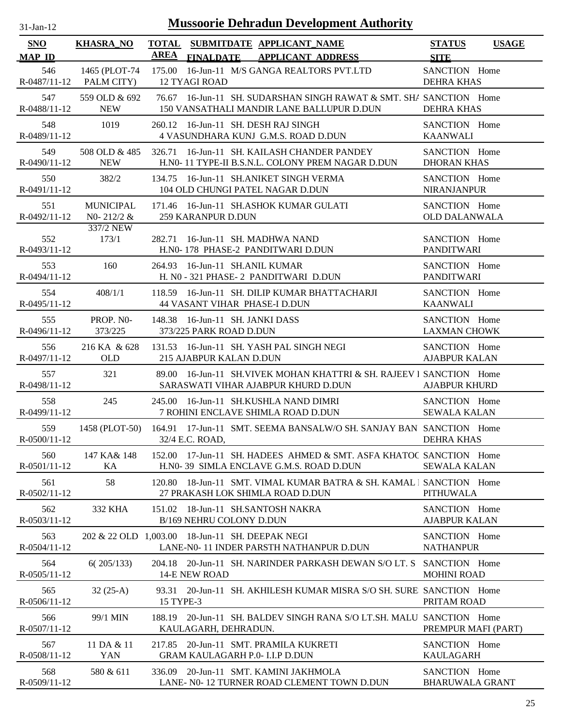| $31 - Jan - 12$ |  |
|-----------------|--|
|                 |  |

| SNO                       | <b>KHASRA_NO</b>                                | AREA            |                                                            | TOTAL SUBMITDATE APPLICANT NAME                                                                                 | <b>STATUS</b>                           | <b>USAGE</b> |
|---------------------------|-------------------------------------------------|-----------------|------------------------------------------------------------|-----------------------------------------------------------------------------------------------------------------|-----------------------------------------|--------------|
| <b>MAP ID</b>             |                                                 |                 | <b>FINALDATE</b>                                           | <b>APPLICANT ADDRESS</b>                                                                                        | <b>SITE</b>                             |              |
| 546                       | 1465 (PLOT-74<br>R-0487/11-12 PALM CITY)        | 12 TYAGI ROAD   |                                                            | 175.00 16-Jun-11 M/S GANGA REALTORS PVT.LTD                                                                     | SANCTION Home<br><b>DEHRA KHAS</b>      |              |
| 547<br>R-0488/11-12       | 559 OLD & 692<br><b>NEW</b>                     |                 |                                                            | 76.67 16-Jun-11 SH. SUDARSHAN SINGH RAWAT & SMT. SHA SANCTION Home<br>150 VANSATHALI MANDIR LANE BALLUPUR D.DUN | DEHRA KHAS                              |              |
| 548<br>R-0489/11-12       | 1019                                            |                 |                                                            | 260.12 16-Jun-11 SH. DESH RAJ SINGH<br>4 VASUNDHARA KUNJ G.M.S. ROAD D.DUN                                      | SANCTION Home<br><b>KAANWALI</b>        |              |
| 549<br>R-0490/11-12       | 508 OLD & 485<br><b>NEW</b>                     | 326.71          |                                                            | 16-Jun-11 SH, KAILASH CHANDER PANDEY<br>H.NO- 11 TYPE-II B.S.N.L. COLONY PREM NAGAR D.DUN                       | SANCTION Home<br><b>DHORAN KHAS</b>     |              |
| 550<br>R-0491/11-12       | 382/2                                           | 134.75          |                                                            | 16-Jun-11 SH.ANIKET SINGH VERMA<br>104 OLD CHUNGI PATEL NAGAR D.DUN                                             | SANCTION Home<br><b>NIRANJANPUR</b>     |              |
| 551<br>R-0492/11-12       | <b>MUNICIPAL</b><br>NO- $212/2$ &<br>337/2 NEW  |                 | <b>259 KARANPUR D.DUN</b>                                  | 171.46 16-Jun-11 SH.ASHOK KUMAR GULATI                                                                          | SANCTION Home<br><b>OLD DALANWALA</b>   |              |
| 552<br>R-0493/11-12       | 173/1                                           | 282.71          |                                                            | 16-Jun-11 SH, MADHWA NAND<br>H.N0-178 PHASE-2 PANDITWARI D.DUN                                                  | SANCTION Home<br><b>PANDITWARI</b>      |              |
| 553<br>R-0494/11-12       | 160                                             | 264.93          |                                                            | 16-Jun-11 SH.ANIL KUMAR<br>H. NO - 321 PHASE-2 PANDITWARI D.DUN                                                 | SANCTION Home<br><b>PANDITWARI</b>      |              |
| 554<br>R-0495/11-12       | 408/1/1                                         |                 |                                                            | 118.59 16-Jun-11 SH. DILIP KUMAR BHATTACHARJI<br>44 VASANT VIHAR PHASE-I D.DUN                                  | SANCTION Home<br><b>KAANWALI</b>        |              |
| 555<br>$R-0496/11-12$     | PROP. NO-<br>373/225                            |                 | 148.38 16-Jun-11 SH. JANKI DASS<br>373/225 PARK ROAD D.DUN |                                                                                                                 | SANCTION Home<br><b>LAXMAN CHOWK</b>    |              |
| 556<br>R-0497/11-12       | 216 KA & 628<br><b>OLD</b>                      |                 | 215 AJABPUR KALAN D.DUN                                    | 131.53 16-Jun-11 SH. YASH PAL SINGH NEGI                                                                        | SANCTION Home<br><b>AJABPUR KALAN</b>   |              |
| 557<br>R-0498/11-12       | 321                                             |                 |                                                            | 89.00 16-Jun-11 SH. VIVEK MOHAN KHATTRI & SH. RAJEEV I SANCTION Home<br>SARASWATI VIHAR AJABPUR KHURD D.DUN     | <b>AJABPUR KHURD</b>                    |              |
| 558<br>R-0499/11-12       | 245                                             |                 |                                                            | 245.00 16-Jun-11 SH.KUSHLA NAND DIMRI<br>7 ROHINI ENCLAVE SHIMLA ROAD D.DUN                                     | SANCTION Home<br><b>SEWALA KALAN</b>    |              |
| 559<br>$R - 0500/11 - 12$ | 1458 (PLOT-50)                                  | 32/4 E.C. ROAD, |                                                            | 164.91 17-Jun-11 SMT. SEEMA BANSALW/O SH. SANJAY BAN SANCTION Home                                              | <b>DEHRA KHAS</b>                       |              |
| 560<br>R-0501/11-12       | 147 KA& 148<br>KA                               |                 |                                                            | 152.00 17-Jun-11 SH. HADEES AHMED & SMT. ASFA KHATOC SANCTION Home<br>H.N0-39 SIMLA ENCLAVE G.M.S. ROAD D.DUN   | <b>SEWALA KALAN</b>                     |              |
| 561<br>R-0502/11-12       | 58                                              | 120.80          |                                                            | 18-Jun-11 SMT. VIMAL KUMAR BATRA & SH. KAMAL SANCTION Home<br>27 PRAKASH LOK SHIMLA ROAD D.DUN                  | <b>PITHUWALA</b>                        |              |
| 562<br>R-0503/11-12       | 332 KHA                                         | 151.02          | B/169 NEHRU COLONY D.DUN                                   | 18-Jun-11 SH.SANTOSH NAKRA                                                                                      | SANCTION Home<br><b>AJABPUR KALAN</b>   |              |
| 563<br>$R-0504/11-12$     | 202 & 22 OLD 1,003.00 18-Jun-11 SH. DEEPAK NEGI |                 |                                                            | LANE-N0-11 INDER PARSTH NATHANPUR D.DUN                                                                         | SANCTION Home<br><b>NATHANPUR</b>       |              |
| 564<br>$R-0505/11-12$     | 6(205/133)                                      |                 | 14-E NEW ROAD                                              | 204.18 20-Jun-11 SH. NARINDER PARKASH DEWAN S/O LT. S SANCTION Home                                             | <b>MOHINI ROAD</b>                      |              |
| 565<br>$R-0506/11-12$     | $32(25-A)$                                      | 15 TYPE-3       |                                                            | 93.31 20-Jun-11 SH. AKHILESH KUMAR MISRA S/O SH. SURE: SANCTION Home                                            | PRITAM ROAD                             |              |
| 566<br>$R-0507/11-12$     | 99/1 MIN                                        |                 | KAULAGARH, DEHRADUN.                                       | 188.19 20-Jun-11 SH. BALDEV SINGH RANA S/O LT.SH. MALU SANCTION Home                                            | PREMPUR MAFI (PART)                     |              |
| 567<br>$R-0508/11-12$     | 11 DA & 11<br>YAN                               |                 |                                                            | 217.85 20-Jun-11 SMT. PRAMILA KUKRETI<br><b>GRAM KAULAGARH P.0- I.I.P D.DUN</b>                                 | SANCTION Home<br><b>KAULAGARH</b>       |              |
| 568<br>R-0509/11-12       | 580 & 611                                       |                 |                                                            | 336.09 20-Jun-11 SMT. KAMINI JAKHMOLA<br>LANE- N0-12 TURNER ROAD CLEMENT TOWN D.DUN                             | SANCTION Home<br><b>BHARUWALA GRANT</b> |              |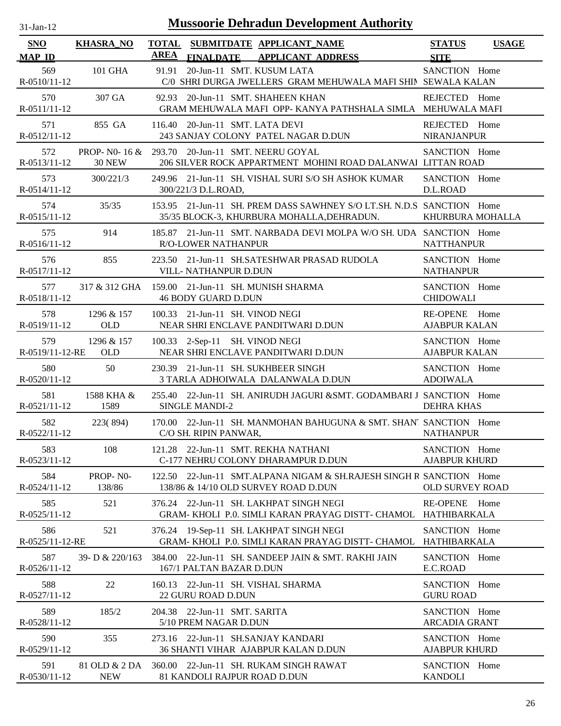| $31$ -Jan-12                |                                    | <b>Mussoorie Dehradun Development Authority</b>                                                                     |                                       |              |
|-----------------------------|------------------------------------|---------------------------------------------------------------------------------------------------------------------|---------------------------------------|--------------|
| <b>SNO</b><br><b>MAP ID</b> | <b>KHASRA_NO</b>                   | TOTAL SUBMITDATE APPLICANT NAME<br><b>AREA</b><br><b>FINALDATE</b><br><b>APPLICANT ADDRESS</b>                      | <b>STATUS</b><br><b>SITE</b>          | <b>USAGE</b> |
| 569<br>$R - 0510/11 - 12$   | 101 GHA                            | 20-Jun-11 SMT. KUSUM LATA<br>91.91<br>C/0 SHRI DURGA JWELLERS GRAM MEHUWALA MAFI SHIN SEWALA KALAN                  | SANCTION Home                         |              |
| 570<br>R-0511/11-12         | 307 GA                             | 92.93 20-Jun-11 SMT. SHAHEEN KHAN<br>GRAM MEHUWALA MAFI OPP- KANYA PATHSHALA SIMLA MEHUWALA MAFI                    | REJECTED Home                         |              |
| 571<br>R-0512/11-12         | 855 GA                             | 116.40 20-Jun-11 SMT. LATA DEVI<br>243 SANJAY COLONY PATEL NAGAR D.DUN                                              | REJECTED Home<br><b>NIRANJANPUR</b>   |              |
| 572<br>R-0513/11-12         | PROP- NO- 16 $\&$<br><b>30 NEW</b> | 293.70 20-Jun-11 SMT. NEERU GOYAL<br>206 SILVER ROCK APPARTMENT MOHINI ROAD DALANWAI LITTAN ROAD                    | SANCTION Home                         |              |
| 573<br>$R-0514/11-12$       | 300/221/3                          | 249.96 21-Jun-11 SH. VISHAL SURI S/O SH ASHOK KUMAR<br>300/221/3 D.L.ROAD,                                          | SANCTION Home<br>D.L.ROAD             |              |
| 574<br>R-0515/11-12         | 35/35                              | 153.95 21-Jun-11 SH. PREM DASS SAWHNEY S/O LT.SH. N.D.S SANCTION Home<br>35/35 BLOCK-3, KHURBURA MOHALLA, DEHRADUN. | KHURBURA MOHALLA                      |              |
| 575<br>R-0516/11-12         | 914                                | 185.87 21-Jun-11 SMT. NARBADA DEVI MOLPA W/O SH. UDA SANCTION Home<br><b>R/O-LOWER NATHANPUR</b>                    | <b>NATTHANPUR</b>                     |              |
| 576<br>$R-0517/11-12$       | 855                                | 223.50 21-Jun-11 SH.SATESHWAR PRASAD RUDOLA<br>VILL- NATHANPUR D.DUN                                                | SANCTION Home<br><b>NATHANPUR</b>     |              |
| 577<br>R-0518/11-12         |                                    | 317 & 312 GHA 159.00 21-Jun-11 SH. MUNISH SHARMA<br><b>46 BODY GUARD D.DUN</b>                                      | SANCTION Home<br><b>CHIDOWALI</b>     |              |
| 578<br>R-0519/11-12         | 1296 & 157<br>OLD                  | 100.33 21-Jun-11 SH. VINOD NEGI<br>NEAR SHRI ENCLAVE PANDITWARI D.DUN                                               | RE-OPENE Home<br><b>AJABPUR KALAN</b> |              |
| 579<br>R-0519/11-12-RE      | 1296 & 157<br><b>OLD</b>           | 100.33 2-Sep-11 SH. VINOD NEGI<br>NEAR SHRI ENCLAVE PANDITWARI D.DUN                                                | SANCTION Home<br><b>AJABPUR KALAN</b> |              |
| 580<br>R-0520/11-12         | 50                                 | 230.39 21-Jun-11 SH. SUKHBEER SINGH<br>3 TARLA ADHOIWALA DALANWALA D.DUN                                            | SANCTION Home<br><b>ADOIWALA</b>      |              |
| 581<br>$R-0521/11-12$       | 1588 KHA &<br>1589                 | 255.40 22-Jun-11 SH. ANIRUDH JAGURI & SMT. GODAMBARI J SANCTION Home<br><b>SINGLE MANDI-2</b>                       | <b>DEHRA KHAS</b>                     |              |
| 582<br>R-0522/11-12         |                                    | 223(894) 170.00 22-Jun-11 SH. MANMOHAN BAHUGUNA & SMT. SHANT SANCTION Home<br>C/O SH. RIPIN PANWAR,                 | <b>NATHANPUR</b>                      |              |
| 583<br>R-0523/11-12         | 108                                | 121.28 22-Jun-11 SMT. REKHA NATHANI<br>C-177 NEHRU COLONY DHARAMPUR D.DUN                                           | SANCTION Home<br><b>AJABPUR KHURD</b> |              |
| 584<br>R-0524/11-12         | PROP-NO-<br>138/86                 | 122.50 22-Jun-11 SMT.ALPANA NIGAM & SH.RAJESH SINGH R SANCTION Home<br>138/86 & 14/10 OLD SURVEY ROAD D.DUN         | <b>OLD SURVEY ROAD</b>                |              |
| 585<br>R-0525/11-12         | 521                                | 376.24 22-Jun-11 SH. LAKHPAT SINGH NEGI<br>GRAM-KHOLI P.0. SIMLI KARAN PRAYAG DISTT- CHAMOL HATHIBARKALA            | RE-OPENE Home                         |              |
| 586<br>R-0525/11-12-RE      | 521                                | 376.24 19-Sep-11 SH. LAKHPAT SINGH NEGI<br>GRAM-KHOLI P.0. SIMLI KARAN PRAYAG DISTT- CHAMOL                         | SANCTION Home<br>HATHIBARKALA         |              |
| 587<br>R-0526/11-12         | 39- D $& 220/163$                  | 384.00 22-Jun-11 SH. SANDEEP JAIN & SMT. RAKHI JAIN<br>167/1 PALTAN BAZAR D.DUN                                     | SANCTION Home<br>E.C.ROAD             |              |
| 588<br>$R-0527/11-12$       | 22                                 | 160.13 22-Jun-11 SH. VISHAL SHARMA<br>22 GURU ROAD D.DUN                                                            | SANCTION Home<br><b>GURU ROAD</b>     |              |
| 589<br>R-0528/11-12         | 185/2                              | 204.38 22-Jun-11 SMT. SARITA<br>5/10 PREM NAGAR D.DUN                                                               | SANCTION Home<br><b>ARCADIA GRANT</b> |              |
| 590<br>R-0529/11-12         | 355                                | 273.16 22-Jun-11 SH.SANJAY KANDARI<br>36 SHANTI VIHAR AJABPUR KALAN D.DUN                                           | SANCTION Home<br><b>AJABPUR KHURD</b> |              |
| 591<br>R-0530/11-12         | 81 OLD & 2 DA<br><b>NEW</b>        | 360.00 22-Jun-11 SH. RUKAM SINGH RAWAT<br>81 KANDOLI RAJPUR ROAD D.DUN                                              | SANCTION Home<br><b>KANDOLI</b>       |              |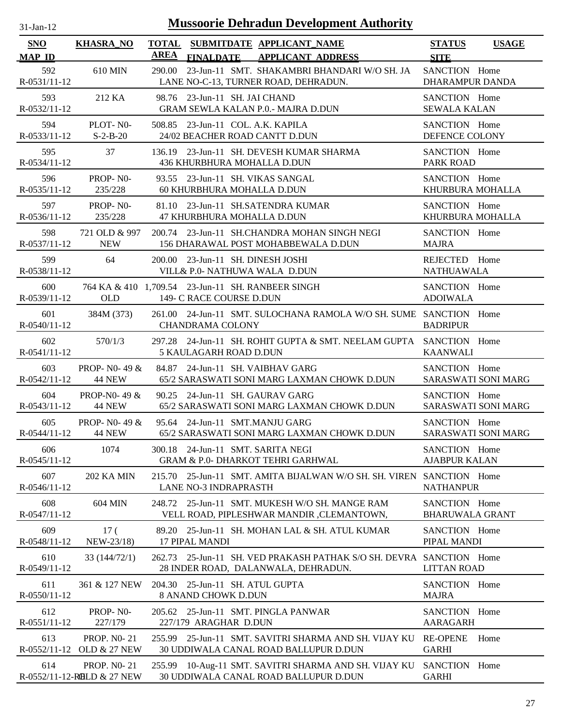| 31-Jan-12 |  |
|-----------|--|
|           |  |

| <b>SNO</b>                | <b>KHASRA_NO</b>                                 |        |                                                                               | TOTAL SUBMITDATE APPLICANT NAME                                                                       | <b>STATUS</b><br><b>USAGE</b>               |
|---------------------------|--------------------------------------------------|--------|-------------------------------------------------------------------------------|-------------------------------------------------------------------------------------------------------|---------------------------------------------|
| <b>MAP ID</b>             |                                                  | AREA   | <b>FINALDATE</b>                                                              | <b>APPLICANT ADDRESS</b>                                                                              | <b>SITE</b>                                 |
| 592<br>R-0531/11-12       | 610 MIN                                          |        |                                                                               | 290.00 23-Jun-11 SMT. SHAKAMBRI BHANDARI W/O SH. JA<br>LANE NO-C-13, TURNER ROAD, DEHRADUN.           | SANCTION Home<br>DHARAMPUR DANDA            |
| 593<br>$R - 0532/11 - 12$ | 212 KA                                           |        | 98.76 23-Jun-11 SH. JAI CHAND                                                 | <b>GRAM SEWLA KALAN P.0.- MAJRA D.DUN</b>                                                             | SANCTION Home<br><b>SEWALA KALAN</b>        |
| 594<br>R-0533/11-12       | PLOT-N <sub>0</sub> -<br>$S-2-B-20$              |        | 508.85 23-Jun-11 COL. A.K. KAPILA<br>24/02 BEACHER ROAD CANTT D.DUN           |                                                                                                       | SANCTION Home<br>DEFENCE COLONY             |
| 595<br>R-0534/11-12       | 37                                               |        | 436 KHURBHURA MOHALLA D.DUN                                                   | 136.19 23-Jun-11 SH. DEVESH KUMAR SHARMA                                                              | SANCTION Home<br><b>PARK ROAD</b>           |
| 596<br>R-0535/11-12       | PROP-NO-<br>235/228                              |        | 93.55 23-Jun-11 SH. VIKAS SANGAL<br>60 KHURBHURA MOHALLA D.DUN                |                                                                                                       | SANCTION Home<br>KHURBURA MOHALLA           |
| 597<br>$R-0536/11-12$     | PROP-NO-<br>235/228                              |        | 47 KHURBHURA MOHALLA D.DUN                                                    | 81.10 23-Jun-11 SH.SATENDRA KUMAR                                                                     | SANCTION Home<br>KHURBURA MOHALLA           |
| 598<br>R-0537/11-12       | 721 OLD & 997<br><b>NEW</b>                      |        |                                                                               | 200.74 23-Jun-11 SH.CHANDRA MOHAN SINGH NEGI<br>156 DHARAWAL POST MOHABBEWALA D.DUN                   | SANCTION Home<br><b>MAJRA</b>               |
| 599<br>R-0538/11-12       | 64                                               |        | 200.00 23-Jun-11 SH. DINESH JOSHI<br>VILL& P.0- NATHUWA WALA D.DUN            |                                                                                                       | REJECTED Home<br><b>NATHUAWALA</b>          |
| 600<br>R-0539/11-12       | <b>OLD</b>                                       |        | 764 KA & 410 1,709.54 23-Jun-11 SH. RANBEER SINGH<br>149- C RACE COURSE D.DUN |                                                                                                       | SANCTION Home<br><b>ADOIWALA</b>            |
| 601<br>R-0540/11-12       | 384M (373)                                       |        | <b>CHANDRAMA COLONY</b>                                                       | 261.00 24-Jun-11 SMT. SULOCHANA RAMOLA W/O SH. SUME SANCTION Home                                     | <b>BADRIPUR</b>                             |
| 602<br>R-0541/11-12       | 570/1/3                                          |        | 5 KAULAGARH ROAD D.DUN                                                        | 297.28 24-Jun-11 SH. ROHIT GUPTA & SMT. NEELAM GUPTA SANCTION Home                                    | <b>KAANWALI</b>                             |
| 603<br>$R - 0542/11 - 12$ | <b>PROP-NO-49 &amp;</b><br><b>44 NEW</b>         |        | 84.87 24-Jun-11 SH. VAIBHAV GARG                                              | 65/2 SARASWATI SONI MARG LAXMAN CHOWK D.DUN                                                           | SANCTION Home<br><b>SARASWATI SONI MARG</b> |
| 604<br>$R-0543/11-12$     | PROP-N0-49 &<br><b>44 NEW</b>                    |        | 90.25 24-Jun-11 SH. GAURAV GARG                                               | 65/2 SARASWATI SONI MARG LAXMAN CHOWK D.DUN                                                           | SANCTION Home<br><b>SARASWATI SONI MARG</b> |
| 605<br>$R-0544/11-12$     | <b>PROP-</b> NO- 49 $\&$<br>44 NEW               |        | 95.64 24-Jun-11 SMT.MANJU GARG                                                | 65/2 SARASWATI SONI MARG LAXMAN CHOWK D.DUN                                                           | SANCTION Home<br>SARASWATI SONI MARG        |
| 606<br>R-0545/11-12       | 1074                                             |        | 300.18 24-Jun-11 SMT. SARITA NEGI                                             | GRAM & P.0- DHARKOT TEHRI GARHWAL                                                                     | SANCTION Home<br><b>AJABPUR KALAN</b>       |
| 607<br>R-0546/11-12       | <b>202 KA MIN</b>                                | 215.70 | <b>LANE NO-3 INDRAPRASTH</b>                                                  | 25-Jun-11 SMT. AMITA BIJALWAN W/O SH. SH. VIREN SANCTION Home                                         | <b>NATHANPUR</b>                            |
| 608<br>R-0547/11-12       | <b>604 MIN</b>                                   |        |                                                                               | 248.72 25-Jun-11 SMT. MUKESH W/O SH. MANGE RAM<br>VELL ROAD, PIPLESHWAR MANDIR , CLEMANTOWN,          | SANCTION Home<br><b>BHARUWALA GRANT</b>     |
| 609<br>R-0548/11-12       | 17 <sup>0</sup><br>NEW-23/18)                    | 89.20  | <b>17 PIPAL MANDI</b>                                                         | 25-Jun-11 SH. MOHAN LAL & SH. ATUL KUMAR                                                              | SANCTION Home<br>PIPAL MANDI                |
| 610<br>R-0549/11-12       | 33 (144/72/1)                                    | 262.73 |                                                                               | 25-Jun-11 SH. VED PRAKASH PATHAK S/O SH. DEVRA SANCTION Home<br>28 INDER ROAD, DALANWALA, DEHRADUN.   | <b>LITTAN ROAD</b>                          |
| 611<br>$R-0550/11-12$     | 361 & 127 NEW                                    |        | 204.30 25-Jun-11 SH. ATUL GUPTA<br><b>8 ANAND CHOWK D.DUN</b>                 |                                                                                                       | SANCTION Home<br><b>MAJRA</b>               |
| 612<br>R-0551/11-12       | PROP-NO-<br>227/179                              |        | 227/179 ARAGHAR D.DUN                                                         | 205.62 25-Jun-11 SMT. PINGLA PANWAR                                                                   | SANCTION Home<br><b>AARAGARH</b>            |
| 613<br>$R-0552/11-12$     | <b>PROP. NO-21</b><br><b>OLD &amp; 27 NEW</b>    |        |                                                                               | 255.99 25-Jun-11 SMT. SAVITRI SHARMA AND SH. VIJAY KU<br><b>30 UDDIWALA CANAL ROAD BALLUPUR D.DUN</b> | Home<br><b>RE-OPENE</b><br><b>GARHI</b>     |
| 614                       | <b>PROP. NO-21</b><br>R-0552/11-12-ROLD & 27 NEW |        |                                                                               | 255.99 10-Aug-11 SMT. SAVITRI SHARMA AND SH. VIJAY KU<br>30 UDDIWALA CANAL ROAD BALLUPUR D.DUN        | SANCTION Home<br><b>GARHI</b>               |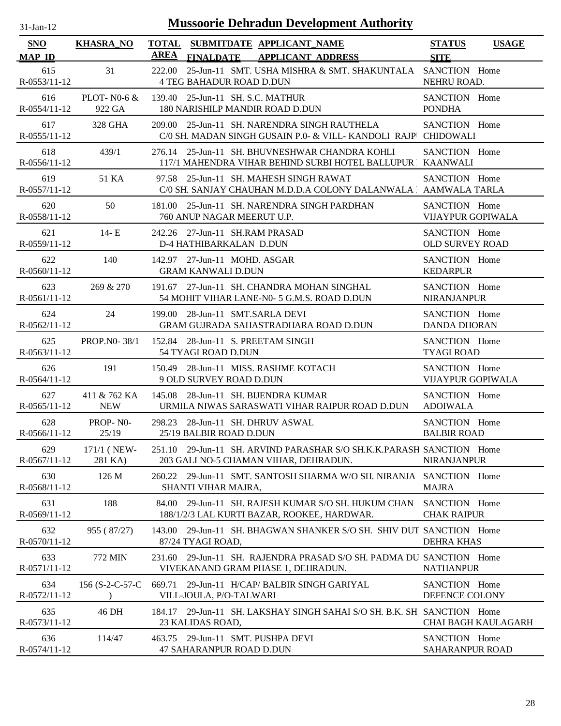| $31$ -Jan-12          |                  | <b>Mussoorie Dehradun Development Authority</b>                                                               |                                              |
|-----------------------|------------------|---------------------------------------------------------------------------------------------------------------|----------------------------------------------|
| SNO<br><b>MAP ID</b>  | <b>KHASRA NO</b> | TOTAL SUBMITDATE APPLICANT NAME<br><b>AREA</b><br><b>FINALDATE</b><br><b>APPLICANT ADDRESS</b>                | <b>STATUS</b><br><b>USAGE</b><br><b>SITE</b> |
| 615<br>$R-0553/11-12$ | 31               | 25-Jun-11 SMT. USHA MISHRA & SMT. SHAKUNTALA<br>222.00<br><b>4 TEG BAHADUR ROAD D.DUN</b>                     | SANCTION Home<br>NEHRU ROAD.                 |
| 616                   | PLOT-N0-6 $&$    | 139.40 25-Jun-11 SH. S.C. MATHUR                                                                              | SANCTION Home                                |
| R-0554/11-12          | 922 GA           | <b>180 NARISHILP MANDIR ROAD D.DUN</b>                                                                        | <b>PONDHA</b>                                |
| 617<br>$R-0555/11-12$ | 328 GHA          | 209.00 25-Jun-11 SH. NARENDRA SINGH RAUTHELA<br>C/0 SH. MADAN SINGH GUSAIN P.0- & VILL-KANDOLI RAJP CHIDOWALI | SANCTION Home                                |
| 618<br>$R-0556/11-12$ | 439/1            | 276.14 25-Jun-11 SH. BHUVNESHWAR CHANDRA KOHLI<br>117/1 MAHENDRA VIHAR BEHIND SURBI HOTEL BALLUPUR KAANWALI   | SANCTION Home                                |
| 619<br>R-0557/11-12   | 51 KA            | 97.58 25-Jun-11 SH. MAHESH SINGH RAWAT<br>C/0 SH. SANJAY CHAUHAN M.D.D.A COLONY DALANWALA AAMWALA TARLA       | SANCTION Home                                |
| 620                   | 50               | 181.00 25-Jun-11 SH. NARENDRA SINGH PARDHAN                                                                   | SANCTION Home                                |
| R-0558/11-12          |                  | 760 ANUP NAGAR MEERUT U.P.                                                                                    | <b>VIJAYPUR GOPIWALA</b>                     |
| 621                   | $14-E$           | 242.26 27-Jun-11 SH.RAM PRASAD                                                                                | SANCTION Home                                |
| R-0559/11-12          |                  | D-4 HATHIBARKALAN D.DUN                                                                                       | <b>OLD SURVEY ROAD</b>                       |
| 622                   | 140              | 142.97 27-Jun-11 MOHD. ASGAR                                                                                  | SANCTION Home                                |
| R-0560/11-12          |                  | <b>GRAM KANWALI D.DUN</b>                                                                                     | <b>KEDARPUR</b>                              |
| 623                   | 269 & 270        | 191.67 27-Jun-11 SH. CHANDRA MOHAN SINGHAL                                                                    | SANCTION Home                                |
| R-0561/11-12          |                  | 54 MOHIT VIHAR LANE-N0- 5 G.M.S. ROAD D.DUN                                                                   | <b>NIRANJANPUR</b>                           |
| 624                   | 24               | 199.00 28-Jun-11 SMT.SARLA DEVI                                                                               | SANCTION Home                                |
| R-0562/11-12          |                  | GRAM GUJRADA SAHASTRADHARA ROAD D.DUN                                                                         | <b>DANDA DHORAN</b>                          |
| 625                   | PROP.NO-38/1     | 152.84 28-Jun-11 S. PREETAM SINGH                                                                             | SANCTION Home                                |
| R-0563/11-12          |                  | 54 TYAGI ROAD D.DUN                                                                                           | <b>TYAGI ROAD</b>                            |
| 626                   | 191              | 150.49 28-Jun-11 MISS. RASHME KOTACH                                                                          | SANCTION Home                                |
| $R-0564/11-12$        |                  | 9 OLD SURVEY ROAD D.DUN                                                                                       | <b>VIJAYPUR GOPIWALA</b>                     |
| 627                   | 411 & 762 KA     | 145.08 28-Jun-11 SH. BIJENDRA KUMAR                                                                           | SANCTION Home                                |
| $R-0565/11-12$        | <b>NEW</b>       | URMILA NIWAS SARASWATI VIHAR RAIPUR ROAD D.DUN                                                                | <b>ADOIWALA</b>                              |
| 628                   | PROP-NO-         | 298.23 28-Jun-11 SH. DHRUV ASWAL                                                                              | SANCTION Home                                |
| R-0566/11-12          | 25/19            | 25/19 BALBIR ROAD D.DUN                                                                                       | <b>BALBIR ROAD</b>                           |
| 629                   | 171/1 (NEW-      | 251.10 29-Jun-11 SH. ARVIND PARASHAR S/O SH.K.K.PARASH SANCTION Home                                          | <b>NIRANJANPUR</b>                           |
| $R-0567/11-12$        | 281 KA)          | 203 GALI NO-5 CHAMAN VIHAR, DEHRADUN.                                                                         |                                              |
| 630<br>R-0568/11-12   | 126 M            | 260.22 29-Jun-11 SMT, SANTOSH SHARMA W/O SH, NIRANJA SANCTION Home<br>SHANTI VIHAR MAJRA,                     | <b>MAJRA</b>                                 |
| 631<br>R-0569/11-12   | 188              | 29-Jun-11 SH. RAJESH KUMAR S/O SH. HUKUM CHAN<br>84.00<br>188/1/2/3 LAL KURTI BAZAR, ROOKEE, HARDWAR.         | SANCTION Home<br><b>CHAK RAIPUR</b>          |
| 632<br>R-0570/11-12   | 955 (87/27)      | 143.00 29-Jun-11 SH, BHAGWAN SHANKER S/O SH, SHIV DUT SANCTION Home<br>87/24 TYAGI ROAD,                      | <b>DEHRA KHAS</b>                            |
| 633<br>R-0571/11-12   | 772 MIN          | 231.60 29-Jun-11 SH. RAJENDRA PRASAD S/O SH. PADMA DU SANCTION Home<br>VIVEKANAND GRAM PHASE 1, DEHRADUN.     | <b>NATHANPUR</b>                             |
| 634                   | 156 (S-2-C-57-C  | 669.71 29-Jun-11 H/CAP/ BALBIR SINGH GARIYAL                                                                  | SANCTION Home                                |
| R-0572/11-12          |                  | VILL-JOULA, P/O-TALWARI                                                                                       | DEFENCE COLONY                               |
| 635<br>$R-0573/11-12$ | 46 DH            | 184.17 29-Jun-11 SH. LAKSHAY SINGH SAHAI S/O SH. B.K. SH SANCTION Home<br>23 KALIDAS ROAD,                    | <b>CHAI BAGH KAULAGARH</b>                   |
| 636                   | 114/47           | 463.75 29-Jun-11 SMT. PUSHPA DEVI                                                                             | SANCTION Home                                |
| R-0574/11-12          |                  | 47 SAHARANPUR ROAD D.DUN                                                                                      | SAHARANPUR ROAD                              |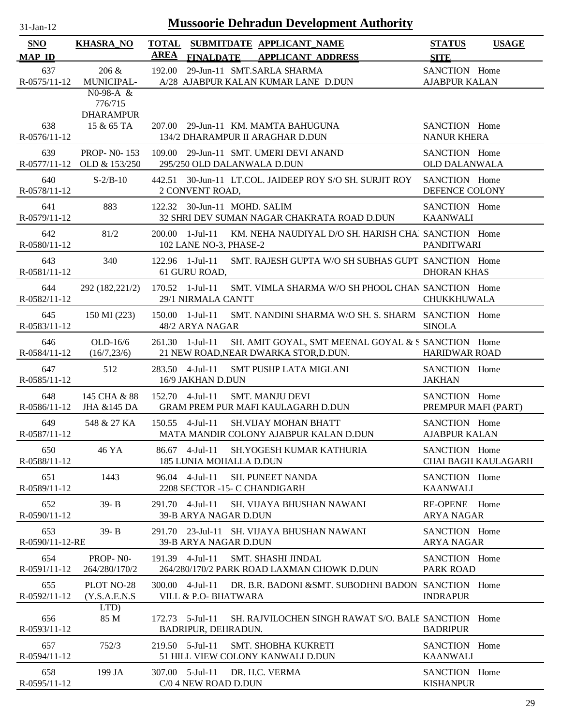| SNO                 | <b>KHASRA_NO</b>                                 | <b>TOTAL</b>    |                                                 | SUBMITDATE APPLICANT_NAME                                               | <b>STATUS</b>                         | <b>USAGE</b>        |
|---------------------|--------------------------------------------------|-----------------|-------------------------------------------------|-------------------------------------------------------------------------|---------------------------------------|---------------------|
| <b>MAP ID</b>       |                                                  | <b>AREA</b>     | <b>FINALDATE</b>                                | <b>APPLICANT ADDRESS</b>                                                | <b>SITE</b>                           |                     |
| 637                 | 206 &                                            | 192.00          |                                                 | 29-Jun-11 SMT.SARLA SHARMA                                              | SANCTION Home                         |                     |
| R-0575/11-12        | MUNICIPAL-<br>$N0-98-A &$                        |                 |                                                 | A/28 AJABPUR KALAN KUMAR LANE D.DUN                                     | <b>AJABPUR KALAN</b>                  |                     |
|                     | 776/715                                          |                 |                                                 |                                                                         |                                       |                     |
|                     | <b>DHARAMPUR</b>                                 |                 |                                                 |                                                                         |                                       |                     |
| 638<br>R-0576/11-12 | 15 & 65 TA                                       |                 |                                                 | 207.00 29-Jun-11 KM. MAMTA BAHUGUNA<br>134/2 DHARAMPUR II ARAGHAR D.DUN | SANCTION Home<br><b>NANUR KHERA</b>   |                     |
|                     |                                                  |                 |                                                 |                                                                         |                                       |                     |
| 639                 | <b>PROP-NO-153</b><br>R-0577/11-12 OLD & 153/250 |                 | 295/250 OLD DALANWALA D.DUN                     | 109.00 29-Jun-11 SMT. UMERI DEVI ANAND                                  | SANCTION Home<br><b>OLD DALANWALA</b> |                     |
| 640<br>R-0578/11-12 | $S-2/B-10$                                       |                 | 2 CONVENT ROAD,                                 | 442.51 30-Jun-11 LT.COL. JAIDEEP ROY S/O SH. SURJIT ROY                 | SANCTION Home<br>DEFENCE COLONY       |                     |
| 641<br>R-0579/11-12 | 883                                              |                 | 122.32 30-Jun-11 MOHD. SALIM                    | 32 SHRI DEV SUMAN NAGAR CHAKRATA ROAD D.DUN                             | SANCTION Home<br><b>KAANWALI</b>      |                     |
| 642<br>R-0580/11-12 | 81/2                                             | 200.00          | $1-Ju1-11$<br>102 LANE NO-3, PHASE-2            | KM. NEHA NAUDIYAL D/O SH. HARISH CHAI SANCTION Home                     | <b>PANDITWARI</b>                     |                     |
| 643                 | 340                                              |                 | 122.96 1-Jul-11                                 | SMT. RAJESH GUPTA W/O SH SUBHAS GUPT SANCTION Home                      |                                       |                     |
| R-0581/11-12        |                                                  |                 | 61 GURU ROAD,                                   |                                                                         | <b>DHORAN KHAS</b>                    |                     |
| 644<br>R-0582/11-12 | 292 (182,221/2)                                  |                 | 170.52 1-Jul-11<br>29/1 NIRMALA CANTT           | SMT. VIMLA SHARMA W/O SH PHOOL CHAN SANCTION Home                       | CHUKKHUWALA                           |                     |
| 645                 | 150 MI (223)                                     |                 | 150.00 1-Jul-11                                 | SMT. NANDINI SHARMA W/O SH. S. SHARM SANCTION Home                      |                                       |                     |
| R-0583/11-12        |                                                  |                 | 48/2 ARYA NAGAR                                 |                                                                         | <b>SINOLA</b>                         |                     |
| 646                 | $OLD-16/6$                                       | 261.30 1-Jul-11 |                                                 | SH. AMIT GOYAL, SMT MEENAL GOYAL & S SANCTION Home                      |                                       |                     |
| R-0584/11-12        | (16/7, 23/6)                                     |                 |                                                 | 21 NEW ROAD, NEAR DWARKA STOR, D.DUN.                                   | <b>HARIDWAR ROAD</b>                  |                     |
| 647<br>R-0585/11-12 | 512                                              |                 | 283.50 4-Jul-11<br>16/9 JAKHAN D.DUN            | <b>SMT PUSHP LATA MIGLANI</b>                                           | SANCTION Home<br><b>JAKHAN</b>        |                     |
| 648                 | 145 CHA & 88                                     |                 | 152.70 4-Jul-11                                 | <b>SMT. MANJU DEVI</b>                                                  | SANCTION Home                         |                     |
| $R-0586/11-12$      | JHA &145 DA                                      |                 |                                                 | GRAM PREM PUR MAFI KAULAGARH D.DUN                                      | PREMPUR MAFI (PART)                   |                     |
| 649                 | 548 & 27 KA                                      |                 | $150.55$ 4-Jul-11                               | <b>SH.VIJAY MOHAN BHATT</b>                                             | SANCTION Home                         |                     |
| R-0587/11-12        |                                                  |                 |                                                 | MATA MANDIR COLONY AJABPUR KALAN D.DUN                                  | <b>AJABPUR KALAN</b>                  |                     |
| 650<br>R-0588/11-12 | 46 YA                                            |                 | 86.67 4-Jul-11<br>185 LUNIA MOHALLA D.DUN       | <b>SH.YOGESH KUMAR KATHURIA</b>                                         | SANCTION Home                         | CHAI BAGH KAULAGARH |
|                     |                                                  |                 |                                                 |                                                                         |                                       |                     |
| 651<br>R-0589/11-12 | 1443                                             |                 | 96.04 4-Jul-11<br>2208 SECTOR -15- C CHANDIGARH | <b>SH. PUNEET NANDA</b>                                                 | SANCTION Home<br><b>KAANWALI</b>      |                     |
| 652                 | $39 - B$                                         |                 | 291.70 4-Jul-11                                 | SH. VIJAYA BHUSHAN NAWANI                                               | RE-OPENE Home                         |                     |
| R-0590/11-12        |                                                  |                 | 39-B ARYA NAGAR D.DUN                           |                                                                         | <b>ARYA NAGAR</b>                     |                     |
| 653                 | $39 - B$                                         |                 |                                                 | 291.70 23-Jul-11 SH. VIJAYA BHUSHAN NAWANI                              | SANCTION Home                         |                     |
| R-0590/11-12-RE     |                                                  |                 | 39-B ARYA NAGAR D.DUN                           |                                                                         | <b>ARYA NAGAR</b>                     |                     |
| 654                 | PROP-NO-                                         |                 | 191.39 4-Jul-11                                 | <b>SMT. SHASHI JINDAL</b>                                               | SANCTION Home                         |                     |
| R-0591/11-12        | 264/280/170/2                                    |                 |                                                 | 264/280/170/2 PARK ROAD LAXMAN CHOWK D.DUN                              | PARK ROAD                             |                     |
| 655<br>R-0592/11-12 | PLOT NO-28<br>(Y.S.A.E.N.S                       |                 | 300.00 4-Jul-11<br>VILL & P.O- BHATWARA         | DR. B.R. BADONI & SMT. SUBODHNI BADON SANCTION Home                     | <b>INDRAPUR</b>                       |                     |
|                     | LTD)                                             |                 |                                                 |                                                                         |                                       |                     |
| 656<br>R-0593/11-12 | 85 M                                             |                 | 172.73 5-Jul-11<br>BADRIPUR, DEHRADUN.          | SH. RAJVILOCHEN SINGH RAWAT S/O. BALE SANCTION Home                     | <b>BADRIPUR</b>                       |                     |
| 657                 | 752/3                                            | 219.50 5-Jul-11 |                                                 | <b>SMT. SHOBHA KUKRETI</b>                                              | SANCTION Home                         |                     |
| R-0594/11-12        |                                                  |                 |                                                 | 51 HILL VIEW COLONY KANWALI D.DUN                                       | <b>KAANWALI</b>                       |                     |
| 658                 | 199 JA                                           |                 | 307.00 5-Jul-11                                 | DR. H.C. VERMA                                                          | SANCTION Home                         |                     |
| $R-0595/11-12$      |                                                  |                 | C/0 4 NEW ROAD D.DUN                            |                                                                         | <b>KISHANPUR</b>                      |                     |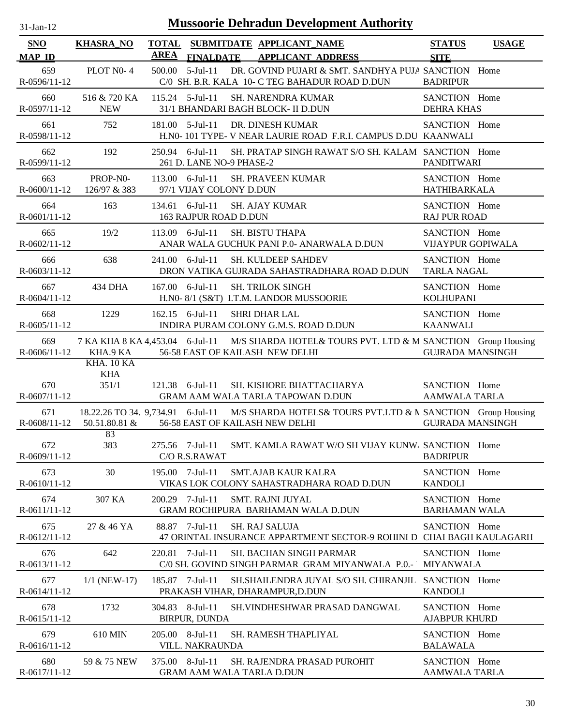| $31-Jan-12$                 |                                                    |                             |                                      | <b>Mussoorie Dehradun Development Authority</b>                                                       |                                       |                            |
|-----------------------------|----------------------------------------------------|-----------------------------|--------------------------------------|-------------------------------------------------------------------------------------------------------|---------------------------------------|----------------------------|
| <b>SNO</b><br><b>MAP ID</b> | <b>KHASRA_NO</b>                                   | <b>TOTAL</b><br><b>AREA</b> | <b>FINALDATE</b>                     | SUBMITDATE APPLICANT_NAME<br><b>APPLICANT ADDRESS</b>                                                 | <b>STATUS</b><br><b>SITE</b>          | <b>USAGE</b>               |
| 659<br>$R-0596/11-12$       | PLOT N0-4                                          | 500.00                      | $5$ -Jul-11                          | DR. GOVIND PUJARI & SMT. SANDHYA PUJA SANCTION Home<br>C/0 SH. B.R. KALA 10- C TEG BAHADUR ROAD D.DUN | <b>BADRIPUR</b>                       |                            |
| 660<br>R-0597/11-12         | 516 & 720 KA<br><b>NEW</b>                         | $115.24$ 5-Jul-11           |                                      | <b>SH. NARENDRA KUMAR</b><br>31/1 BHANDARI BAGH BLOCK- II D.DUN                                       | SANCTION Home<br><b>DEHRA KHAS</b>    |                            |
| 661<br>R-0598/11-12         | 752                                                | 181.00                      | $5$ -Jul-11                          | DR. DINESH KUMAR<br>H.N0-101 TYPE- V NEAR LAURIE ROAD F.R.I. CAMPUS D.DU KAANWALI                     | SANCTION Home                         |                            |
| 662<br>R-0599/11-12         | 192                                                | 250.94                      | $6$ -Jul-11                          | SH. PRATAP SINGH RAWAT S/O SH. KALAM SANCTION Home<br>261 D. LANE NO-9 PHASE-2                        | <b>PANDITWARI</b>                     |                            |
| 663<br>R-0600/11-12         | PROP-N0-<br>126/97 & 383                           | 113.00                      | 6-Jul-11                             | SH. PRAVEEN KUMAR<br>97/1 VIJAY COLONY D.DUN                                                          | SANCTION Home<br><b>HATHIBARKALA</b>  |                            |
| 664<br>R-0601/11-12         | 163                                                | 134.61                      | $6$ -Jul-11<br>163 RAJPUR ROAD D.DUN | <b>SH. AJAY KUMAR</b>                                                                                 | SANCTION Home<br><b>RAJ PUR ROAD</b>  |                            |
| 665<br>$R-0602/11-12$       | 19/2                                               | 113.09                      | $6$ -Jul-11                          | <b>SH. BISTU THAPA</b><br>ANAR WALA GUCHUK PANI P.0- ANARWALA D.DUN                                   | SANCTION Home<br>VIJAYPUR GOPIWALA    |                            |
| 666<br>$R-0603/11-12$       | 638                                                | 241.00                      | $6$ -Jul-11                          | SH. KULDEEP SAHDEV<br>DRON VATIKA GUJRADA SAHASTRADHARA ROAD D.DUN                                    | SANCTION Home<br><b>TARLA NAGAL</b>   |                            |
| 667<br>R-0604/11-12         | 434 DHA                                            | 167.00                      | $6$ -Jul-11                          | <b>SH. TRILOK SINGH</b><br>H.N0- 8/1 (S&T) I.T.M. LANDOR MUSSOORIE                                    | SANCTION Home<br><b>KOLHUPANI</b>     |                            |
| 668<br>$R-0605/11-12$       | 1229                                               | 162.15                      | $6$ -Jul-11                          | <b>SHRI DHAR LAL</b><br>INDIRA PURAM COLONY G.M.S. ROAD D.DUN                                         | SANCTION Home<br><b>KAANWALI</b>      |                            |
| 669<br>R-0606/11-12         | 7 KA KHA 8 KA 4,453.04 6-Jul-11<br>KHA.9 KA        |                             |                                      | M/S SHARDA HOTEL& TOURS PVT. LTD & M SANCTION Group Housing<br>56-58 EAST OF KAILASH NEW DELHI        | <b>GUJRADA MANSINGH</b>               |                            |
| 670<br>R-0607/11-12         | KHA. 10 KA<br><b>KHA</b><br>351/1                  | 121.38                      | $6$ -Jul-11                          | SH. KISHORE BHATTACHARYA<br>GRAM AAM WALA TARLA TAPOWAN D.DUN                                         | SANCTION Home<br><b>AAMWALA TARLA</b> |                            |
| 671<br>R-0608/11-12         | 18.22.26 TO 34. 9,734.91 6-Jul-11<br>50.51.80.81 & |                             |                                      | M/S SHARDA HOTELS& TOURS PVT.LTD & N SANCTION Group Housing<br>56-58 EAST OF KAILASH NEW DELHI        | <b>GUJRADA MANSINGH</b>               |                            |
| 672<br>$R-0609/11-12$       | 83<br>383                                          | 275.56 7-Jul-11             | C/O R.S.RAWAT                        | SMT. KAMLA RAWAT W/O SH VIJAY KUNW, SANCTION Home                                                     | <b>BADRIPUR</b>                       |                            |
| 673<br>$R-0610/11-12$       | 30                                                 | 195.00 7-Jul-11             |                                      | <b>SMT.AJAB KAUR KALRA</b><br>VIKAS LOK COLONY SAHASTRADHARA ROAD D.DUN                               | SANCTION Home<br><b>KANDOLI</b>       |                            |
| 674<br>$R-0611/11-12$       | 307 KA                                             | 200.29 7-Jul-11             |                                      | <b>SMT. RAJNI JUYAL</b><br>GRAM ROCHIPURA BARHAMAN WALA D.DUN                                         | SANCTION Home<br><b>BARHAMAN WALA</b> |                            |
| 675<br>$R-0612/11-12$       | 27 & 46 YA                                         |                             | 88.87 7-Jul-11                       | <b>SH. RAJ SALUJA</b><br>47 ORINTAL INSURANCE APPARTMENT SECTOR-9 ROHINI D                            | SANCTION Home                         | <b>CHAI BAGH KAULAGARH</b> |
| 676<br>R-0613/11-12         | 642                                                | 220.81 7-Jul-11             |                                      | <b>SH. BACHAN SINGH PARMAR</b><br>C/0 SH. GOVIND SINGH PARMAR GRAM MIYANWALA P.0.- MIYANWALA          | SANCTION Home                         |                            |
| 677<br>R-0614/11-12         | $1/1$ (NEW-17)                                     | 185.87                      | 7-Jul-11                             | SH.SHAILENDRA JUYAL S/O SH. CHIRANJIL SANCTION Home<br>PRAKASH VIHAR, DHARAMPUR, D.DUN                | <b>KANDOLI</b>                        |                            |
| 678<br>R-0615/11-12         | 1732                                               | 304.83 8-Jul-11             | <b>BIRPUR, DUNDA</b>                 | <b>SH. VINDHESHWAR PRASAD DANGWAL</b>                                                                 | SANCTION Home<br><b>AJABPUR KHURD</b> |                            |
| 679<br>R-0616/11-12         | 610 MIN                                            | 205.00 8-Jul-11             | VILL. NAKRAUNDA                      | SH. RAMESH THAPLIYAL                                                                                  | SANCTION Home<br><b>BALAWALA</b>      |                            |
| 680<br>R-0617/11-12         | 59 & 75 NEW                                        | 375.00 8-Jul-11             |                                      | <b>SH. RAJENDRA PRASAD PUROHIT</b><br><b>GRAM AAM WALA TARLA D.DUN</b>                                | SANCTION Home<br><b>AAMWALA TARLA</b> |                            |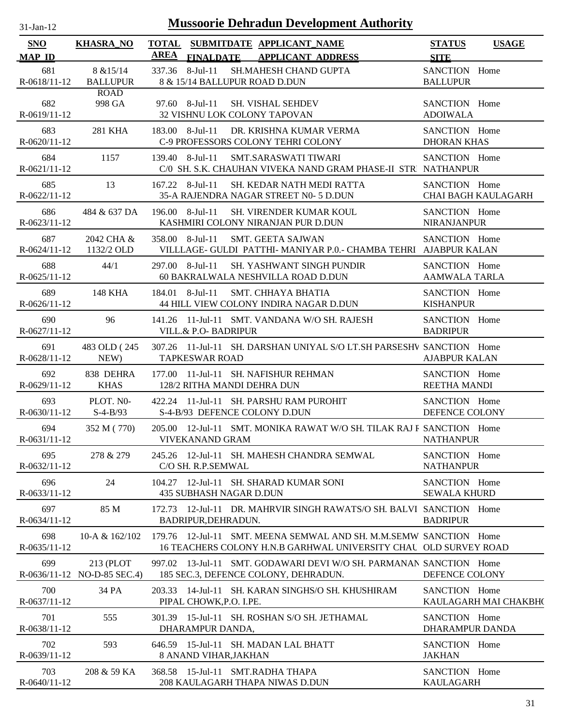| <b>SNO</b>                | <b>KHASRA_NO</b>                         | <b>TOTAL</b> |                                                  | SUBMITDATE APPLICANT NAME                                                                                                             | <b>STATUS</b>                           | <b>USAGE</b>               |
|---------------------------|------------------------------------------|--------------|--------------------------------------------------|---------------------------------------------------------------------------------------------------------------------------------------|-----------------------------------------|----------------------------|
| <b>MAP ID</b>             |                                          | <b>AREA</b>  | <b>FINALDATE</b>                                 | <b>APPLICANT ADDRESS</b>                                                                                                              | <b>SITE</b>                             |                            |
| 681<br>R-0618/11-12       | 8 & 15/14<br><b>BALLUPUR</b>             |              | 337.36 8-Jul-11<br>8 & 15/14 BALLUPUR ROAD D.DUN | SH.MAHESH CHAND GUPTA                                                                                                                 | SANCTION Home<br><b>BALLUPUR</b>        |                            |
| 682<br>$R-0619/11-12$     | <b>ROAD</b><br>998 GA                    |              | $97.60$ 8-Jul-11<br>32 VISHNU LOK COLONY TAPOVAN | <b>SH. VISHAL SEHDEV</b>                                                                                                              | SANCTION Home<br><b>ADOIWALA</b>        |                            |
| 683<br>$R - 0620/11 - 12$ | 281 KHA                                  |              | $183.00 \quad 8$ -Jul-11                         | DR. KRISHNA KUMAR VERMA<br>C-9 PROFESSORS COLONY TEHRI COLONY                                                                         | SANCTION Home<br><b>DHORAN KHAS</b>     |                            |
| 684<br>R-0621/11-12       | 1157                                     |              | 139.40 8-Jul-11                                  | SMT.SARASWATI TIWARI<br>C/0 SH. S.K. CHAUHAN VIVEKA NAND GRAM PHASE-II STR NATHANPUR                                                  | SANCTION Home                           |                            |
| 685<br>R-0622/11-12       | 13                                       |              | $167.22$ 8-Jul-11                                | SH. KEDAR NATH MEDI RATTA<br>35-A RAJENDRA NAGAR STREET N0- 5 D.DUN                                                                   | SANCTION Home                           | <b>CHAI BAGH KAULAGARH</b> |
| 686<br>R-0623/11-12       | 484 & 637 DA                             |              | $196.00 \quad 8\text{-}$ Jul-11                  | <b>SH. VIRENDER KUMAR KOUL</b><br>KASHMIRI COLONY NIRANJAN PUR D.DUN                                                                  | SANCTION Home<br><b>NIRANJANPUR</b>     |                            |
| 687<br>R-0624/11-12       | 2042 CHA &<br>1132/2 OLD                 |              | 358.00 8-Jul-11                                  | <b>SMT. GEETA SAJWAN</b><br>VILLLAGE- GULDI PATTHI- MANIYAR P.O.- CHAMBA TEHRI AJABPUR KALAN                                          | SANCTION Home                           |                            |
| 688<br>$R-0625/11-12$     | 44/1                                     |              | 297.00 8-Jul-11                                  | <b>SH. YASHWANT SINGH PUNDIR</b><br>60 BAKRALWALA NESHVILLA ROAD D.DUN                                                                | SANCTION Home<br><b>AAMWALA TARLA</b>   |                            |
| 689<br>$R-0626/11-12$     | 148 KHA                                  |              | 184.01 8-Jul-11                                  | <b>SMT. CHHAYA BHATIA</b><br>44 HILL VIEW COLONY INDIRA NAGAR D.DUN                                                                   | SANCTION Home<br><b>KISHANPUR</b>       |                            |
| 690<br>R-0627/11-12       | 96                                       |              | <b>VILL.&amp; P.O- BADRIPUR</b>                  | 141.26 11-Jul-11 SMT. VANDANA W/O SH. RAJESH                                                                                          | SANCTION Home<br><b>BADRIPUR</b>        |                            |
| 691<br>$R-0628/11-12$     | 483 OLD (245)<br>NEW)                    |              | <b>TAPKESWAR ROAD</b>                            | 307.26 11-Jul-11 SH. DARSHAN UNIYAL S/O LT.SH PARSESHV SANCTION Home                                                                  | <b>AJABPUR KALAN</b>                    |                            |
| 692<br>$R-0629/11-12$     | 838 DEHRA<br><b>KHAS</b>                 |              | 128/2 RITHA MANDI DEHRA DUN                      | 177.00 11-Jul-11 SH. NAFISHUR REHMAN                                                                                                  | SANCTION Home<br>REETHA MANDI           |                            |
| 693<br>R-0630/11-12       | PLOT. NO-<br>$S-4-B/93$                  |              | S-4-B/93 DEFENCE COLONY D.DUN                    | 422.24 11-Jul-11 SH. PARSHU RAM PUROHIT                                                                                               | SANCTION Home<br>DEFENCE COLONY         |                            |
| 694<br>$R-0631/11-12$     | 352 M (770)                              |              | <b>VIVEKANAND GRAM</b>                           | 205.00 12-Jul-11 SMT. MONIKA RAWAT W/O SH. TILAK RAJ F SANCTION Home                                                                  | <b>NATHANPUR</b>                        |                            |
| 695<br>$R-0632/11-12$     | 278 & 279                                |              | C/O SH. R.P.SEMWAL                               | 245.26 12-Jul-11 SH. MAHESH CHANDRA SEMWAL                                                                                            | SANCTION Home<br><b>NATHANPUR</b>       |                            |
| 696<br>R-0633/11-12       | 24                                       |              | 435 SUBHASH NAGAR D.DUN                          | 104.27 12-Jul-11 SH. SHARAD KUMAR SONI                                                                                                | SANCTION Home<br><b>SEWALA KHURD</b>    |                            |
| 697<br>$R-0634/11-12$     | 85 M                                     |              | BADRIPUR, DEHRADUN.                              | 172.73 12-Jul-11 DR. MAHRVIR SINGH RAWATS/O SH. BALVI SANCTION Home                                                                   | <b>BADRIPUR</b>                         |                            |
| 698<br>R-0635/11-12       | 10-A & 162/102                           |              |                                                  | 179.76 12-Jul-11 SMT. MEENA SEMWAL AND SH. M.M.SEMW SANCTION Home<br>16 TEACHERS COLONY H.N.B GARHWAL UNIVERSITY CHAL OLD SURVEY ROAD |                                         |                            |
| 699                       | 213 (PLOT<br>R-0636/11-12 NO-D-85 SEC.4) |              |                                                  | 997.02 13-Jul-11 SMT. GODAWARI DEVI W/O SH. PARMANAN SANCTION Home<br>185 SEC.3, DEFENCE COLONY, DEHRADUN.                            | DEFENCE COLONY                          |                            |
| 700<br>R-0637/11-12       | 34 PA                                    |              | PIPAL CHOWK, P.O. I.PE.                          | 203.33 14-Jul-11 SH. KARAN SINGHS/O SH. KHUSHIRAM                                                                                     | SANCTION Home                           | KAULAGARH MAI CHAKBH(      |
| 701<br>R-0638/11-12       | 555                                      |              | DHARAMPUR DANDA,                                 | 301.39 15-Jul-11 SH. ROSHAN S/O SH. JETHAMAL                                                                                          | SANCTION Home<br><b>DHARAMPUR DANDA</b> |                            |
| 702<br>$R-0639/11-12$     | 593                                      |              | 8 ANAND VIHAR, JAKHAN                            | 646.59 15-Jul-11 SH. MADAN LAL BHATT                                                                                                  | SANCTION Home<br><b>JAKHAN</b>          |                            |
| 703<br>$R-0640/11-12$     | 208 & 59 KA                              |              | 368.58 15-Jul-11 SMT.RADHA THAPA                 | 208 KAULAGARH THAPA NIWAS D.DUN                                                                                                       | SANCTION Home<br><b>KAULAGARH</b>       |                            |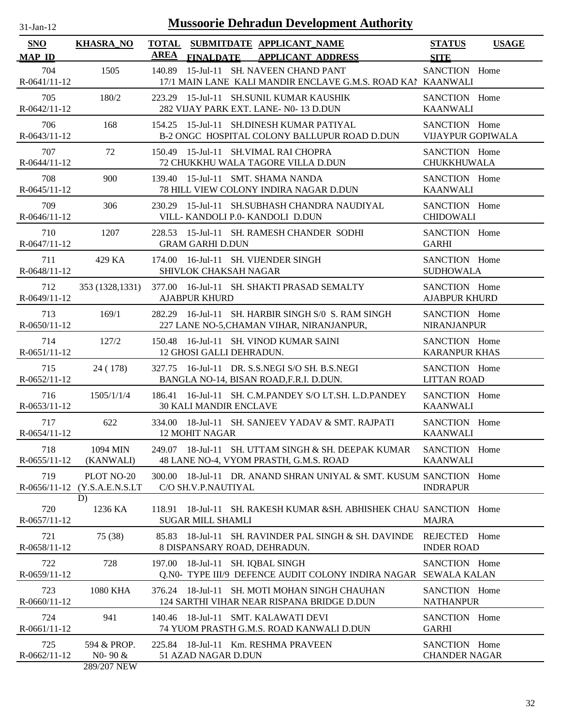| $31-Jan-12$                 | <b>Mussoorie Dehradun Development Authority</b> |                             |                               |  |                                                                                                 |                                           |              |  |
|-----------------------------|-------------------------------------------------|-----------------------------|-------------------------------|--|-------------------------------------------------------------------------------------------------|-------------------------------------------|--------------|--|
| <b>SNO</b><br><b>MAP ID</b> | <b>KHASRA_NO</b>                                | <b>TOTAL</b><br><b>AREA</b> | <b>FINALDATE</b>              |  | SUBMITDATE APPLICANT NAME<br><b>APPLICANT ADDRESS</b>                                           | <b>STATUS</b><br><b>SITE</b>              | <b>USAGE</b> |  |
| 704<br>$R-0641/11-12$       | 1505                                            | 140.89                      |                               |  | 15-Jul-11 SH. NAVEEN CHAND PANT<br>17/1 MAIN LANE KALI MANDIR ENCLAVE G.M.S. ROAD KAI KAANWALI  | SANCTION Home                             |              |  |
| 705<br>$R-0642/11-12$       | 180/2                                           |                             |                               |  | 223.29 15-Jul-11 SH.SUNIL KUMAR KAUSHIK<br>282 VIJAY PARK EXT. LANE- N0-13 D.DUN                | SANCTION Home<br><b>KAANWALI</b>          |              |  |
| 706<br>R-0643/11-12         | 168                                             |                             |                               |  | 154.25 15-Jul-11 SH.DINESH KUMAR PATIYAL<br>B-2 ONGC HOSPITAL COLONY BALLUPUR ROAD D.DUN        | SANCTION Home<br><b>VIJAYPUR GOPIWALA</b> |              |  |
| 707<br>R-0644/11-12         | 72                                              |                             |                               |  | 150.49 15-Jul-11 SH. VIMAL RAI CHOPRA<br>72 CHUKKHU WALA TAGORE VILLA D.DUN                     | SANCTION Home<br>CHUKKHUWALA              |              |  |
| 708<br>R-0645/11-12         | 900                                             |                             |                               |  | 139.40 15-Jul-11 SMT. SHAMA NANDA<br>78 HILL VIEW COLONY INDIRA NAGAR D.DUN                     | SANCTION Home<br><b>KAANWALI</b>          |              |  |
| 709<br>$R-0646/11-12$       | 306                                             | 230.29                      |                               |  | 15-Jul-11 SH.SUBHASH CHANDRA NAUDIYAL<br>VILL-KANDOLI P.0-KANDOLI D.DUN                         | SANCTION Home<br><b>CHIDOWALI</b>         |              |  |
| 710<br>R-0647/11-12         | 1207                                            | 228.53                      | <b>GRAM GARHI D.DUN</b>       |  | 15-Jul-11 SH. RAMESH CHANDER SODHI                                                              | SANCTION Home<br><b>GARHI</b>             |              |  |
| 711<br>R-0648/11-12         | 429 KA                                          |                             | SHIVLOK CHAKSAH NAGAR         |  | 174.00 16-Jul-11 SH. VIJENDER SINGH                                                             | SANCTION Home<br><b>SUDHOWALA</b>         |              |  |
| 712<br>R-0649/11-12         | 353 (1328, 1331)                                |                             | <b>AJABPUR KHURD</b>          |  | 377.00 16-Jul-11 SH. SHAKTI PRASAD SEMALTY                                                      | SANCTION Home<br><b>AJABPUR KHURD</b>     |              |  |
| 713<br>$R-0650/11-12$       | 169/1                                           |                             |                               |  | 282.29 16-Jul-11 SH. HARBIR SINGH S/0 S. RAM SINGH<br>227 LANE NO-5, CHAMAN VIHAR, NIRANJANPUR, | SANCTION Home<br><b>NIRANJANPUR</b>       |              |  |
| 714<br>R-0651/11-12         | 127/2                                           |                             | 12 GHOSI GALLI DEHRADUN.      |  | 150.48 16-Jul-11 SH. VINOD KUMAR SAINI                                                          | SANCTION Home<br><b>KARANPUR KHAS</b>     |              |  |
| 715<br>R-0652/11-12         | 24 (178)                                        |                             |                               |  | 327.75 16-Jul-11 DR. S.S.NEGI S/O SH. B.S.NEGI<br>BANGLA NO-14, BISAN ROAD, F.R.I. D.DUN.       | SANCTION Home<br><b>LITTAN ROAD</b>       |              |  |
| 716<br>R-0653/11-12         | 1505/1/1/4                                      |                             | <b>30 KALI MANDIR ENCLAVE</b> |  | 186.41 16-Jul-11 SH. C.M.PANDEY S/O LT.SH. L.D.PANDEY                                           | SANCTION Home<br><b>KAANWALI</b>          |              |  |
| 717<br>R-0654/11-12         | 622                                             |                             | <b>12 MOHIT NAGAR</b>         |  | 334.00 18-Jul-11 SH. SANJEEV YADAV & SMT. RAJPATI                                               | SANCTION Home<br><b>KAANWALI</b>          |              |  |
| 718<br>$R-0655/11-12$       | 1094 MIN<br>(KANWALI)                           |                             |                               |  | 249.07 18-Jul-11 SH. UTTAM SINGH & SH. DEEPAK KUMAR<br>48 LANE NO-4, VYOM PRASTH, G.M.S. ROAD   | SANCTION Home<br><b>KAANWALI</b>          |              |  |
| 719<br>$R-0656/11-12$       | PLOT NO-20<br>(Y.S.A.E.N.S.LT                   | 300.00                      | C/O SH.V.P.NAUTIYAL           |  | 18-Jul-11 DR. ANAND SHRAN UNIYAL & SMT. KUSUM SANCTION Home                                     | <b>INDRAPUR</b>                           |              |  |
| 720<br>R-0657/11-12         | D)<br>1236 KA                                   | 118.91                      | <b>SUGAR MILL SHAMLI</b>      |  | 18-Jul-11 SH. RAKESH KUMAR & SH. ABHISHEK CHAU SANCTION Home                                    | <b>MAJRA</b>                              |              |  |
| 721<br>R-0658/11-12         | 75 (38)                                         | 85.83                       | 8 DISPANSARY ROAD, DEHRADUN.  |  | 18-Jul-11 SH. RAVINDER PAL SINGH & SH. DAVINDE                                                  | REJECTED<br><b>INDER ROAD</b>             | Home         |  |
| 722<br>R-0659/11-12         | 728                                             | 197.00                      | 18-Jul-11 SH. IQBAL SINGH     |  | Q.N0- TYPE III/9 DEFENCE AUDIT COLONY INDIRA NAGAR SEWALA KALAN                                 | SANCTION Home                             |              |  |
| 723<br>$R-0660/11-12$       | 1080 KHA                                        | 376.24                      |                               |  | 18-Jul-11 SH. MOTI MOHAN SINGH CHAUHAN<br>124 SARTHI VIHAR NEAR RISPANA BRIDGE D.DUN            | SANCTION Home<br><b>NATHANPUR</b>         |              |  |
| 724<br>R-0661/11-12         | 941                                             | 140.46                      |                               |  | 18-Jul-11 SMT. KALAWATI DEVI<br>74 YUOM PRASTH G.M.S. ROAD KANWALI D.DUN                        | SANCTION Home<br><b>GARHI</b>             |              |  |
| 725<br>R-0662/11-12         | 594 & PROP.<br>$N0 - 90 &$                      |                             | 51 AZAD NAGAR D.DUN           |  | 225.84 18-Jul-11 Km. RESHMA PRAVEEN                                                             | SANCTION Home<br><b>CHANDER NAGAR</b>     |              |  |

289/207 NEW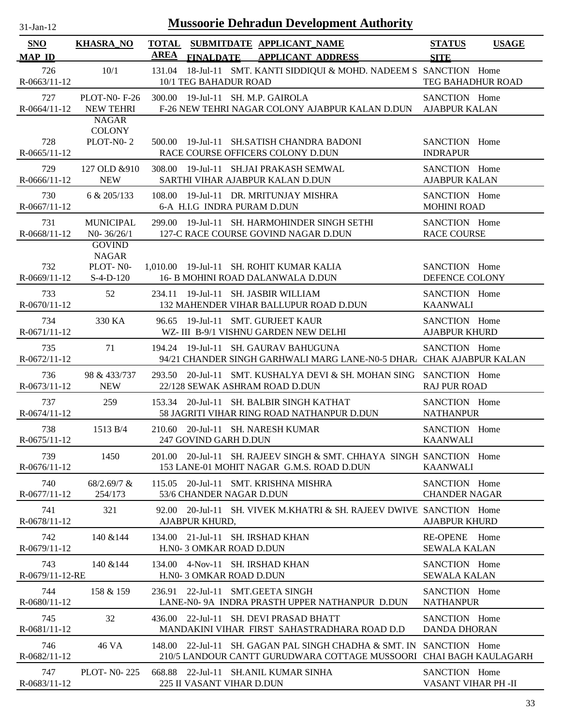| $31$ -Jan-12          | <b>Mussoorie Dehradun Development Authority</b>     |                                                                                                                                           |                                     |  |  |  |  |  |
|-----------------------|-----------------------------------------------------|-------------------------------------------------------------------------------------------------------------------------------------------|-------------------------------------|--|--|--|--|--|
| <b>SNO</b>            | <b>KHASRA_NO</b>                                    | TOTAL SUBMITDATE APPLICANT_NAME                                                                                                           | <b>STATUS</b><br><b>USAGE</b>       |  |  |  |  |  |
| <b>MAP ID</b>         |                                                     | <b>AREA</b><br><b>FINALDATE</b><br><b>APPLICANT ADDRESS</b>                                                                               | <b>SITE</b>                         |  |  |  |  |  |
| 726<br>$R-0663/11-12$ | 10/1                                                | 18-Jul-11 SMT. KANTI SIDDIQUI & MOHD. NADEEM S SANCTION Home<br>131.04<br>10/1 TEG BAHADUR ROAD                                           | TEG BAHADHUR ROAD                   |  |  |  |  |  |
| 727                   | <b>PLOT-N0-F-26</b>                                 | 300.00 19-Jul-11 SH. M.P. GAIROLA                                                                                                         | SANCTION Home                       |  |  |  |  |  |
| $R-0664/11-12$        | <b>NEW TEHRI</b>                                    | F-26 NEW TEHRI NAGAR COLONY AJABPUR KALAN D.DUN                                                                                           | <b>AJABPUR KALAN</b>                |  |  |  |  |  |
| 728<br>$R-0665/11-12$ | <b>NAGAR</b><br><b>COLONY</b><br>PLOT-N0-2          | 500.00 19-Jul-11 SH.SATISH CHANDRA BADONI<br>RACE COURSE OFFICERS COLONY D.DUN                                                            | SANCTION Home<br><b>INDRAPUR</b>    |  |  |  |  |  |
| 729                   | 127 OLD & 910                                       | 308.00 19-Jul-11 SH.JAI PRAKASH SEMWAL                                                                                                    | SANCTION Home                       |  |  |  |  |  |
| $R-0666/11-12$        | <b>NEW</b>                                          | SARTHI VIHAR AJABPUR KALAN D.DUN                                                                                                          | <b>AJABPUR KALAN</b>                |  |  |  |  |  |
| 730                   | 6 & 205/133                                         | 108.00 19-Jul-11 DR. MRITUNJAY MISHRA                                                                                                     | SANCTION Home                       |  |  |  |  |  |
| $R-0667/11-12$        |                                                     | 6-A H.I.G INDRA PURAM D.DUN                                                                                                               | <b>MOHINI ROAD</b>                  |  |  |  |  |  |
| 731<br>R-0668/11-12   | <b>MUNICIPAL</b><br>$N0 - 36/26/1$<br><b>GOVIND</b> | 299.00 19-Jul-11 SH. HARMOHINDER SINGH SETHI<br>127-C RACE COURSE GOVIND NAGAR D.DUN                                                      | SANCTION Home<br><b>RACE COURSE</b> |  |  |  |  |  |
| 732<br>R-0669/11-12   | <b>NAGAR</b><br>PLOT-N0-<br>$S-4-D-120$             | 1,010.00 19-Jul-11 SH. ROHIT KUMAR KALIA<br>16- B MOHINI ROAD DALANWALA D.DUN                                                             | SANCTION Home<br>DEFENCE COLONY     |  |  |  |  |  |
| 733                   | 52                                                  | 234.11 19-Jul-11 SH. JASBIR WILLIAM                                                                                                       | SANCTION Home                       |  |  |  |  |  |
| R-0670/11-12          |                                                     | 132 MAHENDER VIHAR BALLUPUR ROAD D.DUN                                                                                                    | <b>KAANWALI</b>                     |  |  |  |  |  |
| 734                   | 330 KA                                              | 96.65 19-Jul-11 SMT. GURJEET KAUR                                                                                                         | SANCTION Home                       |  |  |  |  |  |
| R-0671/11-12          |                                                     | WZ- III B-9/1 VISHNU GARDEN NEW DELHI                                                                                                     | <b>AJABPUR KHURD</b>                |  |  |  |  |  |
| 735<br>R-0672/11-12   | 71                                                  | 19-Jul-11 SH. GAURAV BAHUGUNA<br>194.24<br>94/21 CHANDER SINGH GARHWALI MARG LANE-N0-5 DHAR. CHAK AJABPUR KALAN                           | SANCTION Home                       |  |  |  |  |  |
| 736                   | 98 & 433/737                                        | 293.50 20-Jul-11 SMT. KUSHALYA DEVI & SH. MOHAN SING SANCTION Home                                                                        | <b>RAJ PUR ROAD</b>                 |  |  |  |  |  |
| R-0673/11-12          | <b>NEW</b>                                          | 22/128 SEWAK ASHRAM ROAD D.DUN                                                                                                            |                                     |  |  |  |  |  |
| 737                   | 259                                                 | 153.34 20-Jul-11 SH. BALBIR SINGH KATHAT                                                                                                  | SANCTION Home                       |  |  |  |  |  |
| $R-0674/11-12$        |                                                     | 58 JAGRITI VIHAR RING ROAD NATHANPUR D.DUN                                                                                                | <b>NATHANPUR</b>                    |  |  |  |  |  |
| 738                   | 1513 B/4                                            | 210.60 20-Jul-11 SH. NARESH KUMAR                                                                                                         | SANCTION Home                       |  |  |  |  |  |
| $R-0675/11-12$        |                                                     | 247 GOVIND GARH D.DUN                                                                                                                     | <b>KAANWALI</b>                     |  |  |  |  |  |
| 739<br>$R-0676/11-12$ | 1450                                                | 201.00 20-Jul-11 SH. RAJEEV SINGH & SMT. CHHAYA SINGH SANCTION Home<br>153 LANE-01 MOHIT NAGAR G.M.S. ROAD D.DUN                          | KAANWALI                            |  |  |  |  |  |
| 740                   | 68/2.69/7 &                                         | 115.05 20-Jul-11 SMT. KRISHNA MISHRA                                                                                                      | SANCTION Home                       |  |  |  |  |  |
| $R-0677/11-12$        | 254/173                                             | 53/6 CHANDER NAGAR D.DUN                                                                                                                  | <b>CHANDER NAGAR</b>                |  |  |  |  |  |
| 741<br>R-0678/11-12   | 321                                                 | 92.00 20-Jul-11 SH. VIVEK M.KHATRI & SH. RAJEEV DWIVE SANCTION Home<br>AJABPUR KHURD,                                                     | <b>AJABPUR KHURD</b>                |  |  |  |  |  |
| 742                   | 140 & 144                                           | 134.00 21-Jul-11 SH. IRSHAD KHAN                                                                                                          | RE-OPENE Home                       |  |  |  |  |  |
| $R-0679/11-12$        |                                                     | H.NO- 3 OMKAR ROAD D.DUN                                                                                                                  | <b>SEWALA KALAN</b>                 |  |  |  |  |  |
| 743                   | 140 & 144                                           | 134.00 4-Nov-11 SH. IRSHAD KHAN                                                                                                           | SANCTION Home                       |  |  |  |  |  |
| R-0679/11-12-RE       |                                                     | H.NO- 3 OMKAR ROAD D.DUN                                                                                                                  | <b>SEWALA KALAN</b>                 |  |  |  |  |  |
| 744                   | 158 & 159                                           | 236.91 22-Jul-11 SMT.GEETA SINGH                                                                                                          | SANCTION Home                       |  |  |  |  |  |
| $R-0680/11-12$        |                                                     | LANE-N0-9A INDRA PRASTH UPPER NATHANPUR D.DUN                                                                                             | <b>NATHANPUR</b>                    |  |  |  |  |  |
| 745                   | 32                                                  | 436.00 22-Jul-11 SH. DEVI PRASAD BHATT                                                                                                    | SANCTION Home                       |  |  |  |  |  |
| $R-0681/11-12$        |                                                     | MANDAKINI VIHAR FIRST SAHASTRADHARA ROAD D.D                                                                                              | <b>DANDA DHORAN</b>                 |  |  |  |  |  |
| 746<br>R-0682/11-12   | 46 VA                                               | 148.00 22-Jul-11 SH, GAGAN PAL SINGH CHADHA & SMT, IN SANCTION Home<br>210/5 LANDOUR CANTT GURUDWARA COTTAGE MUSSOORI CHAI BAGH KAULAGARH |                                     |  |  |  |  |  |
| 747                   | <b>PLOT-NO-225</b>                                  | 668.88 22-Jul-11 SH.ANIL KUMAR SINHA                                                                                                      | SANCTION Home                       |  |  |  |  |  |
| R-0683/11-12          |                                                     | 225 II VASANT VIHAR D.DUN                                                                                                                 | VASANT VIHAR PH -II                 |  |  |  |  |  |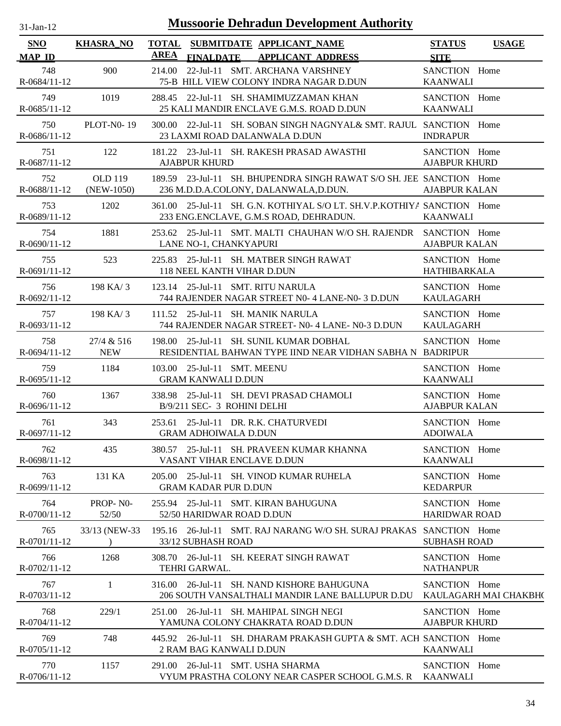| 31-Jan-12 |  |
|-----------|--|
|           |  |

| <b>SNO</b>            | <b>KHASRA_NO</b>               | <b>TOTAL</b> |                                                          | SUBMITDATE APPLICANT_NAME                                                                                         | <b>STATUS</b>                         | <b>USAGE</b>          |
|-----------------------|--------------------------------|--------------|----------------------------------------------------------|-------------------------------------------------------------------------------------------------------------------|---------------------------------------|-----------------------|
| <b>MAP ID</b>         |                                | AREA         | <b>FINALDATE</b>                                         | <b>APPLICANT ADDRESS</b>                                                                                          | <b>SITE</b>                           |                       |
| 748<br>R-0684/11-12   | 900                            | 214.00       |                                                          | 22-Jul-11 SMT. ARCHANA VARSHNEY<br>75-B HILL VIEW COLONY INDRA NAGAR D.DUN                                        | SANCTION Home<br><b>KAANWALI</b>      |                       |
| 749<br>R-0685/11-12   | 1019                           |              |                                                          | 288.45 22-Jul-11 SH. SHAMIMUZZAMAN KHAN<br>25 KALI MANDIR ENCLAVE G.M.S. ROAD D.DUN                               | SANCTION Home<br><b>KAANWALI</b>      |                       |
| 750<br>R-0686/11-12   | <b>PLOT-N0-19</b>              |              |                                                          | 300.00 22-Jul-11 SH. SOBAN SINGH NAGNYAL& SMT. RAJUL SANCTION Home<br>23 LAXMI ROAD DALANWALA D.DUN               | <b>INDRAPUR</b>                       |                       |
| 751<br>R-0687/11-12   | 122                            |              | <b>AJABPUR KHURD</b>                                     | 181.22 23-Jul-11 SH. RAKESH PRASAD AWASTHI                                                                        | SANCTION Home<br><b>AJABPUR KHURD</b> |                       |
| 752<br>R-0688/11-12   | <b>OLD 119</b><br>$(NEW-1050)$ |              |                                                          | 189.59 23-Jul-11 SH. BHUPENDRA SINGH RAWAT S/O SH. JEE SANCTION Home<br>236 M.D.D.A.COLONY, DALANWALA, D.DUN.     | <b>AJABPUR KALAN</b>                  |                       |
| 753<br>R-0689/11-12   | 1202                           |              |                                                          | 361.00 25-Jul-11 SH. G.N. KOTHIYAL S/O LT. SH.V.P.KOTHIYA SANCTION Home<br>233 ENG.ENCLAVE, G.M.S ROAD, DEHRADUN. | <b>KAANWALI</b>                       |                       |
| 754<br>R-0690/11-12   | 1881                           |              | LANE NO-1, CHANKYAPURI                                   | 253.62 25-Jul-11 SMT. MALTI CHAUHAN W/O SH. RAJENDR SANCTION Home                                                 | <b>AJABPUR KALAN</b>                  |                       |
| 755<br>R-0691/11-12   | 523                            |              | 118 NEEL KANTH VIHAR D.DUN                               | 225.83 25-Jul-11 SH. MATBER SINGH RAWAT                                                                           | SANCTION Home<br><b>HATHIBARKALA</b>  |                       |
| 756<br>R-0692/11-12   | 198 KA/3                       |              |                                                          | 123.14 25-Jul-11 SMT. RITU NARULA<br>744 RAJENDER NAGAR STREET N0- 4 LANE-N0- 3 D.DUN                             | SANCTION Home<br><b>KAULAGARH</b>     |                       |
| 757<br>R-0693/11-12   | 198 KA/3                       |              |                                                          | 111.52 25-Jul-11 SH. MANIK NARULA<br>744 RAJENDER NAGAR STREET- N0- 4 LANE- N0-3 D.DUN                            | SANCTION Home<br><b>KAULAGARH</b>     |                       |
| 758<br>R-0694/11-12   | 27/4 & 516<br><b>NEW</b>       |              |                                                          | 198.00 25-Jul-11 SH. SUNIL KUMAR DOBHAL<br>RESIDENTIAL BAHWAN TYPE IIND NEAR VIDHAN SABHA N BADRIPUR              | SANCTION Home                         |                       |
| 759<br>R-0695/11-12   | 1184                           |              | 103.00 25-Jul-11 SMT. MEENU<br><b>GRAM KANWALI D.DUN</b> |                                                                                                                   | SANCTION Home<br><b>KAANWALI</b>      |                       |
| 760<br>$R-0696/11-12$ | 1367                           |              | B/9/211 SEC- 3 ROHINI DELHI                              | 338.98 25-Jul-11 SH, DEVI PRASAD CHAMOLI                                                                          | SANCTION Home<br><b>AJABPUR KALAN</b> |                       |
| 761<br>R-0697/11-12   | 343                            |              | <b>GRAM ADHOIWALA D.DUN</b>                              | 253.61 25-Jul-11 DR. R.K. CHATURVEDI                                                                              | SANCTION Home<br><b>ADOIWALA</b>      |                       |
| 762<br>R-0698/11-12   | 435                            |              |                                                          | 380.57 25-Jul-11 SH. PRAVEEN KUMAR KHANNA<br>VASANT VIHAR ENCLAVE D.DUN                                           | SANCTION Home<br><b>KAANWALI</b>      |                       |
| 763<br>R-0699/11-12   | 131 KA                         |              | <b>GRAM KADAR PUR D.DUN</b>                              | 205.00 25-Jul-11 SH. VINOD KUMAR RUHELA                                                                           | SANCTION Home<br><b>KEDARPUR</b>      |                       |
| 764<br>R-0700/11-12   | PROP-NO-<br>52/50              |              | 52/50 HARIDWAR ROAD D.DUN                                | 255.94 25-Jul-11 SMT. KIRAN BAHUGUNA                                                                              | SANCTION Home<br><b>HARIDWAR ROAD</b> |                       |
| 765<br>R-0701/11-12   | 33/13 (NEW-33)                 |              | 33/12 SUBHASH ROAD                                       | 195.16 26-Jul-11 SMT. RAJ NARANG W/O SH. SURAJ PRAKAS SANCTION Home                                               | <b>SUBHASH ROAD</b>                   |                       |
| 766<br>R-0702/11-12   | 1268                           |              | <b>TEHRI GARWAL.</b>                                     | 308.70 26-Jul-11 SH. KEERAT SINGH RAWAT                                                                           | SANCTION Home<br><b>NATHANPUR</b>     |                       |
| 767<br>R-0703/11-12   | 1                              |              |                                                          | 316.00 26-Jul-11 SH. NAND KISHORE BAHUGUNA<br>206 SOUTH VANSALTHALI MANDIR LANE BALLUPUR D.DU                     | SANCTION Home                         | KAULAGARH MAI CHAKBH( |
| 768<br>$R-0704/11-12$ | 229/1                          |              |                                                          | 251.00 26-Jul-11 SH. MAHIPAL SINGH NEGI<br>YAMUNA COLONY CHAKRATA ROAD D.DUN                                      | SANCTION Home<br><b>AJABPUR KHURD</b> |                       |
| 769<br>R-0705/11-12   | 748                            |              | 2 RAM BAG KANWALI D.DUN                                  | 445.92 26-Jul-11 SH. DHARAM PRAKASH GUPTA & SMT. ACH SANCTION Home                                                | <b>KAANWALI</b>                       |                       |
| 770<br>R-0706/11-12   | 1157                           |              |                                                          | 291.00 26-Jul-11 SMT. USHA SHARMA<br>VYUM PRASTHA COLONY NEAR CASPER SCHOOL G.M.S. R                              | SANCTION Home<br><b>KAANWALI</b>      |                       |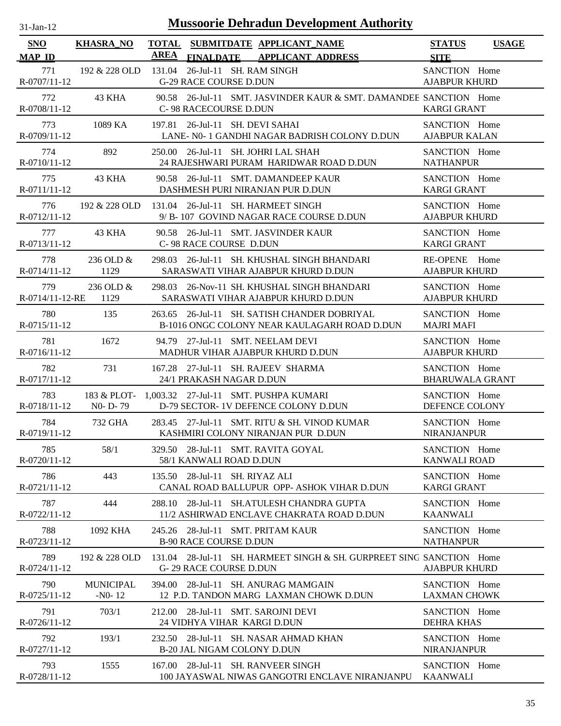| <b>Mussoorie Dehradun Development Authority</b><br>$31$ -Jan-12 |                                   |                                                                                                 |                                              |  |  |  |  |  |
|-----------------------------------------------------------------|-----------------------------------|-------------------------------------------------------------------------------------------------|----------------------------------------------|--|--|--|--|--|
| <b>SNO</b><br><b>MAP ID</b>                                     | <b>KHASRA_NO</b>                  | <b>TOTAL</b><br>SUBMITDATE APPLICANT NAME<br>AREA<br>FINALDATE APPLICANT ADDRESS                | <b>STATUS</b><br><b>USAGE</b><br><b>SITE</b> |  |  |  |  |  |
| 771<br>R-0707/11-12                                             | 192 & 228 OLD                     | 131.04<br>26-Jul-11 SH. RAM SINGH<br>G-29 RACE COURSE D.DUN                                     | SANCTION Home<br><b>AJABPUR KHURD</b>        |  |  |  |  |  |
| 772<br>R-0708/11-12                                             | 43 KHA                            | 90.58 26-Jul-11 SMT. JASVINDER KAUR & SMT. DAMANDEE SANCTION Home<br>C-98 RACECOURSE D.DUN      | <b>KARGI GRANT</b>                           |  |  |  |  |  |
| 773                                                             | 1089 KA                           | 197.81 26-Jul-11 SH. DEVI SAHAI                                                                 | SANCTION Home                                |  |  |  |  |  |
| R-0709/11-12                                                    |                                   | LANE- N0-1 GANDHI NAGAR BADRISH COLONY D.DUN                                                    | <b>AJABPUR KALAN</b>                         |  |  |  |  |  |
| 774                                                             | 892                               | 250.00 26-Jul-11 SH. JOHRI LAL SHAH                                                             | SANCTION Home                                |  |  |  |  |  |
| R-0710/11-12                                                    |                                   | 24 RAJESHWARI PURAM HARIDWAR ROAD D.DUN                                                         | <b>NATHANPUR</b>                             |  |  |  |  |  |
| 775                                                             | 43 KHA                            | 90.58 26-Jul-11 SMT. DAMANDEEP KAUR                                                             | SANCTION Home                                |  |  |  |  |  |
| R-0711/11-12                                                    |                                   | DASHMESH PURI NIRANJAN PUR D.DUN                                                                | <b>KARGI GRANT</b>                           |  |  |  |  |  |
| 776                                                             | 192 & 228 OLD                     | 131.04 26-Jul-11 SH. HARMEET SINGH                                                              | SANCTION Home                                |  |  |  |  |  |
| R-0712/11-12                                                    |                                   | 9/ B-107 GOVIND NAGAR RACE COURSE D.DUN                                                         | <b>AJABPUR KHURD</b>                         |  |  |  |  |  |
| 777                                                             | 43 KHA                            | 90.58 26-Jul-11 SMT. JASVINDER KAUR                                                             | SANCTION Home                                |  |  |  |  |  |
| R-0713/11-12                                                    |                                   | C-98 RACE COURSE D.DUN                                                                          | <b>KARGI GRANT</b>                           |  |  |  |  |  |
| 778<br>R-0714/11-12                                             | 236 OLD &<br>1129                 | 26-Jul-11 SH. KHUSHAL SINGH BHANDARI<br>298.03<br>SARASWATI VIHAR AJABPUR KHURD D.DUN           | RE-OPENE Home<br><b>AJABPUR KHURD</b>        |  |  |  |  |  |
| 779                                                             | 236 OLD &                         | 298.03 26-Nov-11 SH. KHUSHAL SINGH BHANDARI                                                     | SANCTION Home                                |  |  |  |  |  |
| R-0714/11-12-RE                                                 | 1129                              | SARASWATI VIHAR AJABPUR KHURD D.DUN                                                             | <b>AJABPUR KHURD</b>                         |  |  |  |  |  |
| 780<br>R-0715/11-12                                             | 135                               | 26-Jul-11 SH. SATISH CHANDER DOBRIYAL<br>263.65<br>B-1016 ONGC COLONY NEAR KAULAGARH ROAD D.DUN | SANCTION Home<br><b>MAJRI MAFI</b>           |  |  |  |  |  |
| 781                                                             | 1672                              | 94.79 27-Jul-11 SMT. NEELAM DEVI                                                                | SANCTION Home                                |  |  |  |  |  |
| R-0716/11-12                                                    |                                   | MADHUR VIHAR AJABPUR KHURD D.DUN                                                                | <b>AJABPUR KHURD</b>                         |  |  |  |  |  |
| 782                                                             | 731                               | 167.28 27-Jul-11 SH. RAJEEV SHARMA                                                              | SANCTION Home                                |  |  |  |  |  |
| R-0717/11-12                                                    |                                   | 24/1 PRAKASH NAGAR D.DUN                                                                        | <b>BHARUWALA GRANT</b>                       |  |  |  |  |  |
| 783                                                             | N <sub>0</sub> - D <sub>-79</sub> | 183 & PLOT- 1,003.32 27-Jul-11 SMT. PUSHPA KUMARI                                               | SANCTION Home                                |  |  |  |  |  |
| R-0718/11-12                                                    |                                   | D-79 SECTOR- 1V DEFENCE COLONY D.DUN                                                            | DEFENCE COLONY                               |  |  |  |  |  |
| 784                                                             | 732 GHA                           | 283.45 27-Jul-11 SMT. RITU & SH. VINOD KUMAR                                                    | SANCTION Home                                |  |  |  |  |  |
| R-0719/11-12                                                    |                                   | KASHMIRI COLONY NIRANJAN PUR D.DUN                                                              | <b>NIRANJANPUR</b>                           |  |  |  |  |  |
| 785                                                             | 58/1                              | 329.50 28-Jul-11 SMT. RAVITA GOYAL                                                              | SANCTION Home                                |  |  |  |  |  |
| R-0720/11-12                                                    |                                   | 58/1 KANWALI ROAD D.DUN                                                                         | <b>KANWALI ROAD</b>                          |  |  |  |  |  |
| 786                                                             | 443                               | 135.50 28-Jul-11 SH. RIYAZ ALI                                                                  | SANCTION Home                                |  |  |  |  |  |
| R-0721/11-12                                                    |                                   | CANAL ROAD BALLUPUR OPP- ASHOK VIHAR D.DUN                                                      | <b>KARGI GRANT</b>                           |  |  |  |  |  |
| 787                                                             | 444                               | 288.10 28-Jul-11 SH.ATULESH CHANDRA GUPTA                                                       | SANCTION Home                                |  |  |  |  |  |
| R-0722/11-12                                                    |                                   | 11/2 ASHIRWAD ENCLAVE CHAKRATA ROAD D.DUN                                                       | <b>KAANWALI</b>                              |  |  |  |  |  |
| 788                                                             | 1092 KHA                          | 245.26 28-Jul-11 SMT. PRITAM KAUR                                                               | SANCTION Home                                |  |  |  |  |  |
| R-0723/11-12                                                    |                                   | <b>B-90 RACE COURSE D.DUN</b>                                                                   | <b>NATHANPUR</b>                             |  |  |  |  |  |
| 789<br>R-0724/11-12                                             | 192 & 228 OLD                     | 131.04 28-Jul-11 SH. HARMEET SINGH & SH. GURPREET SING SANCTION Home<br>G- 29 RACE COURSE D.DUN | <b>AJABPUR KHURD</b>                         |  |  |  |  |  |
| 790                                                             | <b>MUNICIPAL</b>                  | 394.00 28-Jul-11 SH. ANURAG MAMGAIN                                                             | SANCTION Home                                |  |  |  |  |  |
| $R-0725/11-12$                                                  | $-N0-12$                          | 12 P.D. TANDON MARG LAXMAN CHOWK D.DUN                                                          | <b>LAXMAN CHOWK</b>                          |  |  |  |  |  |
| 791<br>R-0726/11-12                                             | 703/1                             | 28-Jul-11 SMT. SAROJNI DEVI<br>212.00<br>24 VIDHYA VIHAR KARGI D.DUN                            | SANCTION Home<br><b>DEHRA KHAS</b>           |  |  |  |  |  |
| 792                                                             | 193/1                             | 232.50 28-Jul-11 SH. NASAR AHMAD KHAN                                                           | SANCTION Home                                |  |  |  |  |  |
| R-0727/11-12                                                    |                                   | <b>B-20 JAL NIGAM COLONY D.DUN</b>                                                              | <b>NIRANJANPUR</b>                           |  |  |  |  |  |
| 793                                                             | 1555                              | 167.00 28-Jul-11 SH. RANVEER SINGH                                                              | SANCTION Home                                |  |  |  |  |  |
| R-0728/11-12                                                    |                                   | 100 JAYASWAL NIWAS GANGOTRI ENCLAVE NIRANJANPU                                                  | <b>KAANWALI</b>                              |  |  |  |  |  |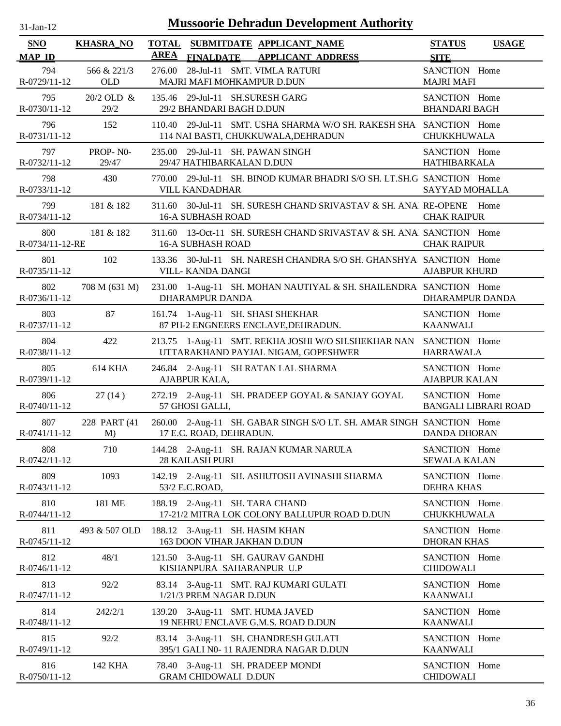| <b>SNO</b><br><b>MAP ID</b> | <b>KHASRA_NO</b>   | <b>AREA</b>                                                   | <b>FINALDATE</b> | TOTAL SUBMITDATE APPLICANT NAME<br><b>APPLICANT ADDRESS</b>                                              | <b>STATUS</b><br><b>SITE</b>          | <b>USAGE</b>                |
|-----------------------------|--------------------|---------------------------------------------------------------|------------------|----------------------------------------------------------------------------------------------------------|---------------------------------------|-----------------------------|
| 794<br>R-0729/11-12         | 566 & 221/3<br>OLD | 276.00<br>MAJRI MAFI MOHKAMPUR D.DUN                          |                  | 28-Jul-11 SMT. VIMLA RATURI                                                                              | SANCTION Home<br><b>MAJRI MAFI</b>    |                             |
| 795<br>R-0730/11-12         | 20/2 OLD &<br>29/2 | 135.46 29-Jul-11 SH.SURESH GARG<br>29/2 BHANDARI BAGH D.DUN   |                  |                                                                                                          | SANCTION Home<br><b>BHANDARI BAGH</b> |                             |
| 796<br>R-0731/11-12         | 152                | 110.40                                                        |                  | 29-Jul-11 SMT. USHA SHARMA W/O SH. RAKESH SHA SANCTION Home<br>114 NAI BASTI, CHUKKUWALA, DEHRADUN       | <b>CHUKKHUWALA</b>                    |                             |
| 797<br>R-0732/11-12         | PROP-NO-<br>29/47  | 235.00 29-Jul-11 SH. PAWAN SINGH<br>29/47 HATHIBARKALAN D.DUN |                  |                                                                                                          | SANCTION Home<br>HATHIBARKALA         |                             |
| 798<br>R-0733/11-12         | 430                | 770.00<br><b>VILL KANDADHAR</b>                               |                  | 29-Jul-11 SH. BINOD KUMAR BHADRI S/O SH. LT.SH.G SANCTION Home                                           | SAYYAD MOHALLA                        |                             |
| 799<br>R-0734/11-12         | 181 & 182          | <b>16-A SUBHASH ROAD</b>                                      |                  | 311.60 30-Jul-11 SH. SURESH CHAND SRIVASTAV & SH. ANA] RE-OPENE                                          | <b>CHAK RAIPUR</b>                    | Home                        |
| 800<br>R-0734/11-12-RE      | 181 & 182          | <b>16-A SUBHASH ROAD</b>                                      |                  | 311.60 13-Oct-11 SH. SURESH CHAND SRIVASTAV & SH. ANAl SANCTION Home                                     | <b>CHAK RAIPUR</b>                    |                             |
| 801<br>$R-0735/11-12$       | 102                | VILL- KANDA DANGI                                             |                  | 133.36 30-Jul-11 SH. NARESH CHANDRA S/O SH. GHANSHYA SANCTION Home                                       | <b>AJABPUR KHURD</b>                  |                             |
| 802<br>R-0736/11-12         | 708 M (631 M)      | <b>DHARAMPUR DANDA</b>                                        |                  | 231.00 1-Aug-11 SH. MOHAN NAUTIYAL & SH. SHAILENDRA SANCTION Home                                        | <b>DHARAMPUR DANDA</b>                |                             |
| 803<br>R-0737/11-12         | 87                 |                                                               |                  | 161.74 1-Aug-11 SH. SHASI SHEKHAR<br>87 PH-2 ENGNEERS ENCLAVE, DEHRADUN.                                 | SANCTION Home<br><b>KAANWALI</b>      |                             |
| 804<br>R-0738/11-12         | 422                |                                                               |                  | 213.75 1-Aug-11 SMT. REKHA JOSHI W/O SH.SHEKHAR NAN SANCTION Home<br>UTTARAKHAND PAYJAL NIGAM, GOPESHWER | <b>HARRAWALA</b>                      |                             |
| 805<br>R-0739/11-12         | <b>614 KHA</b>     | AJABPUR KALA,                                                 |                  | 246.84 2-Aug-11 SH RATAN LAL SHARMA                                                                      | SANCTION Home<br><b>AJABPUR KALAN</b> |                             |
| 806<br>R-0740/11-12         | 27(14)             | 57 GHOSI GALLI,                                               |                  | 272.19 2-Aug-11 SH. PRADEEP GOYAL & SANJAY GOYAL                                                         | SANCTION Home                         | <b>BANGALI LIBRARI ROAD</b> |
| 807<br>R-0741/11-12         | 228 PART (41)<br>M | 17 E.C. ROAD, DEHRADUN.                                       |                  | 260.00 2-Aug-11 SH. GABAR SINGH S/O LT. SH. AMAR SINGH SANCTION Home                                     | <b>DANDA DHORAN</b>                   |                             |
| 808<br>R-0742/11-12         | 710                | <b>28 KAILASH PURI</b>                                        |                  | 144.28 2-Aug-11 SH. RAJAN KUMAR NARULA                                                                   | SANCTION Home<br><b>SEWALA KALAN</b>  |                             |
| 809<br>R-0743/11-12         | 1093               | 53/2 E.C.ROAD,                                                |                  | 142.19 2-Aug-11 SH. ASHUTOSH AVINASHI SHARMA                                                             | SANCTION Home<br><b>DEHRA KHAS</b>    |                             |
| 810<br>R-0744/11-12         | 181 ME             | 188.19 2-Aug-11 SH. TARA CHAND                                |                  | 17-21/2 MITRA LOK COLONY BALLUPUR ROAD D.DUN                                                             | SANCTION Home<br><b>CHUKKHUWALA</b>   |                             |
| 811<br>R-0745/11-12         | 493 & 507 OLD      | 188.12 3-Aug-11 SH. HASIM KHAN<br>163 DOON VIHAR JAKHAN D.DUN |                  |                                                                                                          | SANCTION Home<br><b>DHORAN KHAS</b>   |                             |
| 812<br>R-0746/11-12         | 48/1               | KISHANPURA SAHARANPUR U.P                                     |                  | 121.50 3-Aug-11 SH. GAURAV GANDHI                                                                        | SANCTION Home<br><b>CHIDOWALI</b>     |                             |
| 813<br>R-0747/11-12         | 92/2               | 1/21/3 PREM NAGAR D.DUN                                       |                  | 83.14 3-Aug-11 SMT. RAJ KUMARI GULATI                                                                    | SANCTION Home<br><b>KAANWALI</b>      |                             |
| 814<br>R-0748/11-12         | 242/2/1            |                                                               |                  | 139.20 3-Aug-11 SMT. HUMA JAVED<br>19 NEHRU ENCLAVE G.M.S. ROAD D.DUN                                    | SANCTION Home<br><b>KAANWALI</b>      |                             |
| 815<br>R-0749/11-12         | 92/2               |                                                               |                  | 83.14 3-Aug-11 SH. CHANDRESH GULATI<br>395/1 GALI N0-11 RAJENDRA NAGAR D.DUN                             | SANCTION Home<br><b>KAANWALI</b>      |                             |
| 816<br>R-0750/11-12         | 142 KHA            | <b>GRAM CHIDOWALI D.DUN</b>                                   |                  | 78.40 3-Aug-11 SH. PRADEEP MONDI                                                                         | SANCTION Home<br><b>CHIDOWALI</b>     |                             |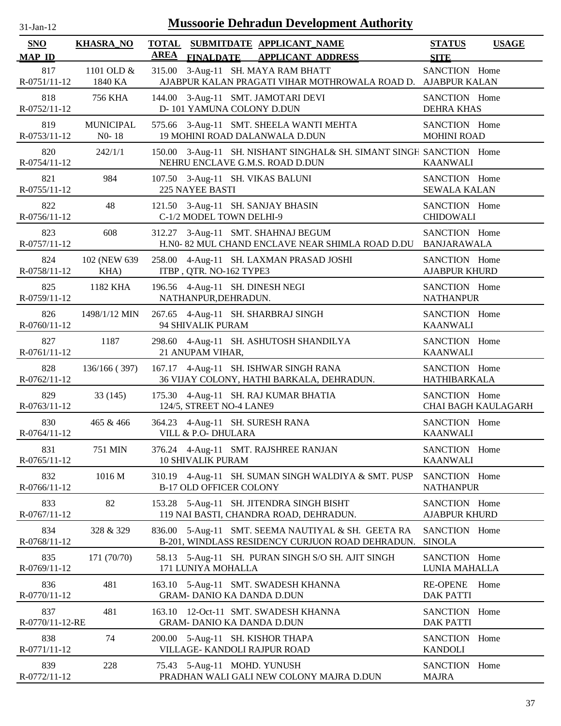| -Jan- |
|-------|
|       |

| SNO<br><b>MAP ID</b>   | <b>KHASRA_NO</b>            | <b>AREA</b><br><b>FINALDATE</b>                               | TOTAL SUBMITDATE APPLICANT NAME<br><b>APPLICANT ADDRESS</b>                                            | <b>STATUS</b><br><b>SITE</b>          | <b>USAGE</b>        |
|------------------------|-----------------------------|---------------------------------------------------------------|--------------------------------------------------------------------------------------------------------|---------------------------------------|---------------------|
| 817<br>R-0751/11-12    | 1101 OLD &<br>1840 KA       | 315.00                                                        | 3-Aug-11 SH. MAYA RAM BHATT<br>AJABPUR KALAN PRAGATI VIHAR MOTHROWALA ROAD D. AJABPUR KALAN            | SANCTION Home                         |                     |
| 818<br>R-0752/11-12    | 756 KHA                     | D-101 YAMUNA COLONY D.DUN                                     | 144.00 3-Aug-11 SMT. JAMOTARI DEVI                                                                     | SANCTION Home<br><b>DEHRA KHAS</b>    |                     |
| 819<br>R-0753/11-12    | <b>MUNICIPAL</b><br>$N0-18$ |                                                               | 575.66 3-Aug-11 SMT. SHEELA WANTI MEHTA<br>19 MOHINI ROAD DALANWALA D.DUN                              | SANCTION Home<br><b>MOHINI ROAD</b>   |                     |
| 820<br>R-0754/11-12    | 242/1/1                     |                                                               | 150.00 3-Aug-11 SH. NISHANT SINGHAL& SH. SIMANT SINGH SANCTION Home<br>NEHRU ENCLAVE G.M.S. ROAD D.DUN | <b>KAANWALI</b>                       |                     |
| 821<br>R-0755/11-12    | 984                         | 107.50 3-Aug-11 SH. VIKAS BALUNI<br><b>225 NAYEE BASTI</b>    |                                                                                                        | SANCTION Home<br><b>SEWALA KALAN</b>  |                     |
| 822<br>R-0756/11-12    | 48                          | 121.50 3-Aug-11 SH. SANJAY BHASIN<br>C-1/2 MODEL TOWN DELHI-9 |                                                                                                        | SANCTION Home<br><b>CHIDOWALI</b>     |                     |
| 823<br>R-0757/11-12    | 608                         |                                                               | 312.27 3-Aug-11 SMT. SHAHNAJ BEGUM<br>H.N0- 82 MUL CHAND ENCLAVE NEAR SHIMLA ROAD D.DU                 | SANCTION Home<br><b>BANJARAWALA</b>   |                     |
| 824<br>R-0758/11-12    | 102 (NEW 639)<br>KHA)       | ITBP, QTR. NO-162 TYPE3                                       | 258.00 4-Aug-11 SH. LAXMAN PRASAD JOSHI                                                                | SANCTION Home<br><b>AJABPUR KHURD</b> |                     |
| 825<br>R-0759/11-12    | 1182 KHA                    | 196.56 4-Aug-11 SH. DINESH NEGI<br>NATHANPUR, DEHRADUN.       |                                                                                                        | SANCTION Home<br><b>NATHANPUR</b>     |                     |
| 826<br>R-0760/11-12    | 1498/1/12 MIN               | 267.65 4-Aug-11 SH. SHARBRAJ SINGH<br>94 SHIVALIK PURAM       |                                                                                                        | SANCTION Home<br><b>KAANWALI</b>      |                     |
| 827<br>$R-0761/11-12$  | 1187                        | 21 ANUPAM VIHAR,                                              | 298.60 4-Aug-11 SH. ASHUTOSH SHANDILYA                                                                 | SANCTION Home<br><b>KAANWALI</b>      |                     |
| 828<br>R-0762/11-12    | 136/166 (397)               |                                                               | 167.17 4-Aug-11 SH. ISHWAR SINGH RANA<br>36 VIJAY COLONY, HATHI BARKALA, DEHRADUN.                     | SANCTION Home<br><b>HATHIBARKALA</b>  |                     |
| 829<br>R-0763/11-12    | 33(145)                     | 124/5, STREET NO-4 LANE9                                      | 175.30 4-Aug-11 SH. RAJ KUMAR BHATIA                                                                   | SANCTION Home                         | CHAI BAGH KAULAGARH |
| 830<br>R-0764/11-12    | 465 & 466                   | 364.23 4-Aug-11 SH. SURESH RANA<br>VILL & P.O- DHULARA        |                                                                                                        | SANCTION Home<br><b>KAANWALI</b>      |                     |
| 831<br>R-0765/11-12    | 751 MIN                     | <b>10 SHIVALIK PURAM</b>                                      | 376.24 4-Aug-11 SMT. RAJSHREE RANJAN                                                                   | SANCTION Home<br><b>KAANWALI</b>      |                     |
| 832<br>R-0766/11-12    | 1016 M                      | <b>B-17 OLD OFFICER COLONY</b>                                | 310.19 4-Aug-11 SH. SUMAN SINGH WALDIYA & SMT. PUSP                                                    | SANCTION Home<br><b>NATHANPUR</b>     |                     |
| 833<br>R-0767/11-12    | 82                          |                                                               | 153.28 5-Aug-11 SH. JITENDRA SINGH BISHT<br>119 NAI BASTI, CHANDRA ROAD, DEHRADUN.                     | SANCTION Home<br><b>AJABPUR KHURD</b> |                     |
| 834<br>R-0768/11-12    | 328 & 329                   |                                                               | 836.00 5-Aug-11 SMT. SEEMA NAUTIYAL & SH. GEETA RA<br>B-201, WINDLASS RESIDENCY CURJUON ROAD DEHRADUN. | SANCTION Home<br><b>SINOLA</b>        |                     |
| 835<br>R-0769/11-12    | 171 (70/70)                 | 171 LUNIYA MOHALLA                                            | 58.13 5-Aug-11 SH. PURAN SINGH S/O SH. AJIT SINGH                                                      | SANCTION Home<br>LUNIA MAHALLA        |                     |
| 836<br>R-0770/11-12    | 481                         | <b>GRAM- DANIO KA DANDA D.DUN</b>                             | 163.10 5-Aug-11 SMT. SWADESH KHANNA                                                                    | <b>RE-OPENE</b><br><b>DAK PATTI</b>   | Home                |
| 837<br>R-0770/11-12-RE | 481                         | <b>GRAM- DANIO KA DANDA D.DUN</b>                             | 163.10 12-Oct-11 SMT. SWADESH KHANNA                                                                   | SANCTION Home<br><b>DAK PATTI</b>     |                     |
| 838<br>R-0771/11-12    | 74                          | 200.00<br>VILLAGE- KANDOLI RAJPUR ROAD                        | 5-Aug-11 SH. KISHOR THAPA                                                                              | SANCTION Home<br><b>KANDOLI</b>       |                     |
| 839<br>R-0772/11-12    | 228                         | 75.43 5-Aug-11 MOHD. YUNUSH                                   | PRADHAN WALI GALI NEW COLONY MAJRA D.DUN                                                               | SANCTION Home<br><b>MAJRA</b>         |                     |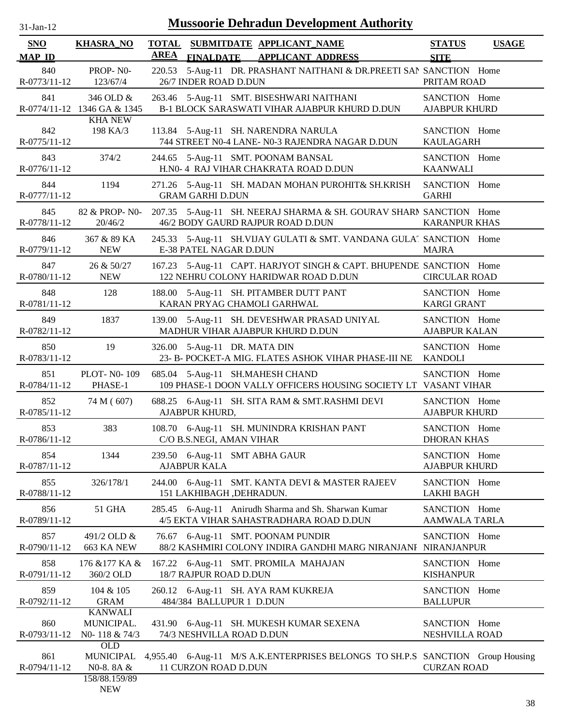| $31$ -Jan-12 |  |
|--------------|--|
|              |  |

| SNO                 | <b>KHASRA_NO</b>                                            |                       |                               | TOTAL SUBMITDATE APPLICANT NAME                                                                            | <b>STATUS</b>                         | <b>USAGE</b> |
|---------------------|-------------------------------------------------------------|-----------------------|-------------------------------|------------------------------------------------------------------------------------------------------------|---------------------------------------|--------------|
| <b>MAP ID</b>       |                                                             | <b>AREA</b>           |                               | FINALDATE APPLICANT ADDRESS                                                                                | <b>SITE</b>                           |              |
| 840<br>R-0773/11-12 | PROP-NO-<br>123/67/4                                        |                       | 26/7 INDER ROAD D.DUN         | 220.53 5-Aug-11 DR. PRASHANT NAITHANI & DR. PREETI SAN SANCTION Home                                       | PRITAM ROAD                           |              |
| 841                 | 346 OLD &<br>R-0774/11-12 1346 GA & 1345                    |                       |                               | 263.46 5-Aug-11 SMT. BISESHWARI NAITHANI<br>B-1 BLOCK SARASWATI VIHAR AJABPUR KHURD D.DUN                  | SANCTION Home<br><b>AJABPUR KHURD</b> |              |
| 842<br>R-0775/11-12 | <b>KHA NEW</b><br>198 KA/3                                  |                       |                               | 113.84 5-Aug-11 SH. NARENDRA NARULA<br>744 STREET N0-4 LANE- N0-3 RAJENDRA NAGAR D.DUN                     | SANCTION Home<br><b>KAULAGARH</b>     |              |
| 843<br>R-0776/11-12 | 374/2                                                       |                       |                               | 244.65 5-Aug-11 SMT. POONAM BANSAL<br>H.N0-4 RAJ VIHAR CHAKRATA ROAD D.DUN                                 | SANCTION Home<br><b>KAANWALI</b>      |              |
| 844<br>R-0777/11-12 | 1194                                                        |                       | <b>GRAM GARHI D.DUN</b>       | 271.26 5-Aug-11 SH. MADAN MOHAN PUROHIT& SH.KRISH                                                          | SANCTION Home<br><b>GARHI</b>         |              |
| 845<br>R-0778/11-12 | 82 & PROP-N0-<br>20/46/2                                    |                       |                               | 207.35 5-Aug-11 SH. NEERAJ SHARMA & SH. GOURAV SHARN SANCTION Home<br>46/2 BODY GAURD RAJPUR ROAD D.DUN    | <b>KARANPUR KHAS</b>                  |              |
| 846<br>R-0779/11-12 | 367 & 89 KA<br><b>NEW</b>                                   |                       | E-38 PATEL NAGAR D.DUN        | 245.33 5-Aug-11 SH.VIJAY GULATI & SMT. VANDANA GULAI SANCTION Home                                         | <b>MAJRA</b>                          |              |
| 847<br>R-0780/11-12 | 26 & 50/27<br><b>NEW</b>                                    |                       |                               | 167.23 5-Aug-11 CAPT. HARJYOT SINGH & CAPT. BHUPENDE SANCTION Home<br>122 NEHRU COLONY HARIDWAR ROAD D.DUN | <b>CIRCULAR ROAD</b>                  |              |
| 848<br>R-0781/11-12 | 128                                                         |                       |                               | 188.00 5-Aug-11 SH. PITAMBER DUTT PANT<br>KARAN PRYAG CHAMOLI GARHWAL                                      | SANCTION Home<br><b>KARGI GRANT</b>   |              |
| 849<br>R-0782/11-12 | 1837                                                        |                       |                               | 139.00 5-Aug-11 SH. DEVESHWAR PRASAD UNIYAL<br>MADHUR VIHAR AJABPUR KHURD D.DUN                            | SANCTION Home<br><b>AJABPUR KALAN</b> |              |
| 850<br>R-0783/11-12 | 19                                                          |                       | 326.00 5-Aug-11 DR. MATA DIN  | 23- B- POCKET-A MIG. FLATES ASHOK VIHAR PHASE-III NE                                                       | SANCTION Home<br><b>KANDOLI</b>       |              |
| 851<br>R-0784/11-12 | PLOT- N0-109<br>PHASE-1                                     |                       |                               | 685.04 5-Aug-11 SH.MAHESH CHAND<br>109 PHASE-1 DOON VALLY OFFICERS HOUSING SOCIETY LT VASANT VIHAR         | SANCTION Home                         |              |
| 852<br>R-0785/11-12 | 74 M (607)                                                  | <b>AJABPUR KHURD,</b> |                               | 688.25 6-Aug-11 SH. SITA RAM & SMT.RASHMI DEVI                                                             | SANCTION Home<br><b>AJABPUR KHURD</b> |              |
| 853<br>R-0786/11-12 | 383                                                         |                       | C/O B.S.NEGI, AMAN VIHAR      | 108.70 6-Aug-11 SH. MUNINDRA KRISHAN PANT                                                                  | SANCTION Home<br><b>DHORAN KHAS</b>   |              |
| 854<br>R-0787/11-12 | 1344                                                        | <b>AJABPUR KALA</b>   | 239.50 6-Aug-11 SMT ABHA GAUR |                                                                                                            | SANCTION Home<br><b>AJABPUR KHURD</b> |              |
| 855<br>R-0788/11-12 | 326/178/1                                                   |                       | 151 LAKHIBAGH , DEHRADUN.     | 244.00 6-Aug-11 SMT. KANTA DEVI & MASTER RAJEEV                                                            | SANCTION Home<br><b>LAKHI BAGH</b>    |              |
| 856<br>R-0789/11-12 | <b>51 GHA</b>                                               |                       |                               | 285.45 6-Aug-11 Anirudh Sharma and Sh. Sharwan Kumar<br>4/5 EKTA VIHAR SAHASTRADHARA ROAD D.DUN            | SANCTION Home<br><b>AAMWALA TARLA</b> |              |
| 857<br>R-0790/11-12 | 491/2 OLD &<br>663 KA NEW                                   |                       |                               | 76.67 6-Aug-11 SMT. POONAM PUNDIR<br>88/2 KASHMIRI COLONY INDIRA GANDHI MARG NIRANJANI NIRANJANPUR         | SANCTION Home                         |              |
| 858<br>R-0791/11-12 | 176 & 177 KA &<br>360/2 OLD                                 |                       | 18/7 RAJPUR ROAD D.DUN        | 167.22 6-Aug-11 SMT. PROMILA MAHAJAN                                                                       | SANCTION Home<br><b>KISHANPUR</b>     |              |
| 859<br>R-0792/11-12 | 104 & 105<br><b>GRAM</b>                                    |                       | 484/384 BALLUPUR 1 D.DUN      | 260.12 6-Aug-11 SH. AYA RAM KUKREJA                                                                        | SANCTION Home<br><b>BALLUPUR</b>      |              |
| 860<br>R-0793/11-12 | <b>KANWALI</b><br>MUNICIPAL.<br>NO-118 & 74/3<br><b>OLD</b> |                       | 74/3 NESHVILLA ROAD D.DUN     | 431.90 6-Aug-11 SH. MUKESH KUMAR SEXENA                                                                    | SANCTION Home<br>NESHVILLA ROAD       |              |
| 861<br>R-0794/11-12 | <b>MUNICIPAL</b><br>N0-8.8A $\&$                            |                       | 11 CURZON ROAD D.DUN          | 4,955.40 6-Aug-11 M/S A.K.ENTERPRISES BELONGS TO SH.P.S SANCTION Group Housing                             | <b>CURZAN ROAD</b>                    |              |
|                     | 158/88.159/89<br><b>NEW</b>                                 |                       |                               |                                                                                                            |                                       |              |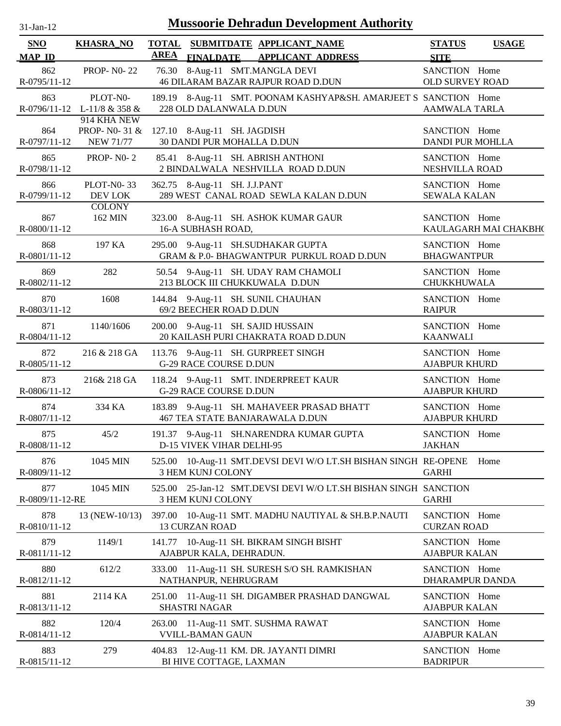| $31 - Jan - 12$ |  |
|-----------------|--|
|                 |  |

| SNO                    | <b>KHASRA_NO</b>                                                             |             |                                  | TOTAL SUBMITDATE APPLICANT NAME                                                | <b>STATUS</b>                         | <b>USAGE</b>          |
|------------------------|------------------------------------------------------------------------------|-------------|----------------------------------|--------------------------------------------------------------------------------|---------------------------------------|-----------------------|
| <b>MAP ID</b>          |                                                                              | <b>AREA</b> |                                  | FINALDATE APPLICANT ADDRESS                                                    | <b>SITE</b>                           |                       |
| 862<br>R-0795/11-12    | <b>PROP-NO-22</b>                                                            |             |                                  | 76.30 8-Aug-11 SMT.MANGLA DEVI<br><b>46 DILARAM BAZAR RAJPUR ROAD D.DUN</b>    | SANCTION Home<br>OLD SURVEY ROAD      |                       |
| 863                    | PLOT-N0-<br>R-0796/11-12 L-11/8 & 358 &                                      |             | 228 OLD DALANWALA D.DUN          | 189.19 8-Aug-11 SMT. POONAM KASHYAP&SH. AMARJEET S SANCTION Home               | AAMWALA TARLA                         |                       |
| 864<br>R-0797/11-12    | 914 KHA NEW<br>PROP- N0-31 & 127.10 8-Aug-11 SH. JAGDISH<br><b>NEW 71/77</b> |             |                                  | 30 DANDI PUR MOHALLA D.DUN                                                     | SANCTION Home<br>DANDI PUR MOHLLA     |                       |
| 865<br>R-0798/11-12    | <b>PROP-NO-2</b>                                                             |             |                                  | 85.41 8-Aug-11 SH. ABRISH ANTHONI<br>2 BINDALWALA NESHVILLA ROAD D.DUN         | SANCTION Home<br>NESHVILLA ROAD       |                       |
| 866<br>R-0799/11-12    | <b>PLOT-N0-33</b><br>DEV LOK                                                 |             | 362.75 8-Aug-11 SH. J.J.PANT     | 289 WEST CANAL ROAD SEWLA KALAN D.DUN                                          | SANCTION Home<br><b>SEWALA KALAN</b>  |                       |
| 867<br>R-0800/11-12    | <b>COLONY</b><br>162 MIN                                                     |             | 16-A SUBHASH ROAD,               | 323.00 8-Aug-11 SH. ASHOK KUMAR GAUR                                           | SANCTION Home                         | KAULAGARH MAI CHAKBH( |
| 868<br>R-0801/11-12    | 197 KA                                                                       |             |                                  | 295.00 9-Aug-11 SH.SUDHAKAR GUPTA<br>GRAM & P.0- BHAGWANTPUR PURKUL ROAD D.DUN | SANCTION Home<br><b>BHAGWANTPUR</b>   |                       |
| 869<br>R-0802/11-12    | 282                                                                          |             |                                  | 50.54 9-Aug-11 SH. UDAY RAM CHAMOLI<br>213 BLOCK III CHUKKUWALA D.DUN          | SANCTION Home<br>CHUKKHUWALA          |                       |
| 870<br>R-0803/11-12    | 1608                                                                         |             | 69/2 BEECHER ROAD D.DUN          | 144.84 9-Aug-11 SH. SUNIL CHAUHAN                                              | SANCTION Home<br><b>RAIPUR</b>        |                       |
| 871<br>R-0804/11-12    | 1140/1606                                                                    |             |                                  | 200.00 9-Aug-11 SH. SAJID HUSSAIN<br>20 KAILASH PURI CHAKRATA ROAD D.DUN       | SANCTION Home<br><b>KAANWALI</b>      |                       |
| 872<br>R-0805/11-12    | 216 & 218 GA                                                                 |             | <b>G-29 RACE COURSE D.DUN</b>    | 113.76 9-Aug-11 SH. GURPREET SINGH                                             | SANCTION Home<br><b>AJABPUR KHURD</b> |                       |
| 873<br>R-0806/11-12    | 216& 218 GA                                                                  |             | G-29 RACE COURSE D.DUN           | 118.24 9-Aug-11 SMT. INDERPREET KAUR                                           | SANCTION Home<br><b>AJABPUR KHURD</b> |                       |
| 874<br>R-0807/11-12    | 334 KA                                                                       |             |                                  | 183.89 9-Aug-11 SH. MAHAVEER PRASAD BHATT<br>467 TEA STATE BANJARAWALA D.DUN   | SANCTION Home<br><b>AJABPUR KHURD</b> |                       |
| 875<br>R-0808/11-12    | 45/2                                                                         |             | <b>D-15 VIVEK VIHAR DELHI-95</b> | 191.37 9-Aug-11 SH.NARENDRA KUMAR GUPTA                                        | SANCTION Home<br>JAKHAN               |                       |
| 876<br>R-0809/11-12    | 1045 MIN                                                                     |             | 3 HEM KUNJ COLONY                | 525.00 10-Aug-11 SMT.DEVSI DEVI W/O LT.SH BISHAN SINGH RE-OPENE                | <b>GARHI</b>                          | Home                  |
| 877<br>R-0809/11-12-RE | 1045 MIN                                                                     |             | 3 HEM KUNJ COLONY                | 525.00 25-Jan-12 SMT.DEVSI DEVI W/O LT.SH BISHAN SINGH SANCTION                | <b>GARHI</b>                          |                       |
| 878<br>R-0810/11-12    | 13 (NEW-10/13)                                                               |             | <b>13 CURZAN ROAD</b>            | 397.00 10-Aug-11 SMT. MADHU NAUTIYAL & SH.B.P.NAUTI                            | SANCTION Home<br><b>CURZAN ROAD</b>   |                       |
| 879<br>R-0811/11-12    | 1149/1                                                                       |             | AJABPUR KALA, DEHRADUN.          | 141.77 10-Aug-11 SH. BIKRAM SINGH BISHT                                        | SANCTION Home<br><b>AJABPUR KALAN</b> |                       |
| 880<br>R-0812/11-12    | 612/2                                                                        |             | NATHANPUR, NEHRUGRAM             | 333.00 11-Aug-11 SH. SURESH S/O SH. RAMKISHAN                                  | SANCTION Home<br>DHARAMPUR DANDA      |                       |
| 881<br>R-0813/11-12    | 2114 KA                                                                      |             | <b>SHASTRI NAGAR</b>             | 251.00 11-Aug-11 SH. DIGAMBER PRASHAD DANGWAL                                  | SANCTION Home<br><b>AJABPUR KALAN</b> |                       |
| 882<br>R-0814/11-12    | 120/4                                                                        |             | <b>VVILL-BAMAN GAUN</b>          | 263.00 11-Aug-11 SMT. SUSHMA RAWAT                                             | SANCTION Home<br><b>AJABPUR KALAN</b> |                       |
| 883<br>R-0815/11-12    | 279                                                                          |             | BI HIVE COTTAGE, LAXMAN          | 404.83 12-Aug-11 KM. DR. JAYANTI DIMRI                                         | SANCTION Home<br><b>BADRIPUR</b>      |                       |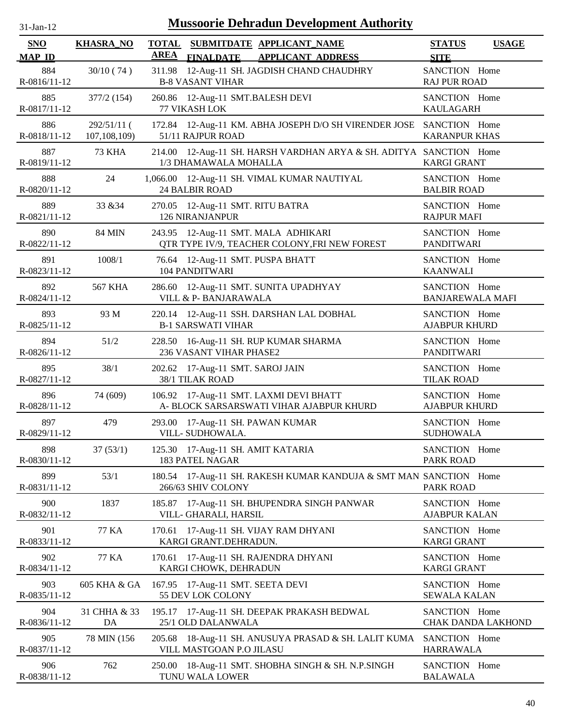| $31-Jan-12$          |                                 |                             | <b>Mussoorie Dehradun Development Authority</b>                                             |                                          |                    |
|----------------------|---------------------------------|-----------------------------|---------------------------------------------------------------------------------------------|------------------------------------------|--------------------|
| SNO<br><b>MAP ID</b> | <b>KHASRA_NO</b>                | <b>TOTAL</b><br><b>AREA</b> | SUBMITDATE APPLICANT_NAME<br><b>FINALDATE</b><br><b>APPLICANT ADDRESS</b>                   | <b>STATUS</b><br><b>SITE</b>             | <b>USAGE</b>       |
| 884<br>R-0816/11-12  | 30/10(74)                       |                             | 311.98 12-Aug-11 SH. JAGDISH CHAND CHAUDHRY<br><b>B-8 VASANT VIHAR</b>                      | SANCTION Home<br><b>RAJ PUR ROAD</b>     |                    |
| 885<br>R-0817/11-12  | 377/2(154)                      |                             | 260.86 12-Aug-11 SMT.BALESH DEVI<br>77 VIKASH LOK                                           | SANCTION Home<br><b>KAULAGARH</b>        |                    |
| 886<br>R-0818/11-12  | $292/51/11$ (<br>107, 108, 109) |                             | 172.84 12-Aug-11 KM. ABHA JOSEPH D/O SH VIRENDER JOSE SANCTION Home<br>51/11 RAJPUR ROAD    | <b>KARANPUR KHAS</b>                     |                    |
| 887<br>R-0819/11-12  | 73 KHA                          |                             | 214.00 12-Aug-11 SH. HARSH VARDHAN ARYA & SH. ADITYA SANCTION Home<br>1/3 DHAMAWALA MOHALLA | <b>KARGI GRANT</b>                       |                    |
| 888<br>R-0820/11-12  | 24                              |                             | 1,066.00 12-Aug-11 SH. VIMAL KUMAR NAUTIYAL<br><b>24 BALBIR ROAD</b>                        | SANCTION Home<br><b>BALBIR ROAD</b>      |                    |
| 889<br>R-0821/11-12  | 33 & 34                         |                             | 270.05 12-Aug-11 SMT. RITU BATRA<br><b>126 NIRANJANPUR</b>                                  | SANCTION Home<br><b>RAJPUR MAFI</b>      |                    |
| 890<br>R-0822/11-12  | <b>84 MIN</b>                   |                             | 243.95 12-Aug-11 SMT. MALA ADHIKARI<br>QTR TYPE IV/9, TEACHER COLONY, FRI NEW FOREST        | SANCTION Home<br><b>PANDITWARI</b>       |                    |
| 891<br>R-0823/11-12  | 1008/1                          |                             | 76.64 12-Aug-11 SMT. PUSPA BHATT<br><b>104 PANDITWARI</b>                                   | SANCTION Home<br><b>KAANWALI</b>         |                    |
| 892<br>R-0824/11-12  | <b>567 KHA</b>                  |                             | 286.60 12-Aug-11 SMT. SUNITA UPADHYAY<br>VILL & P- BANJARAWALA                              | SANCTION Home<br><b>BANJAREWALA MAFI</b> |                    |
| 893<br>R-0825/11-12  | 93 M                            |                             | 220.14 12-Aug-11 SSH. DARSHAN LAL DOBHAL<br><b>B-1 SARSWATI VIHAR</b>                       | SANCTION Home<br><b>AJABPUR KHURD</b>    |                    |
| 894<br>R-0826/11-12  | 51/2                            |                             | 228.50 16-Aug-11 SH. RUP KUMAR SHARMA<br>236 VASANT VIHAR PHASE2                            | SANCTION Home<br><b>PANDITWARI</b>       |                    |
| 895<br>R-0827/11-12  | 38/1                            |                             | 202.62 17-Aug-11 SMT. SAROJ JAIN<br>38/1 TILAK ROAD                                         | SANCTION Home<br><b>TILAK ROAD</b>       |                    |
| 896<br>R-0828/11-12  | 74 (609)                        |                             | 106.92 17-Aug-11 SMT. LAXMI DEVI BHATT<br>A- BLOCK SARSARSWATI VIHAR AJABPUR KHURD          | SANCTION Home<br><b>AJABPUR KHURD</b>    |                    |
| 897<br>R-0829/11-12  | 479                             |                             | 293.00 17-Aug-11 SH. PAWAN KUMAR<br>VILL-SUDHOWALA.                                         | SANCTION Home<br><b>SUDHOWALA</b>        |                    |
| 898<br>R-0830/11-12  | 37(53/1)                        |                             | 125.30 17-Aug-11 SH. AMIT KATARIA<br><b>183 PATEL NAGAR</b>                                 | SANCTION Home<br><b>PARK ROAD</b>        |                    |
| 899<br>R-0831/11-12  | 53/1                            |                             | 180.54 17-Aug-11 SH. RAKESH KUMAR KANDUJA & SMT MAN SANCTION Home<br>266/63 SHIV COLONY     | <b>PARK ROAD</b>                         |                    |
| 900<br>R-0832/11-12  | 1837                            |                             | 185.87 17-Aug-11 SH. BHUPENDRA SINGH PANWAR<br>VILL- GHARALI, HARSIL                        | SANCTION Home<br><b>AJABPUR KALAN</b>    |                    |
| 901<br>R-0833/11-12  | 77 KA                           | 170.61                      | 17-Aug-11 SH. VIJAY RAM DHYANI<br>KARGI GRANT.DEHRADUN.                                     | SANCTION Home<br><b>KARGI GRANT</b>      |                    |
| 902<br>R-0834/11-12  | 77 KA                           | 170.61                      | 17-Aug-11 SH. RAJENDRA DHYANI<br>KARGI CHOWK, DEHRADUN                                      | SANCTION Home<br><b>KARGI GRANT</b>      |                    |
| 903<br>R-0835/11-12  | 605 KHA & GA                    |                             | 167.95 17-Aug-11 SMT. SEETA DEVI<br>55 DEV LOK COLONY                                       | SANCTION Home<br><b>SEWALA KALAN</b>     |                    |
| 904<br>R-0836/11-12  | 31 CHHA & 33<br>DA              |                             | 195.17 17-Aug-11 SH. DEEPAK PRAKASH BEDWAL<br>25/1 OLD DALANWALA                            | SANCTION Home                            | CHAK DANDA LAKHOND |
| 905<br>R-0837/11-12  | 78 MIN (156                     |                             | 205.68 18-Aug-11 SH. ANUSUYA PRASAD & SH. LALIT KUMA<br>VILL MASTGOAN P.O JILASU            | SANCTION Home<br><b>HARRAWALA</b>        |                    |
| 906<br>R-0838/11-12  | 762                             |                             | 250.00 18-Aug-11 SMT. SHOBHA SINGH & SH. N.P.SINGH<br>TUNU WALA LOWER                       | SANCTION Home<br><b>BALAWALA</b>         |                    |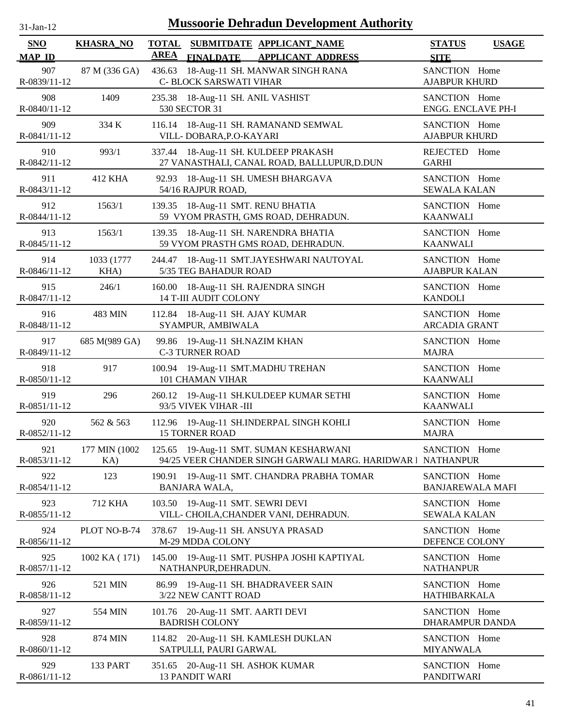| $31-Jan-12$          | <b>Mussoorie Dehradun Development Authority</b> |                                                                                                          |                                          |              |  |  |  |  |  |
|----------------------|-------------------------------------------------|----------------------------------------------------------------------------------------------------------|------------------------------------------|--------------|--|--|--|--|--|
| SNO<br><b>MAP ID</b> | <b>KHASRA_NO</b>                                | <b>TOTAL</b><br>SUBMITDATE APPLICANT_NAME<br><b>AREA</b><br><b>FINALDATE</b><br><b>APPLICANT ADDRESS</b> | <b>STATUS</b><br><b>SITE</b>             | <b>USAGE</b> |  |  |  |  |  |
| 907<br>R-0839/11-12  | 87 M (336 GA)                                   | 18-Aug-11 SH. MANWAR SINGH RANA<br>436.63<br>C- BLOCK SARSWATI VIHAR                                     | SANCTION Home<br><b>AJABPUR KHURD</b>    |              |  |  |  |  |  |
| 908<br>R-0840/11-12  | 1409                                            | 235.38 18-Aug-11 SH. ANIL VASHIST<br>530 SECTOR 31                                                       | SANCTION Home<br>ENGG. ENCLAVE PH-I      |              |  |  |  |  |  |
| 909<br>R-0841/11-12  | 334 K                                           | 116.14 18-Aug-11 SH. RAMANAND SEMWAL<br>VILL-DOBARA, P.O-KAYARI                                          | SANCTION Home<br><b>AJABPUR KHURD</b>    |              |  |  |  |  |  |
| 910<br>R-0842/11-12  | 993/1                                           | 337.44 18-Aug-11 SH. KULDEEP PRAKASH<br>27 VANASTHALI, CANAL ROAD, BALLLUPUR, D.DUN                      | <b>REJECTED</b><br><b>GARHI</b>          | Home         |  |  |  |  |  |
| 911<br>R-0843/11-12  | 412 KHA                                         | 92.93 18-Aug-11 SH. UMESH BHARGAVA<br>54/16 RAJPUR ROAD,                                                 | SANCTION Home<br><b>SEWALA KALAN</b>     |              |  |  |  |  |  |
| 912<br>R-0844/11-12  | 1563/1                                          | 139.35 18-Aug-11 SMT. RENU BHATIA<br>59 VYOM PRASTH, GMS ROAD, DEHRADUN.                                 | SANCTION Home<br><b>KAANWALI</b>         |              |  |  |  |  |  |
| 913<br>R-0845/11-12  | 1563/1                                          | 139.35 18-Aug-11 SH. NARENDRA BHATIA<br>59 VYOM PRASTH GMS ROAD, DEHRADUN.                               | SANCTION Home<br><b>KAANWALI</b>         |              |  |  |  |  |  |
| 914<br>R-0846/11-12  | 1033 (1777)<br>KHA)                             | 244.47 18-Aug-11 SMT.JAYESHWARI NAUTOYAL<br>5/35 TEG BAHADUR ROAD                                        | SANCTION Home<br><b>AJABPUR KALAN</b>    |              |  |  |  |  |  |
| 915<br>R-0847/11-12  | 246/1                                           | 160.00 18-Aug-11 SH. RAJENDRA SINGH<br><b>14 T-III AUDIT COLONY</b>                                      | SANCTION Home<br><b>KANDOLI</b>          |              |  |  |  |  |  |
| 916<br>R-0848/11-12  | 483 MIN                                         | 112.84 18-Aug-11 SH. AJAY KUMAR<br>SYAMPUR, AMBIWALA                                                     | SANCTION Home<br><b>ARCADIA GRANT</b>    |              |  |  |  |  |  |
| 917<br>R-0849/11-12  | 685 M(989 GA)                                   | 99.86 19-Aug-11 SH.NAZIM KHAN<br><b>C-3 TURNER ROAD</b>                                                  | SANCTION Home<br><b>MAJRA</b>            |              |  |  |  |  |  |
| 918<br>R-0850/11-12  | 917                                             | 100.94 19-Aug-11 SMT.MADHU TREHAN<br>101 CHAMAN VIHAR                                                    | SANCTION Home<br><b>KAANWALI</b>         |              |  |  |  |  |  |
| 919<br>R-0851/11-12  | 296                                             | 260.12 19-Aug-11 SH.KULDEEP KUMAR SETHI<br>93/5 VIVEK VIHAR -III                                         | SANCTION Home<br><b>KAANWALI</b>         |              |  |  |  |  |  |
| 920<br>R-0852/11-12  | 562 & 563                                       | 112.96 19-Aug-11 SH.INDERPAL SINGH KOHLI<br><b>15 TORNER ROAD</b>                                        | SANCTION Home<br><b>MAJRA</b>            |              |  |  |  |  |  |
| 921<br>R-0853/11-12  | 177 MIN (1002)<br>KA)                           | 125.65 19-Aug-11 SMT. SUMAN KESHARWANI<br>94/25 VEER CHANDER SINGH GARWALI MARG. HARIDWAR 1              | SANCTION Home<br><b>NATHANPUR</b>        |              |  |  |  |  |  |
| 922<br>R-0854/11-12  | 123                                             | 190.91 19-Aug-11 SMT. CHANDRA PRABHA TOMAR<br>BANJARA WALA,                                              | SANCTION Home<br><b>BANJAREWALA MAFI</b> |              |  |  |  |  |  |
| 923<br>R-0855/11-12  | 712 KHA                                         | 103.50 19-Aug-11 SMT. SEWRI DEVI<br>VILL- CHOILA, CHANDER VANI, DEHRADUN.                                | SANCTION Home<br><b>SEWALA KALAN</b>     |              |  |  |  |  |  |
| 924<br>R-0856/11-12  | PLOT NO-B-74                                    | 378.67<br>19-Aug-11 SH. ANSUYA PRASAD<br>M-29 MDDA COLONY                                                | SANCTION Home<br>DEFENCE COLONY          |              |  |  |  |  |  |
| 925<br>R-0857/11-12  | 1002 KA (171)                                   | 145.00 19-Aug-11 SMT. PUSHPA JOSHI KAPTIYAL<br>NATHANPUR, DEHRADUN.                                      | SANCTION Home<br><b>NATHANPUR</b>        |              |  |  |  |  |  |
| 926<br>R-0858/11-12  | 521 MIN                                         | 86.99 19-Aug-11 SH. BHADRAVEER SAIN<br>3/22 NEW CANTT ROAD                                               | SANCTION Home<br><b>HATHIBARKALA</b>     |              |  |  |  |  |  |
| 927<br>R-0859/11-12  | 554 MIN                                         | 101.76 20-Aug-11 SMT. AARTI DEVI<br><b>BADRISH COLONY</b>                                                | SANCTION Home<br>DHARAMPUR DANDA         |              |  |  |  |  |  |
| 928<br>R-0860/11-12  | 874 MIN                                         | 114.82 20-Aug-11 SH. KAMLESH DUKLAN<br>SATPULLI, PAURI GARWAL                                            | SANCTION Home<br><b>MIYANWALA</b>        |              |  |  |  |  |  |
| 929<br>R-0861/11-12  | 133 PART                                        | 351.65 20-Aug-11 SH. ASHOK KUMAR<br><b>13 PANDIT WARI</b>                                                | SANCTION Home<br>PANDITWARI              |              |  |  |  |  |  |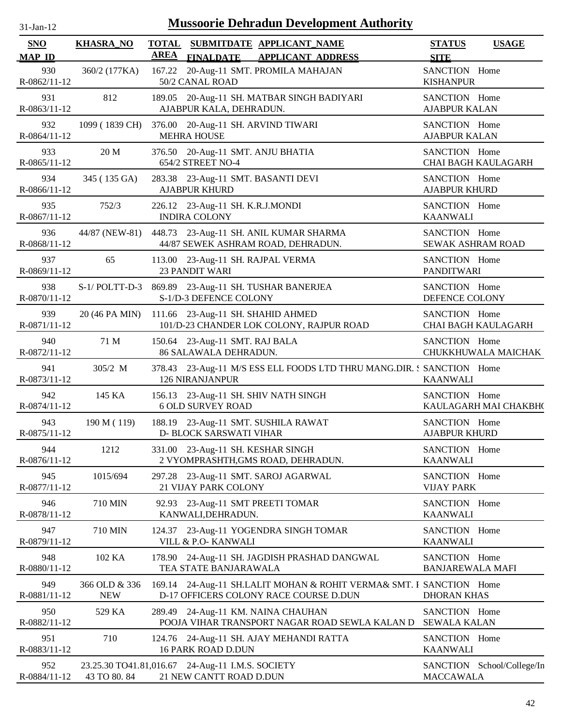| -Jan- |
|-------|
|       |

| SNO                 | <b>KHASRA_NO</b>            | <b>TOTAL</b> |                                                            | SUBMITDATE APPLICANT NAME                                                                                     | <b>STATUS</b>                            | <b>USAGE</b>          |
|---------------------|-----------------------------|--------------|------------------------------------------------------------|---------------------------------------------------------------------------------------------------------------|------------------------------------------|-----------------------|
| <b>MAP ID</b>       |                             | <b>AREA</b>  | <b>FINALDATE</b>                                           | <b>APPLICANT ADDRESS</b>                                                                                      | <b>SITE</b>                              |                       |
| 930<br>R-0862/11-12 | 360/2 (177KA)               |              | 50/2 CANAL ROAD                                            | 167.22 20-Aug-11 SMT. PROMILA MAHAJAN                                                                         | SANCTION Home<br><b>KISHANPUR</b>        |                       |
| 931<br>R-0863/11-12 | 812                         |              | AJABPUR KALA, DEHRADUN.                                    | 189.05 20-Aug-11 SH. MATBAR SINGH BADIYARI                                                                    | SANCTION Home<br><b>AJABPUR KALAN</b>    |                       |
| 932<br>R-0864/11-12 | 1099 (1839 CH)              |              | 376.00 20-Aug-11 SH. ARVIND TIWARI<br><b>MEHRA HOUSE</b>   |                                                                                                               | SANCTION Home<br><b>AJABPUR KALAN</b>    |                       |
| 933<br>R-0865/11-12 | 20 M                        |              | 376.50 20-Aug-11 SMT. ANJU BHATIA<br>654/2 STREET NO-4     |                                                                                                               | SANCTION Home                            | CHAI BAGH KAULAGARH   |
| 934<br>R-0866/11-12 | 345 (135 GA)                |              | 283.38 23-Aug-11 SMT. BASANTI DEVI<br><b>AJABPUR KHURD</b> |                                                                                                               | SANCTION Home<br><b>AJABPUR KHURD</b>    |                       |
| 935<br>R-0867/11-12 | 752/3                       |              | 226.12 23-Aug-11 SH. K.R.J.MONDI<br><b>INDIRA COLONY</b>   |                                                                                                               | SANCTION Home<br><b>KAANWALI</b>         |                       |
| 936<br>R-0868/11-12 |                             |              |                                                            | 44/87 (NEW-81) 448.73 23-Aug-11 SH. ANIL KUMAR SHARMA<br>44/87 SEWEK ASHRAM ROAD, DEHRADUN.                   | SANCTION Home                            | SEWAK ASHRAM ROAD     |
| 937<br>R-0869/11-12 | 65                          |              | 113.00 23-Aug-11 SH. RAJPAL VERMA<br><b>23 PANDIT WARI</b> |                                                                                                               | SANCTION Home<br><b>PANDITWARI</b>       |                       |
| 938<br>R-0870/11-12 |                             |              | S-1/D-3 DEFENCE COLONY                                     | S-1/POLTT-D-3 869.89 23-Aug-11 SH. TUSHAR BANERJEA                                                            | SANCTION Home<br>DEFENCE COLONY          |                       |
| 939<br>R-0871/11-12 | 20 (46 PA MIN)              |              | 111.66 23-Aug-11 SH. SHAHID AHMED                          | 101/D-23 CHANDER LOK COLONY, RAJPUR ROAD                                                                      | SANCTION Home                            | CHAI BAGH KAULAGARH   |
| 940<br>R-0872/11-12 | 71 M                        |              | 150.64 23-Aug-11 SMT. RAJ BALA<br>86 SALAWALA DEHRADUN.    |                                                                                                               | SANCTION Home                            | CHUKKHUWALA MAICHAK   |
| 941<br>R-0873/11-12 | 305/2 M                     |              | <b>126 NIRANJANPUR</b>                                     | 378.43 23-Aug-11 M/S ESS ELL FOODS LTD THRU MANG.DIR. SANCTION Home                                           | <b>KAANWALI</b>                          |                       |
| 942<br>R-0874/11-12 | 145 KA                      |              | <b>6 OLD SURVEY ROAD</b>                                   | 156.13 23-Aug-11 SH. SHIV NATH SINGH                                                                          | SANCTION Home                            | KAULAGARH MAI CHAKBH( |
| 943<br>R-0875/11-12 | 190 M (119)                 |              | <b>D- BLOCK SARSWATI VIHAR</b>                             | 188.19 23-Aug-11 SMT. SUSHILA RAWAT                                                                           | SANCTION Home<br><b>AJABPUR KHURD</b>    |                       |
| 944<br>R-0876/11-12 | 1212                        |              | 331.00 23-Aug-11 SH. KESHAR SINGH                          | 2 VYOMPRASHTH, GMS ROAD, DEHRADUN.                                                                            | SANCTION Home<br><b>KAANWALI</b>         |                       |
| 945<br>R-0877/11-12 | 1015/694                    |              | 21 VIJAY PARK COLONY                                       | 297.28 23-Aug-11 SMT. SAROJ AGARWAL                                                                           | SANCTION Home<br><b>VIJAY PARK</b>       |                       |
| 946<br>R-0878/11-12 | 710 MIN                     |              | 92.93 23-Aug-11 SMT PREETI TOMAR<br>KANWALI, DEHRADUN.     |                                                                                                               | SANCTION Home<br><b>KAANWALI</b>         |                       |
| 947<br>R-0879/11-12 | 710 MIN                     |              | VILL & P.O- KANWALI                                        | 124.37 23-Aug-11 YOGENDRA SINGH TOMAR                                                                         | SANCTION Home<br><b>KAANWALI</b>         |                       |
| 948<br>R-0880/11-12 | 102 KA                      |              | TEA STATE BANJARAWALA                                      | 178.90 24-Aug-11 SH. JAGDISH PRASHAD DANGWAL                                                                  | SANCTION Home<br><b>BANJAREWALA MAFI</b> |                       |
| 949<br>R-0881/11-12 | 366 OLD & 336<br><b>NEW</b> |              |                                                            | 169.14 24-Aug-11 SH.LALIT MOHAN & ROHIT VERMA& SMT. I SANCTION Home<br>D-17 OFFICERS COLONY RACE COURSE D.DUN | <b>DHORAN KHAS</b>                       |                       |
| 950                 | 529 KA                      |              |                                                            | 289.49 24-Aug-11 KM. NAINA CHAUHAN<br>POOJA VIHAR TRANSPORT NAGAR ROAD SEWLA KALAN D                          | SANCTION Home<br><b>SEWALA KALAN</b>     |                       |
| R-0882/11-12        |                             |              |                                                            |                                                                                                               |                                          |                       |
| 951<br>R-0883/11-12 | 710                         |              | 16 PARK ROAD D.DUN                                         | 124.76 24-Aug-11 SH. AJAY MEHANDI RATTA                                                                       | SANCTION Home<br><b>KAANWALI</b>         |                       |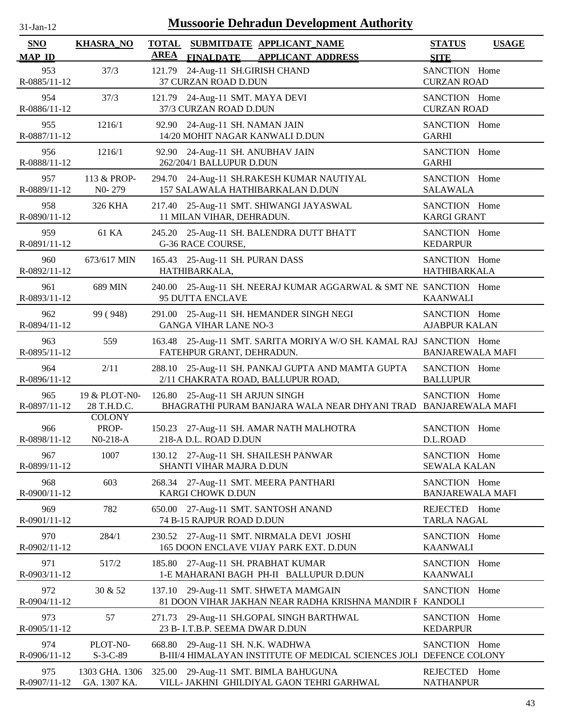| <b>Mussoorie Dehradun Development Authority</b><br>$31$ -Jan-12 |                                      |                                                                                                          |                                              |  |  |  |  |  |
|-----------------------------------------------------------------|--------------------------------------|----------------------------------------------------------------------------------------------------------|----------------------------------------------|--|--|--|--|--|
| SNO<br><b>MAP ID</b>                                            | <b>KHASRA_NO</b>                     | <b>TOTAL</b><br>SUBMITDATE APPLICANT_NAME<br><b>AREA</b><br><b>FINALDATE</b><br><b>APPLICANT ADDRESS</b> | <b>STATUS</b><br><b>USAGE</b><br><b>SITE</b> |  |  |  |  |  |
| 953                                                             | 37/3                                 | 121.79 24-Aug-11 SH.GIRISH CHAND                                                                         | SANCTION Home                                |  |  |  |  |  |
| R-0885/11-12                                                    |                                      | 37 CURZAN ROAD D.DUN                                                                                     | <b>CURZAN ROAD</b>                           |  |  |  |  |  |
| 954                                                             | 37/3                                 | 121.79 24-Aug-11 SMT. MAYA DEVI                                                                          | SANCTION Home                                |  |  |  |  |  |
| R-0886/11-12                                                    |                                      | 37/3 CURZAN ROAD D.DUN                                                                                   | <b>CURZAN ROAD</b>                           |  |  |  |  |  |
| 955                                                             | 1216/1                               | 92.90 24-Aug-11 SH. NAMAN JAIN                                                                           | SANCTION Home                                |  |  |  |  |  |
| R-0887/11-12                                                    |                                      | 14/20 MOHIT NAGAR KANWALI D.DUN                                                                          | <b>GARHI</b>                                 |  |  |  |  |  |
| 956                                                             | 1216/1                               | 92.90 24-Aug-11 SH. ANUBHAV JAIN                                                                         | SANCTION Home                                |  |  |  |  |  |
| R-0888/11-12                                                    |                                      | 262/204/1 BALLUPUR D.DUN                                                                                 | <b>GARHI</b>                                 |  |  |  |  |  |
| 957                                                             | 113 & PROP-                          | 294.70 24-Aug-11 SH.RAKESH KUMAR NAUTIYAL                                                                | SANCTION Home                                |  |  |  |  |  |
| R-0889/11-12                                                    | NO-279                               | 157 SALAWALA HATHIBARKALAN D.DUN                                                                         | <b>SALAWALA</b>                              |  |  |  |  |  |
| 958                                                             | 326 KHA                              | 217.40 25-Aug-11 SMT. SHIWANGI JAYASWAL                                                                  | SANCTION Home                                |  |  |  |  |  |
| R-0890/11-12                                                    |                                      | 11 MILAN VIHAR, DEHRADUN.                                                                                | <b>KARGI GRANT</b>                           |  |  |  |  |  |
| 959                                                             | 61 KA                                | 245.20 25-Aug-11 SH. BALENDRA DUTT BHATT                                                                 | SANCTION Home                                |  |  |  |  |  |
| R-0891/11-12                                                    |                                      | G-36 RACE COURSE,                                                                                        | <b>KEDARPUR</b>                              |  |  |  |  |  |
| 960                                                             | 673/617 MIN                          | 165.43 25-Aug-11 SH. PURAN DASS                                                                          | SANCTION Home                                |  |  |  |  |  |
| R-0892/11-12                                                    |                                      | HATHIBARKALA,                                                                                            | <b>HATHIBARKALA</b>                          |  |  |  |  |  |
| 961<br>R-0893/11-12                                             | 689 MIN                              | 240.00 25-Aug-11 SH. NEERAJ KUMAR AGGARWAL & SMT NE SANCTION Home<br>95 DUTTA ENCLAVE                    | KAANWALI                                     |  |  |  |  |  |
| 962                                                             | 99 (948)                             | 291.00 25-Aug-11 SH. HEMANDER SINGH NEGI                                                                 | SANCTION Home                                |  |  |  |  |  |
| R-0894/11-12                                                    |                                      | <b>GANGA VIHAR LANE NO-3</b>                                                                             | <b>AJABPUR KALAN</b>                         |  |  |  |  |  |
| 963<br>R-0895/11-12                                             | 559                                  | 163.48 25-Aug-11 SMT. SARITA MORIYA W/O SH. KAMAL RAJ SANCTION Home<br>FATEHPUR GRANT, DEHRADUN.         | <b>BANJAREWALA MAFI</b>                      |  |  |  |  |  |
| 964                                                             | 2/11                                 | 288.10 25-Aug-11 SH. PANKAJ GUPTA AND MAMTA GUPTA                                                        | SANCTION Home                                |  |  |  |  |  |
| R-0896/11-12                                                    |                                      | 2/11 CHAKRATA ROAD, BALLUPUR ROAD,                                                                       | <b>BALLUPUR</b>                              |  |  |  |  |  |
| 965                                                             | 19 & PLOT-N0-                        | 126.80 25-Aug-11 SH ARJUN SINGH                                                                          | SANCTION Home                                |  |  |  |  |  |
| R-0897/11-12                                                    | 28 T.H.D.C.                          | BHAGRATHI PURAM BANJARA WALA NEAR DHYANI TRAD BANJAREWALA MAFI                                           |                                              |  |  |  |  |  |
| 966<br>R-0898/11-12                                             | <b>COLONY</b><br>PROP-<br>$N0-218-A$ | 150.23 27-Aug-11 SH. AMAR NATH MALHOTRA<br>218-A D.L. ROAD D.DUN                                         | SANCTION Home<br>D.L.ROAD                    |  |  |  |  |  |
| 967                                                             | 1007                                 | 130.12 27-Aug-11 SH. SHAILESH PANWAR                                                                     | SANCTION Home                                |  |  |  |  |  |
| R-0899/11-12                                                    |                                      | SHANTI VIHAR MAJRA D.DUN                                                                                 | <b>SEWALA KALAN</b>                          |  |  |  |  |  |
| 968                                                             | 603                                  | 268.34 27-Aug-11 SMT. MEERA PANTHARI                                                                     | SANCTION Home                                |  |  |  |  |  |
| R-0900/11-12                                                    |                                      | KARGI CHOWK D.DUN                                                                                        | <b>BANJAREWALA MAFI</b>                      |  |  |  |  |  |
| 969<br>R-0901/11-12                                             | 782                                  | 27-Aug-11 SMT. SANTOSH ANAND<br>650.00<br>74 B-15 RAJPUR ROAD D.DUN                                      | REJECTED Home<br><b>TARLA NAGAL</b>          |  |  |  |  |  |
| 970                                                             | 284/1                                | 230.52 27-Aug-11 SMT. NIRMALA DEVI JOSHI                                                                 | SANCTION Home                                |  |  |  |  |  |
| R-0902/11-12                                                    |                                      | 165 DOON ENCLAVE VIJAY PARK EXT. D.DUN                                                                   | <b>KAANWALI</b>                              |  |  |  |  |  |
| 971<br>R-0903/11-12                                             | 517/2                                | 27-Aug-11 SH. PRABHAT KUMAR<br>185.80<br>1-E MAHARANI BAGH PH-II BALLUPUR D.DUN                          | SANCTION Home<br><b>KAANWALI</b>             |  |  |  |  |  |
| 972<br>R-0904/11-12                                             | 30 & 52                              | 137.10 29-Aug-11 SMT. SHWETA MAMGAIN<br>81 DOON VIHAR JAKHAN NEAR RADHA KRISHNA MANDIR F KANDOLI         | SANCTION Home                                |  |  |  |  |  |
| 973<br>R-0905/11-12                                             | 57                                   | 29-Aug-11 SH.GOPAL SINGH BARTHWAL<br>271.73<br>23 B- I.T.B.P. SEEMA DWAR D.DUN                           | SANCTION Home<br><b>KEDARPUR</b>             |  |  |  |  |  |
| 974                                                             | PLOT-N0-                             | 668.80 29-Aug-11 SH. N.K. WADHWA                                                                         | SANCTION Home                                |  |  |  |  |  |
| R-0906/11-12                                                    | $S-3-C-89$                           | B-III/4 HIMALAYAN INSTITUTE OF MEDICAL SCIENCES JOLI DEFENCE COLONY                                      |                                              |  |  |  |  |  |
| 975                                                             | 1303 GHA. 1306                       | 325.00 29-Aug-11 SMT. BIMLA BAHUGUNA                                                                     | REJECTED Home                                |  |  |  |  |  |
| R-0907/11-12                                                    | GA. 1307 KA.                         | VILL- JAKHNI GHILDIYAL GAON TEHRI GARHWAL                                                                | <b>NATHANPUR</b>                             |  |  |  |  |  |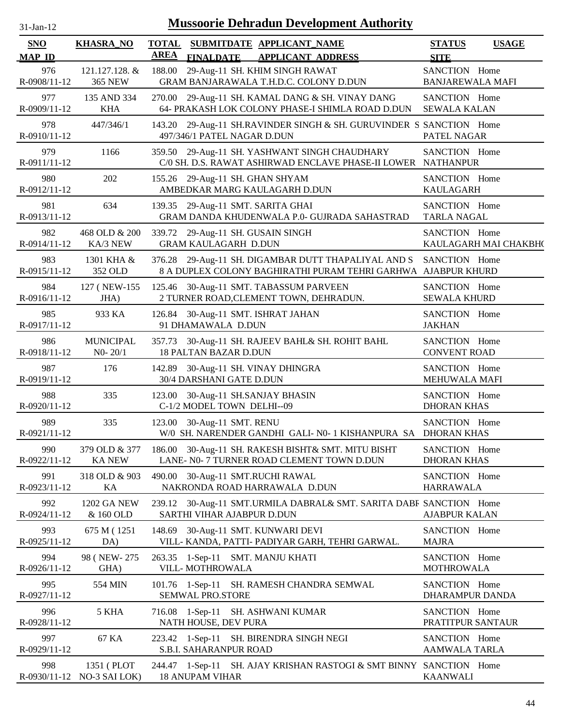| <b>SNO</b><br><b>MAP ID</b> | <b>KHASRA_NO</b>                         | <b>AREA</b> |                                                                  | TOTAL SUBMITDATE APPLICANT NAME<br>FINALDATE APPLICANT ADDRESS                                                       | <b>STATUS</b><br><b>SITE</b>             | <b>USAGE</b>          |
|-----------------------------|------------------------------------------|-------------|------------------------------------------------------------------|----------------------------------------------------------------------------------------------------------------------|------------------------------------------|-----------------------|
| 976<br>R-0908/11-12         | 121.127.128. &<br><b>365 NEW</b>         |             |                                                                  | 188.00 29-Aug-11 SH. KHIM SINGH RAWAT<br>GRAM BANJARAWALA T.H.D.C. COLONY D.DUN                                      | SANCTION Home<br><b>BANJAREWALA MAFI</b> |                       |
| 977<br>R-0909/11-12         | 135 AND 334<br><b>KHA</b>                |             |                                                                  | 270.00 29-Aug-11 SH. KAMAL DANG & SH. VINAY DANG<br>64- PRAKASH LOK COLONY PHASE-I SHIMLA ROAD D.DUN                 | SANCTION Home<br><b>SEWALA KALAN</b>     |                       |
| 978<br>R-0910/11-12         | 447/346/1                                |             | 497/346/1 PATEL NAGAR D.DUN                                      | 143.20 29-Aug-11 SH.RAVINDER SINGH & SH. GURUVINDER S SANCTION Home                                                  | PATEL NAGAR                              |                       |
| 979<br>R-0911/11-12         | 1166                                     |             |                                                                  | 359.50 29-Aug-11 SH. YASHWANT SINGH CHAUDHARY<br>C/0 SH. D.S. RAWAT ASHIRWAD ENCLAVE PHASE-II LOWER NATHANPUR        | SANCTION Home                            |                       |
| 980<br>R-0912/11-12         | 202                                      |             | 155.26 29-Aug-11 SH. GHAN SHYAM                                  | AMBEDKAR MARG KAULAGARH D.DUN                                                                                        | SANCTION Home<br><b>KAULAGARH</b>        |                       |
| 981<br>R-0913/11-12         | 634                                      |             | 139.35 29-Aug-11 SMT. SARITA GHAI                                | GRAM DANDA KHUDENWALA P.0- GUJRADA SAHASTRAD                                                                         | SANCTION Home<br><b>TARLA NAGAL</b>      |                       |
| 982<br>R-0914/11-12         | 468 OLD & 200<br>KA/3 NEW                |             | 339.72 29-Aug-11 SH. GUSAIN SINGH<br><b>GRAM KAULAGARH D.DUN</b> |                                                                                                                      | SANCTION Home                            | KAULAGARH MAI CHAKBH( |
| 983<br>R-0915/11-12         | 1301 KHA &<br>352 OLD                    |             |                                                                  | 376.28 29-Aug-11 SH. DIGAMBAR DUTT THAPALIYAL AND S<br>8 A DUPLEX COLONY BAGHIRATHI PURAM TEHRI GARHWA AJABPUR KHURD | SANCTION Home                            |                       |
| 984<br>R-0916/11-12         | 127 ( NEW-155<br>JHA)                    |             |                                                                  | 125.46 30-Aug-11 SMT. TABASSUM PARVEEN<br>2 TURNER ROAD, CLEMENT TOWN, DEHRADUN.                                     | SANCTION Home<br><b>SEWALA KHURD</b>     |                       |
| 985<br>R-0917/11-12         | 933 KA                                   |             | 126.84 30-Aug-11 SMT. ISHRAT JAHAN<br>91 DHAMAWALA D.DUN         |                                                                                                                      | SANCTION Home<br><b>JAKHAN</b>           |                       |
| 986<br>R-0918/11-12         | <b>MUNICIPAL</b><br>$N0 - 20/1$          |             | <b>18 PALTAN BAZAR D.DUN</b>                                     | 357.73 30-Aug-11 SH. RAJEEV BAHL& SH. ROHIT BAHL                                                                     | SANCTION Home<br><b>CONVENT ROAD</b>     |                       |
| 987<br>R-0919/11-12         | 176                                      |             | 142.89 30-Aug-11 SH. VINAY DHINGRA<br>30/4 DARSHANI GATE D.DUN   |                                                                                                                      | SANCTION Home<br>MEHUWALA MAFI           |                       |
| 988<br>R-0920/11-12         | 335                                      |             | 123.00 30-Aug-11 SH.SANJAY BHASIN<br>C-1/2 MODEL TOWN DELHI--09  |                                                                                                                      | SANCTION Home<br><b>DHORAN KHAS</b>      |                       |
| 989<br>R-0921/11-12         | 335                                      | 123.00      | 30-Aug-11 SMT. RENU                                              | W/0 SH. NARENDER GANDHI GALI- N0-1 KISHANPURA SA DHORAN KHAS                                                         | SANCTION Home                            |                       |
| 990<br>R-0922/11-12         | 379 OLD & 377<br><b>KA NEW</b>           |             |                                                                  | 186.00 30-Aug-11 SH. RAKESH BISHT& SMT. MITU BISHT<br>LANE- N0- 7 TURNER ROAD CLEMENT TOWN D.DUN                     | SANCTION Home<br><b>DHORAN KHAS</b>      |                       |
| 991<br>R-0923/11-12         | 318 OLD & 903<br>KA                      |             | 490.00 30-Aug-11 SMT.RUCHI RAWAL                                 | NAKRONDA ROAD HARRAWALA D.DUN                                                                                        | SANCTION Home<br><b>HARRAWALA</b>        |                       |
| 992<br>R-0924/11-12         | <b>1202 GA NEW</b><br>& 160 OLD          |             | SARTHI VIHAR AJABPUR D.DUN                                       | 239.12 30-Aug-11 SMT.URMILA DABRAL& SMT. SARITA DABF SANCTION Home                                                   | <b>AJABPUR KALAN</b>                     |                       |
| 993<br>R-0925/11-12         | 675 M (1251)<br>DA)                      |             |                                                                  | 148.69 30-Aug-11 SMT. KUNWARI DEVI<br>VILL- KANDA, PATTI- PADIYAR GARH, TEHRI GARWAL.                                | SANCTION Home<br><b>MAJRA</b>            |                       |
| 994<br>R-0926/11-12         | 98 ( NEW-275<br>GHA)                     |             | 263.35 1-Sep-11 SMT. MANJU KHATI<br>VILL-MOTHROWALA              |                                                                                                                      | SANCTION Home<br><b>MOTHROWALA</b>       |                       |
| 995<br>R-0927/11-12         | 554 MIN                                  |             | <b>SEMWAL PRO.STORE</b>                                          | 101.76 1-Sep-11 SH. RAMESH CHANDRA SEMWAL                                                                            | SANCTION Home<br>DHARAMPUR DANDA         |                       |
| 996<br>R-0928/11-12         | 5 KHA                                    |             | NATH HOUSE, DEV PURA                                             | 716.08 1-Sep-11 SH. ASHWANI KUMAR                                                                                    | SANCTION Home<br>PRATITPUR SANTAUR       |                       |
| 997<br>R-0929/11-12         | 67 KA                                    |             | S.B.I. SAHARANPUR ROAD                                           | 223.42 1-Sep-11 SH. BIRENDRA SINGH NEGI                                                                              | SANCTION Home<br>AAMWALA TARLA           |                       |
| 998                         | 1351 (PLOT<br>R-0930/11-12 NO-3 SAI LOK) |             | <b>18 ANUPAM VIHAR</b>                                           | 244.47 1-Sep-11 SH. AJAY KRISHAN RASTOGI & SMT BINNY SANCTION Home                                                   | <b>KAANWALI</b>                          |                       |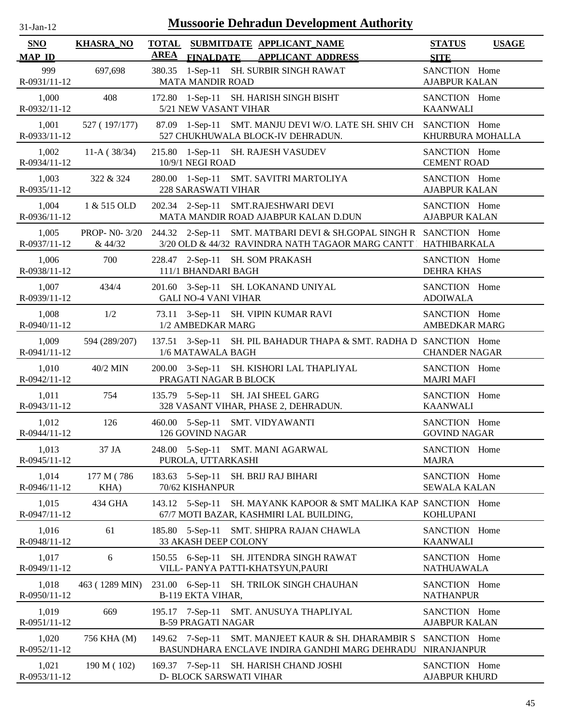| $31 - Jan - 12$ |  |
|-----------------|--|
|                 |  |

| SNO                   | <b>KHASRA_NO</b>   |             |                             | TOTAL SUBMITDATE APPLICANT NAME                                                                                                                  | <b>STATUS</b>                         | <b>USAGE</b> |
|-----------------------|--------------------|-------------|-----------------------------|--------------------------------------------------------------------------------------------------------------------------------------------------|---------------------------------------|--------------|
| <b>MAP ID</b>         |                    | <b>AREA</b> | <b>FINALDATE</b>            | <b>APPLICANT ADDRESS</b>                                                                                                                         | <b>SITE</b>                           |              |
| 999<br>R-0931/11-12   | 697,698            |             | <b>MATA MANDIR ROAD</b>     | 380.35 1-Sep-11 SH. SURBIR SINGH RAWAT                                                                                                           | SANCTION Home<br><b>AJABPUR KALAN</b> |              |
| 1,000<br>R-0932/11-12 | 408                |             | 5/21 NEW VASANT VIHAR       | 172.80 1-Sep-11 SH. HARISH SINGH BISHT                                                                                                           | SANCTION Home<br><b>KAANWALI</b>      |              |
| 1,001<br>R-0933/11-12 | 527 (197/177)      |             |                             | 87.09 1-Sep-11 SMT. MANJU DEVI W/O. LATE SH. SHIV CH SANCTION Home<br>527 CHUKHUWALA BLOCK-IV DEHRADUN.                                          | KHURBURA MOHALLA                      |              |
| 1,002<br>R-0934/11-12 | $11-A(38/34)$      |             | 10/9/1 NEGI ROAD            | 215.80 1-Sep-11 SH. RAJESH VASUDEV                                                                                                               | SANCTION Home<br><b>CEMENT ROAD</b>   |              |
| 1,003<br>R-0935/11-12 | 322 & 324          |             | <b>228 SARASWATI VIHAR</b>  | 280.00 1-Sep-11 SMT. SAVITRI MARTOLIYA                                                                                                           | SANCTION Home<br><b>AJABPUR KALAN</b> |              |
| 1,004<br>R-0936/11-12 | 1 & 515 OLD        |             |                             | 202.34 2-Sep-11 SMT.RAJESHWARI DEVI<br>MATA MANDIR ROAD AJABPUR KALAN D.DUN                                                                      | SANCTION Home<br><b>AJABPUR KALAN</b> |              |
| 1,005<br>R-0937/11-12 | & 44/32            |             |                             | PROP-N0-3/20 244.32 2-Sep-11 SMT. MATBARI DEVI & SH.GOPAL SINGH R SANCTION Home<br>3/20 OLD & 44/32 RAVINDRA NATH TAGAOR MARG CANTT HATHIBARKALA |                                       |              |
| 1,006<br>R-0938/11-12 | 700                |             | 111/1 BHANDARI BAGH         | 228.47 2-Sep-11 SH. SOM PRAKASH                                                                                                                  | SANCTION Home<br><b>DEHRA KHAS</b>    |              |
| 1,007<br>R-0939/11-12 | 434/4              |             | <b>GALI NO-4 VANI VIHAR</b> | 201.60 3-Sep-11 SH. LOKANAND UNIYAL                                                                                                              | SANCTION Home<br><b>ADOIWALA</b>      |              |
| 1,008<br>R-0940/11-12 | 1/2                |             | 1/2 AMBEDKAR MARG           | 73.11 3-Sep-11 SH. VIPIN KUMAR RAVI                                                                                                              | SANCTION Home<br><b>AMBEDKAR MARG</b> |              |
| 1,009<br>R-0941/11-12 | 594 (289/207)      |             | 1/6 MATAWALA BAGH           | 137.51 3-Sep-11 SH. PIL BAHADUR THAPA & SMT. RADHA D SANCTION Home                                                                               | <b>CHANDER NAGAR</b>                  |              |
| 1,010<br>R-0942/11-12 | 40/2 MIN           |             | PRAGATI NAGAR B BLOCK       | 200.00 3-Sep-11 SH. KISHORI LAL THAPLIYAL                                                                                                        | SANCTION Home<br><b>MAJRI MAFI</b>    |              |
| 1,011<br>R-0943/11-12 | 754                |             |                             | 135.79 5-Sep-11 SH. JAI SHEEL GARG<br>328 VASANT VIHAR, PHASE 2, DEHRADUN.                                                                       | SANCTION Home<br><b>KAANWALI</b>      |              |
| 1,012<br>R-0944/11-12 | 126                |             | 126 GOVIND NAGAR            | 460.00 5-Sep-11 SMT. VIDYAWANTI                                                                                                                  | SANCTION Home<br><b>GOVIND NAGAR</b>  |              |
| 1,013<br>R-0945/11-12 | 37 JA              |             | PUROLA, UTTARKASHI          | 248.00 5-Sep-11 SMT. MANI AGARWAL                                                                                                                | SANCTION Home<br><b>MAJRA</b>         |              |
| 1,014<br>R-0946/11-12 | 177 M (786<br>KHA) |             | 70/62 KISHANPUR             | 183.63 5-Sep-11 SH. BRIJ RAJ BIHARI                                                                                                              | SANCTION Home<br><b>SEWALA KALAN</b>  |              |
| 1,015<br>R-0947/11-12 | 434 GHA            |             | 143.12 5-Sep-11             | SH. MAYANK KAPOOR & SMT MALIKA KAP SANCTION Home<br>67/7 MOTI BAZAR, KASHMIRI LAL BUILDING,                                                      | <b>KOHLUPANI</b>                      |              |
| 1,016<br>R-0948/11-12 | 61                 |             | 33 AKASH DEEP COLONY        | 185.80 5-Sep-11 SMT. SHIPRA RAJAN CHAWLA                                                                                                         | SANCTION Home<br><b>KAANWALI</b>      |              |
| 1,017<br>R-0949/11-12 | 6                  |             |                             | 150.55 6-Sep-11 SH. JITENDRA SINGH RAWAT<br>VILL- PANYA PATTI-KHATSYUN, PAURI                                                                    | SANCTION Home<br><b>NATHUAWALA</b>    |              |
| 1,018<br>R-0950/11-12 | 463 (1289 MIN)     |             | <b>B-119 EKTA VIHAR,</b>    | 231.00 6-Sep-11 SH. TRILOK SINGH CHAUHAN                                                                                                         | SANCTION Home<br><b>NATHANPUR</b>     |              |
| 1,019<br>R-0951/11-12 | 669                |             | <b>B-59 PRAGATI NAGAR</b>   | 195.17 7-Sep-11 SMT. ANUSUYA THAPLIYAL                                                                                                           | SANCTION Home<br><b>AJABPUR KALAN</b> |              |
| 1,020<br>R-0952/11-12 | 756 KHA (M)        |             | 149.62 7-Sep-11             | SMT. MANJEET KAUR & SH. DHARAMBIR S<br>BASUNDHARA ENCLAVE INDIRA GANDHI MARG DEHRADU                                                             | SANCTION Home<br><b>NIRANJANPUR</b>   |              |
| 1,021<br>R-0953/11-12 | 190 M (102)        |             | D- BLOCK SARSWATI VIHAR     | 169.37 7-Sep-11 SH. HARISH CHAND JOSHI                                                                                                           | SANCTION Home<br><b>AJABPUR KHURD</b> |              |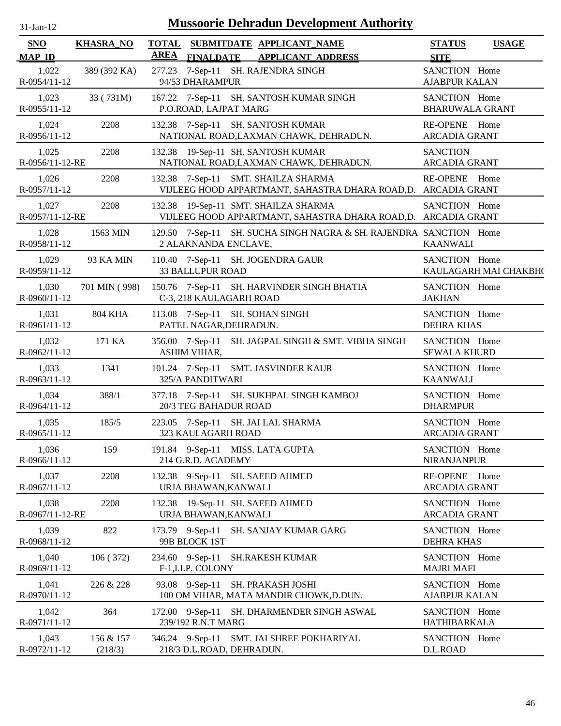| -.ian- |  |
|--------|--|
|        |  |

| SNO                      | <b>KHASRA_NO</b>     | <b>TOTAL</b> |                           | SUBMITDATE APPLICANT NAME                                                                             | <b>STATUS</b>                           | <b>USAGE</b>          |
|--------------------------|----------------------|--------------|---------------------------|-------------------------------------------------------------------------------------------------------|-----------------------------------------|-----------------------|
| <b>MAP ID</b>            |                      | <b>AREA</b>  |                           | FINALDATE APPLICANT ADDRESS                                                                           | <b>SITE</b>                             |                       |
| 1,022<br>R-0954/11-12    | 389 (392 KA)         |              | 94/53 DHARAMPUR           | 277.23 7-Sep-11 SH. RAJENDRA SINGH                                                                    | SANCTION Home<br><b>AJABPUR KALAN</b>   |                       |
| 1,023<br>$R-0955/11-12$  | 33 (731M)            |              | P.O.ROAD, LAJPAT MARG     | 167.22 7-Sep-11 SH. SANTOSH KUMAR SINGH                                                               | SANCTION Home<br><b>BHARUWALA GRANT</b> |                       |
| 1,024<br>R-0956/11-12    | 2208                 |              |                           | 132.38 7-Sep-11 SH. SANTOSH KUMAR<br>NATIONAL ROAD, LAXMAN CHAWK, DEHRADUN.                           | RE-OPENE Home<br><b>ARCADIA GRANT</b>   |                       |
| 1,025<br>R-0956/11-12-RE | 2208                 |              |                           | 132.38 19-Sep-11 SH. SANTOSH KUMAR<br>NATIONAL ROAD, LAXMAN CHAWK, DEHRADUN.                          | <b>SANCTION</b><br><b>ARCADIA GRANT</b> |                       |
| 1,026<br>R-0957/11-12    | 2208                 |              |                           | 132.38 7-Sep-11 SMT. SHAILZA SHARMA<br>VIJLEEG HOOD APPARTMANT, SAHASTRA DHARA ROAD,D. ARCADIA GRANT  | RE-OPENE Home                           |                       |
| 1,027<br>R-0957/11-12-RE | 2208                 |              |                           | 132.38 19-Sep-11 SMT. SHAILZA SHARMA<br>VIJLEEG HOOD APPARTMANT, SAHASTRA DHARA ROAD,D. ARCADIA GRANT | SANCTION Home                           |                       |
| 1,028<br>R-0958/11-12    | 1563 MIN             |              | 2 ALAKNANDA ENCLAVE,      | 129.50 7-Sep-11 SH. SUCHA SINGH NAGRA & SH. RAJENDRA SANCTION Home                                    | <b>KAANWALI</b>                         |                       |
| 1,029<br>R-0959/11-12    | 93 KA MIN            |              | <b>33 BALLUPUR ROAD</b>   | 110.40 7-Sep-11 SH. JOGENDRA GAUR                                                                     | SANCTION Home                           | KAULAGARH MAI CHAKBH( |
| 1,030<br>R-0960/11-12    | 701 MIN (998)        |              | C-3, 218 KAULAGARH ROAD   | 150.76 7-Sep-11 SH. HARVINDER SINGH BHATIA                                                            | SANCTION Home<br><b>JAKHAN</b>          |                       |
| 1,031<br>R-0961/11-12    | <b>804 KHA</b>       |              | PATEL NAGAR, DEHRADUN.    | 113.08 7-Sep-11 SH. SOHAN SINGH                                                                       | SANCTION Home<br><b>DEHRA KHAS</b>      |                       |
| 1,032<br>$R-0962/11-12$  | 171 KA               |              | ASHIM VIHAR,              | 356.00 7-Sep-11 SH. JAGPAL SINGH & SMT. VIBHA SINGH                                                   | SANCTION Home<br><b>SEWALA KHURD</b>    |                       |
| 1,033<br>R-0963/11-12    | 1341                 |              | 325/A PANDITWARI          | 101.24 7-Sep-11 SMT. JASVINDER KAUR                                                                   | SANCTION Home<br><b>KAANWALI</b>        |                       |
| 1,034<br>R-0964/11-12    | 388/1                |              | 20/3 TEG BAHADUR ROAD     | 377.18 7-Sep-11 SH. SUKHPAL SINGH KAMBOJ                                                              | SANCTION Home<br><b>DHARMPUR</b>        |                       |
| 1,035<br>$R-0965/11-12$  | 185/5                |              | 323 KAULAGARH ROAD        | 223.05 7-Sep-11 SH. JAI LAL SHARMA                                                                    | SANCTION Home<br><b>ARCADIA GRANT</b>   |                       |
| 1,036<br>R-0966/11-12    | 159                  |              | 214 G.R.D. ACADEMY        | 191.84 9-Sep-11 MISS. LATA GUPTA                                                                      | SANCTION Home<br><b>NIRANJANPUR</b>     |                       |
| 1,037<br>R-0967/11-12    | 2208                 |              | URJA BHAWAN, KANWALI      | 132.38 9-Sep-11 SH. SAEED AHMED                                                                       | RE-OPENE Home<br>ARCADIA GRANT          |                       |
| 1,038<br>R-0967/11-12-RE | 2208                 |              | URJA BHAWAN, KANWALI      | 132.38 19-Sep-11 SH. SAEED AHMED                                                                      | SANCTION Home<br>ARCADIA GRANT          |                       |
| 1,039<br>R-0968/11-12    | 822                  |              | 99B BLOCK 1ST             | 173.79 9-Sep-11 SH. SANJAY KUMAR GARG                                                                 | SANCTION Home<br><b>DEHRA KHAS</b>      |                       |
| 1,040<br>R-0969/11-12    | 106(372)             |              | F-1, I.I.P. COLONY        | 234.60 9-Sep-11 SH.RAKESH KUMAR                                                                       | SANCTION Home<br><b>MAJRI MAFI</b>      |                       |
| 1,041<br>R-0970/11-12    | 226 & 228            |              |                           | 93.08 9-Sep-11 SH. PRAKASH JOSHI<br>100 OM VIHAR, MATA MANDIR CHOWK, D.DUN.                           | SANCTION Home<br><b>AJABPUR KALAN</b>   |                       |
| 1,042<br>R-0971/11-12    | 364                  |              | 239/192 R.N.T MARG        | 172.00 9-Sep-11 SH. DHARMENDER SINGH ASWAL                                                            | SANCTION Home<br>HATHIBARKALA           |                       |
| 1,043<br>R-0972/11-12    | 156 & 157<br>(218/3) |              | 218/3 D.L.ROAD, DEHRADUN. | 346.24 9-Sep-11 SMT. JAI SHREE POKHARIYAL                                                             | SANCTION Home<br>D.L.ROAD               |                       |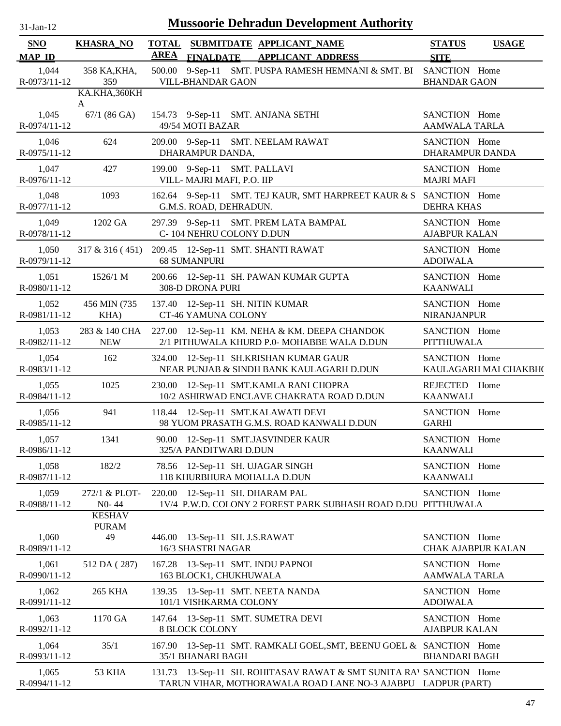| $31 - Jan - 12$ |  |
|-----------------|--|
|                 |  |

| <b>SNO</b><br><b>MAP ID</b>           | <b>KHASRA_NO</b>                     | <b>AREA</b> |                                                            | TOTAL SUBMITDATE APPLICANT NAME                                                                                                     | <b>STATUS</b>                         | <b>USAGE</b>          |
|---------------------------------------|--------------------------------------|-------------|------------------------------------------------------------|-------------------------------------------------------------------------------------------------------------------------------------|---------------------------------------|-----------------------|
| 1,044<br>R-0973/11-12                 | 358 KA, KHA,<br>359                  |             | <b>VILL-BHANDAR GAON</b>                                   | FINALDATE APPLICANT ADDRESS<br>500.00 9-Sep-11 SMT. PUSPA RAMESH HEMNANI & SMT. BI SANCTION Home                                    | <b>SITE</b><br><b>BHANDAR GAON</b>    |                       |
| 1,045<br>R-0974/11-12                 | KA.KHA, 360KH<br>A<br>$67/1$ (86 GA) |             | 49/54 MOTI BAZAR                                           | 154.73 9-Sep-11 SMT. ANJANA SETHI                                                                                                   | SANCTION Home<br><b>AAMWALA TARLA</b> |                       |
| 1,046<br>R-0975/11-12                 | 624                                  |             | DHARAMPUR DANDA,                                           | 209.00 9-Sep-11 SMT. NEELAM RAWAT                                                                                                   | SANCTION Home<br>DHARAMPUR DANDA      |                       |
| 1,047<br>R-0976/11-12                 | 427                                  |             | 199.00 9-Sep-11 SMT. PALLAVI<br>VILL- MAJRI MAFI, P.O. IIP |                                                                                                                                     | SANCTION Home<br><b>MAJRI MAFI</b>    |                       |
| 1,048<br>R-0977/11-12                 | 1093                                 |             | G.M.S. ROAD, DEHRADUN.                                     | 162.64 9-Sep-11 SMT. TEJ KAUR, SMT HARPREET KAUR & S SANCTION Home                                                                  | <b>DEHRA KHAS</b>                     |                       |
| 1,049<br>R-0978/11-12                 | 1202 GA                              |             | C-104 NEHRU COLONY D.DUN                                   | 297.39 9-Sep-11 SMT. PREM LATA BAMPAL                                                                                               | SANCTION Home<br><b>AJABPUR KALAN</b> |                       |
| 1,050<br>R-0979/11-12                 |                                      |             | <b>68 SUMANPURI</b>                                        | 317 & 316 (451) 209.45 12-Sep-11 SMT. SHANTI RAWAT                                                                                  | SANCTION Home<br><b>ADOIWALA</b>      |                       |
| 1,051<br>R-0980/11-12                 | 1526/1 M                             |             | 308-D DRONA PURI                                           | 200.66 12-Sep-11 SH. PAWAN KUMAR GUPTA                                                                                              | SANCTION Home<br><b>KAANWALI</b>      |                       |
| 1,052<br>R-0981/11-12                 | 456 MIN (735)<br>KHA)                |             | CT-46 YAMUNA COLONY                                        | 137.40 12-Sep-11 SH. NITIN KUMAR                                                                                                    | SANCTION Home<br><b>NIRANJANPUR</b>   |                       |
| 1,053<br>R-0982/11-12                 | 283 & 140 CHA<br><b>NEW</b>          |             |                                                            | 227.00 12-Sep-11 KM. NEHA & KM. DEEPA CHANDOK<br>2/1 PITHUWALA KHURD P.0- MOHABBE WALA D.DUN                                        | SANCTION Home<br><b>PITTHUWALA</b>    |                       |
| 1,054<br>R-0983/11-12                 | 162                                  |             |                                                            | 324.00 12-Sep-11 SH.KRISHAN KUMAR GAUR<br>NEAR PUNJAB & SINDH BANK KAULAGARH D.DUN                                                  | SANCTION Home                         | KAULAGARH MAI CHAKBH( |
| 1,055<br>R-0984/11-12                 | 1025                                 |             |                                                            | 230.00 12-Sep-11 SMT.KAMLA RANI CHOPRA<br>10/2 ASHIRWAD ENCLAVE CHAKRATA ROAD D.DUN                                                 | REJECTED Home<br><b>KAANWALI</b>      |                       |
| 1,056<br>R-0985/11-12                 | 941                                  |             |                                                            | 118.44 12-Sep-11 SMT.KALAWATI DEVI<br>98 YUOM PRASATH G.M.S. ROAD KANWALI D.DUN                                                     | SANCTION Home<br><b>GARHI</b>         |                       |
| 1,057<br>R-0986/11-12                 | 1341                                 |             | 325/A PANDITWARI D.DUN                                     | 90.00 12-Sep-11 SMT.JASVINDER KAUR                                                                                                  | SANCTION Home<br><b>KAANWALI</b>      |                       |
| 1,058<br>R-0987/11-12                 | 182/2                                |             |                                                            | 78.56 12-Sep-11 SH. UJAGAR SINGH<br>118 KHURBHURA MOHALLA D.DUN                                                                     | SANCTION Home<br><b>KAANWALI</b>      |                       |
| 1,059<br>R-0988/11-12                 | 272/1 & PLOT-<br>$N0 - 44$           |             |                                                            | 220.00 12-Sep-11 SH. DHARAM PAL<br>1V/4 P.W.D. COLONY 2 FOREST PARK SUBHASH ROAD D.DU PITTHUWALA                                    | SANCTION Home                         |                       |
| 1,060                                 | <b>KESHAV</b><br><b>PURAM</b><br>49  |             | 446.00 13-Sep-11 SH. J.S.RAWAT                             |                                                                                                                                     | SANCTION Home                         |                       |
| R-0989/11-12<br>1,061<br>R-0990/11-12 | 512 DA (287)                         |             | 16/3 SHASTRI NAGAR<br>163 BLOCK1, CHUKHUWALA               | 167.28 13-Sep-11 SMT. INDU PAPNOI                                                                                                   | SANCTION Home<br><b>AAMWALA TARLA</b> | CHAK AJABPUR KALAN    |
| 1,062<br>R-0991/11-12                 | <b>265 KHA</b>                       |             | 101/1 VISHKARMA COLONY                                     | 139.35 13-Sep-11 SMT. NEETA NANDA                                                                                                   | SANCTION Home<br><b>ADOIWALA</b>      |                       |
| 1,063<br>R-0992/11-12                 | 1170 GA                              |             | <b>8 BLOCK COLONY</b>                                      | 147.64 13-Sep-11 SMT. SUMETRA DEVI                                                                                                  | SANCTION Home<br><b>AJABPUR KALAN</b> |                       |
| 1,064<br>R-0993/11-12                 | 35/1                                 |             | 35/1 BHANARI BAGH                                          | 167.90 13-Sep-11 SMT. RAMKALI GOEL, SMT, BEENU GOEL & SANCTION Home                                                                 | <b>BHANDARI BAGH</b>                  |                       |
| 1,065<br>R-0994/11-12                 | 53 KHA                               |             |                                                            | 131.73 13-Sep-11 SH. ROHITASAV RAWAT & SMT SUNITA RAY SANCTION Home<br>TARUN VIHAR, MOTHORAWALA ROAD LANE NO-3 AJABPU LADPUR (PART) |                                       |                       |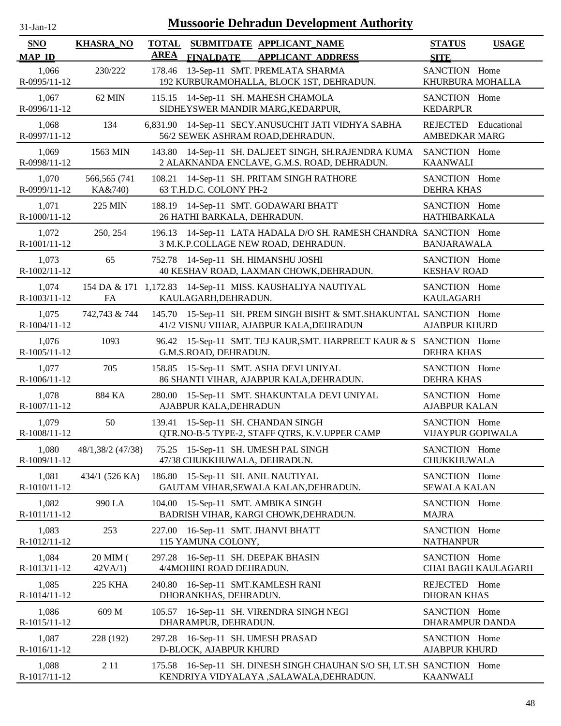| $31$ -Jan-12 |  |
|--------------|--|
|              |  |

| <b>SNO</b>              | <b>KHASRA_NO</b>         | <b>TOTAL</b> | SUBMITDATE APPLICANT_NAME                                                                                        | <b>USAGE</b><br><b>STATUS</b>                |
|-------------------------|--------------------------|--------------|------------------------------------------------------------------------------------------------------------------|----------------------------------------------|
| <b>MAP ID</b>           |                          | <b>AREA</b>  | <b>FINALDATE</b><br><b>APPLICANT ADDRESS</b>                                                                     | <b>SITE</b>                                  |
| 1,066<br>R-0995/11-12   | 230/222                  | 178.46       | 13-Sep-11 SMT. PREMLATA SHARMA<br>192 KURBURAMOHALLA, BLOCK 1ST, DEHRADUN.                                       | SANCTION Home<br>KHURBURA MOHALLA            |
| 1,067<br>R-0996/11-12   | 62 MIN                   |              | 115.15 14-Sep-11 SH. MAHESH CHAMOLA<br>SIDHEYSWER MANDIR MARG, KEDARPUR,                                         | SANCTION Home<br><b>KEDARPUR</b>             |
| 1,068<br>R-0997/11-12   | 134                      | 6,831.90     | 14-Sep-11 SECY.ANUSUCHIT JATI VIDHYA SABHA<br>56/2 SEWEK ASHRAM ROAD, DEHRADUN.                                  | REJECTED Educational<br><b>AMBEDKAR MARG</b> |
| 1,069<br>R-0998/11-12   | 1563 MIN                 | 143.80       | 14-Sep-11 SH. DALJEET SINGH, SH.RAJENDRA KUMA<br>2 ALAKNANDA ENCLAVE, G.M.S. ROAD, DEHRADUN.                     | SANCTION Home<br><b>KAANWALI</b>             |
| 1,070<br>R-0999/11-12   | 566,565 (741)<br>KA&740) | 108.21       | 14-Sep-11 SH. PRITAM SINGH RATHORE<br>63 T.H.D.C. COLONY PH-2                                                    | SANCTION Home<br><b>DEHRA KHAS</b>           |
| 1,071<br>R-1000/11-12   | 225 MIN                  | 188.19       | 14-Sep-11 SMT. GODAWARI BHATT<br>26 HATHI BARKALA, DEHRADUN.                                                     | SANCTION Home<br><b>HATHIBARKALA</b>         |
| 1,072<br>R-1001/11-12   | 250, 254                 | 196.13       | 14-Sep-11 LATA HADALA D/O SH. RAMESH CHANDRA SANCTION Home<br>3 M.K.P.COLLAGE NEW ROAD, DEHRADUN.                | <b>BANJARAWALA</b>                           |
| 1,073<br>R-1002/11-12   | 65                       |              | 752.78 14-Sep-11 SH. HIMANSHU JOSHI<br>40 KESHAV ROAD, LAXMAN CHOWK, DEHRADUN.                                   | SANCTION Home<br><b>KESHAV ROAD</b>          |
| 1,074<br>R-1003/11-12   | FA                       |              | 154 DA & 171 1,172.83 14-Sep-11 MISS. KAUSHALIYA NAUTIYAL<br>KAULAGARH, DEHRADUN.                                | SANCTION Home<br><b>KAULAGARH</b>            |
| 1,075<br>R-1004/11-12   | 742,743 & 744            |              | 145.70 15-Sep-11 SH. PREM SINGH BISHT & SMT. SHAKUNTAL SANCTION Home<br>41/2 VISNU VIHAR, AJABPUR KALA, DEHRADUN | <b>AJABPUR KHURD</b>                         |
| 1,076<br>$R-1005/11-12$ | 1093                     | 96.42        | 15-Sep-11 SMT. TEJ KAUR, SMT. HARPREET KAUR & S SANCTION Home<br>G.M.S.ROAD, DEHRADUN.                           | <b>DEHRA KHAS</b>                            |
| 1,077<br>R-1006/11-12   | 705                      |              | 158.85 15-Sep-11 SMT. ASHA DEVI UNIYAL<br>86 SHANTI VIHAR, AJABPUR KALA, DEHRADUN.                               | SANCTION Home<br><b>DEHRA KHAS</b>           |
| 1,078<br>R-1007/11-12   | 884 KA                   | 280.00       | 15-Sep-11 SMT. SHAKUNTALA DEVI UNIYAL<br>AJABPUR KALA, DEHRADUN                                                  | SANCTION Home<br><b>AJABPUR KALAN</b>        |
| 1,079<br>R-1008/11-12   | 50                       | 139.41       | 15-Sep-11 SH. CHANDAN SINGH<br>QTR.NO-B-5 TYPE-2, STAFF QTRS, K.V.UPPER CAMP                                     | SANCTION Home<br>VIJAYPUR GOPIWALA           |
| 1,080<br>R-1009/11-12   | 48/1,38/2 (47/38)        |              | 75.25 15-Sep-11 SH. UMESH PAL SINGH<br>47/38 CHUKKHUWALA, DEHRADUN.                                              | SANCTION Home<br>CHUKKHUWALA                 |
| 1,081<br>R-1010/11-12   | 434/1 (526 KA)           | 186.80       | 15-Sep-11 SH. ANIL NAUTIYAL<br>GAUTAM VIHAR, SEWALA KALAN, DEHRADUN.                                             | SANCTION Home<br><b>SEWALA KALAN</b>         |
| 1,082<br>R-1011/11-12   | 990 LA                   | 104.00       | 15-Sep-11 SMT. AMBIKA SINGH<br>BADRISH VIHAR, KARGI CHOWK, DEHRADUN.                                             | SANCTION Home<br><b>MAJRA</b>                |
| 1,083<br>R-1012/11-12   | 253                      | 227.00       | 16-Sep-11 SMT. JHANVI BHATT<br>115 YAMUNA COLONY,                                                                | SANCTION Home<br><b>NATHANPUR</b>            |
| 1,084<br>R-1013/11-12   | 20 MIM (<br>42VA/1       | 297.28       | 16-Sep-11 SH. DEEPAK BHASIN<br>4/4MOHINI ROAD DEHRADUN.                                                          | SANCTION Home<br>CHAI BAGH KAULAGARH         |
| 1,085<br>R-1014/11-12   | 225 KHA                  | 240.80       | 16-Sep-11 SMT.KAMLESH RANI<br>DHORANKHAS, DEHRADUN.                                                              | REJECTED Home<br><b>DHORAN KHAS</b>          |
| 1,086<br>R-1015/11-12   | 609 M                    |              | 105.57 16-Sep-11 SH. VIRENDRA SINGH NEGI<br>DHARAMPUR, DEHRADUN.                                                 | SANCTION Home<br>DHARAMPUR DANDA             |
| 1,087<br>R-1016/11-12   | 228 (192)                | 297.28       | 16-Sep-11 SH. UMESH PRASAD<br>D-BLOCK, AJABPUR KHURD                                                             | SANCTION Home<br><b>AJABPUR KHURD</b>        |
| 1,088<br>R-1017/11-12   | 2 1 1                    |              | 175.58 16-Sep-11 SH. DINESH SINGH CHAUHAN S/O SH, LT.SH SANCTION Home<br>KENDRIYA VIDYALAYA ,SALAWALA,DEHRADUN.  | <b>KAANWALI</b>                              |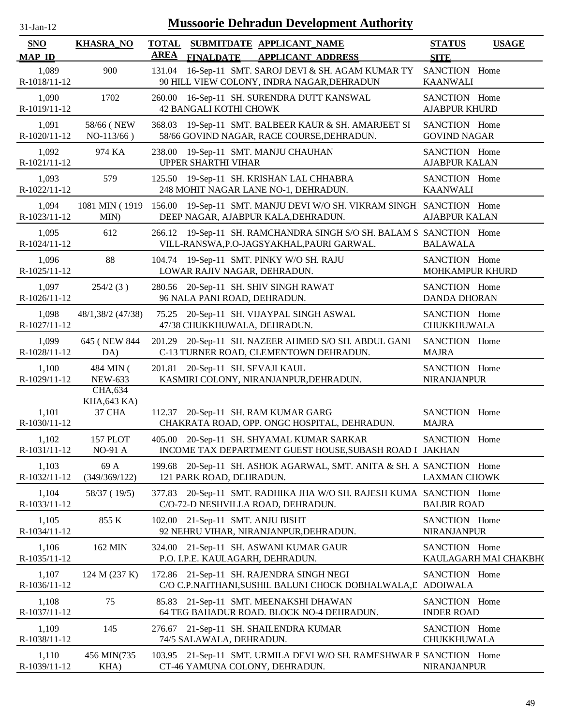| $31$ -Jan-12                | <b>Mussoorie Dehradun Development Authority</b> |                             |                                                                                                                   |                                       |                       |  |  |  |  |
|-----------------------------|-------------------------------------------------|-----------------------------|-------------------------------------------------------------------------------------------------------------------|---------------------------------------|-----------------------|--|--|--|--|
| <b>SNO</b><br><b>MAP ID</b> | <b>KHASRA_NO</b>                                | <b>TOTAL</b><br><b>AREA</b> | SUBMITDATE APPLICANT_NAME<br><b>FINALDATE</b><br><b>APPLICANT ADDRESS</b>                                         | <b>STATUS</b><br><b>SITE</b>          | <b>USAGE</b>          |  |  |  |  |
| 1,089<br>R-1018/11-12       | 900                                             | 131.04                      | 16-Sep-11 SMT. SAROJ DEVI & SH. AGAM KUMAR TY<br>90 HILL VIEW COLONY, INDRA NAGAR, DEHRADUN                       | SANCTION Home<br><b>KAANWALI</b>      |                       |  |  |  |  |
| 1,090<br>R-1019/11-12       | 1702                                            |                             | 260.00 16-Sep-11 SH. SURENDRA DUTT KANSWAL<br><b>42 BANGALI KOTHI CHOWK</b>                                       | SANCTION Home<br><b>AJABPUR KHURD</b> |                       |  |  |  |  |
| 1,091<br>R-1020/11-12       | 58/66 (NEW<br>$NO-113/66$ )                     |                             | 368.03 19-Sep-11 SMT. BALBEER KAUR & SH. AMARJEET SI<br>58/66 GOVIND NAGAR, RACE COURSE, DEHRADUN.                | SANCTION Home<br><b>GOVIND NAGAR</b>  |                       |  |  |  |  |
| 1,092<br>R-1021/11-12       | 974 KA                                          | 238.00                      | 19-Sep-11 SMT. MANJU CHAUHAN<br><b>UPPER SHARTHI VIHAR</b>                                                        | SANCTION Home<br><b>AJABPUR KALAN</b> |                       |  |  |  |  |
| 1,093<br>R-1022/11-12       | 579                                             |                             | 125.50 19-Sep-11 SH. KRISHAN LAL CHHABRA<br>248 MOHIT NAGAR LANE NO-1, DEHRADUN.                                  | SANCTION Home<br><b>KAANWALI</b>      |                       |  |  |  |  |
| 1,094<br>R-1023/11-12       | 1081 MIN (1919<br>MIN)                          | 156.00                      | 19-Sep-11 SMT. MANJU DEVI W/O SH. VIKRAM SINGH SANCTION Home<br>DEEP NAGAR, AJABPUR KALA, DEHRADUN.               | <b>AJABPUR KALAN</b>                  |                       |  |  |  |  |
| 1,095<br>R-1024/11-12       | 612                                             |                             | 266.12 19-Sep-11 SH. RAMCHANDRA SINGH S/O SH. BALAM S SANCTION Home<br>VILL-RANSWA, P.O-JAGSYAKHAL, PAURI GARWAL. | <b>BALAWALA</b>                       |                       |  |  |  |  |
| 1,096<br>R-1025/11-12       | 88                                              |                             | 104.74 19-Sep-11 SMT. PINKY W/O SH. RAJU<br>LOWAR RAJIV NAGAR, DEHRADUN.                                          | SANCTION Home<br>MOHKAMPUR KHURD      |                       |  |  |  |  |
| 1,097<br>$R-1026/11-12$     | 254/2(3)                                        |                             | 280.56 20-Sep-11 SH. SHIV SINGH RAWAT<br>96 NALA PANI ROAD, DEHRADUN.                                             | SANCTION Home<br><b>DANDA DHORAN</b>  |                       |  |  |  |  |
| 1,098<br>R-1027/11-12       | 48/1,38/2 (47/38)                               |                             | 75.25 20-Sep-11 SH. VIJAYPAL SINGH ASWAL<br>47/38 CHUKKHUWALA, DEHRADUN.                                          | SANCTION Home<br>CHUKKHUWALA          |                       |  |  |  |  |
| 1,099<br>R-1028/11-12       | 645 (NEW 844<br>DA)                             |                             | 201.29 20-Sep-11 SH. NAZEER AHMED S/O SH. ABDUL GANI<br>C-13 TURNER ROAD, CLEMENTOWN DEHRADUN.                    | SANCTION Home<br><b>MAJRA</b>         |                       |  |  |  |  |
| 1,100<br>R-1029/11-12       | 484 MIN (<br><b>NEW-633</b><br>CHA,634          |                             | 201.81 20-Sep-11 SH. SEVAJI KAUL<br>KASMIRI COLONY, NIRANJANPUR, DEHRADUN.                                        | SANCTION Home<br><b>NIRANJANPUR</b>   |                       |  |  |  |  |
| 1,101<br>R-1030/11-12       | KHA, 643 KA)<br>37 CHA                          |                             | 112.37 20-Sep-11 SH. RAM KUMAR GARG<br>CHAKRATA ROAD, OPP. ONGC HOSPITAL, DEHRADUN.                               | SANCTION Home<br><b>MAJRA</b>         |                       |  |  |  |  |
| 1,102<br>R-1031/11-12       | 157 PLOT<br><b>NO-91 A</b>                      |                             | 405.00 20-Sep-11 SH. SHYAMAL KUMAR SARKAR<br>INCOME TAX DEPARTMENT GUEST HOUSE, SUBASH ROAD I JAKHAN              | SANCTION Home                         |                       |  |  |  |  |
| 1,103<br>R-1032/11-12       | 69 A<br>(349/369/122)                           |                             | 199.68 20-Sep-11 SH. ASHOK AGARWAL, SMT. ANITA & SH. A SANCTION Home<br>121 PARK ROAD, DEHRADUN.                  | <b>LAXMAN CHOWK</b>                   |                       |  |  |  |  |
| 1,104<br>R-1033/11-12       | 58/37 (19/5)                                    |                             | 377.83 20-Sep-11 SMT. RADHIKA JHA W/O SH. RAJESH KUMA SANCTION Home<br>C/O-72-D NESHVILLA ROAD, DEHRADUN.         | <b>BALBIR ROAD</b>                    |                       |  |  |  |  |
| 1,105<br>R-1034/11-12       | 855 K                                           |                             | 102.00 21-Sep-11 SMT. ANJU BISHT<br>92 NEHRU VIHAR, NIRANJANPUR, DEHRADUN.                                        | SANCTION Home<br><b>NIRANJANPUR</b>   |                       |  |  |  |  |
| 1,106<br>R-1035/11-12       | 162 MIN                                         |                             | 324.00 21-Sep-11 SH. ASWANI KUMAR GAUR<br>P.O. I.P.E. KAULAGARH, DEHRADUN.                                        | SANCTION Home                         | KAULAGARH MAI CHAKBH( |  |  |  |  |
| 1,107<br>R-1036/11-12       | 124 M (237 K)                                   | 172.86                      | 21-Sep-11 SH. RAJENDRA SINGH NEGI<br>C/O C.P.NAITHANI, SUSHIL BALUNI CHOCK DOBHALWALA, L ADOIWALA                 | SANCTION Home                         |                       |  |  |  |  |
| 1,108<br>R-1037/11-12       | 75                                              |                             | 85.83 21-Sep-11 SMT. MEENAKSHI DHAWAN<br>64 TEG BAHADUR ROAD. BLOCK NO-4 DEHRADUN.                                | SANCTION Home<br><b>INDER ROAD</b>    |                       |  |  |  |  |
| 1,109<br>R-1038/11-12       | 145                                             |                             | 276.67 21-Sep-11 SH. SHAILENDRA KUMAR<br>74/5 SALAWALA, DEHRADUN.                                                 | SANCTION Home<br>CHUKKHUWALA          |                       |  |  |  |  |
| 1,110<br>R-1039/11-12       | 456 MIN(735<br>KHA)                             |                             | 103.95 21-Sep-11 SMT. URMILA DEVI W/O SH. RAMESHWAR P SANCTION Home<br>CT-46 YAMUNA COLONY, DEHRADUN.             | NIRANJANPUR                           |                       |  |  |  |  |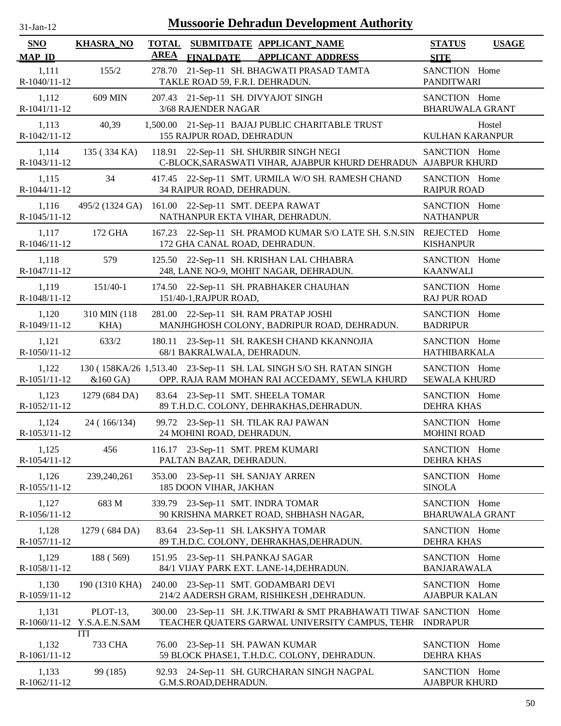| $31$ -Jan-12          |                                        |                             | <b>Mussoorie Dehradun Development Authority</b>                                                                          |                                         |              |
|-----------------------|----------------------------------------|-----------------------------|--------------------------------------------------------------------------------------------------------------------------|-----------------------------------------|--------------|
| SNO<br><b>MAP ID</b>  | <b>KHASRA_NO</b>                       | <b>TOTAL</b><br><b>AREA</b> | SUBMITDATE APPLICANT_NAME<br>FINALDATE APPLICANT ADDRESS                                                                 | <b>STATUS</b><br><b>SITE</b>            | <b>USAGE</b> |
| 1,111<br>R-1040/11-12 | 155/2                                  | 278.70                      | 21-Sep-11 SH. BHAGWATI PRASAD TAMTA<br>TAKLE ROAD 59, F.R.I. DEHRADUN.                                                   | SANCTION Home<br><b>PANDITWARI</b>      |              |
| 1,112<br>R-1041/11-12 | 609 MIN                                |                             | 207.43 21-Sep-11 SH. DIVYAJOT SINGH<br>3/68 RAJENDER NAGAR                                                               | SANCTION Home<br><b>BHARUWALA GRANT</b> |              |
| 1,113<br>R-1042/11-12 | 40,39                                  |                             | 1,500.00 21-Sep-11 BAJAJ PUBLIC CHARITABLE TRUST<br>155 RAJPUR ROAD, DEHRADUN                                            | <b>KULHAN KARANPUR</b>                  | Hostel       |
| 1,114<br>R-1043/11-12 | 135 (334 KA)                           | 118.91                      | 22-Sep-11 SH. SHURBIR SINGH NEGI<br>C-BLOCK, SARASWATI VIHAR, AJABPUR KHURD DEHRADUN AJABPUR KHURD                       | SANCTION Home                           |              |
| 1,115<br>R-1044/11-12 | 34                                     |                             | 417.45 22-Sep-11 SMT. URMILA W/O SH. RAMESH CHAND<br>34 RAIPUR ROAD, DEHRADUN.                                           | SANCTION Home<br><b>RAIPUR ROAD</b>     |              |
| 1,116<br>R-1045/11-12 | 495/2 (1324 GA)                        |                             | 161.00 22-Sep-11 SMT. DEEPA RAWAT<br>NATHANPUR EKTA VIHAR, DEHRADUN.                                                     | SANCTION Home<br><b>NATHANPUR</b>       |              |
| 1,117<br>R-1046/11-12 | 172 GHA                                |                             | 167.23 22-Sep-11 SH. PRAMOD KUMAR S/O LATE SH. S.N.SIN<br>172 GHA CANAL ROAD, DEHRADUN.                                  | REJECTED Home<br><b>KISHANPUR</b>       |              |
| 1,118<br>R-1047/11-12 | 579                                    | 125.50                      | 22-Sep-11 SH. KRISHAN LAL CHHABRA<br>248, LANE NO-9, MOHIT NAGAR, DEHRADUN.                                              | SANCTION Home<br><b>KAANWALI</b>        |              |
| 1,119<br>R-1048/11-12 | $151/40-1$                             |                             | 174.50 22-Sep-11 SH. PRABHAKER CHAUHAN<br>151/40-1, RAJPUR ROAD,                                                         | SANCTION Home<br><b>RAJ PUR ROAD</b>    |              |
| 1,120<br>R-1049/11-12 | 310 MIN (118)<br>KHA)                  |                             | 281.00 22-Sep-11 SH. RAM PRATAP JOSHI<br>MANJHGHOSH COLONY, BADRIPUR ROAD, DEHRADUN.                                     | SANCTION Home<br><b>BADRIPUR</b>        |              |
| 1,121<br>R-1050/11-12 | 633/2                                  | 180.11                      | 23-Sep-11 SH. RAKESH CHAND KKANNOJIA<br>68/1 BAKRALWALA, DEHRADUN.                                                       | SANCTION Home<br><b>HATHIBARKALA</b>    |              |
| 1,122<br>R-1051/11-12 | $&160$ GA)                             |                             | 130 (158KA/26 1,513.40 23-Sep-11 SH. LAL SINGH S/O SH. RATAN SINGH<br>OPP. RAJA RAM MOHAN RAI ACCEDAMY, SEWLA KHURD      | SANCTION Home<br><b>SEWALA KHURD</b>    |              |
| 1,123<br>R-1052/11-12 | 1279 (684 DA)                          |                             | 83.64 23-Sep-11 SMT. SHEELA TOMAR<br>89 T.H.D.C. COLONY, DEHRAKHAS, DEHRADUN.                                            | SANCTION Home<br><b>DEHRA KHAS</b>      |              |
| 1,124<br>R-1053/11-12 | 24 (166/134)                           |                             | 99.72 23-Sep-11 SH. TILAK RAJ PAWAN<br>24 MOHINI ROAD, DEHRADUN.                                                         | SANCTION Home<br><b>MOHINI ROAD</b>     |              |
| 1,125<br>R-1054/11-12 | 456                                    |                             | 116.17 23-Sep-11 SMT. PREM KUMARI<br>PALTAN BAZAR, DEHRADUN.                                                             | SANCTION Home<br><b>DEHRA KHAS</b>      |              |
| 1,126<br>R-1055/11-12 | 239,240,261                            |                             | 353.00 23-Sep-11 SH. SANJAY ARREN<br>185 DOON VIHAR, JAKHAN                                                              | SANCTION Home<br><b>SINOLA</b>          |              |
| 1,127<br>R-1056/11-12 | 683 M                                  |                             | 339.79 23-Sep-11 SMT. INDRA TOMAR<br>90 KRISHNA MARKET ROAD, SHBHASH NAGAR,                                              | SANCTION Home<br><b>BHARUWALA GRANT</b> |              |
| 1,128<br>R-1057/11-12 | 1279 (684 DA)                          |                             | 83.64 23-Sep-11 SH. LAKSHYA TOMAR<br>89 T.H.D.C. COLONY, DEHRAKHAS, DEHRADUN.                                            | SANCTION Home<br><b>DEHRA KHAS</b>      |              |
| 1,129<br>R-1058/11-12 | 188 (569)                              |                             | 151.95 23-Sep-11 SH.PANKAJ SAGAR<br>84/1 VIJAY PARK EXT. LANE-14, DEHRADUN.                                              | SANCTION Home<br><b>BANJARAWALA</b>     |              |
| 1,130<br>R-1059/11-12 | 190 (1310 KHA)                         |                             | 240.00 23-Sep-11 SMT. GODAMBARI DEVI<br>214/2 AADERSH GRAM, RISHIKESH ,DEHRADUN.                                         | SANCTION Home<br><b>AJABPUR KALAN</b>   |              |
| 1,131                 | PLOT-13,<br>R-1060/11-12 Y.S.A.E.N.SAM | 300.00                      | 23-Sep-11 SH. J.K.TIWARI & SMT PRABHAWATI TIWAF SANCTION Home<br>TEACHER QUATERS GARWAL UNIVERSITY CAMPUS, TEHR INDRAPUR |                                         |              |
| 1,132<br>R-1061/11-12 | ITI<br>733 CHA                         | 76.00                       | 23-Sep-11 SH. PAWAN KUMAR<br>59 BLOCK PHASE1, T.H.D.C. COLONY, DEHRADUN.                                                 | SANCTION Home<br><b>DEHRA KHAS</b>      |              |
| 1,133<br>R-1062/11-12 | 99 (185)                               |                             | 92.93 24-Sep-11 SH. GURCHARAN SINGH NAGPAL<br>G.M.S.ROAD, DEHRADUN.                                                      | SANCTION Home<br><b>AJABPUR KHURD</b>   |              |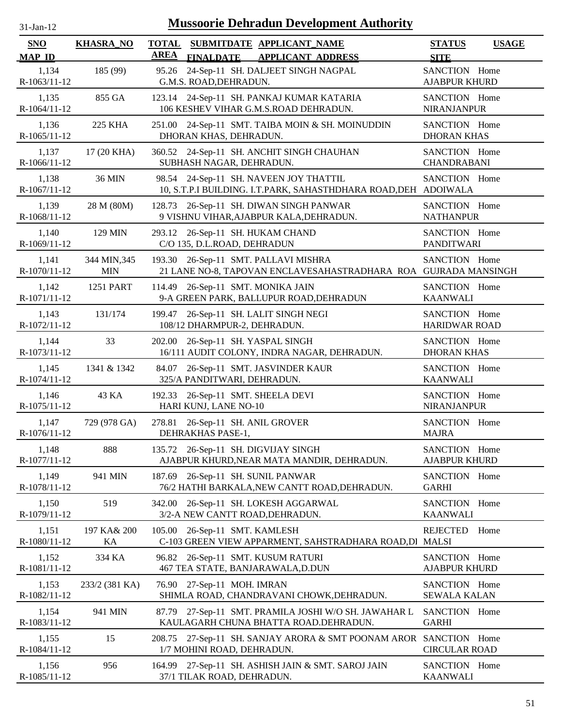| -jan- |  |
|-------|--|

| SNO<br><b>MAP ID</b>    | <b>KHASRA_NO</b>           | <b>TOTAL</b><br><b>AREA</b><br><b>FINALDATE</b>            | SUBMITDATE APPLICANT NAME<br><b>APPLICANT ADDRESS</b>                                                     | <b>STATUS</b><br><b>SITE</b>          | <b>USAGE</b> |
|-------------------------|----------------------------|------------------------------------------------------------|-----------------------------------------------------------------------------------------------------------|---------------------------------------|--------------|
| 1,134<br>R-1063/11-12   | 185 (99)                   | 95.26<br>G.M.S. ROAD, DEHRADUN.                            | 24-Sep-11 SH. DALJEET SINGH NAGPAL                                                                        | SANCTION Home<br><b>AJABPUR KHURD</b> |              |
| 1,135<br>$R-1064/11-12$ | 855 GA                     |                                                            | 123.14 24-Sep-11 SH. PANKAJ KUMAR KATARIA<br>106 KESHEV VIHAR G.M.S.ROAD DEHRADUN.                        | SANCTION Home<br><b>NIRANJANPUR</b>   |              |
| 1,136<br>R-1065/11-12   | 225 KHA                    | DHORAN KHAS, DEHRADUN.                                     | 251.00 24-Sep-11 SMT. TAIBA MOIN & SH. MOINUDDIN                                                          | SANCTION Home<br><b>DHORAN KHAS</b>   |              |
| 1,137<br>R-1066/11-12   | 17 (20 KHA)                | SUBHASH NAGAR, DEHRADUN.                                   | 360.52 24-Sep-11 SH. ANCHIT SINGH CHAUHAN                                                                 | SANCTION Home<br><b>CHANDRABANI</b>   |              |
| 1,138<br>R-1067/11-12   | <b>36 MIN</b>              |                                                            | 98.54 24-Sep-11 SH. NAVEEN JOY THATTIL<br>10, S.T.P.I BUILDING. I.T.PARK, SAHASTHDHARA ROAD, DEH ADOIWALA | SANCTION Home                         |              |
| 1,139<br>R-1068/11-12   | 28 M (80M)                 |                                                            | 128.73 26-Sep-11 SH. DIWAN SINGH PANWAR<br>9 VISHNU VIHAR, AJABPUR KALA, DEHRADUN.                        | SANCTION Home<br><b>NATHANPUR</b>     |              |
| 1,140<br>R-1069/11-12   | 129 MIN                    | 293.12<br>C/O 135, D.L.ROAD, DEHRADUN                      | 26-Sep-11 SH. HUKAM CHAND                                                                                 | SANCTION Home<br><b>PANDITWARI</b>    |              |
| 1,141<br>R-1070/11-12   | 344 MIN, 345<br><b>MIN</b> |                                                            | 193.30 26-Sep-11 SMT. PALLAVI MISHRA<br>21 LANE NO-8, TAPOVAN ENCLAVESAHASTRADHARA ROA GUJRADA MANSINGH   | SANCTION Home                         |              |
| 1,142<br>R-1071/11-12   | 1251 PART                  | 114.49 26-Sep-11 SMT. MONIKA JAIN                          | 9-A GREEN PARK, BALLUPUR ROAD, DEHRADUN                                                                   | SANCTION Home<br><b>KAANWALI</b>      |              |
| 1,143<br>R-1072/11-12   | 131/174                    | 108/12 DHARMPUR-2, DEHRADUN.                               | 199.47 26-Sep-11 SH. LALIT SINGH NEGI                                                                     | SANCTION Home<br><b>HARIDWAR ROAD</b> |              |
| 1,144<br>R-1073/11-12   | 33                         | 202.00 26-Sep-11 SH. YASPAL SINGH                          | 16/111 AUDIT COLONY, INDRA NAGAR, DEHRADUN.                                                               | SANCTION Home<br><b>DHORAN KHAS</b>   |              |
| 1,145<br>R-1074/11-12   | 1341 & 1342                | 84.07<br>325/A PANDITWARI, DEHRADUN.                       | 26-Sep-11 SMT. JASVINDER KAUR                                                                             | SANCTION Home<br><b>KAANWALI</b>      |              |
| 1,146<br>R-1075/11-12   | 43 KA                      | 192.33 26-Sep-11 SMT. SHEELA DEVI<br>HARI KUNJ, LANE NO-10 |                                                                                                           | SANCTION Home<br><b>NIRANJANPUR</b>   |              |
| 1,147<br>R-1076/11-12   | 729 (978 GA)               | 278.81 26-Sep-11 SH. ANIL GROVER<br>DEHRAKHAS PASE-1,      |                                                                                                           | SANCTION Home<br><b>MAJRA</b>         |              |
| 1,148<br>R-1077/11-12   | 888                        | 135.72 26-Sep-11 SH. DIGVIJAY SINGH                        | AJABPUR KHURD, NEAR MATA MANDIR, DEHRADUN.                                                                | SANCTION Home<br><b>AJABPUR KHURD</b> |              |
| 1,149<br>R-1078/11-12   | 941 MIN                    | 187.69 26-Sep-11 SH. SUNIL PANWAR                          | 76/2 HATHI BARKALA, NEW CANTT ROAD, DEHRADUN.                                                             | SANCTION Home<br><b>GARHI</b>         |              |
| 1,150<br>R-1079/11-12   | 519                        | 342.00                                                     | 26-Sep-11 SH. LOKESH AGGARWAL<br>3/2-A NEW CANTT ROAD, DEHRADUN.                                          | SANCTION Home<br><b>KAANWALI</b>      |              |
| 1,151<br>R-1080/11-12   | 197 KA& 200<br>KA          | 105.00                                                     | 26-Sep-11 SMT. KAMLESH<br>C-103 GREEN VIEW APPARMENT, SAHSTRADHARA ROAD,DI                                | <b>REJECTED</b><br><b>MALSI</b>       | Home         |
| 1,152<br>R-1081/11-12   | 334 KA                     | 96.82                                                      | 26-Sep-11 SMT. KUSUM RATURI<br>467 TEA STATE, BANJARAWALA, D.DUN                                          | SANCTION Home<br><b>AJABPUR KHURD</b> |              |
| 1,153<br>R-1082/11-12   | 233/2 (381 KA)             | 76.90 27-Sep-11 MOH. IMRAN                                 | SHIMLA ROAD, CHANDRAVANI CHOWK, DEHRADUN.                                                                 | SANCTION Home<br><b>SEWALA KALAN</b>  |              |
| 1,154<br>R-1083/11-12   | 941 MIN                    |                                                            | 87.79 27-Sep-11 SMT. PRAMILA JOSHI W/O SH. JAWAHAR L<br>KAULAGARH CHUNA BHATTA ROAD.DEHRADUN.             | SANCTION Home<br><b>GARHI</b>         |              |
| 1,155<br>R-1084/11-12   | 15                         | 208.75<br>1/7 MOHINI ROAD, DEHRADUN.                       | 27-Sep-11 SH. SANJAY ARORA & SMT POONAM AROR SANCTION Home                                                | <b>CIRCULAR ROAD</b>                  |              |
| 1,156<br>R-1085/11-12   | 956                        | 37/1 TILAK ROAD, DEHRADUN.                                 | 164.99 27-Sep-11 SH. ASHISH JAIN & SMT. SAROJ JAIN                                                        | SANCTION Home<br><b>KAANWALI</b>      |              |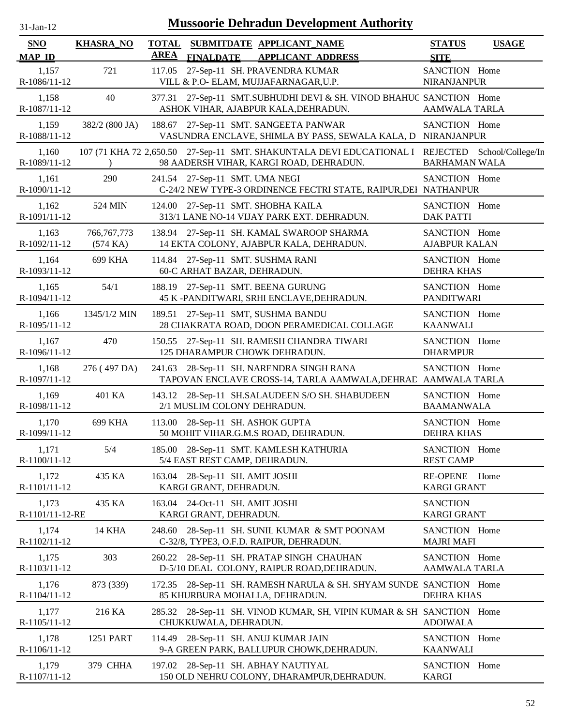| $31$ -Jan-12                |                           |                             |                                                                  | <b>Mussoorie Dehradun Development Authority</b>                                                                          |                                       |                   |
|-----------------------------|---------------------------|-----------------------------|------------------------------------------------------------------|--------------------------------------------------------------------------------------------------------------------------|---------------------------------------|-------------------|
| <b>SNO</b><br><b>MAP ID</b> | <b>KHASRA_NO</b>          | <b>TOTAL</b><br><b>AREA</b> | <b>FINALDATE</b>                                                 | SUBMITDATE APPLICANT NAME<br><b>APPLICANT ADDRESS</b>                                                                    | <b>STATUS</b><br><b>SITE</b>          | <b>USAGE</b>      |
| 1,157<br>R-1086/11-12       | 721                       | 117.05                      |                                                                  | 27-Sep-11 SH. PRAVENDRA KUMAR<br>VILL & P.O- ELAM, MUJJAFARNAGAR, U.P.                                                   | SANCTION Home<br>NIRANJANPUR          |                   |
| 1,158<br>R-1087/11-12       | 40                        | 377.31                      |                                                                  | 27-Sep-11 SMT.SUBHUDHI DEVI & SH. VINOD BHAHUC SANCTION Home<br>ASHOK VIHAR, AJABPUR KALA, DEHRADUN.                     | <b>AAMWALA TARLA</b>                  |                   |
| 1,159<br>R-1088/11-12       | 382/2 (800 JA)            |                             |                                                                  | 188.67 27-Sep-11 SMT. SANGEETA PANWAR<br>VASUNDRA ENCLAVE, SHIMLA BY PASS, SEWALA KALA, D NIRANJANPUR                    | SANCTION Home                         |                   |
| 1,160<br>R-1089/11-12       |                           |                             |                                                                  | 107 (71 KHA 72 2,650.50 27-Sep-11 SMT. SHAKUNTALA DEVI EDUCATIONAL I REJECTED<br>98 AADERSH VIHAR, KARGI ROAD, DEHRADUN. | <b>BARHAMAN WALA</b>                  | School/College/In |
| 1,161<br>R-1090/11-12       | 290                       |                             | 241.54 27-Sep-11 SMT. UMA NEGI                                   | C-24/2 NEW TYPE-3 ORDINENCE FECTRI STATE, RAIPUR, DEI NATHANPUR                                                          | SANCTION Home                         |                   |
| 1,162<br>R-1091/11-12       | 524 MIN                   |                             | 124.00 27-Sep-11 SMT. SHOBHA KAILA                               | 313/1 LANE NO-14 VIJAY PARK EXT. DEHRADUN.                                                                               | SANCTION Home<br><b>DAK PATTI</b>     |                   |
| 1,163<br>R-1092/11-12       | 766, 767, 773<br>(574 KA) |                             |                                                                  | 138.94 27-Sep-11 SH. KAMAL SWAROOP SHARMA<br>14 EKTA COLONY, AJABPUR KALA, DEHRADUN.                                     | SANCTION Home<br><b>AJABPUR KALAN</b> |                   |
| 1,164<br>R-1093/11-12       | 699 KHA                   |                             | 114.84 27-Sep-11 SMT. SUSHMA RANI<br>60-C ARHAT BAZAR, DEHRADUN. |                                                                                                                          | SANCTION Home<br><b>DEHRA KHAS</b>    |                   |
| 1,165<br>R-1094/11-12       | 54/1                      |                             | 188.19 27-Sep-11 SMT. BEENA GURUNG                               | 45 K -PANDITWARI, SRHI ENCLAVE, DEHRADUN.                                                                                | SANCTION Home<br><b>PANDITWARI</b>    |                   |
| 1,166<br>R-1095/11-12       | 1345/1/2 MIN              |                             | 189.51 27-Sep-11 SMT, SUSHMA BANDU                               | 28 CHAKRATA ROAD, DOON PERAMEDICAL COLLAGE                                                                               | SANCTION Home<br><b>KAANWALI</b>      |                   |
| 1,167<br>R-1096/11-12       | 470                       |                             | 125 DHARAMPUR CHOWK DEHRADUN.                                    | 150.55 27-Sep-11 SH. RAMESH CHANDRA TIWARI                                                                               | SANCTION Home<br><b>DHARMPUR</b>      |                   |
| 1,168<br>R-1097/11-12       | 276 (497 DA)              |                             |                                                                  | 241.63 28-Sep-11 SH. NARENDRA SINGH RANA<br>TAPOVAN ENCLAVE CROSS-14, TARLA AAMWALA, DEHRAC AAMWALA TARLA                | SANCTION Home                         |                   |
| 1,169<br>R-1098/11-12       | 401 KA                    |                             | 2/1 MUSLIM COLONY DEHRADUN.                                      | 143.12 28-Sep-11 SH.SALAUDEEN S/O SH. SHABUDEEN                                                                          | SANCTION Home<br><b>BAAMANWALA</b>    |                   |
| 1,170<br>R-1099/11-12       | 699 KHA                   |                             | 113.00 28-Sep-11 SH. ASHOK GUPTA                                 | 50 MOHIT VIHAR.G.M.S ROAD, DEHRADUN.                                                                                     | SANCTION Home<br><b>DEHRA KHAS</b>    |                   |
| 1,171<br>R-1100/11-12       | 5/4                       |                             | 5/4 EAST REST CAMP, DEHRADUN.                                    | 185.00 28-Sep-11 SMT. KAMLESH KATHURIA                                                                                   | SANCTION Home<br><b>REST CAMP</b>     |                   |
| 1,172<br>R-1101/11-12       | 435 KA                    | 163.04                      | 28-Sep-11 SH. AMIT JOSHI<br>KARGI GRANT, DEHRADUN.               |                                                                                                                          | <b>RE-OPENE</b><br><b>KARGI GRANT</b> | Home              |
| 1,173<br>R-1101/11-12-RE    | 435 KA                    |                             | 163.04 24-Oct-11 SH. AMIT JOSHI<br>KARGI GRANT, DEHRADUN.        |                                                                                                                          | <b>SANCTION</b><br><b>KARGI GRANT</b> |                   |
| 1,174<br>R-1102/11-12       | <b>14 KHA</b>             | 248.60                      |                                                                  | 28-Sep-11 SH. SUNIL KUMAR & SMT POONAM<br>C-32/8, TYPE3, O.F.D. RAIPUR, DEHRADUN.                                        | SANCTION Home<br><b>MAJRI MAFI</b>    |                   |
| 1,175<br>R-1103/11-12       | 303                       |                             |                                                                  | 260.22 28-Sep-11 SH. PRATAP SINGH CHAUHAN<br>D-5/10 DEAL COLONY, RAIPUR ROAD, DEHRADUN.                                  | SANCTION Home<br><b>AAMWALA TARLA</b> |                   |
| 1,176<br>R-1104/11-12       | 873 (339)                 |                             | 85 KHURBURA MOHALLA, DEHRADUN.                                   | 172.35 28-Sep-11 SH. RAMESH NARULA & SH. SHYAM SUNDE SANCTION Home                                                       | <b>DEHRA KHAS</b>                     |                   |
| 1,177<br>R-1105/11-12       | 216 KA                    |                             | CHUKKUWALA, DEHRADUN.                                            | 285.32 28-Sep-11 SH. VINOD KUMAR, SH, VIPIN KUMAR & SH SANCTION Home                                                     | <b>ADOIWALA</b>                       |                   |
| 1,178<br>R-1106/11-12       | 1251 PART                 |                             | 114.49 28-Sep-11 SH. ANUJ KUMAR JAIN                             | 9-A GREEN PARK, BALLUPUR CHOWK, DEHRADUN.                                                                                | SANCTION Home<br><b>KAANWALI</b>      |                   |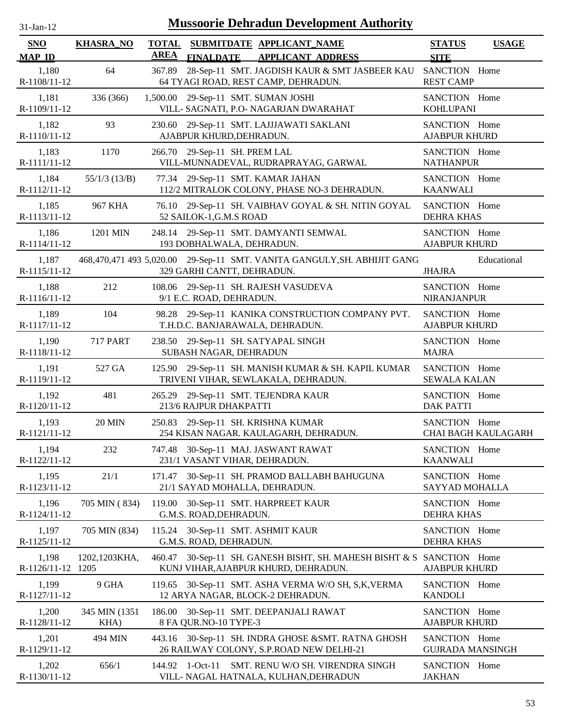| $31-Jan-12$                 |                        |                             | <b>Mussoorie Dehradun Development Authority</b>                                                        |                                          |                            |
|-----------------------------|------------------------|-----------------------------|--------------------------------------------------------------------------------------------------------|------------------------------------------|----------------------------|
| <b>SNO</b><br><b>MAP ID</b> | <b>KHASRA_NO</b>       | <b>TOTAL</b><br><b>AREA</b> | SUBMITDATE APPLICANT NAME<br><b>FINALDATE</b><br><b>APPLICANT ADDRESS</b>                              | <b>STATUS</b><br><b>SITE</b>             | <b>USAGE</b>               |
| 1,180<br>R-1108/11-12       | 64                     | 367.89                      | 28-Sep-11 SMT. JAGDISH KAUR & SMT JASBEER KAU<br>64 TYAGI ROAD, REST CAMP, DEHRADUN.                   | SANCTION Home<br><b>REST CAMP</b>        |                            |
| 1,181<br>R-1109/11-12       | 336 (366)              |                             | 1,500.00 29-Sep-11 SMT. SUMAN JOSHI<br>VILL- SAGNATI, P.O- NAGARJAN DWARAHAT                           | SANCTION Home<br><b>KOHLUPANI</b>        |                            |
| 1,182<br>R-1110/11-12       | 93                     |                             | 230.60 29-Sep-11 SMT. LAJJJAWATI SAKLANI<br>AJABPUR KHURD, DEHRADUN.                                   | SANCTION Home<br><b>AJABPUR KHURD</b>    |                            |
| 1,183<br>R-1111/11-12       | 1170                   |                             | 266.70 29-Sep-11 SH. PREM LAL<br>VILL-MUNNADEVAL, RUDRAPRAYAG, GARWAL                                  | SANCTION Home<br><b>NATHANPUR</b>        |                            |
| 1,184<br>R-1112/11-12       | $55/1/3$ (13/B)        |                             | 77.34 29-Sep-11 SMT. KAMAR JAHAN<br>112/2 MITRALOK COLONY, PHASE NO-3 DEHRADUN.                        | SANCTION Home<br><b>KAANWALI</b>         |                            |
| 1,185<br>R-1113/11-12       | 967 KHA                |                             | 76.10 29-Sep-11 SH. VAIBHAV GOYAL & SH. NITIN GOYAL<br>52 SAILOK-1, G.M.S ROAD                         | SANCTION Home<br><b>DEHRA KHAS</b>       |                            |
| 1,186<br>R-1114/11-12       | 1201 MIN               |                             | 248.14 29-Sep-11 SMT. DAMYANTI SEMWAL<br>193 DOBHALWALA, DEHRADUN.                                     | SANCTION Home<br><b>AJABPUR KHURD</b>    |                            |
| 1,187<br>R-1115/11-12       |                        |                             | 468,470,471 493 5,020.00 29-Sep-11 SMT. VANITA GANGULY, SH. ABHIJIT GANG<br>329 GARHI CANTT, DEHRADUN. | <b>JHAJRA</b>                            | Educational                |
| 1,188<br>R-1116/11-12       | 212                    |                             | 108.06 29-Sep-11 SH. RAJESH VASUDEVA<br>9/1 E.C. ROAD, DEHRADUN.                                       | SANCTION Home<br>NIRANJANPUR             |                            |
| 1,189<br>R-1117/11-12       | 104                    |                             | 98.28 29-Sep-11 KANIKA CONSTRUCTION COMPANY PVT.<br>T.H.D.C. BANJARAWALA, DEHRADUN.                    | SANCTION Home<br><b>AJABPUR KHURD</b>    |                            |
| 1,190<br>R-1118/11-12       | <b>717 PART</b>        |                             | 238.50 29-Sep-11 SH. SATYAPAL SINGH<br>SUBASH NAGAR, DEHRADUN                                          | SANCTION Home<br><b>MAJRA</b>            |                            |
| 1,191<br>R-1119/11-12       | 527 GA                 |                             | 125.90 29-Sep-11 SH. MANISH KUMAR & SH. KAPIL KUMAR<br>TRIVENI VIHAR, SEWLAKALA, DEHRADUN.             | SANCTION Home<br><b>SEWALA KALAN</b>     |                            |
| 1,192<br>R-1120/11-12       | 481                    | 265.29                      | 29-Sep-11 SMT. TEJENDRA KAUR<br>213/6 RAJPUR DHAKPATTI                                                 | SANCTION Home<br><b>DAK PATTI</b>        |                            |
| 1,193<br>R-1121/11-12       | <b>20 MIN</b>          |                             | 250.83 29-Sep-11 SH. KRISHNA KUMAR<br>254 KISAN NAGAR. KAULAGARH, DEHRADUN.                            | SANCTION Home                            | <b>CHAI BAGH KAULAGARH</b> |
| 1,194<br>R-1122/11-12       | 232                    | 747.48                      | 30-Sep-11 MAJ. JASWANT RAWAT<br>231/1 VASANT VIHAR, DEHRADUN.                                          | SANCTION Home<br><b>KAANWALI</b>         |                            |
| 1,195<br>R-1123/11-12       | 21/1                   |                             | 171.47 30-Sep-11 SH. PRAMOD BALLABH BAHUGUNA<br>21/1 SAYAD MOHALLA, DEHRADUN.                          | SANCTION Home<br>SAYYAD MOHALLA          |                            |
| 1,196<br>R-1124/11-12       | 705 MIN (834)          |                             | 119.00 30-Sep-11 SMT. HARPREET KAUR<br>G.M.S. ROAD, DEHRADUN.                                          | SANCTION Home<br><b>DEHRA KHAS</b>       |                            |
| 1,197<br>R-1125/11-12       | 705 MIN (834)          |                             | 115.24 30-Sep-11 SMT. ASHMIT KAUR<br>G.M.S. ROAD, DEHRADUN.                                            | SANCTION Home<br><b>DEHRA KHAS</b>       |                            |
| 1,198<br>R-1126/11-12 1205  | 1202,1203KHA,          | 460.47                      | 30-Sep-11 SH. GANESH BISHT, SH. MAHESH BISHT & S SANCTION Home<br>KUNJ VIHAR, AJABPUR KHURD, DEHRADUN. | <b>AJABPUR KHURD</b>                     |                            |
| 1,199<br>R-1127/11-12       | 9 GHA                  |                             | 119.65 30-Sep-11 SMT. ASHA VERMA W/O SH, S,K, VERMA<br>12 ARYA NAGAR, BLOCK-2 DEHRADUN.                | SANCTION Home<br><b>KANDOLI</b>          |                            |
| 1,200<br>R-1128/11-12       | 345 MIN (1351)<br>KHA) |                             | 186.00 30-Sep-11 SMT. DEEPANJALI RAWAT<br>8 FA QUR.NO-10 TYPE-3                                        | SANCTION Home<br><b>AJABPUR KHURD</b>    |                            |
| 1,201<br>R-1129/11-12       | 494 MIN                |                             | 443.16 30-Sep-11 SH. INDRA GHOSE & SMT. RATNA GHOSH<br>26 RAILWAY COLONY, S.P.ROAD NEW DELHI-21        | SANCTION Home<br><b>GUJRADA MANSINGH</b> |                            |
| 1,202<br>R-1130/11-12       | 656/1                  | 144.92                      | $1-Oct-11$<br>SMT. RENU W/O SH. VIRENDRA SINGH<br>VILL- NAGAL HATNALA, KULHAN, DEHRADUN                | SANCTION Home<br><b>JAKHAN</b>           |                            |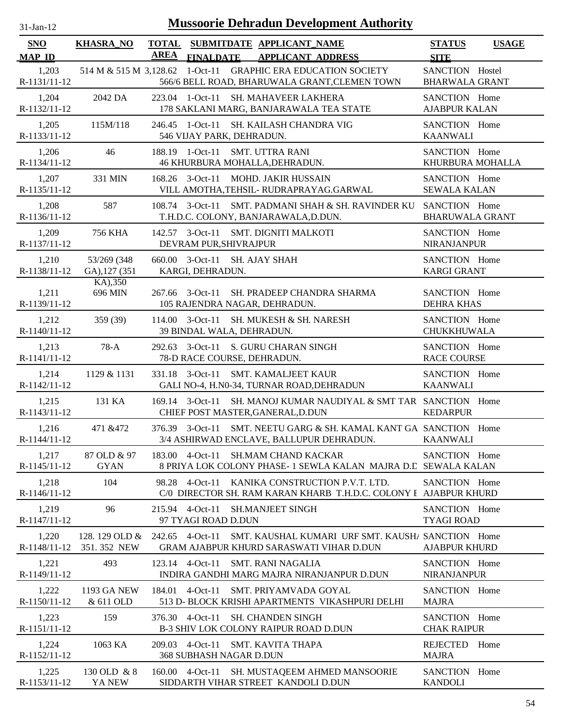| 31-Jan-12 |  |
|-----------|--|
|           |  |

| SNO                   | <b>KHASRA_NO</b>                | <b>TOTAL</b> |                                                   | SUBMITDATE APPLICANT NAME                                                                                      | <b>STATUS</b>                            | <b>USAGE</b> |
|-----------------------|---------------------------------|--------------|---------------------------------------------------|----------------------------------------------------------------------------------------------------------------|------------------------------------------|--------------|
| <b>MAP ID</b>         |                                 | <b>AREA</b>  | <b>FINALDATE</b>                                  | <b>APPLICANT ADDRESS</b>                                                                                       | <b>SITE</b>                              |              |
| 1,203<br>R-1131/11-12 |                                 |              |                                                   | 514 M & 515 M 3,128.62 1-Oct-11 GRAPHIC ERA EDUCATION SOCIETY<br>566/6 BELL ROAD, BHARUWALA GRANT, CLEMEN TOWN | SANCTION Hostel<br><b>BHARWALA GRANT</b> |              |
| 1,204<br>R-1132/11-12 | 2042 DA                         |              |                                                   | 223.04 1-Oct-11 SH. MAHAVEER LAKHERA<br>178 SAKLANI MARG, BANJARAWALA TEA STATE                                | SANCTION Home<br><b>AJABPUR KALAN</b>    |              |
| 1,205<br>R-1133/11-12 | 115M/118                        |              | 546 VIJAY PARK, DEHRADUN.                         | 246.45 1-Oct-11 SH. KAILASH CHANDRA VIG                                                                        | SANCTION Home<br><b>KAANWALI</b>         |              |
| 1,206<br>R-1134/11-12 | 46                              |              |                                                   | 188.19 1-Oct-11 SMT. UTTRA RANI<br>46 KHURBURA MOHALLA, DEHRADUN.                                              | SANCTION Home<br>KHURBURA MOHALLA        |              |
| 1,207<br>R-1135/11-12 | 331 MIN                         |              |                                                   | 168.26 3-Oct-11 MOHD. JAKIR HUSSAIN<br>VILL AMOTHA, TEHSIL- RUDRAPRAYAG.GARWAL                                 | SANCTION Home<br><b>SEWALA KALAN</b>     |              |
| 1,208<br>R-1136/11-12 | 587                             |              |                                                   | 108.74 3-Oct-11 SMT. PADMANI SHAH & SH. RAVINDER KU<br>T.H.D.C. COLONY, BANJARAWALA, D.DUN.                    | SANCTION Home<br><b>BHARUWALA GRANT</b>  |              |
| 1,209<br>R-1137/11-12 | <b>756 KHA</b>                  |              | DEVRAM PUR, SHIVRAJPUR                            | 142.57 3-Oct-11 SMT. DIGNITI MALKOTI                                                                           | SANCTION Home<br><b>NIRANJANPUR</b>      |              |
| 1,210<br>R-1138/11-12 | 53/269 (348)<br>GA), 127 (351   |              | 660.00 3-Oct-11 SH. AJAY SHAH<br>KARGI, DEHRADUN. |                                                                                                                | SANCTION Home<br><b>KARGI GRANT</b>      |              |
| 1,211<br>R-1139/11-12 | KA), 350<br>696 MIN             |              |                                                   | 267.66 3-Oct-11 SH. PRADEEP CHANDRA SHARMA<br>105 RAJENDRA NAGAR, DEHRADUN.                                    | SANCTION Home<br><b>DEHRA KHAS</b>       |              |
| 1,212<br>R-1140/11-12 | 359 (39)                        |              | 114.00 3-Oct-11<br>39 BINDAL WALA, DEHRADUN.      | SH. MUKESH & SH. NARESH                                                                                        | SANCTION Home<br><b>CHUKKHUWALA</b>      |              |
| 1,213<br>R-1141/11-12 | $78-A$                          |              |                                                   | 292.63 3-Oct-11 S. GURU CHARAN SINGH<br>78-D RACE COURSE, DEHRADUN.                                            | SANCTION Home<br><b>RACE COURSE</b>      |              |
| 1,214<br>R-1142/11-12 | 1129 & 1131                     |              | 331.18 3-Oct-11                                   | <b>SMT. KAMALJEET KAUR</b><br>GALI NO-4, H.N0-34, TURNAR ROAD, DEHRADUN                                        | SANCTION Home<br><b>KAANWALI</b>         |              |
| 1,215<br>R-1143/11-12 | 131 KA                          |              |                                                   | 169.14 3-Oct-11 SH. MANOJ KUMAR NAUDIYAL & SMT TAR SANCTION Home<br>CHIEF POST MASTER, GANERAL, D.DUN          | <b>KEDARPUR</b>                          |              |
| 1,216<br>R-1144/11-12 | 471 & 472                       |              |                                                   | 376.39 3-Oct-11 SMT. NEETU GARG & SH. KAMAL KANT GA SANCTION Home<br>3/4 ASHIRWAD ENCLAVE, BALLUPUR DEHRADUN.  | <b>KAANWALI</b>                          |              |
| 1,217<br>R-1145/11-12 | 87 OLD & 97<br><b>GYAN</b>      |              |                                                   | 183.00 4-Oct-11 SH.MAM CHAND KACKAR<br>8 PRIYA LOK COLONY PHASE-1 SEWLA KALAN MAJRA D.C SEWALA KALAN           | SANCTION Home                            |              |
| 1,218<br>R-1146/11-12 | 104                             |              | 98.28 4-Oct-11                                    | KANIKA CONSTRUCTION P.V.T. LTD.<br>C/0 DIRECTOR SH. RAM KARAN KHARB T.H.D.C. COLONY I AJABPUR KHURD            | SANCTION Home                            |              |
| 1,219<br>R-1147/11-12 | 96                              |              | 215.94 4-Oct-11<br>97 TYAGI ROAD D.DUN            | <b>SH.MANJEET SINGH</b>                                                                                        | SANCTION Home<br><b>TYAGI ROAD</b>       |              |
| 1,220<br>R-1148/11-12 | 128.129 OLD &<br>351.352 NEW    |              | 242.65 4-Oct-11                                   | SMT. KAUSHAL KUMARI URF SMT. KAUSHA SANCTION Home<br>GRAM AJABPUR KHURD SARASWATI VIHAR D.DUN                  | <b>AJABPUR KHURD</b>                     |              |
| 1,221<br>R-1149/11-12 | 493                             |              | 123.14 4-Oct-11                                   | <b>SMT. RANI NAGALIA</b><br>INDIRA GANDHI MARG MAJRA NIRANJANPUR D.DUN                                         | SANCTION Home<br><b>NIRANJANPUR</b>      |              |
| 1,222<br>R-1150/11-12 | <b>1193 GA NEW</b><br>& 611 OLD |              | 184.01 4-Oct-11                                   | SMT. PRIYAMVADA GOYAL<br>513 D- BLOCK KRISHI APARTMENTS VIKASHPURI DELHI                                       | SANCTION Home<br><b>MAJRA</b>            |              |
| 1,223<br>R-1151/11-12 | 159                             |              | 376.30 4-Oct-11                                   | <b>SH. CHANDEN SINGH</b><br>B-3 SHIV LOK COLONY RAIPUR ROAD D.DUN                                              | SANCTION Home<br><b>CHAK RAIPUR</b>      |              |
| 1,224<br>R-1152/11-12 | 1063 KA                         |              | 209.03 4-Oct-11<br>368 SUBHASH NAGAR D.DUN        | SMT. KAVITA THAPA                                                                                              | <b>REJECTED</b><br><b>MAJRA</b>          | Home         |
| 1,225<br>R-1153/11-12 | 130 OLD & 8<br>YA NEW           |              | 160.00 4-Oct-11                                   | SH. MUSTAQEEM AHMED MANSOORIE<br>SIDDARTH VIHAR STREET KANDOLI D.DUN                                           | SANCTION Home<br><b>KANDOLI</b>          |              |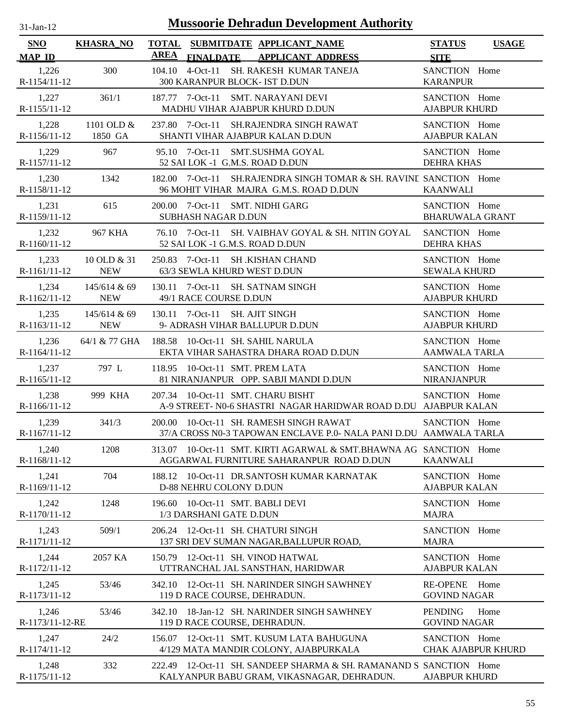| -Jan- |  |
|-------|--|
|       |  |

| <b>SNO</b><br><b>MAP ID</b> | <b>KHASRA_NO</b>           | <b>TOTAL</b><br>AREA |                                | SUBMITDATE APPLICANT NAME<br>FINALDATE APPLICANT ADDRESS                                                         | <b>STATUS</b><br><b>SITE</b>               | <b>USAGE</b> |
|-----------------------------|----------------------------|----------------------|--------------------------------|------------------------------------------------------------------------------------------------------------------|--------------------------------------------|--------------|
| 1,226<br>R-1154/11-12       | 300                        |                      |                                | 104.10 4-Oct-11 SH. RAKESH KUMAR TANEJA<br>300 KARANPUR BLOCK- IST D.DUN                                         | SANCTION Home<br><b>KARANPUR</b>           |              |
| 1,227<br>R-1155/11-12       | 361/1                      |                      |                                | 187.77 7-Oct-11 SMT. NARAYANI DEVI<br>MADHU VIHAR AJABPUR KHURD D.DUN                                            | SANCTION Home<br><b>AJABPUR KHURD</b>      |              |
| 1,228<br>R-1156/11-12       | 1101 OLD &<br>1850 GA      |                      |                                | 237.80 7-Oct-11 SH.RAJENDRA SINGH RAWAT<br>SHANTI VIHAR AJABPUR KALAN D.DUN                                      | SANCTION Home<br><b>AJABPUR KALAN</b>      |              |
| 1,229<br>R-1157/11-12       | 967                        |                      |                                | 95.10 7-Oct-11 SMT.SUSHMA GOYAL<br>52 SAI LOK -1 G.M.S. ROAD D.DUN                                               | SANCTION Home<br><b>DEHRA KHAS</b>         |              |
| 1,230<br>R-1158/11-12       | 1342                       |                      |                                | 182.00 7-Oct-11 SH.RAJENDRA SINGH TOMAR & SH. RAVINE SANCTION Home<br>96 MOHIT VIHAR MAJRA G.M.S. ROAD D.DUN     | <b>KAANWALI</b>                            |              |
| 1,231<br>R-1159/11-12       | 615                        |                      | <b>SUBHASH NAGAR D.DUN</b>     | 200.00 7-Oct-11 SMT. NIDHI GARG                                                                                  | SANCTION Home<br><b>BHARUWALA GRANT</b>    |              |
| 1,232<br>R-1160/11-12       | <b>967 KHA</b>             |                      |                                | 76.10 7-Oct-11 SH. VAIBHAV GOYAL & SH. NITIN GOYAL<br>52 SAI LOK -1 G.M.S. ROAD D.DUN                            | SANCTION Home<br><b>DEHRA KHAS</b>         |              |
| 1,233<br>R-1161/11-12       | 10 OLD & 31<br><b>NEW</b>  |                      | 63/3 SEWLA KHURD WEST D.DUN    | 250.83 7-Oct-11 SH.KISHAN CHAND                                                                                  | SANCTION Home<br><b>SEWALA KHURD</b>       |              |
| 1,234<br>$R-1162/11-12$     | 145/614 & 69<br><b>NEW</b> |                      | 49/1 RACE COURSE D.DUN         | 130.11 7-Oct-11 SH. SATNAM SINGH                                                                                 | SANCTION Home<br><b>AJABPUR KHURD</b>      |              |
| 1,235<br>R-1163/11-12 NEW   | 145/614 & 69               |                      | 130.11 7-Oct-11 SH. AJIT SINGH | 9- ADRASH VIHAR BALLUPUR D.DUN                                                                                   | SANCTION Home<br><b>AJABPUR KHURD</b>      |              |
| 1,236<br>R-1164/11-12       | 64/1 & 77 GHA              |                      |                                | 188.58 10-Oct-11 SH. SAHIL NARULA<br>EKTA VIHAR SAHASTRA DHARA ROAD D.DUN                                        | SANCTION Home<br><b>AAMWALA TARLA</b>      |              |
| 1,237<br>$R-1165/11-12$     | 797 L                      |                      |                                | 118.95 10-Oct-11 SMT. PREM LATA<br>81 NIRANJANPUR OPP. SABJI MANDI D.DUN                                         | SANCTION Home<br><b>NIRANJANPUR</b>        |              |
| 1,238<br>$R-1166/11-12$     | 999 KHA                    |                      |                                | 207.34 10-Oct-11 SMT. CHARU BISHT<br>A-9 STREET- N0-6 SHASTRI NAGAR HARIDWAR ROAD D.DU AJABPUR KALAN             | SANCTION Home                              |              |
| 1,239<br>R-1167/11-12       | 341/3                      |                      |                                | 200.00 10-Oct-11 SH. RAMESH SINGH RAWAT<br>37/A CROSS N0-3 TAPOWAN ENCLAVE P.0- NALA PANI D.DU AAMWALA TARLA     | SANCTION Home                              |              |
| 1,240<br>R-1168/11-12       | 1208                       |                      |                                | 313.07 10-Oct-11 SMT. KIRTI AGARWAL & SMT.BHAWNA AG SANCTION Home<br>AGGARWAL FURNITURE SAHARANPUR ROAD D.DUN    | <b>KAANWALI</b>                            |              |
| 1,241<br>R-1169/11-12       | 704                        |                      | D-88 NEHRU COLONY D.DUN        | 188.12 10-Oct-11 DR.SANTOSH KUMAR KARNATAK                                                                       | SANCTION Home<br><b>AJABPUR KALAN</b>      |              |
| 1,242<br>R-1170/11-12       | 1248                       | 196.60               | 1/3 DARSHANI GATE D.DUN        | 10-Oct-11 SMT. BABLI DEVI                                                                                        | SANCTION Home<br><b>MAJRA</b>              |              |
| 1,243<br>R-1171/11-12       | 509/1                      |                      |                                | 206.24 12-Oct-11 SH. CHATURI SINGH<br>137 SRI DEV SUMAN NAGAR, BALLUPUR ROAD,                                    | SANCTION Home<br><b>MAJRA</b>              |              |
| 1,244<br>R-1172/11-12       | 2057 KA                    |                      |                                | 150.79 12-Oct-11 SH. VINOD HATWAL<br>UTTRANCHAL JAL SANSTHAN, HARIDWAR                                           | SANCTION Home<br><b>AJABPUR KALAN</b>      |              |
| 1,245<br>R-1173/11-12       | 53/46                      | 342.10               |                                | 12-Oct-11 SH. NARINDER SINGH SAWHNEY<br>119 D RACE COURSE, DEHRADUN.                                             | <b>RE-OPENE</b><br><b>GOVIND NAGAR</b>     | Home         |
| 1,246<br>R-1173/11-12-RE    | 53/46                      | 342.10               |                                | 18-Jan-12 SH. NARINDER SINGH SAWHNEY<br>119 D RACE COURSE, DEHRADUN.                                             | <b>PENDING</b><br><b>GOVIND NAGAR</b>      | Home         |
| 1,247<br>R-1174/11-12       | 24/2                       |                      |                                | 156.07 12-Oct-11 SMT. KUSUM LATA BAHUGUNA<br>4/129 MATA MANDIR COLONY, AJABPURKALA                               | SANCTION Home<br><b>CHAK AJABPUR KHURD</b> |              |
| 1,248<br>R-1175/11-12       | 332                        |                      |                                | 222.49 12-Oct-11 SH. SANDEEP SHARMA & SH. RAMANAND S SANCTION Home<br>KALYANPUR BABU GRAM, VIKASNAGAR, DEHRADUN. | <b>AJABPUR KHURD</b>                       |              |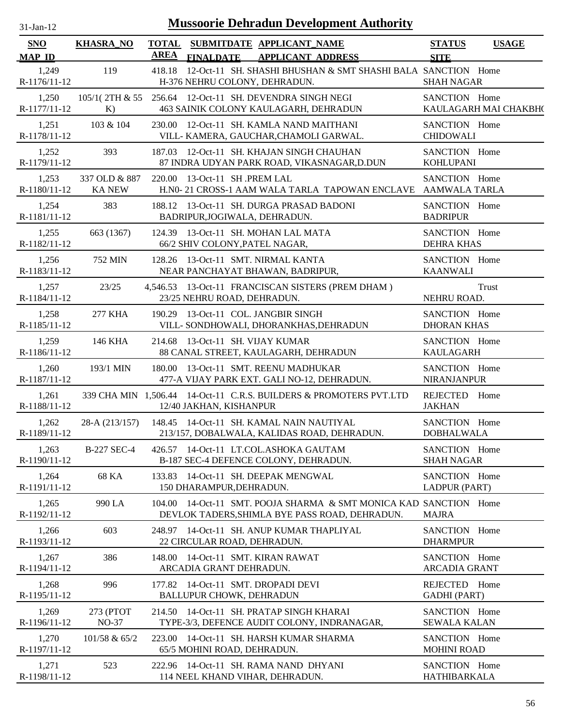| $31$ -Jan- $12$             |                               |                             | <b>Mussoorie Dehradun Development Authority</b>                                                              |                                       |                       |
|-----------------------------|-------------------------------|-----------------------------|--------------------------------------------------------------------------------------------------------------|---------------------------------------|-----------------------|
| <b>SNO</b><br><b>MAP ID</b> | <b>KHASRA_NO</b>              | <b>TOTAL</b><br><b>AREA</b> | SUBMITDATE APPLICANT NAME<br><b>FINALDATE</b><br><b>APPLICANT ADDRESS</b>                                    | <b>STATUS</b><br><b>SITE</b>          | <b>USAGE</b>          |
| 1,249<br>R-1176/11-12       | 119                           |                             | 418.18 12-Oct-11 SH. SHASHI BHUSHAN & SMT SHASHI BALA SANCTION Home<br>H-376 NEHRU COLONY, DEHRADUN.         | <b>SHAH NAGAR</b>                     |                       |
| 1,250<br>R-1177/11-12       | 105/1(2TH & 55<br>K)          |                             | 256.64 12-Oct-11 SH. DEVENDRA SINGH NEGI<br>463 SAINIK COLONY KAULAGARH, DEHRADUN                            | SANCTION Home                         | KAULAGARH MAI CHAKBH( |
| 1,251<br>R-1178/11-12       | 103 & 104                     | 230.00                      | 12-Oct-11 SH. KAMLA NAND MAITHANI<br>VILL- KAMERA, GAUCHAR, CHAMOLI GARWAL.                                  | SANCTION Home<br><b>CHIDOWALI</b>     |                       |
| 1,252<br>R-1179/11-12       | 393                           | 187.03                      | 12-Oct-11 SH. KHAJAN SINGH CHAUHAN<br>87 INDRA UDYAN PARK ROAD, VIKASNAGAR, D.DUN                            | SANCTION Home<br><b>KOHLUPANI</b>     |                       |
| 1,253<br>R-1180/11-12       | 337 OLD & 887<br><b>KANEW</b> | 220.00                      | 13-Oct-11 SH .PREM LAL<br>H.N0-21 CROSS-1 AAM WALA TARLA TAPOWAN ENCLAVE AAMWALA TARLA                       | SANCTION Home                         |                       |
| 1,254<br>R-1181/11-12       | 383                           |                             | 188.12 13-Oct-11 SH. DURGA PRASAD BADONI<br>BADRIPUR, JOGIWALA, DEHRADUN.                                    | SANCTION Home<br><b>BADRIPUR</b>      |                       |
| 1,255<br>R-1182/11-12       | 663 (1367)                    |                             | 124.39 13-Oct-11 SH. MOHAN LAL MATA<br>66/2 SHIV COLONY, PATEL NAGAR,                                        | SANCTION Home<br><b>DEHRA KHAS</b>    |                       |
| 1,256<br>R-1183/11-12       | <b>752 MIN</b>                |                             | 128.26 13-Oct-11 SMT. NIRMAL KANTA<br>NEAR PANCHAYAT BHAWAN, BADRIPUR,                                       | SANCTION Home<br><b>KAANWALI</b>      |                       |
| 1,257<br>R-1184/11-12       | 23/25                         |                             | 4,546.53 13-Oct-11 FRANCISCAN SISTERS (PREM DHAM)<br>23/25 NEHRU ROAD, DEHRADUN.                             | NEHRU ROAD.                           | Trust                 |
| 1,258<br>R-1185/11-12       | 277 KHA                       |                             | 190.29 13-Oct-11 COL. JANGBIR SINGH<br>VILL- SONDHOWALI, DHORANKHAS, DEHRADUN                                | SANCTION Home<br><b>DHORAN KHAS</b>   |                       |
| 1,259<br>R-1186/11-12       | 146 KHA                       |                             | 214.68 13-Oct-11 SH. VIJAY KUMAR<br>88 CANAL STREET, KAULAGARH, DEHRADUN                                     | SANCTION Home<br><b>KAULAGARH</b>     |                       |
| 1,260<br>R-1187/11-12       | 193/1 MIN                     |                             | 180.00 13-Oct-11 SMT. REENU MADHUKAR<br>477-A VIJAY PARK EXT. GALI NO-12, DEHRADUN.                          | SANCTION Home<br><b>NIRANJANPUR</b>   |                       |
| 1,261<br>R-1188/11-12       |                               |                             | 339 CHA MIN 1,506.44 14-Oct-11 C.R.S. BUILDERS & PROMOTERS PVT.LTD<br>12/40 JAKHAN, KISHANPUR                | REJECTED Home<br><b>JAKHAN</b>        |                       |
| 1,262<br>R-1189/11-12       | 28-A (213/157)                |                             | 148.45 14-Oct-11 SH. KAMAL NAIN NAUTIYAL<br>213/157, DOBALWALA, KALIDAS ROAD, DEHRADUN.                      | SANCTION Home<br><b>DOBHALWALA</b>    |                       |
| 1,263<br>R-1190/11-12       | <b>B-227 SEC-4</b>            |                             | 426.57 14-Oct-11 LT.COL.ASHOKA GAUTAM<br>B-187 SEC-4 DEFENCE COLONY, DEHRADUN.                               | SANCTION Home<br><b>SHAH NAGAR</b>    |                       |
| 1,264<br>R-1191/11-12       | 68 KA                         | 133.83                      | 14-Oct-11 SH. DEEPAK MENGWAL<br>150 DHARAMPUR, DEHRADUN.                                                     | SANCTION Home<br>LADPUR (PART)        |                       |
| 1,265<br>R-1192/11-12       | 990 LA                        | 104.00                      | 14-Oct-11 SMT. POOJA SHARMA & SMT MONICA KAD SANCTION Home<br>DEVLOK TADERS, SHIMLA BYE PASS ROAD, DEHRADUN. | <b>MAJRA</b>                          |                       |
| 1,266<br>R-1193/11-12       | 603                           |                             | 248.97 14-Oct-11 SH. ANUP KUMAR THAPLIYAL<br>22 CIRCULAR ROAD, DEHRADUN.                                     | SANCTION Home<br><b>DHARMPUR</b>      |                       |
| 1,267<br>R-1194/11-12       | 386                           |                             | 148.00 14-Oct-11 SMT. KIRAN RAWAT<br>ARCADIA GRANT DEHRADUN.                                                 | SANCTION Home<br><b>ARCADIA GRANT</b> |                       |
| 1,268<br>R-1195/11-12       | 996                           |                             | 177.82 14-Oct-11 SMT. DROPADI DEVI<br><b>BALLUPUR CHOWK, DEHRADUN</b>                                        | REJECTED Home<br><b>GADHI</b> (PART)  |                       |
| 1,269<br>R-1196/11-12       | 273 (PTOT<br>NO-37            |                             | 214.50 14-Oct-11 SH. PRATAP SINGH KHARAI<br>TYPE-3/3, DEFENCE AUDIT COLONY, INDRANAGAR,                      | SANCTION Home<br><b>SEWALA KALAN</b>  |                       |
| 1,270<br>R-1197/11-12       | 101/58 & 65/2                 | 223.00                      | 14-Oct-11 SH. HARSH KUMAR SHARMA<br>65/5 MOHINI ROAD, DEHRADUN.                                              | SANCTION Home<br><b>MOHINI ROAD</b>   |                       |
| 1,271<br>R-1198/11-12       | 523                           |                             | 222.96 14-Oct-11 SH. RAMA NAND DHYANI<br>114 NEEL KHAND VIHAR, DEHRADUN.                                     | SANCTION Home<br>HATHIBARKALA         |                       |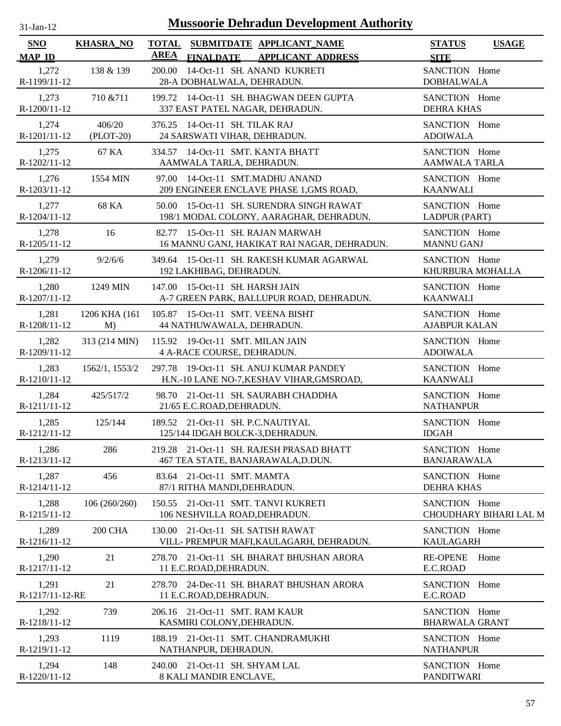| $31$ -Jan-12 |  |
|--------------|--|
|              |  |

| <b>SNO</b><br><b>MAP ID</b> | <b>KHASRA_NO</b> | SUBMITDATE APPLICANT_NAME<br><b>TOTAL</b><br><b>AREA</b><br><b>FINALDATE</b><br><b>APPLICANT ADDRESS</b> | <b>STATUS</b><br><b>USAGE</b><br><b>SITE</b> |
|-----------------------------|------------------|----------------------------------------------------------------------------------------------------------|----------------------------------------------|
| 1,272                       | 138 & 139        | 200.00 14-Oct-11 SH. ANAND KUKRETI                                                                       | SANCTION Home                                |
| R-1199/11-12                |                  | 28-A DOBHALWALA, DEHRADUN.                                                                               | <b>DOBHALWALA</b>                            |
| 1,273                       | 710 & 711        | 199.72 14-Oct-11 SH. BHAGWAN DEEN GUPTA                                                                  | SANCTION Home                                |
| R-1200/11-12                |                  | 337 EAST PATEL NAGAR, DEHRADUN.                                                                          | <b>DEHRA KHAS</b>                            |
| 1,274                       | 406/20           | 376.25 14-Oct-11 SH. TILAK RAJ                                                                           | SANCTION Home                                |
| R-1201/11-12                | $(PLOT-20)$      | 24 SARSWATI VIHAR, DEHRADUN.                                                                             | <b>ADOIWALA</b>                              |
| 1,275                       | 67 KA            | 334.57 14-Oct-11 SMT. KANTA BHATT                                                                        | SANCTION Home                                |
| R-1202/11-12                |                  | AAMWALA TARLA, DEHRADUN.                                                                                 | AAMWALA TARLA                                |
| 1,276                       | 1554 MIN         | 97.00 14-Oct-11 SMT.MADHU ANAND                                                                          | SANCTION Home                                |
| R-1203/11-12                |                  | 209 ENGINEER ENCLAVE PHASE 1, GMS ROAD,                                                                  | <b>KAANWALI</b>                              |
| 1,277                       | 68 KA            | 50.00 15-Oct-11 SH. SURENDRA SINGH RAWAT                                                                 | SANCTION Home                                |
| R-1204/11-12                |                  | 198/1 MODAL COLONY, AARAGHAR, DEHRADUN.                                                                  | LADPUR (PART)                                |
| 1,278                       | 16               | 82.77 15-Oct-11 SH. RAJAN MARWAH                                                                         | SANCTION Home                                |
| R-1205/11-12                |                  | 16 MANNU GANJ, HAKIKAT RAI NAGAR, DEHRADUN.                                                              | <b>MANNU GANJ</b>                            |
| 1,279                       | 9/2/6/6          | 349.64 15-Oct-11 SH. RAKESH KUMAR AGARWAL                                                                | SANCTION Home                                |
| R-1206/11-12                |                  | 192 LAKHIBAG, DEHRADUN.                                                                                  | KHURBURA MOHALLA                             |
| 1,280                       | 1249 MIN         | 147.00 15-Oct-11 SH. HARSH JAIN                                                                          | SANCTION Home                                |
| R-1207/11-12                |                  | A-7 GREEN PARK, BALLUPUR ROAD, DEHRADUN.                                                                 | <b>KAANWALI</b>                              |
| 1,281                       | 1206 KHA (161    | 105.87 15-Oct-11 SMT. VEENA BISHT                                                                        | SANCTION Home                                |
| R-1208/11-12                | M                | 44 NATHUWAWALA, DEHRADUN.                                                                                | <b>AJABPUR KALAN</b>                         |
| 1,282                       | 313 (214 MIN)    | 115.92 19-Oct-11 SMT. MILAN JAIN                                                                         | SANCTION Home                                |
| R-1209/11-12                |                  | 4 A-RACE COURSE, DEHRADUN.                                                                               | <b>ADOIWALA</b>                              |
| 1,283                       | 1562/1, 1553/2   | 297.78 19-Oct-11 SH. ANUJ KUMAR PANDEY                                                                   | SANCTION Home                                |
| R-1210/11-12                |                  | H.N.-10 LANE NO-7, KESHAV VIHAR, GMSROAD,                                                                | <b>KAANWALI</b>                              |
| 1,284                       | 425/517/2        | 98.70 21-Oct-11 SH. SAURABH CHADDHA                                                                      | SANCTION Home                                |
| R-1211/11-12                |                  | 21/65 E.C.ROAD, DEHRADUN.                                                                                | <b>NATHANPUR</b>                             |
| 1,285                       | 125/144          | 189.52 21-Oct-11 SH. P.C.NAUTIYAL                                                                        | SANCTION Home                                |
| R-1212/11-12                |                  | 125/144 IDGAH BOLCK-3, DEHRADUN.                                                                         | <b>IDGAH</b>                                 |
| 1,286                       | 286              | 219.28 21-Oct-11 SH. RAJESH PRASAD BHATT                                                                 | SANCTION Home                                |
| R-1213/11-12                |                  | 467 TEA STATE, BANJARAWALA, D.DUN.                                                                       | <b>BANJARAWALA</b>                           |
| 1,287                       | 456              | 83.64 21-Oct-11 SMT. MAMTA                                                                               | SANCTION Home                                |
| R-1214/11-12                |                  | 87/1 RITHA MANDI, DEHRADUN.                                                                              | <b>DEHRA KHAS</b>                            |
| 1,288                       | 106(260/260)     | 150.55 21-Oct-11 SMT. TANVI KUKRETI                                                                      | SANCTION Home                                |
| R-1215/11-12                |                  | 106 NESHVILLA ROAD, DEHRADUN.                                                                            | CHOUDHARY BIHARI LAL M                       |
| 1,289                       | <b>200 CHA</b>   | 130.00 21-Oct-11 SH. SATISH RAWAT                                                                        | SANCTION Home                                |
| R-1216/11-12                |                  | VILL- PREMPUR MAFI, KAULAGARH, DEHRADUN.                                                                 | <b>KAULAGARH</b>                             |
| 1,290<br>R-1217/11-12       | 21               | 278.70 21-Oct-11 SH. BHARAT BHUSHAN ARORA<br>11 E.C.ROAD, DEHRADUN.                                      | <b>RE-OPENE</b><br>Home<br>E.C.ROAD          |
| 1,291<br>R-1217/11-12-RE    | 21               | 278.70 24-Dec-11 SH. BHARAT BHUSHAN ARORA<br>11 E.C.ROAD, DEHRADUN.                                      | Home<br>SANCTION<br>E.C.ROAD                 |
| 1,292                       | 739              | 206.16 21-Oct-11 SMT. RAM KAUR                                                                           | SANCTION Home                                |
| R-1218/11-12                |                  | KASMIRI COLONY, DEHRADUN.                                                                                | <b>BHARWALA GRANT</b>                        |
| 1,293                       | 1119             | 188.19 21-Oct-11 SMT. CHANDRAMUKHI                                                                       | SANCTION Home                                |
| R-1219/11-12                |                  | NATHANPUR, DEHRADUN.                                                                                     | <b>NATHANPUR</b>                             |
| 1,294                       | 148              | 240.00 21-Oct-11 SH. SHYAM LAL                                                                           | SANCTION Home                                |
| R-1220/11-12                |                  | 8 KALI MANDIR ENCLAVE,                                                                                   | <b>PANDITWARI</b>                            |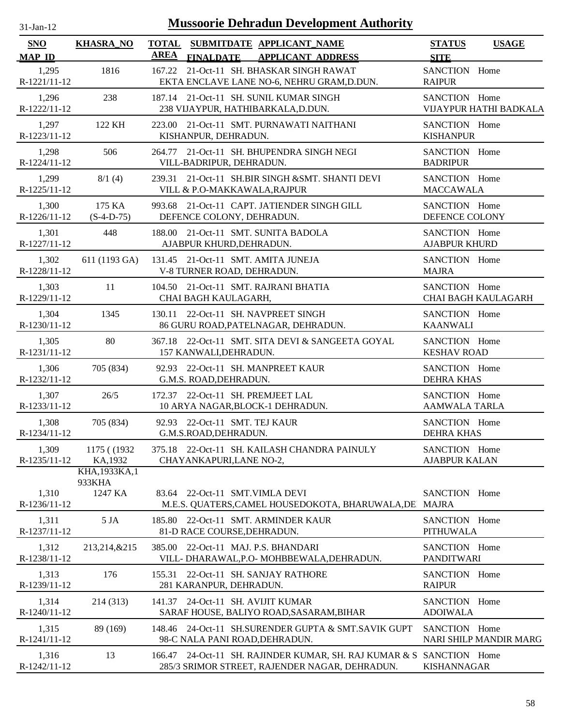| $31$ -Jan-12 |  |
|--------------|--|
|              |  |

| SNO                   | <b>KHASRA_NO</b>        | <b>TOTAL</b> |                                                                  | SUBMITDATE APPLICANT_NAME                                                                                              | <b>STATUS</b>                         | <b>USAGE</b>               |
|-----------------------|-------------------------|--------------|------------------------------------------------------------------|------------------------------------------------------------------------------------------------------------------------|---------------------------------------|----------------------------|
| <b>MAP ID</b>         |                         | <b>AREA</b>  | <b>FINALDATE</b>                                                 | <b>APPLICANT ADDRESS</b>                                                                                               | <b>SITE</b>                           |                            |
| 1,295<br>R-1221/11-12 | 1816                    |              |                                                                  | 167.22 21-Oct-11 SH. BHASKAR SINGH RAWAT<br>EKTA ENCLAVE LANE NO-6, NEHRU GRAM, D.DUN.                                 | SANCTION Home<br><b>RAIPUR</b>        |                            |
| 1,296<br>R-1222/11-12 | 238                     |              |                                                                  | 187.14 21-Oct-11 SH. SUNIL KUMAR SINGH<br>238 VIJAYPUR, HATHIBARKALA, D.DUN.                                           | SANCTION Home                         | VIJAYPUR HATHI BADKALA     |
| 1,297<br>R-1223/11-12 | 122 KH                  |              | KISHANPUR, DEHRADUN.                                             | 223.00 21-Oct-11 SMT. PURNAWATI NAITHANI                                                                               | SANCTION Home<br><b>KISHANPUR</b>     |                            |
| 1,298<br>R-1224/11-12 | 506                     |              | VILL-BADRIPUR, DEHRADUN.                                         | 264.77 21-Oct-11 SH. BHUPENDRA SINGH NEGI                                                                              | SANCTION Home<br><b>BADRIPUR</b>      |                            |
| 1,299<br>R-1225/11-12 | 8/1(4)                  |              | VILL & P.O-MAKKAWALA, RAJPUR                                     | 239.31 21-Oct-11 SH.BIR SINGH & SMT. SHANTI DEVI                                                                       | SANCTION Home<br><b>MACCAWALA</b>     |                            |
| 1,300<br>R-1226/11-12 | 175 KA<br>$(S-4-D-75)$  |              | DEFENCE COLONY, DEHRADUN.                                        | 993.68 21-Oct-11 CAPT. JATIENDER SINGH GILL                                                                            | SANCTION Home<br>DEFENCE COLONY       |                            |
| 1,301<br>R-1227/11-12 | 448                     |              | AJABPUR KHURD, DEHRADUN.                                         | 188.00 21-Oct-11 SMT. SUNITA BADOLA                                                                                    | SANCTION Home<br><b>AJABPUR KHURD</b> |                            |
| 1,302<br>R-1228/11-12 | 611 (1193 GA)           |              | 131.45 21-Oct-11 SMT. AMITA JUNEJA<br>V-8 TURNER ROAD, DEHRADUN. |                                                                                                                        | SANCTION Home<br><b>MAJRA</b>         |                            |
| 1,303<br>R-1229/11-12 | 11                      |              | CHAI BAGH KAULAGARH,                                             | 104.50 21-Oct-11 SMT. RAJRANI BHATIA                                                                                   | SANCTION Home                         | <b>CHAI BAGH KAULAGARH</b> |
| 1,304<br>R-1230/11-12 | 1345                    |              | 130.11 22-Oct-11 SH. NAVPREET SINGH                              | 86 GURU ROAD, PATELNAGAR, DEHRADUN.                                                                                    | SANCTION Home<br><b>KAANWALI</b>      |                            |
| 1,305<br>R-1231/11-12 | 80                      |              | 157 KANWALI, DEHRADUN.                                           | 367.18 22-Oct-11 SMT. SITA DEVI & SANGEETA GOYAL                                                                       | SANCTION Home<br><b>KESHAV ROAD</b>   |                            |
| 1,306<br>R-1232/11-12 | 705 (834)               |              | 92.93 22-Oct-11 SH. MANPREET KAUR<br>G.M.S. ROAD, DEHRADUN.      |                                                                                                                        | SANCTION Home<br><b>DEHRA KHAS</b>    |                            |
| 1,307<br>R-1233/11-12 | 26/5                    |              | 172.37 22-Oct-11 SH. PREMJEET LAL                                | 10 ARYA NAGAR, BLOCK-1 DEHRADUN.                                                                                       | SANCTION Home<br><b>AAMWALA TARLA</b> |                            |
| 1,308<br>R-1234/11-12 | 705 (834)               |              | 92.93 22-Oct-11 SMT. TEJ KAUR<br>G.M.S.ROAD, DEHRADUN.           |                                                                                                                        | SANCTION Home<br><b>DEHRA KHAS</b>    |                            |
| 1,309<br>R-1235/11-12 | 1175 ((1932)<br>KA,1932 |              | CHAYANKAPURI, LANE NO-2,                                         | 375.18 22-Oct-11 SH. KAILASH CHANDRA PAINULY                                                                           | SANCTION Home<br><b>AJABPUR KALAN</b> |                            |
|                       | KHA, 1933KA, 1          |              |                                                                  |                                                                                                                        |                                       |                            |
| 1,310<br>R-1236/11-12 | 933KHA<br>1247 KA       |              | 83.64 22-Oct-11 SMT.VIMLA DEVI                                   | M.E.S. QUATERS, CAMEL HOUSEDOKOTA, BHARUWALA, DE                                                                       | SANCTION Home<br><b>MAJRA</b>         |                            |
| 1,311<br>R-1237/11-12 | 5 JA                    |              | 81-D RACE COURSE, DEHRADUN.                                      | 185.80 22-Oct-11 SMT. ARMINDER KAUR                                                                                    | SANCTION Home<br><b>PITHUWALA</b>     |                            |
| 1,312<br>R-1238/11-12 | 213,214,&215            | 385.00       | 22-Oct-11 MAJ. P.S. BHANDARI                                     | VILL- DHARAWAL, P.O- MOHBBEWALA, DEHRADUN.                                                                             | SANCTION Home<br><b>PANDITWARI</b>    |                            |
| 1,313<br>R-1239/11-12 | 176                     | 155.31       | 281 KARANPUR, DEHRADUN.                                          | 22-Oct-11 SH. SANJAY RATHORE                                                                                           | SANCTION Home<br><b>RAIPUR</b>        |                            |
| 1,314<br>R-1240/11-12 | 214 (313)               | 141.37       | 24-Oct-11 SH. AVIJIT KUMAR                                       | SARAF HOUSE, BALIYO ROAD, SASARAM, BIHAR                                                                               | SANCTION Home<br><b>ADOIWALA</b>      |                            |
| 1,315<br>R-1241/11-12 | 89 (169)                |              | 98-C NALA PANI ROAD, DEHRADUN.                                   | 148.46 24-Oct-11 SH.SURENDER GUPTA & SMT.SAVIK GUPT                                                                    | SANCTION Home                         | NARI SHILP MANDIR MARG     |
| 1,316<br>R-1242/11-12 | 13                      |              |                                                                  | 166.47 24-Oct-11 SH. RAJINDER KUMAR, SH. RAJ KUMAR & S SANCTION Home<br>285/3 SRIMOR STREET, RAJENDER NAGAR, DEHRADUN. | <b>KISHANNAGAR</b>                    |                            |
|                       |                         |              |                                                                  |                                                                                                                        |                                       |                            |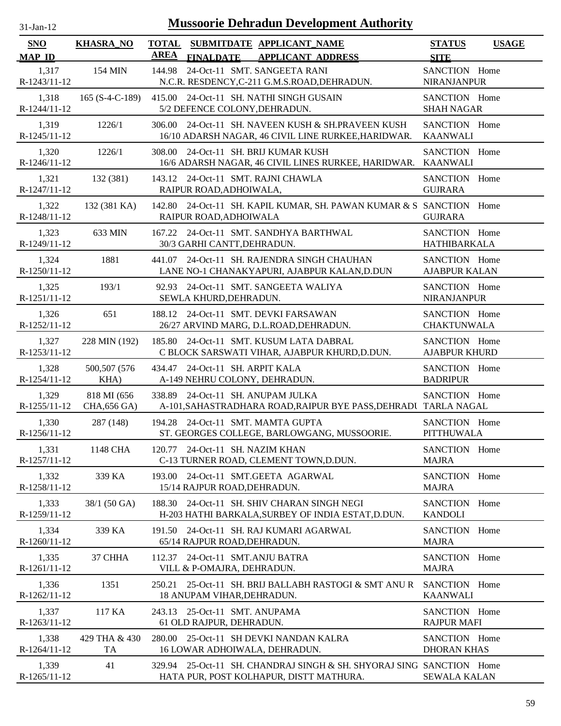| $31$ -Jan-12 |
|--------------|
|              |

| <b>SNO</b><br><b>MAP ID</b> | <b>KHASRA_NO</b>                   | <b>AREA</b>                     | <b>FINALDATE</b>             | TOTAL SUBMITDATE APPLICANT NAME<br><b>APPLICANT ADDRESS</b>                                                     | <b>STATUS</b><br><b>SITE</b>          | <b>USAGE</b> |
|-----------------------------|------------------------------------|---------------------------------|------------------------------|-----------------------------------------------------------------------------------------------------------------|---------------------------------------|--------------|
| 1,317<br>R-1243/11-12       | 154 MIN                            | 144.98                          |                              | 24-Oct-11 SMT. SANGEETA RANI<br>N.C.R. RESDENCY, C-211 G.M.S.ROAD, DEHRADUN.                                    | SANCTION Home<br><b>NIRANJANPUR</b>   |              |
| 1,318<br>R-1244/11-12       | $165 (S-4-C-189)$                  |                                 |                              | 415.00 24-Oct-11 SH. NATHI SINGH GUSAIN<br>5/2 DEFENCE COLONY, DEHRADUN.                                        | SANCTION Home<br><b>SHAH NAGAR</b>    |              |
| 1,319<br>R-1245/11-12       | 1226/1                             | 306.00                          |                              | 24-Oct-11 SH. NAVEEN KUSH & SH.PRAVEEN KUSH<br>16/10 ADARSH NAGAR, 46 CIVIL LINE RURKEE, HARIDWAR.              | SANCTION Home<br><b>KAANWALI</b>      |              |
| 1,320<br>R-1246/11-12       | 1226/1                             |                                 |                              | 308.00 24-Oct-11 SH. BRIJ KUMAR KUSH<br>16/6 ADARSH NAGAR, 46 CIVIL LINES RURKEE, HARIDWAR. KAANWALI            | SANCTION Home                         |              |
| 1,321<br>R-1247/11-12       | 132 (381)                          |                                 | RAIPUR ROAD, ADHOIWALA,      | 143.12 24-Oct-11 SMT. RAJNI CHAWLA                                                                              | SANCTION Home<br><b>GUJRARA</b>       |              |
| 1,322<br>R-1248/11-12       | 132 (381 KA)                       |                                 | RAIPUR ROAD, ADHOIWALA       | 142.80 24-Oct-11 SH. KAPIL KUMAR, SH. PAWAN KUMAR & S SANCTION Home                                             | <b>GUJRARA</b>                        |              |
| 1,323<br>R-1249/11-12       | 633 MIN                            |                                 | 30/3 GARHI CANTT, DEHRADUN.  | 167.22 24-Oct-11 SMT, SANDHYA BARTHWAL                                                                          | SANCTION Home<br><b>HATHIBARKALA</b>  |              |
| 1,324<br>R-1250/11-12       | 1881                               |                                 |                              | 441.07 24-Oct-11 SH. RAJENDRA SINGH CHAUHAN<br>LANE NO-1 CHANAKYAPURI, AJABPUR KALAN, D.DUN                     | SANCTION Home<br><b>AJABPUR KALAN</b> |              |
| 1,325<br>R-1251/11-12       | 193/1                              |                                 | SEWLA KHURD, DEHRADUN.       | 92.93 24-Oct-11 SMT. SANGEETA WALIYA                                                                            | SANCTION Home<br>NIRANJANPUR          |              |
| 1,326<br>R-1252/11-12       | 651                                |                                 |                              | 188.12 24-Oct-11 SMT. DEVKI FARSAWAN<br>26/27 ARVIND MARG, D.L.ROAD, DEHRADUN.                                  | SANCTION Home<br><b>CHAKTUNWALA</b>   |              |
| 1,327<br>R-1253/11-12       | 228 MIN (192)                      |                                 |                              | 185.80 24-Oct-11 SMT. KUSUM LATA DABRAL<br>C BLOCK SARSWATI VIHAR, AJABPUR KHURD, D.DUN.                        | SANCTION Home<br><b>AJABPUR KHURD</b> |              |
| 1,328<br>R-1254/11-12       | 500,507 (576)<br>KHA)              | 434.47 24-Oct-11 SH. ARPIT KALA |                              | A-149 NEHRU COLONY, DEHRADUN.                                                                                   | SANCTION Home<br><b>BADRIPUR</b>      |              |
| 1,329<br>R-1255/11-12       | 818 MI (656)<br><b>CHA,656 GA)</b> |                                 |                              | 338.89 24-Oct-11 SH. ANUPAM JULKA<br>A-101, SAHASTRADHARA ROAD, RAIPUR BYE PASS, DEHRADU TARLA NAGAL            | SANCTION Home                         |              |
| 1,330<br>R-1256/11-12       | 287 (148)                          |                                 |                              | 194.28 24-Oct-11 SMT. MAMTA GUPTA<br>ST. GEORGES COLLEGE, BARLOWGANG, MUSSOORIE.                                | SANCTION Home<br><b>PITTHUWALA</b>    |              |
| 1,331<br>R-1257/11-12       | 1148 CHA                           | 120.77 24-Oct-11 SH. NAZIM KHAN |                              | C-13 TURNER ROAD, CLEMENT TOWN, D.DUN.                                                                          | SANCTION Home<br><b>MAJRA</b>         |              |
| 1,332<br>R-1258/11-12       | 339 KA                             |                                 | 15/14 RAJPUR ROAD, DEHRADUN. | 193.00 24-Oct-11 SMT.GEETA AGARWAL                                                                              | SANCTION Home<br><b>MAJRA</b>         |              |
| 1,333<br>R-1259/11-12       | 38/1 (50 GA)                       | 188.30                          |                              | 24-Oct-11 SH, SHIV CHARAN SINGH NEGI<br>H-203 HATHI BARKALA, SURBEY OF INDIA ESTAT, D.DUN.                      | SANCTION Home<br><b>KANDOLI</b>       |              |
| 1,334<br>$R-1260/11-12$     | 339 KA                             |                                 | 65/14 RAJPUR ROAD, DEHRADUN. | 191.50 24-Oct-11 SH. RAJ KUMARI AGARWAL                                                                         | SANCTION Home<br><b>MAJRA</b>         |              |
| 1,335<br>$R-1261/11-12$     | 37 CHHA                            | 112.37 24-Oct-11 SMT.ANJU BATRA | VILL & P-OMAJRA, DEHRADUN.   |                                                                                                                 | SANCTION Home<br><b>MAJRA</b>         |              |
| 1,336<br>R-1262/11-12       | 1351                               |                                 | 18 ANUPAM VIHAR, DEHRADUN.   | 250.21 25-Oct-11 SH. BRIJ BALLABH RASTOGI & SMT ANU R                                                           | SANCTION Home<br><b>KAANWALI</b>      |              |
| 1,337<br>R-1263/11-12       | 117 KA                             | 243.13 25-Oct-11 SMT. ANUPAMA   | 61 OLD RAJPUR, DEHRADUN.     |                                                                                                                 | SANCTION Home<br><b>RAJPUR MAFI</b>   |              |
| 1,338<br>$R-1264/11-12$     | 429 THA & 430<br>TA                |                                 |                              | 280.00 25-Oct-11 SH DEVKI NANDAN KALRA<br>16 LOWAR ADHOIWALA, DEHRADUN.                                         | SANCTION Home<br><b>DHORAN KHAS</b>   |              |
| 1,339<br>R-1265/11-12       | 41                                 |                                 |                              | 329.94 25-Oct-11 SH. CHANDRAJ SINGH & SH. SHYORAJ SING SANCTION Home<br>HATA PUR, POST KOLHAPUR, DISTT MATHURA. | <b>SEWALA KALAN</b>                   |              |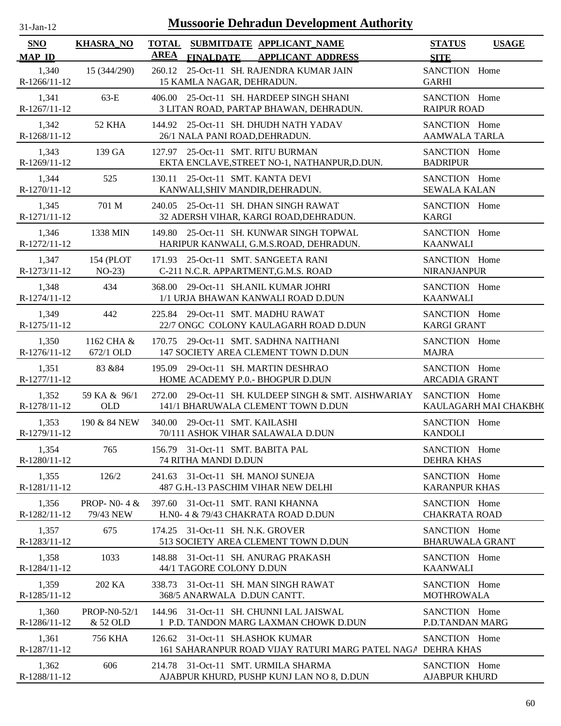| 31-Jan-12 |  |
|-----------|--|
|           |  |

| <b>SNO</b>                               | <b>KHASRA NO</b>            | <b>TOTAL</b><br>AREA |                                                                 | SUBMITDATE APPLICANT_NAME                                                                  | <b>STATUS</b>                                | <b>USAGE</b>          |
|------------------------------------------|-----------------------------|----------------------|-----------------------------------------------------------------|--------------------------------------------------------------------------------------------|----------------------------------------------|-----------------------|
| <b>MAP ID</b><br>1,340<br>$R-1266/11-12$ | 15 (344/290)                | 260.12               | <b>FINALDATE</b><br>15 KAMLA NAGAR, DEHRADUN.                   | <b>APPLICANT ADDRESS</b><br>25-Oct-11 SH. RAJENDRA KUMAR JAIN                              | <b>SITE</b><br>SANCTION Home<br><b>GARHI</b> |                       |
| 1,341<br>R-1267/11-12                    | $63-E$                      |                      |                                                                 | 406.00 25-Oct-11 SH. HARDEEP SINGH SHANI<br>3 LITAN ROAD, PARTAP BHAWAN, DEHRADUN.         | SANCTION Home<br><b>RAIPUR ROAD</b>          |                       |
| 1,342<br>R-1268/11-12                    | 52 KHA                      |                      | 26/1 NALA PANI ROAD, DEHRADUN.                                  | 144.92 25-Oct-11 SH. DHUDH NATH YADAV                                                      | SANCTION Home<br><b>AAMWALA TARLA</b>        |                       |
| 1,343<br>R-1269/11-12                    | 139 GA                      |                      | 127.97 25-Oct-11 SMT. RITU BURMAN                               | EKTA ENCLAVE, STREET NO-1, NATHANPUR, D.DUN.                                               | SANCTION Home<br><b>BADRIPUR</b>             |                       |
| 1,344<br>R-1270/11-12                    | 525                         | 130.11               | 25-Oct-11 SMT. KANTA DEVI<br>KANWALI, SHIV MANDIR, DEHRADUN.    |                                                                                            | SANCTION Home<br><b>SEWALA KALAN</b>         |                       |
| 1,345<br>R-1271/11-12                    | 701 M                       |                      |                                                                 | 240.05 25-Oct-11 SH. DHAN SINGH RAWAT<br>32 ADERSH VIHAR, KARGI ROAD, DEHRADUN.            | SANCTION Home<br><b>KARGI</b>                |                       |
| 1,346<br>R-1272/11-12                    | 1338 MIN                    |                      |                                                                 | 149.80 25-Oct-11 SH. KUNWAR SINGH TOPWAL<br>HARIPUR KANWALI, G.M.S.ROAD, DEHRADUN.         | SANCTION Home<br><b>KAANWALI</b>             |                       |
| 1,347<br>R-1273/11-12                    | 154 (PLOT<br>$NO-23$        |                      | 171.93 25-Oct-11 SMT. SANGEETA RANI                             | C-211 N.C.R. APPARTMENT, G.M.S. ROAD                                                       | SANCTION Home<br><b>NIRANJANPUR</b>          |                       |
| 1,348<br>R-1274/11-12                    | 434                         |                      |                                                                 | 368.00 29-Oct-11 SH.ANIL KUMAR JOHRI<br>1/1 URJA BHAWAN KANWALI ROAD D.DUN                 | SANCTION Home<br><b>KAANWALI</b>             |                       |
| 1,349<br>R-1275/11-12                    | 442                         |                      | 225.84 29-Oct-11 SMT. MADHU RAWAT                               | 22/7 ONGC COLONY KAULAGARH ROAD D.DUN                                                      | SANCTION Home<br><b>KARGI GRANT</b>          |                       |
| 1,350<br>R-1276/11-12                    | 1162 CHA &<br>672/1 OLD     |                      |                                                                 | 170.75 29-Oct-11 SMT. SADHNA NAITHANI<br>147 SOCIETY AREA CLEMENT TOWN D.DUN               | SANCTION Home<br><b>MAJRA</b>                |                       |
| 1,351<br>R-1277/11-12                    | 83 & 84                     |                      | 195.09 29-Oct-11 SH. MARTIN DESHRAO                             | HOME ACADEMY P.0.- BHOGPUR D.DUN                                                           | SANCTION Home<br><b>ARCADIA GRANT</b>        |                       |
| 1,352<br>R-1278/11-12                    | 59 KA & 96/1<br><b>OLD</b>  |                      |                                                                 | 272.00 29-Oct-11 SH. KULDEEP SINGH & SMT. AISHWARIAY<br>141/1 BHARUWALA CLEMENT TOWN D.DUN | SANCTION Home                                | KAULAGARH MAI CHAKBH( |
| 1,353<br>R-1279/11-12                    | 190 & 84 NEW                |                      | 340.00 29-Oct-11 SMT. KAILASHI                                  | 70/111 ASHOK VIHAR SALAWALA D.DUN                                                          | SANCTION Home<br><b>KANDOLI</b>              |                       |
| 1,354<br>R-1280/11-12                    | 765                         |                      | 156.79 31-Oct-11 SMT. BABITA PAL<br><b>74 RITHA MANDI D.DUN</b> |                                                                                            | SANCTION Home<br><b>DEHRA KHAS</b>           |                       |
| 1,355<br>R-1281/11-12                    | 126/2                       |                      | 241.63 31-Oct-11 SH. MANOJ SUNEJA                               | 487 G.H.-13 PASCHIM VIHAR NEW DELHI                                                        | SANCTION Home<br><b>KARANPUR KHAS</b>        |                       |
| 1,356<br>R-1282/11-12                    | PROP- $N0-4 &$<br>79/43 NEW |                      | 397.60 31-Oct-11 SMT. RANI KHANNA                               | H.N0-4 & 79/43 CHAKRATA ROAD D.DUN                                                         | SANCTION Home<br><b>CHAKRATA ROAD</b>        |                       |
| 1,357<br>R-1283/11-12                    | 675                         |                      | 174.25 31-Oct-11 SH. N.K. GROVER                                | 513 SOCIETY AREA CLEMENT TOWN D.DUN                                                        | SANCTION Home<br><b>BHARUWALA GRANT</b>      |                       |
| 1,358<br>R-1284/11-12                    | 1033                        |                      | 44/1 TAGORE COLONY D.DUN                                        | 148.88 31-Oct-11 SH. ANURAG PRAKASH                                                        | SANCTION Home<br><b>KAANWALI</b>             |                       |
| 1,359<br>R-1285/11-12                    | 202 KA                      |                      | 368/5 ANARWALA D.DUN CANTT.                                     | 338.73 31-Oct-11 SH. MAN SINGH RAWAT                                                       | SANCTION Home<br><b>MOTHROWALA</b>           |                       |
| 1,360<br>R-1286/11-12                    | PROP-N0-52/1<br>& 52 OLD    |                      |                                                                 | 144.96 31-Oct-11 SH. CHUNNI LAL JAISWAL<br>1 P.D. TANDON MARG LAXMAN CHOWK D.DUN           | SANCTION Home<br>P.D.TANDAN MARG             |                       |
| 1,361<br>R-1287/11-12                    | <b>756 KHA</b>              |                      | 126.62 31-Oct-11 SH.ASHOK KUMAR                                 | 161 SAHARANPUR ROAD VIJAY RATURI MARG PATEL NAGA DEHRA KHAS                                | SANCTION Home                                |                       |
| 1,362<br>R-1288/11-12                    | 606                         |                      |                                                                 | 214.78 31-Oct-11 SMT. URMILA SHARMA<br>AJABPUR KHURD, PUSHP KUNJ LAN NO 8, D.DUN           | SANCTION Home<br><b>AJABPUR KHURD</b>        |                       |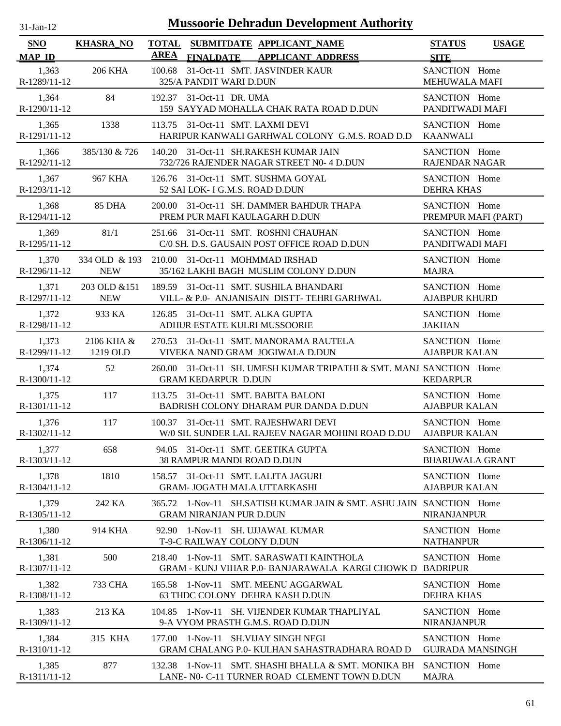| .1-Jan-1 |  |
|----------|--|
|          |  |

| <b>SNO</b>                             | <b>KHASRA_NO</b>            | AREA |                                                                  | TOTAL SUBMITDATE APPLICANT NAME                                                                       | <b>STATUS</b>                                        | <b>USAGE</b> |
|----------------------------------------|-----------------------------|------|------------------------------------------------------------------|-------------------------------------------------------------------------------------------------------|------------------------------------------------------|--------------|
| <b>MAP ID</b><br>1,363<br>R-1289/11-12 | <b>206 KHA</b>              |      | <b>FINALDATE</b><br>325/A PANDIT WARI D.DUN                      | <b>APPLICANT ADDRESS</b><br>100.68 31-Oct-11 SMT. JASVINDER KAUR                                      | <b>SITE</b><br>SANCTION Home<br><b>MEHUWALA MAFI</b> |              |
| 1,364<br>R-1290/11-12                  | 84                          |      | 192.37 31-Oct-11 DR. UMA                                         | 159 SAYYAD MOHALLA CHAK RATA ROAD D.DUN                                                               | SANCTION Home<br>PANDITWADI MAFI                     |              |
| 1,365<br>R-1291/11-12                  | 1338                        |      | 113.75 31-Oct-11 SMT. LAXMI DEVI                                 | HARIPUR KANWALI GARHWAL COLONY G.M.S. ROAD D.D                                                        | SANCTION Home<br><b>KAANWALI</b>                     |              |
| 1,366<br>R-1292/11-12                  | 385/130 & 726               |      |                                                                  | 140.20 31-Oct-11 SH.RAKESH KUMAR JAIN<br>732/726 RAJENDER NAGAR STREET N0- 4 D.DUN                    | SANCTION Home<br><b>RAJENDAR NAGAR</b>               |              |
| 1,367<br>R-1293/11-12                  | 967 KHA                     |      | 52 SAI LOK- I G.M.S. ROAD D.DUN                                  | 126.76 31-Oct-11 SMT. SUSHMA GOYAL                                                                    | SANCTION Home<br><b>DEHRA KHAS</b>                   |              |
| 1,368<br>R-1294/11-12                  | <b>85 DHA</b>               |      |                                                                  | 200.00 31-Oct-11 SH. DAMMER BAHDUR THAPA<br>PREM PUR MAFI KAULAGARH D.DUN                             | SANCTION Home<br>PREMPUR MAFI (PART)                 |              |
| 1,369<br>R-1295/11-12                  | 81/1                        |      |                                                                  | 251.66 31-Oct-11 SMT. ROSHNI CHAUHAN<br>C/0 SH. D.S. GAUSAIN POST OFFICE ROAD D.DUN                   | SANCTION Home<br>PANDITWADI MAFI                     |              |
| 1,370<br>$R-1296/11-12$                | 334 OLD & 193<br><b>NEW</b> |      |                                                                  | 210.00 31-Oct-11 MOHMMAD IRSHAD<br>35/162 LAKHI BAGH MUSLIM COLONY D.DUN                              | SANCTION Home<br><b>MAJRA</b>                        |              |
| 1,371<br>R-1297/11-12                  | 203 OLD & 151<br><b>NEW</b> |      |                                                                  | 189.59 31-Oct-11 SMT. SUSHILA BHANDARI<br>VILL- & P.0- ANJANISAIN DISTT-TEHRI GARHWAL                 | SANCTION Home<br><b>AJABPUR KHURD</b>                |              |
| 1,372<br>R-1298/11-12                  | 933 KA                      |      | 126.85 31-Oct-11 SMT. ALKA GUPTA<br>ADHUR ESTATE KULRI MUSSOORIE |                                                                                                       | SANCTION Home<br><b>JAKHAN</b>                       |              |
| 1,373<br>R-1299/11-12                  | 2106 KHA &<br>1219 OLD      |      |                                                                  | 270.53 31-Oct-11 SMT. MANORAMA RAUTELA<br>VIVEKA NAND GRAM JOGIWALA D.DUN                             | SANCTION Home<br><b>AJABPUR KALAN</b>                |              |
| 1,374<br>R-1300/11-12                  | 52                          |      | <b>GRAM KEDARPUR D.DUN</b>                                       | 260.00 31-Oct-11 SH. UMESH KUMAR TRIPATHI & SMT. MANJ SANCTION Home                                   | <b>KEDARPUR</b>                                      |              |
| 1,375<br>R-1301/11-12                  | 117                         |      |                                                                  | 113.75 31-Oct-11 SMT. BABITA BALONI<br>BADRISH COLONY DHARAM PUR DANDA D.DUN                          | SANCTION Home<br><b>AJABPUR KALAN</b>                |              |
| 1,376<br>R-1302/11-12                  | 117                         |      |                                                                  | 100.37 31-Oct-11 SMT. RAJESHWARI DEVI<br>W/0 SH. SUNDER LAL RAJEEV NAGAR MOHINI ROAD D.DU             | SANCTION Home<br><b>AJABPUR KALAN</b>                |              |
| 1,377<br>R-1303/11-12                  | 658                         |      | 38 RAMPUR MANDI ROAD D.DUN                                       | 94.05 31-Oct-11 SMT. GEETIKA GUPTA                                                                    | SANCTION Home<br><b>BHARUWALA GRANT</b>              |              |
| 1,378<br>R-1304/11-12                  | 1810                        |      |                                                                  | 158.57 31-Oct-11 SMT. LALITA JAGURI<br><b>GRAM- JOGATH MALA UTTARKASHI</b>                            | SANCTION Home<br><b>AJABPUR KALAN</b>                |              |
| 1,379<br>R-1305/11-12                  | 242 KA                      |      | <b>GRAM NIRANJAN PUR D.DUN</b>                                   | 365.72 1-Nov-11 SH.SATISH KUMAR JAIN & SMT. ASHU JAIN SANCTION Home                                   | <b>NIRANJANPUR</b>                                   |              |
| 1,380<br>R-1306/11-12                  | 914 KHA                     |      | T-9-C RAILWAY COLONY D.DUN                                       | 92.90 1-Nov-11 SH. UJJAWAL KUMAR                                                                      | SANCTION Home<br><b>NATHANPUR</b>                    |              |
| 1,381<br>R-1307/11-12                  | 500                         |      |                                                                  | 218.40 1-Nov-11 SMT, SARASWATI KAINTHOLA<br>GRAM - KUNJ VIHAR P.0- BANJARAWALA KARGI CHOWK D BADRIPUR | SANCTION Home                                        |              |
| 1,382<br>R-1308/11-12                  | 733 CHA                     |      |                                                                  | 165.58 1-Nov-11 SMT. MEENU AGGARWAL<br>63 THDC COLONY DEHRA KASH D.DUN                                | SANCTION Home<br><b>DEHRA KHAS</b>                   |              |
| 1,383<br>R-1309/11-12                  | 213 KA                      |      |                                                                  | 104.85 1-Nov-11 SH. VIJENDER KUMAR THAPLIYAL<br>9-A VYOM PRASTH G.M.S. ROAD D.DUN                     | SANCTION Home<br><b>NIRANJANPUR</b>                  |              |
| 1,384<br>R-1310/11-12                  | 315 KHA                     |      |                                                                  | 177.00 1-Nov-11 SH.VIJAY SINGH NEGI<br><b>GRAM CHALANG P.0- KULHAN SAHASTRADHARA ROAD D</b>           | SANCTION Home<br><b>GUJRADA MANSINGH</b>             |              |
| 1,385<br>R-1311/11-12                  | 877                         |      |                                                                  | 132.38 1-Nov-11 SMT. SHASHI BHALLA & SMT. MONIKA BH<br>LANE- N0- C-11 TURNER ROAD CLEMENT TOWN D.DUN  | SANCTION Home<br><b>MAJRA</b>                        |              |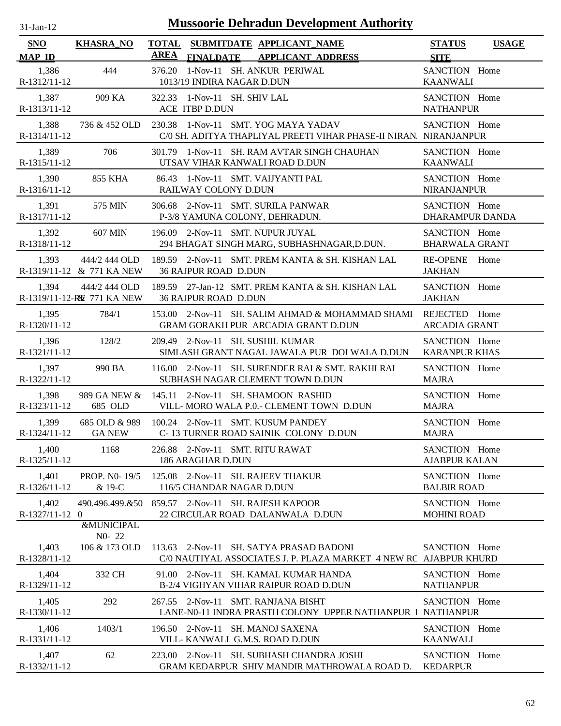| $31$ -Jan-12            |                                             | <b>Mussoorie Dehradun Development Authority</b>                                                              |                                         |              |
|-------------------------|---------------------------------------------|--------------------------------------------------------------------------------------------------------------|-----------------------------------------|--------------|
| SNO<br><b>MAP ID</b>    | <b>KHASRA_NO</b>                            | <b>TOTAL</b><br>SUBMITDATE APPLICANT_NAME<br><b>AREA</b><br><b>APPLICANT ADDRESS</b><br><b>FINALDATE</b>     | <b>STATUS</b><br><b>SITE</b>            | <b>USAGE</b> |
| 1,386<br>R-1312/11-12   | 444                                         | 376.20<br>1-Nov-11 SH. ANKUR PERIWAL<br>1013/19 INDIRA NAGAR D.DUN                                           | SANCTION Home<br><b>KAANWALI</b>        |              |
| 1,387<br>R-1313/11-12   | 909 KA                                      | 322.33 1-Nov-11 SH. SHIV LAL<br>ACE ITBP D.DUN                                                               | SANCTION Home<br><b>NATHANPUR</b>       |              |
| 1,388<br>R-1314/11-12   | 736 & 452 OLD                               | 230.38 1-Nov-11 SMT. YOG MAYA YADAV<br>C/0 SH. ADITYA THAPLIYAL PREETI VIHAR PHASE-II NIRAN. NIRANJANPUR     | SANCTION Home                           |              |
| 1,389<br>R-1315/11-12   | 706                                         | 301.79 1-Nov-11 SH. RAM AVTAR SINGH CHAUHAN<br>UTSAV VIHAR KANWALI ROAD D.DUN                                | SANCTION Home<br><b>KAANWALI</b>        |              |
| 1,390<br>R-1316/11-12   | 855 KHA                                     | 86.43 1-Nov-11 SMT. VAIJYANTI PAL<br>RAILWAY COLONY D.DUN                                                    | SANCTION Home<br><b>NIRANJANPUR</b>     |              |
| 1,391<br>R-1317/11-12   | 575 MIN                                     | 306.68 2-Nov-11 SMT. SURILA PANWAR<br>P-3/8 YAMUNA COLONY, DEHRADUN.                                         | SANCTION Home<br><b>DHARAMPUR DANDA</b> |              |
| 1,392<br>R-1318/11-12   | <b>607 MIN</b>                              | 196.09 2-Nov-11 SMT. NUPUR JUYAL<br>294 BHAGAT SINGH MARG, SUBHASHNAGAR, D.DUN.                              | SANCTION Home<br><b>BHARWALA GRANT</b>  |              |
| 1,393                   | 444/2 444 OLD<br>R-1319/11-12 & 771 KA NEW  | 189.59 2-Nov-11 SMT. PREM KANTA & SH. KISHAN LAL<br><b>36 RAJPUR ROAD D.DUN</b>                              | <b>RE-OPENE</b><br><b>JAKHAN</b>        | Home         |
| 1.394                   | 444/2 444 OLD<br>R-1319/11-12-RE 771 KA NEW | 189.59 27-Jan-12 SMT. PREM KANTA & SH. KISHAN LAL<br><b>36 RAJPUR ROAD D.DUN</b>                             | SANCTION Home<br><b>JAKHAN</b>          |              |
| 1,395<br>R-1320/11-12   | 784/1                                       | 153.00 2-Nov-11 SH. SALIM AHMAD & MOHAMMAD SHAMI<br>GRAM GORAKH PUR ARCADIA GRANT D.DUN                      | REJECTED Home<br><b>ARCADIA GRANT</b>   |              |
| 1,396<br>R-1321/11-12   | 128/2                                       | 209.49 2-Nov-11 SH. SUSHIL KUMAR<br>SIMLASH GRANT NAGAL JAWALA PUR DOI WALA D.DUN                            | SANCTION Home<br><b>KARANPUR KHAS</b>   |              |
| 1,397<br>R-1322/11-12   | 990 BA                                      | 116.00 2-Nov-11 SH. SURENDER RAI & SMT. RAKHI RAI<br>SUBHASH NAGAR CLEMENT TOWN D.DUN                        | SANCTION Home<br><b>MAJRA</b>           |              |
| 1,398<br>R-1323/11-12   | 685 OLD                                     | 989 GA NEW & 145.11 2-Nov-11 SH. SHAMOON RASHID<br>VILL-MORO WALA P.O.- CLEMENT TOWN D.DUN                   | SANCTION Home<br><b>MAJRA</b>           |              |
| 1,399<br>R-1324/11-12   | <b>GA NEW</b>                               | 685 OLD & 989 100.24 2-Nov-11 SMT. KUSUM PANDEY<br>C-13 TURNER ROAD SAINIK COLONY D.DUN                      | SANCTION Home<br><b>MAJRA</b>           |              |
| 1,400<br>R-1325/11-12   | 1168                                        | 226.88 2-Nov-11 SMT. RITU RAWAT<br>186 ARAGHAR D.DUN                                                         | SANCTION Home<br><b>AJABPUR KALAN</b>   |              |
| 1,401<br>R-1326/11-12   | PROP. NO-19/5<br>& 19-C                     | 125.08 2-Nov-11 SH. RAJEEV THAKUR<br>116/5 CHANDAR NAGAR D.DUN                                               | SANCTION Home<br><b>BALBIR ROAD</b>     |              |
| 1,402<br>R-1327/11-12 0 | 490.496.499.&50                             | 859.57 2-Nov-11 SH. RAJESH KAPOOR<br>22 CIRCULAR ROAD DALANWALA D.DUN                                        | SANCTION Home<br><b>MOHINI ROAD</b>     |              |
|                         | <b>&amp;MUNICIPAL</b><br>NO-22              |                                                                                                              |                                         |              |
| 1,403<br>R-1328/11-12   | 106 & 173 OLD                               | 113.63 2-Nov-11 SH. SATYA PRASAD BADONI<br>C/0 NAUTIYAL ASSOCIATES J. P. PLAZA MARKET 4 NEW RC AJABPUR KHURD | SANCTION Home                           |              |
| 1,404<br>R-1329/11-12   | 332 CH                                      | 91.00 2-Nov-11 SH. KAMAL KUMAR HANDA<br>B-2/4 VIGHYAN VIHAR RAIPUR ROAD D.DUN                                | SANCTION Home<br><b>NATHANPUR</b>       |              |
| 1,405<br>R-1330/11-12   | 292                                         | 267.55 2-Nov-11 SMT. RANJANA BISHT<br>LANE-N0-11 INDRA PRASTH COLONY UPPER NATHANPUR 1                       | SANCTION Home<br><b>NATHANPUR</b>       |              |
| 1,406<br>R-1331/11-12   | 1403/1                                      | 196.50 2-Nov-11 SH. MANOJ SAXENA<br>VILL-KANWALI G.M.S. ROAD D.DUN                                           | SANCTION Home<br><b>KAANWALI</b>        |              |
| 1,407<br>R-1332/11-12   | 62                                          | 223.00 2-Nov-11 SH. SUBHASH CHANDRA JOSHI<br>GRAM KEDARPUR SHIV MANDIR MATHROWALA ROAD D.                    | SANCTION Home<br><b>KEDARPUR</b>        |              |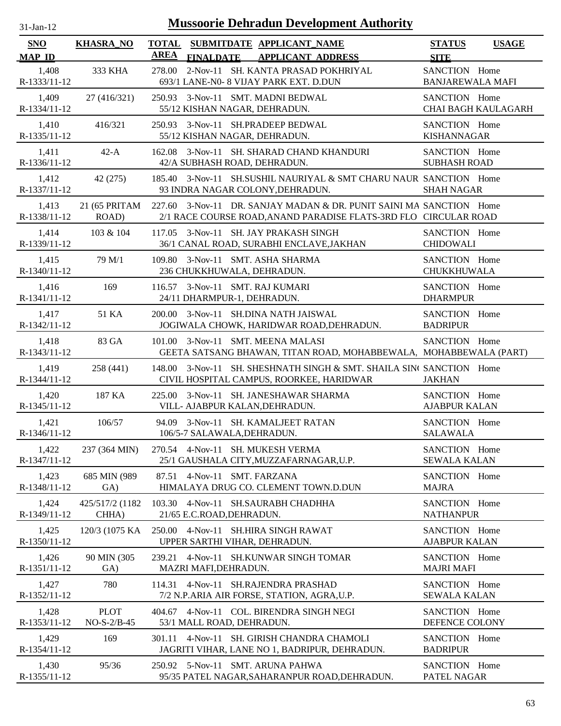| -Jan- |
|-------|
|       |

| SNO                   | <b>KHASRA_NO</b>             | <b>TOTAL</b> |                           | SUBMITDATE APPLICANT_NAME                                                                                                        | <b>STATUS</b>                            | <b>USAGE</b>               |
|-----------------------|------------------------------|--------------|---------------------------|----------------------------------------------------------------------------------------------------------------------------------|------------------------------------------|----------------------------|
| <b>MAP ID</b>         |                              | <b>AREA</b>  | <b>FINALDATE</b>          | <b>APPLICANT ADDRESS</b>                                                                                                         | <b>SITE</b>                              |                            |
| 1,408<br>R-1333/11-12 | 333 KHA                      | 278.00       |                           | 2-Nov-11 SH. KANTA PRASAD POKHRIYAL<br>693/1 LANE-N0- 8 VIJAY PARK EXT. D.DUN                                                    | SANCTION Home<br><b>BANJAREWALA MAFI</b> |                            |
| 1,409<br>R-1334/11-12 | 27 (416/321)                 |              |                           | 250.93 3-Nov-11 SMT. MADNI BEDWAL<br>55/12 KISHAN NAGAR, DEHRADUN.                                                               | SANCTION Home                            | <b>CHAI BAGH KAULAGARH</b> |
| 1,410<br>R-1335/11-12 | 416/321                      | 250.93       |                           | 3-Nov-11 SH.PRADEEP BEDWAL<br>55/12 KISHAN NAGAR, DEHRADUN.                                                                      | SANCTION Home<br><b>KISHANNAGAR</b>      |                            |
| 1,411<br>R-1336/11-12 | $42-A$                       | 162.08       |                           | 3-Nov-11 SH. SHARAD CHAND KHANDURI<br>42/A SUBHASH ROAD, DEHRADUN.                                                               | SANCTION Home<br><b>SUBHASH ROAD</b>     |                            |
| 1,412<br>R-1337/11-12 | 42 (275)                     | 185.40       |                           | 3-Nov-11 SH.SUSHIL NAURIYAL & SMT CHARU NAUR SANCTION Home<br>93 INDRA NAGAR COLONY, DEHRADUN.                                   | <b>SHAH NAGAR</b>                        |                            |
| 1,413<br>R-1338/11-12 | 21 (65 PRITAM<br>ROAD)       | 227.60       |                           | 3-Nov-11 DR. SANJAY MADAN & DR. PUNIT SAINI MA SANCTION Home<br>2/1 RACE COURSE ROAD, ANAND PARADISE FLATS-3RD FLO CIRCULAR ROAD |                                          |                            |
| 1,414<br>R-1339/11-12 | 103 & 104                    | 117.05       |                           | 3-Nov-11 SH. JAY PRAKASH SINGH<br>36/1 CANAL ROAD, SURABHI ENCLAVE, JAKHAN                                                       | SANCTION Home<br><b>CHIDOWALI</b>        |                            |
| 1,415<br>R-1340/11-12 | 79 M/1                       |              |                           | 109.80 3-Nov-11 SMT. ASHA SHARMA<br>236 CHUKKHUWALA, DEHRADUN.                                                                   | SANCTION Home<br><b>CHUKKHUWALA</b>      |                            |
| 1,416<br>R-1341/11-12 | 169                          | 116.57       |                           | 3-Nov-11 SMT. RAJ KUMARI<br>24/11 DHARMPUR-1, DEHRADUN.                                                                          | SANCTION Home<br><b>DHARMPUR</b>         |                            |
| 1,417<br>R-1342/11-12 | 51 KA                        |              |                           | 200.00 3-Nov-11 SH.DINA NATH JAISWAL<br>JOGIWALA CHOWK, HARIDWAR ROAD, DEHRADUN.                                                 | SANCTION Home<br><b>BADRIPUR</b>         |                            |
| 1,418<br>R-1343/11-12 | 83 GA                        | 101.00       |                           | 3-Nov-11 SMT. MEENA MALASI<br>GEETA SATSANG BHAWAN, TITAN ROAD, MOHABBEWALA, MOHABBEWALA (PART)                                  | SANCTION Home                            |                            |
| 1,419<br>R-1344/11-12 | 258 (441)                    | 148.00       |                           | 3-Nov-11 SH. SHESHNATH SINGH & SMT. SHAILA SIN( SANCTION Home<br>CIVIL HOSPITAL CAMPUS, ROORKEE, HARIDWAR                        | <b>JAKHAN</b>                            |                            |
| 1,420<br>R-1345/11-12 | 187 KA                       | 225.00       |                           | 3-Nov-11 SH. JANESHAWAR SHARMA<br>VILL- AJABPUR KALAN, DEHRADUN.                                                                 | SANCTION Home<br><b>AJABPUR KALAN</b>    |                            |
| 1,421<br>R-1346/11-12 | 106/57                       |              |                           | 94.09 3-Nov-11 SH. KAMALJEET RATAN<br>106/5-7 SALAWALA, DEHRADUN.                                                                | SANCTION Home<br><b>SALAWALA</b>         |                            |
| 1,422<br>R-1347/11-12 | 237 (364 MIN)                |              |                           | 270.54 4-Nov-11 SH. MUKESH VERMA<br>25/1 GAUSHALA CITY, MUZZAFARNAGAR, U.P.                                                      | SANCTION Home<br><b>SEWALA KALAN</b>     |                            |
| 1,423<br>R-1348/11-12 | 685 MIN (989<br>GA)          | 87.51        |                           | 4-Nov-11 SMT. FARZANA<br>HIMALAYA DRUG CO. CLEMENT TOWN.D.DUN                                                                    | SANCTION Home<br><b>MAJRA</b>            |                            |
| 1,424<br>R-1349/11-12 | 425/517/2 (1182<br>CHHA)     |              | 21/65 E.C.ROAD, DEHRADUN. | 103.30 4-Nov-11 SH.SAURABH CHADHHA                                                                                               | SANCTION Home<br><b>NATHANPUR</b>        |                            |
| 1,425<br>R-1350/11-12 | 120/3 (1075 KA)              | 250.00       |                           | 4-Nov-11 SH.HIRA SINGH RAWAT<br>UPPER SARTHI VIHAR, DEHRADUN.                                                                    | SANCTION Home<br><b>AJABPUR KALAN</b>    |                            |
| 1,426<br>R-1351/11-12 | 90 MIN (305<br>GA)           | 239.21       | MAZRI MAFI, DEHRADUN.     | 4-Nov-11 SH.KUNWAR SINGH TOMAR                                                                                                   | SANCTION Home<br><b>MAJRI MAFI</b>       |                            |
| 1,427<br>R-1352/11-12 | 780                          |              |                           | 114.31 4-Nov-11 SH.RAJENDRA PRASHAD<br>7/2 N.P.ARIA AIR FORSE, STATION, AGRA, U.P.                                               | SANCTION Home<br><b>SEWALA KALAN</b>     |                            |
| 1,428<br>R-1353/11-12 | <b>PLOT</b><br>$NO-S-2/B-45$ |              | 53/1 MALL ROAD, DEHRADUN. | 404.67 4-Nov-11 COL. BIRENDRA SINGH NEGI                                                                                         | SANCTION Home<br>DEFENCE COLONY          |                            |
| 1,429<br>R-1354/11-12 | 169                          | 301.11       |                           | 4-Nov-11 SH. GIRISH CHANDRA CHAMOLI<br>JAGRITI VIHAR, LANE NO 1, BADRIPUR, DEHRADUN.                                             | SANCTION Home<br><b>BADRIPUR</b>         |                            |
| 1,430<br>R-1355/11-12 | 95/36                        |              |                           | 250.92 5-Nov-11 SMT. ARUNA PAHWA<br>95/35 PATEL NAGAR, SAHARANPUR ROAD, DEHRADUN.                                                | SANCTION Home<br>PATEL NAGAR             |                            |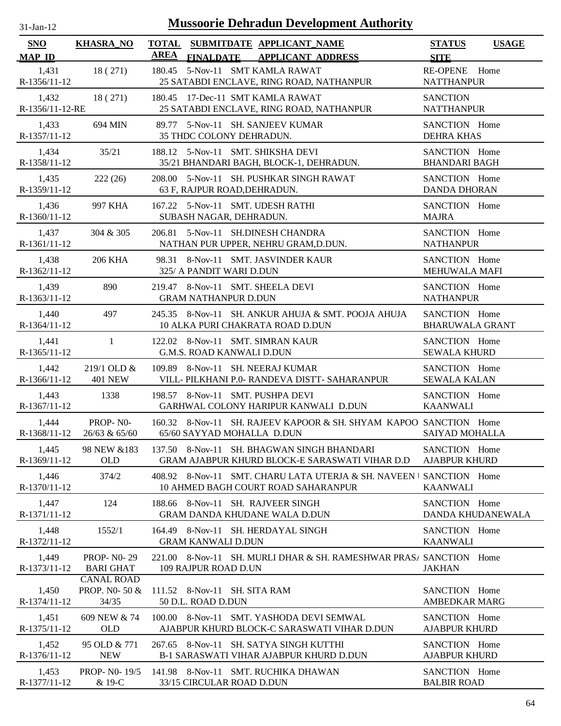| $31$ -Jan-12                |                                             | <b>Mussoorie Dehradun Development Authority</b>                                                            |                                              |
|-----------------------------|---------------------------------------------|------------------------------------------------------------------------------------------------------------|----------------------------------------------|
| <b>SNO</b><br><b>MAP ID</b> | <b>KHASRA_NO</b>                            | <b>TOTAL</b><br>SUBMITDATE APPLICANT_NAME<br><b>AREA</b><br>FINALDATE APPLICANT ADDRESS                    | <b>STATUS</b><br><b>USAGE</b><br><b>SITE</b> |
| 1,431                       | 18(271)                                     | 180.45 5-Nov-11 SMT KAMLA RAWAT                                                                            | RE-OPENE Home                                |
| R-1356/11-12                |                                             | 25 SATABDI ENCLAVE, RING ROAD, NATHANPUR                                                                   | <b>NATTHANPUR</b>                            |
| 1,432                       | 18(271)                                     | 180.45 17-Dec-11 SMT KAMLA RAWAT                                                                           | <b>SANCTION</b>                              |
| R-1356/11-12-RE             |                                             | 25 SATABDI ENCLAVE, RING ROAD, NATHANPUR                                                                   | <b>NATTHANPUR</b>                            |
| 1,433                       | 694 MIN                                     | 89.77 5-Nov-11 SH. SANJEEV KUMAR                                                                           | SANCTION Home                                |
| R-1357/11-12                |                                             | 35 THDC COLONY DEHRADUN.                                                                                   | <b>DEHRA KHAS</b>                            |
| 1,434                       | 35/21                                       | 188.12 5-Nov-11 SMT. SHIKSHA DEVI                                                                          | SANCTION Home                                |
| R-1358/11-12                |                                             | 35/21 BHANDARI BAGH, BLOCK-1, DEHRADUN.                                                                    | <b>BHANDARI BAGH</b>                         |
| 1,435                       | 222(26)                                     | 208.00 5-Nov-11 SH. PUSHKAR SINGH RAWAT                                                                    | SANCTION Home                                |
| R-1359/11-12                |                                             | 63 F, RAJPUR ROAD, DEHRADUN.                                                                               | DANDA DHORAN                                 |
| 1,436                       | 997 KHA                                     | 167.22 5-Nov-11 SMT. UDESH RATHI                                                                           | SANCTION Home                                |
| R-1360/11-12                |                                             | SUBASH NAGAR, DEHRADUN.                                                                                    | <b>MAJRA</b>                                 |
| 1,437                       | 304 & 305                                   | 206.81 5-Nov-11 SH.DINESH CHANDRA                                                                          | SANCTION Home                                |
| R-1361/11-12                |                                             | NATHAN PUR UPPER, NEHRU GRAM, D.DUN.                                                                       | <b>NATHANPUR</b>                             |
| 1,438                       | <b>206 KHA</b>                              | 98.31 8-Nov-11 SMT. JASVINDER KAUR                                                                         | SANCTION Home                                |
| R-1362/11-12                |                                             | 325/ A PANDIT WARI D.DUN                                                                                   | MEHUWALA MAFI                                |
| 1,439                       | 890                                         | 219.47 8-Nov-11 SMT. SHEELA DEVI                                                                           | SANCTION Home                                |
| R-1363/11-12                |                                             | <b>GRAM NATHANPUR D.DUN</b>                                                                                | <b>NATHANPUR</b>                             |
| 1,440                       | 497                                         | 245.35 8-Nov-11 SH. ANKUR AHUJA & SMT. POOJA AHUJA                                                         | SANCTION Home                                |
| R-1364/11-12                |                                             | 10 ALKA PURI CHAKRATA ROAD D.DUN                                                                           | <b>BHARUWALA GRANT</b>                       |
| 1,441                       | 1                                           | 122.02 8-Nov-11 SMT. SIMRAN KAUR                                                                           | SANCTION Home                                |
| R-1365/11-12                |                                             | G.M.S. ROAD KANWALI D.DUN                                                                                  | <b>SEWALA KHURD</b>                          |
| 1,442                       | $219/1$ OLD &                               | 109.89 8-Nov-11 SH. NEERAJ KUMAR                                                                           | SANCTION Home                                |
| R-1366/11-12                | <b>401 NEW</b>                              | VILL- PILKHANI P.0- RANDEVA DISTT- SAHARANPUR                                                              | <b>SEWALA KALAN</b>                          |
| 1,443                       | 1338                                        | 198.57 8-Nov-11 SMT. PUSHPA DEVI                                                                           | SANCTION Home                                |
| R-1367/11-12                |                                             | GARHWAL COLONY HARIPUR KANWALI D.DUN                                                                       | <b>KAANWALI</b>                              |
| 1,444                       | PROP-NO-                                    | 160.32 8-Nov-11 SH. RAJEEV KAPOOR & SH. SHYAM KAPOO SANCTION Home                                          | <b>SAIYAD MOHALLA</b>                        |
| R-1368/11-12                | 26/63 & 65/60                               | 65/60 SAYYAD MOHALLA D.DUN                                                                                 |                                              |
| 1,445                       | 98 NEW &183                                 | 137.50 8-Nov-11 SH. BHAGWAN SINGH BHANDARI                                                                 | SANCTION Home                                |
| R-1369/11-12                | <b>OLD</b>                                  | GRAM AJABPUR KHURD BLOCK-E SARASWATI VIHAR D.D                                                             | <b>AJABPUR KHURD</b>                         |
| 1,446<br>R-1370/11-12       | 374/2                                       | 408.92 8-Nov-11 SMT. CHARU LATA UTERJA & SH. NAVEEN I SANCTION Home<br>10 AHMED BAGH COURT ROAD SAHARANPUR | <b>KAANWALI</b>                              |
| 1,447                       | 124                                         | 188.66 8-Nov-11 SH. RAJVEER SINGH                                                                          | SANCTION Home                                |
| R-1371/11-12                |                                             | <b>GRAM DANDA KHUDANE WALA D.DUN</b>                                                                       | DANDA KHUDANEWALA                            |
| 1,448                       | 1552/1                                      | 164.49 8-Nov-11 SH. HERDAYAL SINGH                                                                         | SANCTION Home                                |
| R-1372/11-12                |                                             | <b>GRAM KANWALI D.DUN</b>                                                                                  | <b>KAANWALI</b>                              |
| 1,449                       | <b>PROP-NO-29</b>                           | 221.00 8-Nov-11 SH. MURLI DHAR & SH. RAMESHWAR PRASA SANCTION Home                                         | <b>JAKHAN</b>                                |
| R-1373/11-12                | <b>BARI GHAT</b>                            | 109 RAJPUR ROAD D.UN                                                                                       |                                              |
| 1,450<br>R-1374/11-12       | <b>CANAL ROAD</b><br>PROP. NO-50 &<br>34/35 | 111.52 8-Nov-11 SH. SITA RAM<br>50 D.L. ROAD D.DUN                                                         | SANCTION Home<br><b>AMBEDKAR MARG</b>        |
| 1,451                       | 609 NEW & 74                                | 100.00 8-Nov-11 SMT. YASHODA DEVI SEMWAL                                                                   | SANCTION Home                                |
| R-1375/11-12                | <b>OLD</b>                                  | AJABPUR KHURD BLOCK-C SARASWATI VIHAR D.DUN                                                                | <b>AJABPUR KHURD</b>                         |
| 1,452                       | 95 OLD & 771                                | 267.65 8-Nov-11 SH. SATYA SINGH KUTTHI                                                                     | SANCTION Home                                |
| R-1376/11-12                | <b>NEW</b>                                  | <b>B-1 SARASWATI VIHAR AJABPUR KHURD D.DUN</b>                                                             | <b>AJABPUR KHURD</b>                         |
| 1,453                       | PROP- N0-19/5                               | 141.98 8-Nov-11 SMT. RUCHIKA DHAWAN                                                                        | SANCTION Home                                |
| R-1377/11-12                | & 19-C                                      | 33/15 CIRCULAR ROAD D.DUN                                                                                  | <b>BALBIR ROAD</b>                           |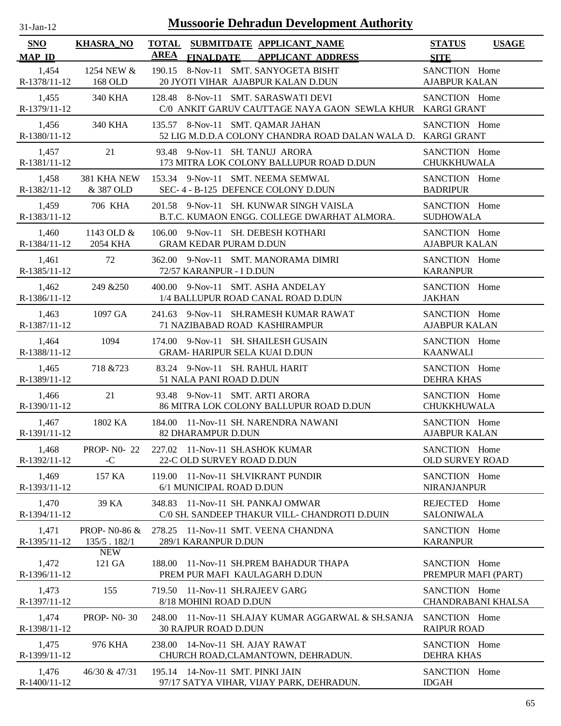| SNO                   | <b>KHASRA_NO</b>  | TOTAL SUBMITDATE APPLICANT_NAME                                                                  | <b>STATUS</b><br><b>USAGE</b> |
|-----------------------|-------------------|--------------------------------------------------------------------------------------------------|-------------------------------|
| <b>MAP ID</b>         |                   | <b>AREA</b><br>FINALDATE APPLICANT ADDRESS                                                       | <b>SITE</b>                   |
| 1,454                 | 1254 NEW &        | 190.15 8-Nov-11 SMT. SANYOGETA BISHT                                                             | SANCTION Home                 |
| R-1378/11-12          | 168 OLD           | 20 JYOTI VIHAR AJABPUR KALAN D.DUN                                                               | <b>AJABPUR KALAN</b>          |
| 1,455<br>R-1379/11-12 | <b>340 KHA</b>    | 128.48 8-Nov-11 SMT. SARASWATI DEVI<br>C/0 ANKIT GARUV CAUTTAGE NAYA GAON SEWLA KHUR KARGI GRANT | SANCTION Home                 |
| 1,456<br>R-1380/11-12 | 340 KHA           | 135.57 8-Nov-11 SMT. QAMAR JAHAN<br>52 LIG M.D.D.A COLONY CHANDRA ROAD DALAN WALA D. KARGI GRANT | SANCTION Home                 |
| 1,457                 | 21                | 93.48 9-Nov-11 SH. TANUJ ARORA                                                                   | SANCTION Home                 |
| R-1381/11-12          |                   | 173 MITRA LOK COLONY BALLUPUR ROAD D.DUN                                                         | <b>CHUKKHUWALA</b>            |
| 1,458                 | 381 KHA NEW       | 153.34 9-Nov-11 SMT. NEEMA SEMWAL                                                                | SANCTION Home                 |
| R-1382/11-12          | & 387 OLD         | SEC-4 - B-125 DEFENCE COLONY D.DUN                                                               | <b>BADRIPUR</b>               |
| 1,459                 | 706 KHA           | 201.58 9-Nov-11 SH. KUNWAR SINGH VAISLA                                                          | SANCTION Home                 |
| R-1383/11-12          |                   | B.T.C. KUMAON ENGG. COLLEGE DWARHAT ALMORA.                                                      | <b>SUDHOWALA</b>              |
| 1,460                 | 1143 OLD &        | 106.00 9-Nov-11 SH. DEBESH KOTHARI                                                               | SANCTION Home                 |
| R-1384/11-12          | 2054 KHA          | <b>GRAM KEDAR PURAM D.DUN</b>                                                                    | <b>AJABPUR KALAN</b>          |
| 1,461                 | 72                | 362.00 9-Nov-11 SMT. MANORAMA DIMRI                                                              | SANCTION Home                 |
| R-1385/11-12          |                   | 72/57 KARANPUR - I D.DUN                                                                         | <b>KARANPUR</b>               |
| 1,462                 | 249 & 250         | 400.00 9-Nov-11 SMT, ASHA ANDELAY                                                                | SANCTION Home                 |
| R-1386/11-12          |                   | 1/4 BALLUPUR ROAD CANAL ROAD D.DUN                                                               | <b>JAKHAN</b>                 |
| 1,463                 | 1097 GA           | 241.63 9-Nov-11 SH.RAMESH KUMAR RAWAT                                                            | SANCTION Home                 |
| R-1387/11-12          |                   | 71 NAZIBABAD ROAD KASHIRAMPUR                                                                    | <b>AJABPUR KALAN</b>          |
| 1,464                 | 1094              | 174.00 9-Nov-11 SH. SHAILESH GUSAIN                                                              | SANCTION Home                 |
| R-1388/11-12          |                   | <b>GRAM- HARIPUR SELA KUAI D.DUN</b>                                                             | <b>KAANWALI</b>               |
| 1,465                 | 718 & 723         | 83.24 9-Nov-11 SH. RAHUL HARIT                                                                   | SANCTION Home                 |
| R-1389/11-12          |                   | 51 NALA PANI ROAD D.DUN                                                                          | <b>DEHRA KHAS</b>             |
| 1,466                 | 21                | 93.48 9-Nov-11 SMT. ARTI ARORA                                                                   | SANCTION Home                 |
| R-1390/11-12          |                   | 86 MITRA LOK COLONY BALLUPUR ROAD D.DUN                                                          | <b>CHUKKHUWALA</b>            |
| 1,467                 | 1802 KA           | 184.00 11-Nov-11 SH. NARENDRA NAWANI                                                             | SANCTION Home                 |
| R-1391/11-12          |                   | 82 DHARAMPUR D.DUN                                                                               | <b>AJABPUR KALAN</b>          |
| 1,468                 | <b>PROP-N0-22</b> | 227.02 11-Nov-11 SH.ASHOK KUMAR                                                                  | SANCTION Home                 |
| R-1392/11-12          | $-C$              | 22-C OLD SURVEY ROAD D.DUN                                                                       | <b>OLD SURVEY ROAD</b>        |
| 1,469                 | 157 KA            | 119.00 11-Nov-11 SH.VIKRANT PUNDIR                                                               | SANCTION Home                 |
| R-1393/11-12          |                   | 6/1 MUNICIPAL ROAD D.DUN                                                                         | <b>NIRANJANPUR</b>            |
| 1,470                 | 39 KA             | 348.83 11-Nov-11 SH. PANKAJ OMWAR                                                                | REJECTED Home                 |
| R-1394/11-12          |                   | C/0 SH. SANDEEP THAKUR VILL- CHANDROTI D.DUIN                                                    | <b>SALONIWALA</b>             |
| 1,471                 | PROP- N0-86 &     | 278.25 11-Nov-11 SMT. VEENA CHANDNA                                                              | SANCTION Home                 |
| R-1395/11-12          | 135/5.182/1       | 289/1 KARANPUR D.DUN                                                                             | <b>KARANPUR</b>               |
| 1.472                 | <b>NEW</b>        | 188.00 11-Nov-11 SH.PREM BAHADUR THAPA                                                           | SANCTION Home                 |
| R-1396/11-12          | 121 GA            | PREM PUR MAFI KAULAGARH D.DUN                                                                    | PREMPUR MAFI (PART)           |
| 1,473                 | 155               | 719.50 11-Nov-11 SH.RAJEEV GARG                                                                  | SANCTION Home                 |
| R-1397/11-12          |                   | 8/18 MOHINI ROAD D.DUN                                                                           | <b>CHANDRABANI KHALSA</b>     |
| 1,474                 | <b>PROP-NO-30</b> | 248.00 11-Nov-11 SH.AJAY KUMAR AGGARWAL & SH.SANJA                                               | SANCTION Home                 |
| R-1398/11-12          |                   | <b>30 RAJPUR ROAD D.DUN</b>                                                                      | <b>RAIPUR ROAD</b>            |
| 1,475                 | 976 KHA           | 238.00 14-Nov-11 SH. AJAY RAWAT                                                                  | SANCTION Home                 |
| R-1399/11-12          |                   | CHURCH ROAD, CLAMANTOWN, DEHRADUN.                                                               | <b>DEHRA KHAS</b>             |
| 1,476                 | 46/30 & 47/31     | 195.14 14-Nov-11 SMT. PINKI JAIN                                                                 | SANCTION Home                 |
| R-1400/11-12          |                   | 97/17 SATYA VIHAR, VIJAY PARK, DEHRADUN.                                                         | <b>IDGAH</b>                  |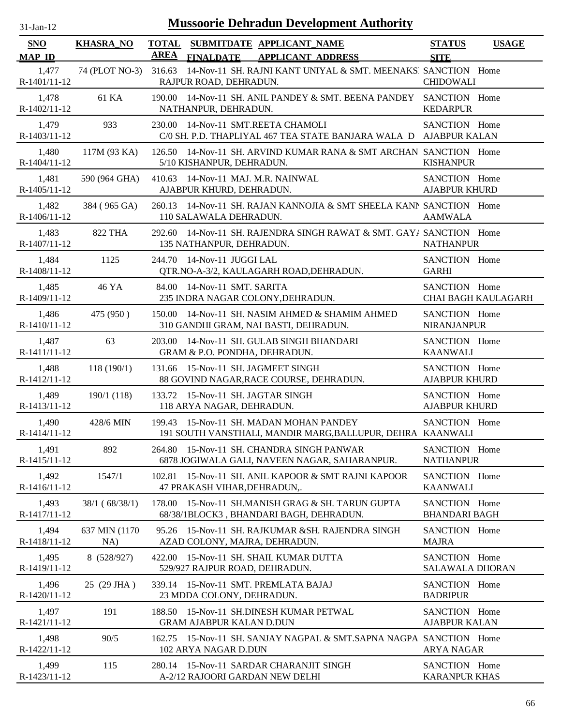| <b>Mussoorie Dehradun Development Authority</b><br>$31$ -Jan-12 |                       |                                                                                                            |                                              |  |  |  |
|-----------------------------------------------------------------|-----------------------|------------------------------------------------------------------------------------------------------------|----------------------------------------------|--|--|--|
| <b>SNO</b><br><b>MAP ID</b>                                     | <b>KHASRA_NO</b>      | <b>TOTAL</b><br>SUBMITDATE APPLICANT_NAME<br><b>AREA</b><br><b>APPLICANT ADDRESS</b><br><b>FINALDATE</b>   | <b>STATUS</b><br><b>USAGE</b><br><b>SITE</b> |  |  |  |
| 1,477<br>R-1401/11-12                                           | 74 (PLOT NO-3)        | 316.63<br>14-Nov-11 SH. RAJNI KANT UNIYAL & SMT. MEENAKSI SANCTION Home<br>RAJPUR ROAD, DEHRADUN.          | <b>CHIDOWALI</b>                             |  |  |  |
| 1,478<br>R-1402/11-12                                           | 61 KA                 | 190.00<br>14-Nov-11 SH, ANIL PANDEY & SMT, BEENA PANDEY<br>NATHANPUR, DEHRADUN.                            | SANCTION Home<br><b>KEDARPUR</b>             |  |  |  |
| 1,479<br>R-1403/11-12                                           | 933                   | 14-Nov-11 SMT.REETA CHAMOLI<br>230.00<br>C/0 SH. P.D. THAPLIYAL 467 TEA STATE BANJARA WALA D AJABPUR KALAN | SANCTION Home                                |  |  |  |
| 1,480<br>R-1404/11-12                                           | 117M (93 KA)          | 126.50<br>14-Nov-11 SH. ARVIND KUMAR RANA & SMT ARCHAN SANCTION Home<br>5/10 KISHANPUR, DEHRADUN.          | <b>KISHANPUR</b>                             |  |  |  |
| 1,481<br>$R-1405/11-12$                                         | 590 (964 GHA)         | 14-Nov-11 MAJ. M.R. NAINWAL<br>410.63<br>AJABPUR KHURD, DEHRADUN.                                          | SANCTION Home<br><b>AJABPUR KHURD</b>        |  |  |  |
| 1,482<br>R-1406/11-12                                           | 384 (965 GA)          | 14-Nov-11 SH. RAJAN KANNOJIA & SMT SHEELA KANN SANCTION Home<br>260.13<br>110 SALAWALA DEHRADUN.           | <b>AAMWALA</b>                               |  |  |  |
| 1,483<br>R-1407/11-12                                           | <b>822 THA</b>        | 292.60 14-Nov-11 SH. RAJENDRA SINGH RAWAT & SMT. GAY/ SANCTION Home<br>135 NATHANPUR, DEHRADUN.            | <b>NATHANPUR</b>                             |  |  |  |
| 1,484<br>R-1408/11-12                                           | 1125                  | 244.70<br>14-Nov-11 JUGGI LAL<br>QTR.NO-A-3/2, KAULAGARH ROAD, DEHRADUN.                                   | SANCTION Home<br><b>GARHI</b>                |  |  |  |
| 1,485<br>R-1409/11-12                                           | 46 YA                 | 84.00<br>14-Nov-11 SMT. SARITA<br>235 INDRA NAGAR COLONY, DEHRADUN.                                        | SANCTION Home<br><b>CHAI BAGH KAULAGARH</b>  |  |  |  |
| 1,486<br>R-1410/11-12                                           | 475 (950)             | 14-Nov-11 SH. NASIM AHMED & SHAMIM AHMED<br>150.00<br>310 GANDHI GRAM, NAI BASTI, DEHRADUN.                | SANCTION Home<br>NIRANJANPUR                 |  |  |  |
| 1,487<br>R-1411/11-12                                           | 63                    | 203.00<br>14-Nov-11 SH. GULAB SINGH BHANDARI<br>GRAM & P.O. PONDHA, DEHRADUN.                              | SANCTION Home<br><b>KAANWALI</b>             |  |  |  |
| 1,488<br>R-1412/11-12                                           | 118(190/1)            | 131.66 15-Nov-11 SH. JAGMEET SINGH<br>88 GOVIND NAGAR, RACE COURSE, DEHRADUN.                              | SANCTION Home<br><b>AJABPUR KHURD</b>        |  |  |  |
| 1,489<br>R-1413/11-12                                           | 190/1 (118)           | 133.72 15-Nov-11 SH. JAGTAR SINGH<br>118 ARYA NAGAR, DEHRADUN.                                             | SANCTION Home<br><b>AJABPUR KHURD</b>        |  |  |  |
| 1,490<br>R-1414/11-12                                           | 428/6 MIN             | 199.43 15-Nov-11 SH. MADAN MOHAN PANDEY<br>191 SOUTH VANSTHALI, MANDIR MARG, BALLUPUR, DEHRA KAANWALI      | SANCTION Home                                |  |  |  |
| 1,491<br>R-1415/11-12                                           | 892                   | 15-Nov-11 SH. CHANDRA SINGH PANWAR<br>264.80<br>6878 JOGIWALA GALI, NAVEEN NAGAR, SAHARANPUR.              | SANCTION Home<br><b>NATHANPUR</b>            |  |  |  |
| 1,492<br>R-1416/11-12                                           | 1547/1                | 102.81<br>15-Nov-11 SH. ANIL KAPOOR & SMT RAJNI KAPOOR<br>47 PRAKASH VIHAR, DEHRADUN,.                     | SANCTION Home<br><b>KAANWALI</b>             |  |  |  |
| 1,493<br>R-1417/11-12                                           | 38/1 (68/38/1)        | 15-Nov-11 SH.MANISH GRAG & SH. TARUN GUPTA<br>178.00<br>68/38/1BLOCK3, BHANDARI BAGH, DEHRADUN.            | SANCTION Home<br><b>BHANDARI BAGH</b>        |  |  |  |
| 1,494<br>R-1418/11-12                                           | 637 MIN (1170)<br>NA) | 15-Nov-11 SH. RAJKUMAR & SH. RAJENDRA SINGH<br>95.26<br>AZAD COLONY, MAJRA, DEHRADUN.                      | SANCTION Home<br><b>MAJRA</b>                |  |  |  |
| 1,495<br>R-1419/11-12                                           | 8 (528/927)           | 15-Nov-11 SH. SHAIL KUMAR DUTTA<br>422.00<br>529/927 RAJPUR ROAD, DEHRADUN.                                | SANCTION Home<br>SALAWALA DHORAN             |  |  |  |
| 1,496<br>R-1420/11-12                                           | 25 (29 JHA)           | 339.14<br>15-Nov-11 SMT. PREMLATA BAJAJ<br>23 MDDA COLONY, DEHRADUN.                                       | SANCTION Home<br><b>BADRIPUR</b>             |  |  |  |
| 1,497<br>R-1421/11-12                                           | 191                   | 15-Nov-11 SH.DINESH KUMAR PETWAL<br>188.50<br><b>GRAM AJABPUR KALAN D.DUN</b>                              | SANCTION Home<br><b>AJABPUR KALAN</b>        |  |  |  |
| 1,498<br>R-1422/11-12                                           | 90/5                  | 162.75 15-Nov-11 SH. SANJAY NAGPAL & SMT.SAPNA NAGPA SANCTION Home<br>102 ARYA NAGAR D.DUN                 | <b>ARYA NAGAR</b>                            |  |  |  |
| 1,499<br>R-1423/11-12                                           | 115                   | 15-Nov-11 SARDAR CHARANJIT SINGH<br>280.14<br>A-2/12 RAJOORI GARDAN NEW DELHI                              | SANCTION Home<br><b>KARANPUR KHAS</b>        |  |  |  |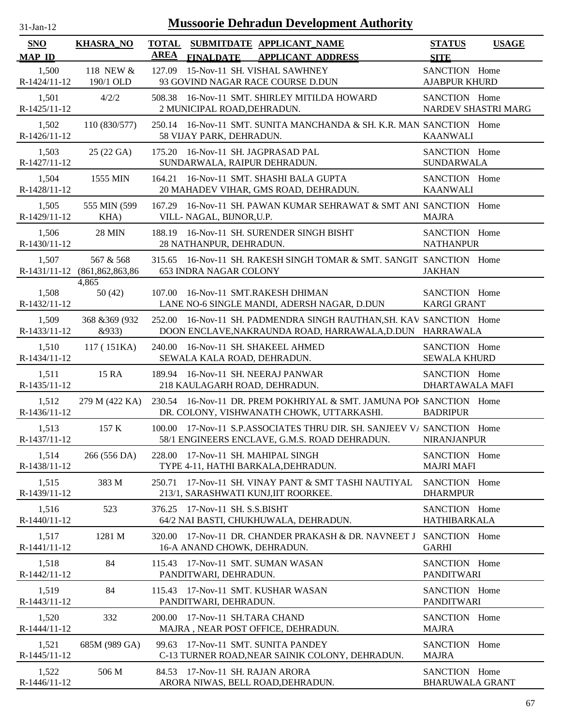| <b>SNO</b><br><b>MAP ID</b> | <b>KHASRA_NO</b>                 | <b>TOTAL</b><br>SUBMITDATE APPLICANT NAME<br><b>AREA</b><br><b>FINALDATE</b><br><b>APPLICANT ADDRESS</b>                        | <b>STATUS</b><br><b>SITE</b>            | <b>USAGE</b>        |
|-----------------------------|----------------------------------|---------------------------------------------------------------------------------------------------------------------------------|-----------------------------------------|---------------------|
| 1,500<br>R-1424/11-12       | 118 NEW &<br>190/1 OLD           | 15-Nov-11 SH. VISHAL SAWHNEY<br>127.09<br>93 GOVIND NAGAR RACE COURSE D.DUN                                                     | SANCTION Home<br><b>AJABPUR KHURD</b>   |                     |
| 1,501<br>R-1425/11-12       | 4/2/2                            | 16-Nov-11 SMT. SHIRLEY MITILDA HOWARD<br>508.38<br>2 MUNICIPAL ROAD, DEHRADUN.                                                  | SANCTION Home                           | NARDEV SHASTRI MARG |
| 1,502<br>R-1426/11-12       | 110 (830/577)                    | 250.14 16-Nov-11 SMT. SUNITA MANCHANDA & SH. K.R. MAN SANCTION Home<br>58 VIJAY PARK, DEHRADUN.                                 | <b>KAANWALI</b>                         |                     |
| 1,503<br>R-1427/11-12       | 25 (22 GA)                       | 16-Nov-11 SH. JAGPRASAD PAL<br>175.20<br>SUNDARWALA, RAIPUR DEHRADUN.                                                           | SANCTION Home<br><b>SUNDARWALA</b>      |                     |
| 1,504<br>R-1428/11-12       | 1555 MIN                         | 164.21 16-Nov-11 SMT. SHASHI BALA GUPTA<br>20 MAHADEV VIHAR, GMS ROAD, DEHRADUN.                                                | SANCTION Home<br><b>KAANWALI</b>        |                     |
| 1,505<br>R-1429/11-12       | 555 MIN (599<br>KHA)             | 16-Nov-11 SH. PAWAN KUMAR SEHRAWAT & SMT ANI SANCTION Home<br>167.29<br>VILL- NAGAL, BIJNOR, U.P.                               | <b>MAJRA</b>                            |                     |
| 1,506<br>R-1430/11-12       | <b>28 MIN</b>                    | 188.19 16-Nov-11 SH. SURENDER SINGH BISHT<br>28 NATHANPUR, DEHRADUN.                                                            | SANCTION Home<br><b>NATHANPUR</b>       |                     |
| 1,507<br>R-1431/11-12       | 567 & 568<br>(861, 862, 863, 86) | 315.65 16-Nov-11 SH. RAKESH SINGH TOMAR & SMT. SANGIT SANCTION Home<br><b>653 INDRA NAGAR COLONY</b>                            | <b>JAKHAN</b>                           |                     |
| 1,508<br>R-1432/11-12       | 4,865<br>50(42)                  | 107.00<br>16-Nov-11 SMT.RAKESH DHIMAN<br>LANE NO-6 SINGLE MANDI, ADERSH NAGAR, D.DUN                                            | SANCTION Home<br><b>KARGI GRANT</b>     |                     |
| 1,509<br>R-1433/11-12       | 368 & 369 (932)<br>&933)         | 252.00 16-Nov-11 SH. PADMENDRA SINGH RAUTHAN, SH. KAV SANCTION Home<br>DOON ENCLAVE, NAKRAUNDA ROAD, HARRAWALA, D.DUN HARRAWALA |                                         |                     |
| 1,510<br>R-1434/11-12       | 117 (151KA)                      | 240.00<br>16-Nov-11 SH. SHAKEEL AHMED<br>SEWALA KALA ROAD, DEHRADUN.                                                            | SANCTION Home<br><b>SEWALA KHURD</b>    |                     |
| 1,511<br>R-1435/11-12       | 15 RA                            | 189.94 16-Nov-11 SH. NEERAJ PANWAR<br>218 KAULAGARH ROAD, DEHRADUN.                                                             | SANCTION Home<br>DHARTAWALA MAFI        |                     |
| 1,512<br>R-1436/11-12       | 279 M (422 KA)                   | 230.54 16-Nov-11 DR. PREM POKHRIYAL & SMT. JAMUNA POF SANCTION Home<br>DR. COLONY, VISHWANATH CHOWK, UTTARKASHI.                | <b>BADRIPUR</b>                         |                     |
| 1,513<br>R-1437/11-12       | 157 K                            | 17-Nov-11 S.P. ASSOCIATES THRU DIR. SH. SANJEEV V/ SANCTION Home<br>100.00<br>58/1 ENGINEERS ENCLAVE, G.M.S. ROAD DEHRADUN.     | <b>NIRANJANPUR</b>                      |                     |
| 1,514<br>R-1438/11-12       | 266 (556 DA)                     | 17-Nov-11 SH. MAHIPAL SINGH<br>228.00<br>TYPE 4-11, HATHI BARKALA, DEHRADUN.                                                    | SANCTION Home<br><b>MAJRI MAFI</b>      |                     |
| 1,515<br>R-1439/11-12       | 383 M                            | 250.71<br>17-Nov-11 SH. VINAY PANT & SMT TASHI NAUTIYAL<br>213/1, SARASHWATI KUNJ, IIT ROORKEE.                                 | SANCTION Home<br><b>DHARMPUR</b>        |                     |
| 1,516<br>R-1440/11-12       | 523                              | 17-Nov-11 SH. S.S.BISHT<br>376.25<br>64/2 NAI BASTI, CHUKHUWALA, DEHRADUN.                                                      | SANCTION Home<br><b>HATHIBARKALA</b>    |                     |
| 1,517<br>R-1441/11-12       | 1281 M                           | 17-Nov-11 DR. CHANDER PRAKASH & DR. NAVNEET J<br>320.00<br>16-A ANAND CHOWK, DEHRADUN.                                          | SANCTION Home<br><b>GARHI</b>           |                     |
| 1,518<br>R-1442/11-12       | 84                               | 17-Nov-11 SMT. SUMAN WASAN<br>115.43<br>PANDITWARI, DEHRADUN.                                                                   | SANCTION Home<br><b>PANDITWARI</b>      |                     |
| 1,519<br>R-1443/11-12       | 84                               | 17-Nov-11 SMT. KUSHAR WASAN<br>115.43<br>PANDITWARI, DEHRADUN.                                                                  | SANCTION Home<br><b>PANDITWARI</b>      |                     |
| 1,520<br>R-1444/11-12       | 332                              | 17-Nov-11 SH.TARA CHAND<br>200.00<br>MAJRA, NEAR POST OFFICE, DEHRADUN.                                                         | SANCTION Home<br><b>MAJRA</b>           |                     |
| 1,521<br>R-1445/11-12       | 685M (989 GA)                    | 99.63 17-Nov-11 SMT. SUNITA PANDEY<br>C-13 TURNER ROAD, NEAR SAINIK COLONY, DEHRADUN.                                           | SANCTION Home<br><b>MAJRA</b>           |                     |
| 1,522<br>R-1446/11-12       | 506 M                            | 17-Nov-11 SH. RAJAN ARORA<br>84.53<br>ARORA NIWAS, BELL ROAD, DEHRADUN.                                                         | SANCTION Home<br><b>BHARUWALA GRANT</b> |                     |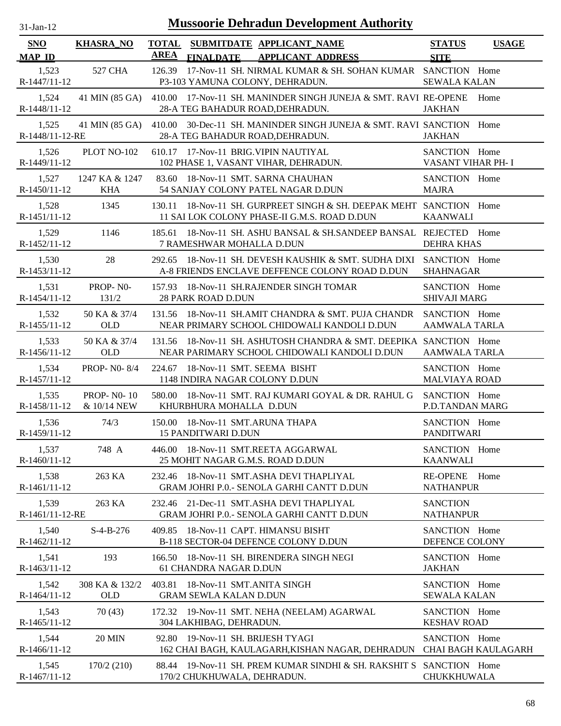| $1$ -Jan-1    |  |
|---------------|--|
| $\mathcal{L}$ |  |

| SNO                      | <b>KHASRA_NO</b>                 | <b>TOTAL</b><br><b>AREA</b> |                                                            | SUBMITDATE APPLICANT NAME                                                                                          | <b>STATUS</b>                         | <b>USAGE</b>        |
|--------------------------|----------------------------------|-----------------------------|------------------------------------------------------------|--------------------------------------------------------------------------------------------------------------------|---------------------------------------|---------------------|
| <b>MAP ID</b>            |                                  |                             | <b>FINALDATE</b>                                           | <b>APPLICANT ADDRESS</b>                                                                                           | <b>SITE</b>                           |                     |
| 1,523<br>R-1447/11-12    | 527 CHA                          | 126.39                      |                                                            | 17-Nov-11 SH. NIRMAL KUMAR & SH. SOHAN KUMAR SANCTION Home<br>P3-103 YAMUNA COLONY, DEHRADUN.                      | <b>SEWALA KALAN</b>                   |                     |
| 1,524<br>R-1448/11-12    | 41 MIN (85 GA)                   |                             |                                                            | 410.00 17-Nov-11 SH. MANINDER SINGH JUNEJA & SMT. RAVI RE-OPENE Home<br>28-A TEG BAHADUR ROAD, DEHRADUN.           | <b>JAKHAN</b>                         |                     |
| 1,525<br>R-1448/11-12-RE | 41 MIN (85 GA)                   |                             |                                                            | 410.00 30-Dec-11 SH. MANINDER SINGH JUNEJA & SMT. RAVI SANCTION Home<br>28-A TEG BAHADUR ROAD, DEHRADUN.           | <b>JAKHAN</b>                         |                     |
| 1,526<br>R-1449/11-12    | PLOT NO-102                      |                             |                                                            | 610.17 17-Nov-11 BRIG. VIPIN NAUTIYAL<br>102 PHASE 1, VASANT VIHAR, DEHRADUN.                                      | SANCTION Home<br>VASANT VIHAR PH- I   |                     |
| 1,527<br>R-1450/11-12    | 1247 KA & 1247<br><b>KHA</b>     | 83.60                       |                                                            | 18-Nov-11 SMT. SARNA CHAUHAN<br>54 SANJAY COLONY PATEL NAGAR D.DUN                                                 | SANCTION Home<br><b>MAJRA</b>         |                     |
| 1,528<br>R-1451/11-12    | 1345                             | 130.11                      |                                                            | 18-Nov-11 SH. GURPREET SINGH & SH. DEEPAK MEHT SANCTION Home<br>11 SAI LOK COLONY PHASE-II G.M.S. ROAD D.DUN       | <b>KAANWALI</b>                       |                     |
| 1,529<br>R-1452/11-12    | 1146                             |                             | 7 RAMESHWAR MOHALLA D.DUN                                  | 185.61 18-Nov-11 SH, ASHU BANSAL & SH, SANDEEP BANSAL REJECTED Home                                                | <b>DEHRA KHAS</b>                     |                     |
| 1,530<br>R-1453/11-12    | 28                               | 292.65                      |                                                            | 18-Nov-11 SH. DEVESH KAUSHIK & SMT. SUDHA DIXI SANCTION Home<br>A-8 FRIENDS ENCLAVE DEFFENCE COLONY ROAD D.DUN     | <b>SHAHNAGAR</b>                      |                     |
| 1,531<br>$R-1454/11-12$  | PROP-NO-<br>131/2                |                             | <b>28 PARK ROAD D.DUN</b>                                  | 157.93 18-Nov-11 SH.RAJENDER SINGH TOMAR                                                                           | SANCTION Home<br><b>SHIVAJI MARG</b>  |                     |
| 1,532<br>R-1455/11-12    | 50 KA & 37/4<br><b>OLD</b>       |                             |                                                            | 131.56 18-Nov-11 SH.AMIT CHANDRA & SMT. PUJA CHANDR<br>NEAR PRIMARY SCHOOL CHIDOWALI KANDOLI D.DUN                 | SANCTION Home<br><b>AAMWALA TARLA</b> |                     |
| 1,533<br>$R-1456/11-12$  | 50 KA & 37/4<br><b>OLD</b>       |                             |                                                            | 131.56 18-Nov-11 SH. ASHUTOSH CHANDRA & SMT. DEEPIKA SANCTION Home<br>NEAR PARIMARY SCHOOL CHIDOWALI KANDOLI D.DUN | <b>AAMWALA TARLA</b>                  |                     |
| 1,534<br>R-1457/11-12    | <b>PROP-NO-8/4</b>               |                             |                                                            | 224.67 18-Nov-11 SMT. SEEMA BISHT<br>1148 INDIRA NAGAR COLONY D.DUN                                                | SANCTION Home<br><b>MALVIAYA ROAD</b> |                     |
| 1,535<br>R-1458/11-12    | <b>PROP-NO-10</b><br>& 10/14 NEW |                             | KHURBHURA MOHALLA D.DUN                                    | 580.00 18-Nov-11 SMT. RAJ KUMARI GOYAL & DR. RAHUL G SANCTION Home                                                 | P.D.TANDAN MARG                       |                     |
| 1,536<br>R-1459/11-12    | 74/3                             |                             | <b>15 PANDITWARI D.DUN</b>                                 | 150.00 18-Nov-11 SMT.ARUNA THAPA                                                                                   | SANCTION Home<br><b>PANDITWARI</b>    |                     |
| 1,537<br>R-1460/11-12    | 748 A                            |                             |                                                            | 446.00 18-Nov-11 SMT.REETA AGGARWAL<br>25 MOHIT NAGAR G.M.S. ROAD D.DUN                                            | SANCTION Home<br><b>KAANWALI</b>      |                     |
| 1,538<br>R-1461/11-12    | 263 KA                           | 232.46                      |                                                            | 18-Nov-11 SMT.ASHA DEVI THAPLIYAL<br>GRAM JOHRI P.O.- SENOLA GARHI CANTT D.DUN                                     | <b>RE-OPENE</b><br><b>NATHANPUR</b>   | Home                |
| 1,539<br>R-1461/11-12-RE | 263 KA                           | 232.46                      |                                                            | 21-Dec-11 SMT.ASHA DEVI THAPLIYAL<br>GRAM JOHRI P.O.- SENOLA GARHI CANTT D.DUN                                     | <b>SANCTION</b><br><b>NATHANPUR</b>   |                     |
| 1,540<br>R-1462/11-12    | $S-4-B-276$                      | 409.85                      |                                                            | 18-Nov-11 CAPT. HIMANSU BISHT<br>B-118 SECTOR-04 DEFENCE COLONY D.DUN                                              | SANCTION Home<br>DEFENCE COLONY       |                     |
| 1,541<br>R-1463/11-12    | 193                              | 166.50                      | 61 CHANDRA NAGAR D.DUN                                     | 18-Nov-11 SH. BIRENDERA SINGH NEGI                                                                                 | SANCTION Home<br><b>JAKHAN</b>        |                     |
| 1,542<br>R-1464/11-12    | 308 KA & 132/2<br><b>OLD</b>     | 403.81                      | 18-Nov-11 SMT.ANITA SINGH<br><b>GRAM SEWLA KALAN D.DUN</b> |                                                                                                                    | SANCTION Home<br><b>SEWALA KALAN</b>  |                     |
| 1,543<br>$R-1465/11-12$  | 70(43)                           |                             | 304 LAKHIBAG, DEHRADUN.                                    | 172.32 19-Nov-11 SMT. NEHA (NEELAM) AGARWAL                                                                        | SANCTION Home<br><b>KESHAV ROAD</b>   |                     |
| 1,544<br>$R-1466/11-12$  | <b>20 MIN</b>                    | 92.80                       |                                                            | 19-Nov-11 SH. BRIJESH TYAGI<br>162 CHAI BAGH, KAULAGARH, KISHAN NAGAR, DEHRADUN                                    | SANCTION Home                         | CHAI BAGH KAULAGARH |
| 1,545<br>R-1467/11-12    | 170/2 (210)                      |                             | 170/2 CHUKHUWALA, DEHRADUN.                                | 88.44 19-Nov-11 SH. PREM KUMAR SINDHI & SH. RAKSHIT S SANCTION Home                                                | CHUKKHUWALA                           |                     |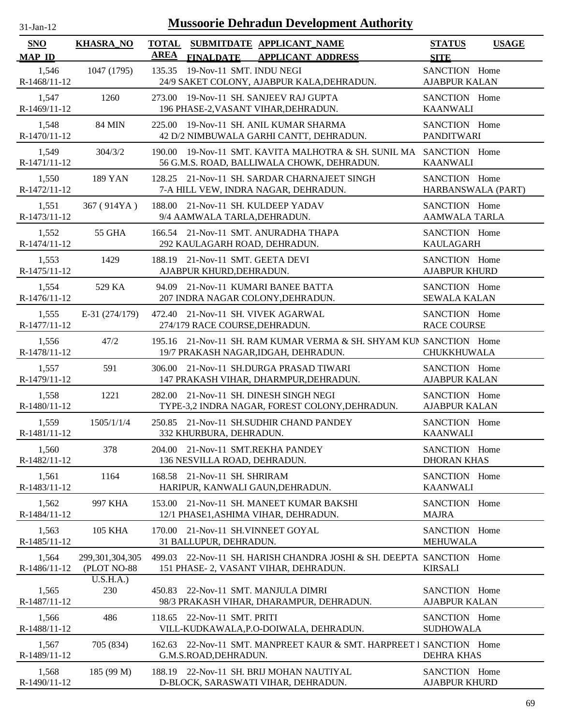| $31-Jan-12$                 |                                   |                             | <b>Mussoorie Dehradun Development Authority</b>                                                            |                                       |              |
|-----------------------------|-----------------------------------|-----------------------------|------------------------------------------------------------------------------------------------------------|---------------------------------------|--------------|
| <b>SNO</b><br><b>MAP ID</b> | <b>KHASRA NO</b>                  | <b>TOTAL</b><br><b>AREA</b> | SUBMITDATE APPLICANT_NAME<br><b>FINALDATE</b><br><b>APPLICANT ADDRESS</b>                                  | <b>STATUS</b><br><b>SITE</b>          | <b>USAGE</b> |
| 1,546<br>R-1468/11-12       | 1047 (1795)                       | 135.35                      | 19-Nov-11 SMT. INDU NEGI<br>24/9 SAKET COLONY, AJABPUR KALA, DEHRADUN.                                     | SANCTION Home<br><b>AJABPUR KALAN</b> |              |
| 1,547<br>R-1469/11-12       | 1260                              |                             | 273.00 19-Nov-11 SH. SANJEEV RAJ GUPTA<br>196 PHASE-2, VASANT VIHAR, DEHRADUN.                             | SANCTION Home<br><b>KAANWALI</b>      |              |
| 1,548<br>R-1470/11-12       | <b>84 MIN</b>                     | 225.00                      | 19-Nov-11 SH. ANIL KUMAR SHARMA<br>42 D/2 NIMBUWALA GARHI CANTT, DEHRADUN.                                 | SANCTION Home<br>PANDITWARI           |              |
| 1,549<br>R-1471/11-12       | 304/3/2                           | 190.00                      | 19-Nov-11 SMT. KAVITA MALHOTRA & SH. SUNIL MA<br>56 G.M.S. ROAD, BALLIWALA CHOWK, DEHRADUN.                | SANCTION Home<br><b>KAANWALI</b>      |              |
| 1,550<br>R-1472/11-12       | <b>189 YAN</b>                    |                             | 128.25 21-Nov-11 SH. SARDAR CHARNAJEET SINGH<br>7-A HILL VEW, INDRA NAGAR, DEHRADUN.                       | SANCTION Home<br>HARBANSWALA (PART)   |              |
| 1,551<br>R-1473/11-12       | 367 (914YA)                       | 188.00                      | 21-Nov-11 SH. KULDEEP YADAV<br>9/4 AAMWALA TARLA, DEHRADUN.                                                | SANCTION Home<br><b>AAMWALA TARLA</b> |              |
| 1,552<br>R-1474/11-12       | <b>55 GHA</b>                     |                             | 166.54 21-Nov-11 SMT. ANURADHA THAPA<br>292 KAULAGARH ROAD, DEHRADUN.                                      | SANCTION Home<br><b>KAULAGARH</b>     |              |
| 1,553<br>R-1475/11-12       | 1429                              |                             | 188.19 21-Nov-11 SMT. GEETA DEVI<br>AJABPUR KHURD, DEHRADUN.                                               | SANCTION Home<br><b>AJABPUR KHURD</b> |              |
| 1,554<br>R-1476/11-12       | 529 KA                            |                             | 94.09 21-Nov-11 KUMARI BANEE BATTA<br>207 INDRA NAGAR COLONY, DEHRADUN.                                    | SANCTION Home<br><b>SEWALA KALAN</b>  |              |
| 1,555<br>R-1477/11-12       | $E-31(274/179)$                   |                             | 472.40 21-Nov-11 SH. VIVEK AGARWAL<br>274/179 RACE COURSE, DEHRADUN.                                       | SANCTION Home<br><b>RACE COURSE</b>   |              |
| 1,556<br>R-1478/11-12       | 47/2                              |                             | 195.16 21-Nov-11 SH. RAM KUMAR VERMA & SH. SHYAM KUN SANCTION Home<br>19/7 PRAKASH NAGAR, IDGAH, DEHRADUN. | CHUKKHUWALA                           |              |
| 1,557<br>R-1479/11-12       | 591                               |                             | 306.00 21-Nov-11 SH.DURGA PRASAD TIWARI<br>147 PRAKASH VIHAR, DHARMPUR, DEHRADUN.                          | SANCTION Home<br><b>AJABPUR KALAN</b> |              |
| 1,558<br>R-1480/11-12       | 1221                              |                             | 282.00 21-Nov-11 SH. DINESH SINGH NEGI<br>TYPE-3,2 INDRA NAGAR, FOREST COLONY, DEHRADUN.                   | SANCTION Home<br><b>AJABPUR KALAN</b> |              |
| 1,559<br>R-1481/11-12       | 1505/1/1/4                        |                             | 250.85 21-Nov-11 SH.SUDHIR CHAND PANDEY<br>332 KHURBURA, DEHRADUN.                                         | SANCTION Home<br><b>KAANWALI</b>      |              |
| 1,560<br>R-1482/11-12       | 378                               | 204.00                      | 21-Nov-11 SMT.REKHA PANDEY<br>136 NESVILLA ROAD, DEHRADUN.                                                 | SANCTION Home<br><b>DHORAN KHAS</b>   |              |
| 1,561<br>R-1483/11-12       | 1164                              | 168.58                      | 21-Nov-11 SH. SHRIRAM<br>HARIPUR, KANWALI GAUN, DEHRADUN.                                                  | SANCTION Home<br><b>KAANWALI</b>      |              |
| 1,562<br>R-1484/11-12       | 997 KHA                           | 153.00                      | 21-Nov-11 SH. MANEET KUMAR BAKSHI<br>12/1 PHASE1, ASHIMA VIHAR, DEHRADUN.                                  | SANCTION Home<br><b>MAJRA</b>         |              |
| 1,563<br>R-1485/11-12       | <b>105 KHA</b>                    | 170.00                      | 21-Nov-11 SH.VINNEET GOYAL<br>31 BALLUPUR, DEHRADUN.                                                       | SANCTION Home<br><b>MEHUWALA</b>      |              |
| 1,564<br>R-1486/11-12       | 299, 301, 304, 305<br>(PLOT NO-88 | 499.03                      | 22-Nov-11 SH. HARISH CHANDRA JOSHI & SH. DEEPTA SANCTION Home<br>151 PHASE- 2, VASANT VIHAR, DEHRADUN.     | <b>KIRSALI</b>                        |              |
| 1,565<br>R-1487/11-12       | U.S.H.A.)<br>230                  | 450.83                      | 22-Nov-11 SMT. MANJULA DIMRI<br>98/3 PRAKASH VIHAR, DHARAMPUR, DEHRADUN.                                   | SANCTION Home<br><b>AJABPUR KALAN</b> |              |
| 1,566<br>R-1488/11-12       | 486                               | 118.65                      | 22-Nov-11 SMT. PRITI<br>VILL-KUDKAWALA, P.O-DOIWALA, DEHRADUN.                                             | SANCTION Home<br><b>SUDHOWALA</b>     |              |
| 1,567<br>R-1489/11-12       | 705 (834)                         | 162.63                      | 22-Nov-11 SMT. MANPREET KAUR & SMT. HARPREET I SANCTION Home<br>G.M.S.ROAD, DEHRADUN.                      | <b>DEHRA KHAS</b>                     |              |
| 1,568                       | 185 (99 M)                        |                             | 188.19 22-Nov-11 SH. BRIJ MOHAN NAUTIYAL                                                                   | SANCTION Home                         |              |

D-BLOCK, SARASWATI VIHAR, DEHRADUN.

R-1490/11-12

AJABPUR KHURD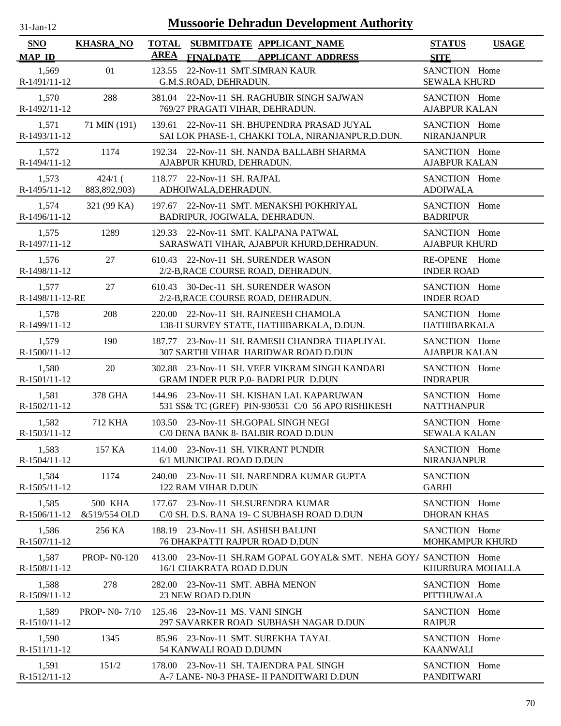| $-Jan-1$ |  |
|----------|--|
|          |  |

| SNO<br><b>MAP ID</b>     | <b>KHASRA_NO</b>               | <b>TOTAL</b><br><b>AREA</b> | <b>FINALDATE</b>                                                            | SUBMITDATE APPLICANT_NAME<br><b>APPLICANT ADDRESS</b>                                            | <b>STATUS</b><br><b>SITE</b>            | <b>USAGE</b> |
|--------------------------|--------------------------------|-----------------------------|-----------------------------------------------------------------------------|--------------------------------------------------------------------------------------------------|-----------------------------------------|--------------|
| 1,569<br>R-1491/11-12    | 01                             | 123.55                      | 22-Nov-11 SMT.SIMRAN KAUR<br>G.M.S.ROAD, DEHRADUN.                          |                                                                                                  | SANCTION Home<br><b>SEWALA KHURD</b>    |              |
| 1,570<br>R-1492/11-12    | 288                            |                             | 769/27 PRAGATI VIHAR, DEHRADUN.                                             | 381.04 22-Nov-11 SH. RAGHUBIR SINGH SAJWAN                                                       | SANCTION Home<br><b>AJABPUR KALAN</b>   |              |
| 1,571<br>R-1493/11-12    | 71 MIN (191)                   |                             |                                                                             | 139.61 22-Nov-11 SH. BHUPENDRA PRASAD JUYAL<br>SAI LOK PHASE-1, CHAKKI TOLA, NIRANJANPUR, D.DUN. | SANCTION Home<br><b>NIRANJANPUR</b>     |              |
| 1,572<br>R-1494/11-12    | 1174                           |                             | AJABPUR KHURD, DEHRADUN.                                                    | 192.34 22-Nov-11 SH. NANDA BALLABH SHARMA                                                        | SANCTION Home<br><b>AJABPUR KALAN</b>   |              |
| 1,573<br>R-1495/11-12    | $424/1$ (<br>883, 892, 903)    | 118.77                      | 22-Nov-11 SH. RAJPAL<br>ADHOIWALA, DEHRADUN.                                |                                                                                                  | SANCTION Home<br><b>ADOIWALA</b>        |              |
| 1,574<br>R-1496/11-12    | 321 (99 KA)                    |                             | BADRIPUR, JOGIWALA, DEHRADUN.                                               | 197.67 22-Nov-11 SMT. MENAKSHI POKHRIYAL                                                         | SANCTION Home<br><b>BADRIPUR</b>        |              |
| 1,575<br>R-1497/11-12    | 1289                           | 129.33                      |                                                                             | 22-Nov-11 SMT. KALPANA PATWAL<br>SARASWATI VIHAR, AJABPUR KHURD, DEHRADUN.                       | SANCTION Home<br><b>AJABPUR KHURD</b>   |              |
| 1,576<br>R-1498/11-12    | 27                             |                             |                                                                             | 610.43 22-Nov-11 SH. SURENDER WASON<br>2/2-B, RACE COURSE ROAD, DEHRADUN.                        | RE-OPENE Home<br><b>INDER ROAD</b>      |              |
| 1,577<br>R-1498/11-12-RE | 27                             |                             |                                                                             | 610.43 30-Dec-11 SH. SURENDER WASON<br>2/2-B, RACE COURSE ROAD, DEHRADUN.                        | SANCTION Home<br><b>INDER ROAD</b>      |              |
| 1,578<br>R-1499/11-12    | 208                            |                             |                                                                             | 220.00 22-Nov-11 SH. RAJNEESH CHAMOLA<br>138-H SURVEY STATE, HATHIBARKALA, D.DUN.                | SANCTION Home<br><b>HATHIBARKALA</b>    |              |
| 1,579<br>R-1500/11-12    | 190                            |                             |                                                                             | 187.77 23-Nov-11 SH. RAMESH CHANDRA THAPLIYAL<br>307 SARTHI VIHAR HARIDWAR ROAD D.DUN            | SANCTION Home<br><b>AJABPUR KALAN</b>   |              |
| 1,580<br>R-1501/11-12    | 20                             |                             |                                                                             | 302.88 23-Nov-11 SH. VEER VIKRAM SINGH KANDARI<br><b>GRAM INDER PUR P.0- BADRI PUR D.DUN</b>     | SANCTION Home<br><b>INDRAPUR</b>        |              |
| 1,581<br>R-1502/11-12    | 378 GHA                        |                             |                                                                             | 144.96 23-Nov-11 SH. KISHAN LAL KAPARUWAN<br>531 SS& TC (GREF) PIN-930531 C/0 56 APO RISHIKESH   | SANCTION Home<br><b>NATTHANPUR</b>      |              |
| 1,582<br>R-1503/11-12    | 712 KHA                        |                             |                                                                             | 103.50 23-Nov-11 SH.GOPAL SINGH NEGI<br>C/0 DENA BANK 8- BALBIR ROAD D.DUN                       | SANCTION Home<br><b>SEWALA KALAN</b>    |              |
| 1,583<br>R-1504/11-12    | 157 KA                         |                             | 114.00 23-Nov-11 SH. VIKRANT PUNDIR<br>6/1 MUNICIPAL ROAD D.DUN             |                                                                                                  | SANCTION Home<br><b>NIRANJANPUR</b>     |              |
| 1,584<br>$R-1505/11-12$  | 1174                           |                             | 122 RAM VIHAR D.DUN                                                         | 240.00 23-Nov-11 SH. NARENDRA KUMAR GUPTA                                                        | <b>SANCTION</b><br><b>GARHI</b>         |              |
| 1,585<br>R-1506/11-12    | <b>500 KHA</b><br>&519/554 OLD | 177.67                      |                                                                             | 23-Nov-11 SH.SURENDRA KUMAR<br>C/0 SH. D.S. RANA 19- C SUBHASH ROAD D.DUN                        | SANCTION Home<br><b>DHORAN KHAS</b>     |              |
| 1,586<br>R-1507/11-12    | 256 KA                         |                             | 188.19 23-Nov-11 SH. ASHISH BALUNI<br><b>76 DHAKPATTI RAJPUR ROAD D.DUN</b> |                                                                                                  | SANCTION Home<br><b>MOHKAMPUR KHURD</b> |              |
| 1,587<br>R-1508/11-12    | <b>PROP-N0-120</b>             |                             | 16/1 CHAKRATA ROAD D.DUN                                                    | 413.00 23-Nov-11 SH.RAM GOPAL GOYAL& SMT. NEHA GOYA SANCTION Home                                | KHURBURA MOHALLA                        |              |
| 1,588<br>R-1509/11-12    | 278                            |                             | 282.00 23-Nov-11 SMT. ABHA MENON<br>23 NEW ROAD D.DUN                       |                                                                                                  | SANCTION Home<br><b>PITTHUWALA</b>      |              |
| 1,589<br>R-1510/11-12    | <b>PROP-NO-7/10</b>            |                             | 125.46 23-Nov-11 MS. VANI SINGH                                             | 297 SAVARKER ROAD SUBHASH NAGAR D.DUN                                                            | SANCTION Home<br><b>RAIPUR</b>          |              |
| 1,590<br>R-1511/11-12    | 1345                           |                             | 54 KANWALI ROAD D.DUMN                                                      | 85.96 23-Nov-11 SMT. SUREKHA TAYAL                                                               | SANCTION Home<br><b>KAANWALI</b>        |              |
| 1,591<br>R-1512/11-12    | 151/2                          |                             |                                                                             | 178.00 23-Nov-11 SH. TAJENDRA PAL SINGH<br>A-7 LANE- N0-3 PHASE- II PANDITWARI D.DUN             | SANCTION Home<br>PANDITWARI             |              |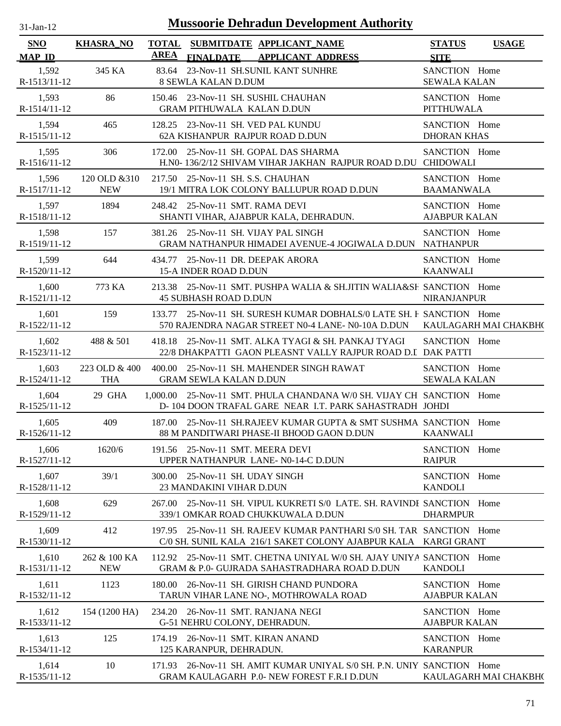| 31-Jan-12             |                             | <b>Mussoorie Dehradun Development Authority</b>                                                                                           |                                              |  |
|-----------------------|-----------------------------|-------------------------------------------------------------------------------------------------------------------------------------------|----------------------------------------------|--|
| SNO<br><b>MAP ID</b>  | <b>KHASRA_NO</b>            | TOTAL SUBMITDATE APPLICANT NAME<br><b>AREA</b><br><b>FINALDATE</b><br><b>APPLICANT ADDRESS</b>                                            | <b>STATUS</b><br><b>USAGE</b><br><b>SITE</b> |  |
| 1,592<br>R-1513/11-12 | 345 KA                      | 83.64 23-Nov-11 SH.SUNIL KANT SUNHRE<br>8 SEWLA KALAN D.DUM                                                                               | SANCTION Home<br><b>SEWALA KALAN</b>         |  |
| 1,593<br>R-1514/11-12 | 86                          | 150.46 23-Nov-11 SH, SUSHIL CHAUHAN<br><b>GRAM PITHUWALA KALAN D.DUN</b>                                                                  | SANCTION Home<br><b>PITTHUWALA</b>           |  |
| 1,594<br>R-1515/11-12 | 465                         | 128.25 23-Nov-11 SH. VED PAL KUNDU<br>62A KISHANPUR RAJPUR ROAD D.DUN                                                                     | SANCTION Home<br><b>DHORAN KHAS</b>          |  |
| 1,595<br>R-1516/11-12 | 306                         | 172.00<br>25-Nov-11 SH, GOPAL DAS SHARMA<br>H.N0-136/2/12 SHIVAM VIHAR JAKHAN RAJPUR ROAD D.DU CHIDOWALI                                  | SANCTION Home                                |  |
| 1,596<br>R-1517/11-12 | 120 OLD & 310<br><b>NEW</b> | 217.50 25-Nov-11 SH. S.S. CHAUHAN<br>19/1 MITRA LOK COLONY BALLUPUR ROAD D.DUN                                                            | SANCTION Home<br><b>BAAMANWALA</b>           |  |
| 1,597<br>R-1518/11-12 | 1894                        | 248.42 25-Nov-11 SMT. RAMA DEVI<br>SHANTI VIHAR, AJABPUR KALA, DEHRADUN.                                                                  | SANCTION Home<br><b>AJABPUR KALAN</b>        |  |
| 1,598<br>R-1519/11-12 | 157                         | 381.26 25-Nov-11 SH. VIJAY PAL SINGH<br>GRAM NATHANPUR HIMADEI AVENUE-4 JOGIWALA D.DUN NATHANPUR                                          | SANCTION Home                                |  |
| 1,599<br>R-1520/11-12 | 644                         | 434.77 25-Nov-11 DR. DEEPAK ARORA<br><b>15-A INDER ROAD D.DUN</b>                                                                         | SANCTION Home<br><b>KAANWALI</b>             |  |
| 1,600<br>R-1521/11-12 | 773 KA                      | 213.38 25-Nov-11 SMT. PUSHPA WALIA & SH.JITIN WALIA&SH SANCTION Home<br><b>45 SUBHASH ROAD D.DUN</b>                                      | <b>NIRANJANPUR</b>                           |  |
| 1,601<br>R-1522/11-12 | 159                         | 133.77 25-Nov-11 SH. SURESH KUMAR DOBHALS/0 LATE SH. F SANCTION Home<br>570 RAJENDRA NAGAR STREET N0-4 LANE- N0-10A D.DUN                 | KAULAGARH MAI CHAKBH(                        |  |
| 1,602<br>R-1523/11-12 | 488 & 501                   | 418.18 25-Nov-11 SMT. ALKA TYAGI & SH. PANKAJ TYAGI<br>22/8 DHAKPATTI GAON PLEASNT VALLY RAJPUR ROAD D.I DAK PATTI                        | SANCTION Home                                |  |
| 1,603<br>R-1524/11-12 | 223 OLD & 400<br><b>THA</b> | 400.00 25-Nov-11 SH. MAHENDER SINGH RAWAT<br><b>GRAM SEWLA KALAN D.DUN</b>                                                                | SANCTION Home<br><b>SEWALA KALAN</b>         |  |
| 1,604<br>R-1525/11-12 | 29 GHA                      | 1,000,00 25-Nov-11 SMT, PHULA CHANDANA W/0 SH, VIJAY CH SANCTION Home<br>D-104 DOON TRAFAL GARE NEAR I.T. PARK SAHASTRADH JOHDI           |                                              |  |
| 1,605<br>R-1526/11-12 | 409                         | 187.00 25-Nov-11 SH.RAJEEV KUMAR GUPTA & SMT SUSHMA SANCTION Home<br>88 M PANDITWARI PHASE-II BHOOD GAON D.DUN                            | <b>KAANWALI</b>                              |  |
| 1,606<br>R-1527/11-12 | 1620/6                      | 191.56 25-Nov-11 SMT. MEERA DEVI<br>UPPER NATHANPUR LANE-N0-14-C D.DUN                                                                    | SANCTION Home<br><b>RAIPUR</b>               |  |
| 1,607<br>R-1528/11-12 | 39/1                        | 25-Nov-11 SH. UDAY SINGH<br>300.00<br>23 MANDAKINI VIHAR D.DUN                                                                            | SANCTION Home<br><b>KANDOLI</b>              |  |
| 1,608<br>R-1529/11-12 | 629                         | 25-Nov-11 SH. VIPUL KUKRETI S/0 LATE. SH. RAVINDE SANCTION Home<br>267.00<br>339/1 OMKAR ROAD CHUKKUWALA D.DUN                            | <b>DHARMPUR</b>                              |  |
| 1,609<br>R-1530/11-12 | 412                         | 25-Nov-11 SH. RAJEEV KUMAR PANTHARI S/0 SH. TAR SANCTION Home<br>197.95<br>C/0 SH. SUNIL KALA 216/1 SAKET COLONY AJABPUR KALA KARGI GRANT |                                              |  |
| 1,610<br>R-1531/11-12 | 262 & 100 KA<br><b>NEW</b>  | 112.92 25-Nov-11 SMT, CHETNA UNIYAL W/0 SH, AJAY UNIYA SANCTION Home<br>GRAM & P.0- GUJRADA SAHASTRADHARA ROAD D.DUN                      | <b>KANDOLI</b>                               |  |
| 1,611<br>R-1532/11-12 | 1123                        | 26-Nov-11 SH. GIRISH CHAND PUNDORA<br>180.00<br>TARUN VIHAR LANE NO-, MOTHROWALA ROAD                                                     | SANCTION Home<br><b>AJABPUR KALAN</b>        |  |
| 1,612<br>R-1533/11-12 | 154 (1200 HA)               | 234.20 26-Nov-11 SMT. RANJANA NEGI<br>G-51 NEHRU COLONY, DEHRADUN.                                                                        | SANCTION Home<br><b>AJABPUR KALAN</b>        |  |
| 1,613<br>R-1534/11-12 | 125                         | 174.19 26-Nov-11 SMT. KIRAN ANAND<br>125 KARANPUR, DEHRADUN.                                                                              | SANCTION Home<br><b>KARANPUR</b>             |  |
| 1,614                 | 10                          | 171.93 26-Nov-11 SH. AMIT KUMAR UNIYAL S/0 SH. P.N. UNIY SANCTION Home                                                                    |                                              |  |

GRAM KAULAGARH P.0- NEW FOREST F.R.I D.DUN

R-1535/11-12

KAULAGARH MAI CHAKBHO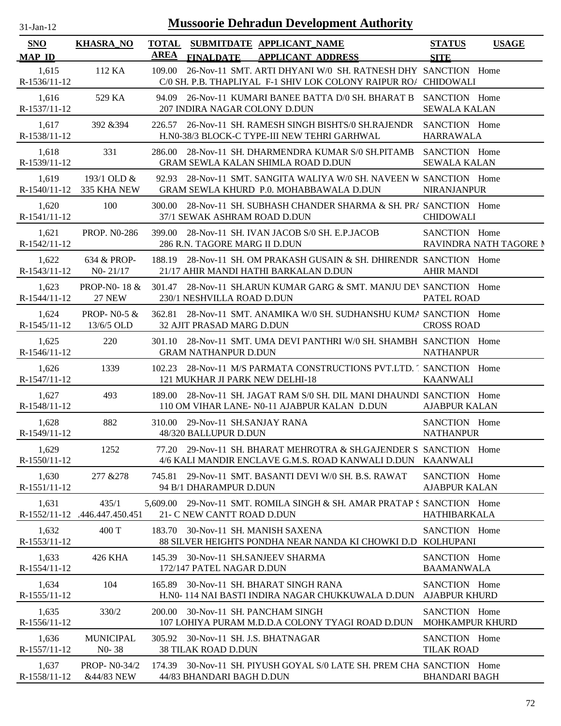| -Jan- |  |
|-------|--|
|       |  |

| SNO                     | <b>KHASRA_NO</b>                         | <b>TOTAL</b> |                                                            | SUBMITDATE APPLICANT NAME                                                                                                       | <b>STATUS</b>                         | <b>USAGE</b>           |
|-------------------------|------------------------------------------|--------------|------------------------------------------------------------|---------------------------------------------------------------------------------------------------------------------------------|---------------------------------------|------------------------|
| <b>MAP ID</b>           |                                          | <b>AREA</b>  | <b>FINALDATE</b>                                           | <b>APPLICANT ADDRESS</b>                                                                                                        | <b>SITE</b>                           |                        |
| 1,615<br>R-1536/11-12   | 112 KA                                   | 109.00       |                                                            | 26-Nov-11 SMT. ARTI DHYANI W/0 SH. RATNESH DHY SANCTION Home<br>C/0 SH. P.B. THAPLIYAL F-1 SHIV LOK COLONY RAIPUR ROA CHIDOWALI |                                       |                        |
| 1,616<br>R-1537/11-12   | 529 KA                                   |              | 207 INDIRA NAGAR COLONY D.DUN                              | 94.09 26-Nov-11 KUMARI BANEE BATTA D/0 SH. BHARAT B SANCTION Home                                                               | <b>SEWALA KALAN</b>                   |                        |
| 1,617<br>R-1538/11-12   | 392 & 394                                |              |                                                            | 226.57 26-Nov-11 SH. RAMESH SINGH BISHTS/0 SH.RAJENDR SANCTION Home<br>H.N0-38/3 BLOCK-C TYPE-III NEW TEHRI GARHWAL             | <b>HARRAWALA</b>                      |                        |
| 1,618<br>R-1539/11-12   | 331                                      | 286.00       |                                                            | 28-Nov-11 SH. DHARMENDRA KUMAR S/0 SH.PITAMB SANCTION Home<br>GRAM SEWLA KALAN SHIMLA ROAD D.DUN                                | <b>SEWALA KALAN</b>                   |                        |
| 1,619<br>$R-1540/11-12$ | 193/1 OLD $&$<br>335 KHA NEW             | 92.93        |                                                            | 28-Nov-11 SMT, SANGITA WALIYA W/0 SH, NAVEEN W SANCTION Home<br>GRAM SEWLA KHURD P.0. MOHABBAWALA D.DUN                         | <b>NIRANJANPUR</b>                    |                        |
| 1,620<br>$R-1541/11-12$ | 100                                      | 300.00       | 37/1 SEWAK ASHRAM ROAD D.DUN                               | 28-Nov-11 SH. SUBHASH CHANDER SHARMA & SH. PRA SANCTION Home                                                                    | <b>CHIDOWALI</b>                      |                        |
| 1,621<br>R-1542/11-12   | <b>PROP. NO-286</b>                      | 399.00       | 286 R.N. TAGORE MARG II D.DUN                              | 28-Nov-11 SH. IVAN JACOB S/0 SH. E.P.JACOB                                                                                      | SANCTION Home                         | RAVINDRA NATH TAGORE N |
| 1,622<br>R-1543/11-12   | 634 & PROP-<br>$N0 - 21/17$              | 188.19       |                                                            | 28-Nov-11 SH. OM PRAKASH GUSAIN & SH. DHIRENDR SANCTION Home<br>21/17 AHIR MANDI HATHI BARKALAN D.DUN                           | <b>AHIR MANDI</b>                     |                        |
| 1,623<br>$R-1544/11-12$ | <b>PROP-NO-18 &amp;</b><br><b>27 NEW</b> | 301.47       | 230/1 NESHVILLA ROAD D.DUN                                 | 28-Nov-11 SH.ARUN KUMAR GARG & SMT. MANJU DEV SANCTION Home                                                                     | <b>PATEL ROAD</b>                     |                        |
| 1,624<br>R-1545/11-12   | PROP-N0-5 $&$<br>13/6/5 OLD              |              | 32 AJIT PRASAD MARG D.DUN                                  | 362.81 28-Nov-11 SMT. ANAMIKA W/0 SH. SUDHANSHU KUMA SANCTION Home                                                              | <b>CROSS ROAD</b>                     |                        |
| 1,625<br>R-1546/11-12   | 220                                      |              | <b>GRAM NATHANPUR D.DUN</b>                                | 301.10 28-Nov-11 SMT, UMA DEVI PANTHRI W/0 SH, SHAMBH SANCTION Home                                                             | <b>NATHANPUR</b>                      |                        |
| 1,626<br>R-1547/11-12   | 1339                                     |              | 121 MUKHAR JI PARK NEW DELHI-18                            | 102.23 28-Nov-11 M/S PARMATA CONSTRUCTIONS PVT.LTD. 1 SANCTION Home                                                             | <b>KAANWALI</b>                       |                        |
| 1.627<br>R-1548/11-12   | 493                                      |              |                                                            | 189.00 28-Nov-11 SH. JAGAT RAM S/0 SH. DIL MANI DHAUNDI SANCTION Home<br>110 OM VIHAR LANE- N0-11 AJABPUR KALAN D.DUN           | <b>AJABPUR KALAN</b>                  |                        |
| 1,628<br>R-1549/11-12   | 882                                      |              | 310.00 29-Nov-11 SH.SANJAY RANA<br>48/320 BALLUPUR D.DUN   |                                                                                                                                 | SANCTION Home<br><b>NATHANPUR</b>     |                        |
| 1,629<br>R-1550/11-12   | 1252                                     |              |                                                            | 77.20 29-Nov-11 SH. BHARAT MEHROTRA & SH.GAJENDER S SANCTION Home<br>4/6 KALI MANDIR ENCLAVE G.M.S. ROAD KANWALI D.DUN KAANWALI |                                       |                        |
| 1,630<br>R-1551/11-12   | 277 & 278                                | 745.81       | 94 B/1 DHARAMPUR D.DUN                                     | 29-Nov-11 SMT. BASANTI DEVI W/0 SH. B.S. RAWAT                                                                                  | SANCTION Home<br><b>AJABPUR KALAN</b> |                        |
| 1,631<br>R-1552/11-12   | 435/1<br>.446.447.450.451                | 5,609.00     | 21- C NEW CANTT ROAD D.DUN                                 | 29-Nov-11 SMT. ROMILA SINGH & SH. AMAR PRATAP S SANCTION Home                                                                   | HATHIBARKALA                          |                        |
| 1,632<br>R-1553/11-12   | 400 T                                    | 183.70       | 30-Nov-11 SH. MANISH SAXENA                                | 88 SILVER HEIGHTS PONDHA NEAR NANDA KI CHOWKI D.D KOLHUPANI                                                                     | SANCTION Home                         |                        |
| 1,633<br>R-1554/11-12   | 426 KHA                                  | 145.39       | 30-Nov-11 SH.SANJEEV SHARMA<br>172/147 PATEL NAGAR D.DUN   |                                                                                                                                 | SANCTION Home<br><b>BAAMANWALA</b>    |                        |
| 1,634<br>R-1555/11-12   | 104                                      | 165.89       |                                                            | 30-Nov-11 SH. BHARAT SINGH RANA<br>H.NO-114 NAI BASTI INDIRA NAGAR CHUKKUWALA D.DUN                                             | SANCTION Home<br><b>AJABPUR KHURD</b> |                        |
| 1,635<br>R-1556/11-12   | 330/2                                    | 200.00       | 30-Nov-11 SH. PANCHAM SINGH                                | 107 LOHIYA PURAM M.D.D.A COLONY TYAGI ROAD D.DUN                                                                                | SANCTION Home<br>MOHKAMPUR KHURD      |                        |
| 1,636<br>R-1557/11-12   | <b>MUNICIPAL</b><br>$N0-38$              | 305.92       | 30-Nov-11 SH. J.S. BHATNAGAR<br><b>38 TILAK ROAD D.DUN</b> |                                                                                                                                 | SANCTION Home<br><b>TILAK ROAD</b>    |                        |
| 1,637<br>R-1558/11-12   | PROP- N0-34/2<br>&44/83 NEW              |              | 44/83 BHANDARI BAGH D.DUN                                  | 174.39 30-Nov-11 SH. PIYUSH GOYAL S/0 LATE SH. PREM CHA SANCTION Home                                                           | <b>BHANDARI BAGH</b>                  |                        |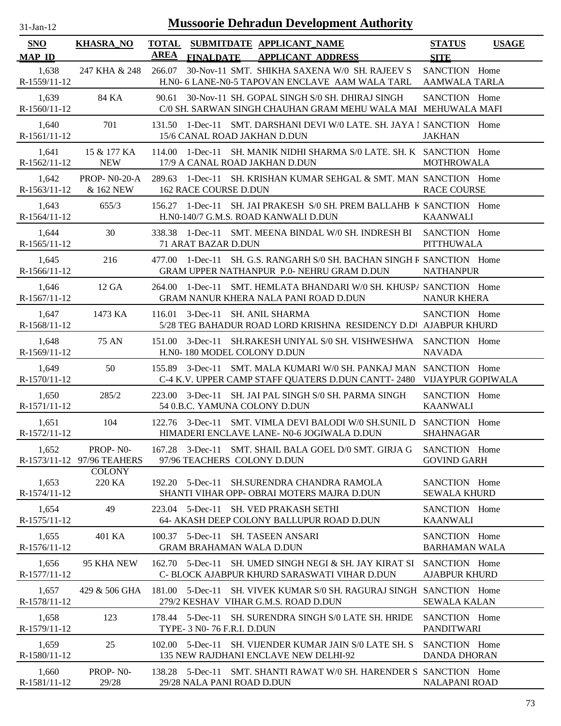| 1-Jan-1 |  |
|---------|--|

| SNO                     | <b>KHASRA_NO</b>                 | <b>TOTAL</b> |                                                                      | SUBMITDATE APPLICANT NAME                                                                                                          | <b>STATUS</b>                         | <b>USAGE</b> |
|-------------------------|----------------------------------|--------------|----------------------------------------------------------------------|------------------------------------------------------------------------------------------------------------------------------------|---------------------------------------|--------------|
| <b>MAP ID</b>           |                                  | <b>AREA</b>  | <b>FINALDATE</b>                                                     | <b>APPLICANT ADDRESS</b>                                                                                                           | <b>SITE</b>                           |              |
| 1,638<br>R-1559/11-12   | 247 KHA & 248                    | 266.07       |                                                                      | 30-Nov-11 SMT. SHIKHA SAXENA W/0 SH. RAJEEV S<br>H.N0- 6 LANE-N0-5 TAPOVAN ENCLAVE AAM WALA TARL                                   | SANCTION Home<br><b>AAMWALA TARLA</b> |              |
| 1,639<br>$R-1560/11-12$ | 84 KA                            | 90.61        |                                                                      | 30-Nov-11 SH. GOPAL SINGH S/0 SH. DHIRAJ SINGH<br>C/0 SH. SARWAN SINGH CHAUHAN GRAM MEHU WALA MAI MEHUWALA MAFI                    | SANCTION Home                         |              |
| 1,640<br>R-1561/11-12   | 701                              | 131.50       | 15/6 CANAL ROAD JAKHAN D.DUN                                         | 1-Dec-11 SMT. DARSHANI DEVI W/0 LATE. SH. JAYA I SANCTION Home                                                                     | <b>JAKHAN</b>                         |              |
| 1,641<br>R-1562/11-12   | 15 & 177 KA<br><b>NEW</b>        | 114.00       | 17/9 A CANAL ROAD JAKHAN D.DUN                                       | 1-Dec-11 SH. MANIK NIDHI SHARMA S/0 LATE. SH. K SANCTION Home                                                                      | <b>MOTHROWALA</b>                     |              |
| 1.642<br>R-1563/11-12   | <b>PROP-NO-20-A</b><br>& 162 NEW | 289.63       | <b>162 RACE COURSE D.DUN</b>                                         | 1-Dec-11 SH. KRISHAN KUMAR SEHGAL & SMT. MAN. SANCTION Home                                                                        | <b>RACE COURSE</b>                    |              |
| 1,643<br>$R-1564/11-12$ | 655/3                            | 156.27       |                                                                      | 1-Dec-11 SH. JAI PRAKESH S/0 SH. PREM BALLAHB K SANCTION Home<br>H.N0-140/7 G.M.S. ROAD KANWALI D.DUN                              | <b>KAANWALI</b>                       |              |
| 1,644<br>$R-1565/11-12$ | 30                               | 338.38       | 71 ARAT BAZAR D.DUN                                                  | 1-Dec-11 SMT. MEENA BINDAL W/0 SH. INDRESH BI                                                                                      | SANCTION Home<br><b>PITTHUWALA</b>    |              |
| 1,645<br>$R-1566/11-12$ | 216                              | 477.00       |                                                                      | 1-Dec-11 SH. G.S. RANGARH S/0 SH. BACHAN SINGH R SANCTION Home<br>GRAM UPPER NATHANPUR P.0- NEHRU GRAM D.DUN                       | <b>NATHANPUR</b>                      |              |
| 1,646<br>R-1567/11-12   | 12 GA                            | 264.00       |                                                                      | 1-Dec-11 SMT. HEMLATA BHANDARI W/0 SH. KHUSPA SANCTION Home<br>GRAM NANUR KHERA NALA PANI ROAD D.DUN                               | <b>NANUR KHERA</b>                    |              |
| 1,647<br>R-1568/11-12   | 1473 KA                          |              | 116.01 3-Dec-11 SH. ANIL SHARMA                                      | 5/28 TEG BAHADUR ROAD LORD KRISHNA RESIDENCY D.D AJABPUR KHURD                                                                     | SANCTION Home                         |              |
| 1,648<br>R-1569/11-12   | 75 AN                            | 151.00       | H.NO-180 MODEL COLONY D.DUN                                          | 3-Dec-11 SH.RAKESH UNIYAL S/0 SH. VISHWESHWA SANCTION Home                                                                         | <b>NAVADA</b>                         |              |
| 1,649<br>R-1570/11-12   | 50                               | 155.89       |                                                                      | 3-Dec-11 SMT. MALA KUMARI W/0 SH. PANKAJ MAN SANCTION Home<br>C-4 K.V. UPPER CAMP STAFF QUATERS D.DUN CANTT-2480 VIJAYPUR GOPIWALA |                                       |              |
| 1,650<br>R-1571/11-12   | 285/2                            |              | 54 0.B.C. YAMUNA COLONY D.DUN                                        | 223.00 3-Dec-11 SH. JAI PAL SINGH S/0 SH. PARMA SINGH                                                                              | SANCTION Home<br><b>KAANWALI</b>      |              |
| 1,651<br>R-1572/11-12   | 104                              |              |                                                                      | 122.76 3-Dec-11 SMT. VIMLA DEVI BALODI W/0 SH.SUNIL D SANCTION Home<br>HIMADERI ENCLAVE LANE- N0-6 JOGIWALA D.DUN                  | <b>SHAHNAGAR</b>                      |              |
| 1,652<br>R-1573/11-12   | PROP-NO-<br>97/96 TEAHERS        |              | 97/96 TEACHERS COLONY D.DUN                                          | 167.28 3-Dec-11 SMT. SHAIL BALA GOEL D/0 SMT. GIRJA G                                                                              | SANCTION Home<br><b>GOVIND GARH</b>   |              |
| 1,653<br>R-1574/11-12   | <b>COLONY</b><br>220 KA          |              | $192.20$ 5-Dec-11                                                    | SH.SURENDRA CHANDRA RAMOLA<br>SHANTI VIHAR OPP- OBRAI MOTERS MAJRA D.DUN                                                           | SANCTION Home<br><b>SEWALA KHURD</b>  |              |
| 1,654<br>R-1575/11-12   | 49                               |              | 223.04 5-Dec-11                                                      | SH. VED PRAKASH SETHI<br>64- AKASH DEEP COLONY BALLUPUR ROAD D.DUN                                                                 | SANCTION Home<br><b>KAANWALI</b>      |              |
| 1,655<br>R-1576/11-12   | 401 KA                           |              | 100.37 5-Dec-11 SH. TASEEN ANSARI<br><b>GRAM BRAHAMAN WALA D.DUN</b> |                                                                                                                                    | SANCTION Home<br><b>BARHAMAN WALA</b> |              |
| 1,656<br>R-1577/11-12   | 95 KHA NEW                       |              |                                                                      | 162.70 5-Dec-11 SH, UMED SINGH NEGI & SH, JAY KIRAT SI<br>C- BLOCK AJABPUR KHURD SARASWATI VIHAR D.DUN                             | SANCTION Home<br><b>AJABPUR KHURD</b> |              |
| 1,657<br>R-1578/11-12   | 429 & 506 GHA                    |              |                                                                      | 181.00 5-Dec-11 SH. VIVEK KUMAR S/0 SH. RAGURAJ SINGH SANCTION Home<br>279/2 KESHAV VIHAR G.M.S. ROAD D.DUN                        | <b>SEWALA KALAN</b>                   |              |
| 1,658<br>R-1579/11-12   | 123                              |              | TYPE- 3 N0-76 F.R.I. D.DUN                                           | 178.44 5-Dec-11 SH. SURENDRA SINGH S/0 LATE SH. HRIDE                                                                              | SANCTION Home<br><b>PANDITWARI</b>    |              |
| 1,659<br>R-1580/11-12   | 25                               |              |                                                                      | 102.00 5-Dec-11 SH. VIJENDER KUMAR JAIN S/0 LATE SH. S<br>135 NEW RAJDHANI ENCLAVE NEW DELHI-92                                    | SANCTION Home<br><b>DANDA DHORAN</b>  |              |
| 1,660<br>R-1581/11-12   | PROP-NO-<br>29/28                |              | 29/28 NALA PANI ROAD D.DUN                                           | 138.28 5-Dec-11 SMT. SHANTI RAWAT W/0 SH. HARENDER S SANCTION Home                                                                 | <b>NALAPANI ROAD</b>                  |              |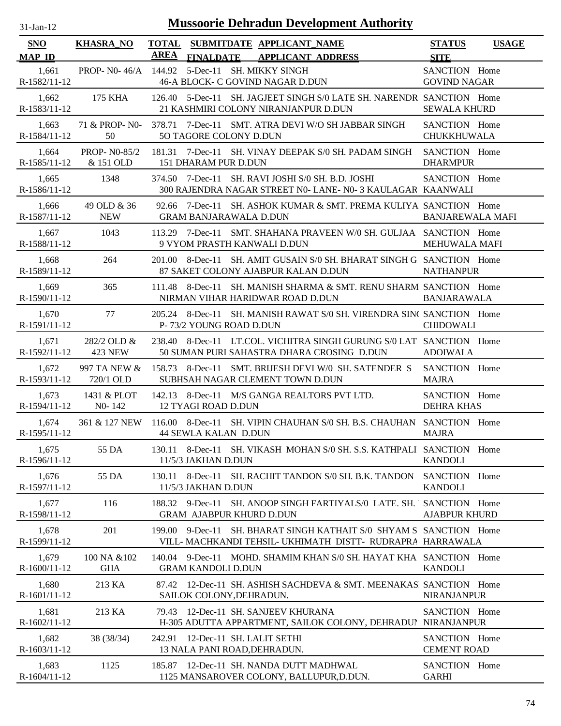| $31 - Jan - 12$ |  |
|-----------------|--|
|                 |  |

| <b>SNO</b><br><b>MAP ID</b> | <b>KHASRA_NO</b>                              | TOTAL SUBMITDATE APPLICANT_NAME<br><b>AREA FINALDATE APPLICANT ADDRESS</b>                                                          | <b>SITE</b>                          | STATUS USAGE |
|-----------------------------|-----------------------------------------------|-------------------------------------------------------------------------------------------------------------------------------------|--------------------------------------|--------------|
| 1,661<br>R-1582/11-12       |                                               | PROP- N0-46/A 144.92 5-Dec-11 SH. MIKKY SINGH<br>46-A BLOCK- C GOVIND NAGAR D.DUN                                                   | SANCTION Home<br><b>GOVIND NAGAR</b> |              |
| 1,662<br>R-1583/11-12       | 175 KHA                                       | 126.40 5-Dec-11 SH. JAGJEET SINGH S/0 LATE SH. NARENDR SANCTION Home<br>21 KASHMIRI COLONY NIRANJANPUR D.DUN                        | <b>SEWALA KHURD</b>                  |              |
| 1.663<br>R-1584/11-12       | 50                                            | 71 & PROP- N0- 378.71 7-Dec-11 SMT. ATRA DEVI W/O SH JABBAR SINGH<br>50 TAGORE COLONY D.DUN                                         | SANCTION Home<br>CHUKKHUWALA         |              |
| 1.664                       | <b>PROP-N0-85/2</b><br>R-1585/11-12 & 151 OLD | 181.31 7-Dec-11 SH. VINAY DEEPAK S/0 SH. PADAM SINGH SANCTION Home<br>151 DHARAM PUR D.DUN                                          | <b>DHARMPUR</b>                      |              |
| 1,665<br>R-1586/11-12       | 1348                                          | 374.50 7-Dec-11 SH, RAVI JOSHI S/0 SH, B.D. JOSHI<br>300 RAJENDRA NAGAR STREET N0- LANE- N0-3 KAULAGAR KAANWALI                     | SANCTION Home                        |              |
| 1,666<br>R-1587/11-12       | 49 OLD & 36<br><b>NEW</b>                     | 92.66 7-Dec-11 SH. ASHOK KUMAR & SMT. PREMA KULIYA SANCTION Home<br><b>GRAM BANJARAWALA D.DUN</b>                                   | <b>BANJAREWALA MAFI</b>              |              |
| 1.667<br>R-1588/11-12       | 1043                                          | 113.29 7-Dec-11 SMT. SHAHANA PRAVEEN W/0 SH. GULJAA SANCTION Home<br>9 VYOM PRASTH KANWALI D.DUN                                    | MEHUWALA MAFI                        |              |
| 1,668<br>R-1589/11-12       | 264                                           | 201.00 8-Dec-11 SH. AMIT GUSAIN S/0 SH. BHARAT SINGH G SANCTION Home<br>87 SAKET COLONY AJABPUR KALAN D.DUN                         | <b>NATHANPUR</b>                     |              |
| 1.669<br>R-1590/11-12       | 365                                           | 111.48 8-Dec-11 SH. MANISH SHARMA & SMT. RENU SHARM SANCTION Home<br>NIRMAN VIHAR HARIDWAR ROAD D.DUN                               | BANJARAWALA                          |              |
| 1,670<br>R-1591/11-12       | 77                                            | 205.24 8-Dec-11 SH. MANISH RAWAT S/0 SH. VIRENDRA SINC SANCTION Home<br>P-73/2 YOUNG ROAD D.DUN                                     | <b>CHIDOWALI</b>                     |              |
| 1,671                       | 282/2 OLD &<br>R-1592/11-12 423 NEW           | 238.40 8-Dec-11 LT.COL. VICHITRA SINGH GURUNG S/0 LAT SANCTION Home<br>50 SUMAN PURI SAHASTRA DHARA CROSING D.DUN                   | ADOIWALA                             |              |
| 1,672                       | 997 TA NEW &<br>R-1593/11-12 720/1 OLD        | 158.73 8-Dec-11 SMT. BRIJESH DEVI W/0 SH. SATENDER S<br>SUBHSAH NAGAR CLEMENT TOWN D.DUN                                            | SANCTION Home<br><b>MAJRA</b>        |              |
| 1,673                       | 1431 & PLOT                                   | 142.13 8-Dec-11 M/S GANGA REALTORS PVT LTD.<br>R-1594/11-12 NO-142 12 TYAGI ROAD D.DUN                                              | SANCTION Home<br><b>DEHRA KHAS</b>   |              |
| 1,674<br>R-1595/11-12       |                                               | 361 & 127 NEW 116.00 8-Dec-11 SH. VIPIN CHAUHAN S/0 SH. B.S. CHAUHAN SANCTION Home<br><b>44 SEWLA KALAN D.DUN</b>                   | <b>MAJRA</b>                         |              |
| 1,675<br>R-1596/11-12       | 55 DA                                         | 130.11 8-Dec-11 SH. VIKASH MOHAN S/0 SH. S.S. KATHPALI SANCTION Home<br>11/5/3 JAKHAN D.DUN                                         | <b>KANDOLI</b>                       |              |
| 1,676<br>R-1597/11-12       | 55 DA                                         | 130.11 8-Dec-11 SH. RACHIT TANDON S/0 SH. B.K. TANDON<br>11/5/3 JAKHAN D.DUN                                                        | SANCTION Home<br><b>KANDOLI</b>      |              |
| 1,677<br>R-1598/11-12       | 116                                           | 188.32 9-Dec-11 SH. ANOOP SINGH FARTIYALS/0 LATE. SH. 1 SANCTION Home<br><b>GRAM AJABPUR KHURD D.DUN</b>                            | <b>AJABPUR KHURD</b>                 |              |
| 1,678<br>R-1599/11-12       | 201                                           | 199.00 9-Dec-11<br>SH. BHARAT SINGH KATHAIT S/0 SHYAM S SANCTION Home<br>VILL- MACHKANDI TEHSIL- UKHIMATH DISTT- RUDRAPRA HARRAWALA |                                      |              |
| 1,679<br>R-1600/11-12       | 100 NA &102<br><b>GHA</b>                     | 140.04 9-Dec-11 MOHD. SHAMIM KHAN S/0 SH. HAYAT KHA SANCTION Home<br><b>GRAM KANDOLI D.DUN</b>                                      | <b>KANDOLI</b>                       |              |
| 1,680<br>R-1601/11-12       | 213 KA                                        | 12-Dec-11 SH. ASHISH SACHDEVA & SMT. MEENAKAS SANCTION Home<br>87.42<br>SAILOK COLONY, DEHRADUN.                                    | NIRANJANPUR                          |              |
| 1,681<br>R-1602/11-12       | 213 KA                                        | 12-Dec-11 SH. SANJEEV KHURANA<br>79.43<br>H-305 ADUTTA APPARTMENT, SAILOK COLONY, DEHRADUI NIRANJANPUR                              | SANCTION Home                        |              |
| 1,682<br>R-1603/11-12       | 38 (38/34)                                    | 12-Dec-11 SH. LALIT SETHI<br>242.91<br>13 NALA PANI ROAD, DEHRADUN.                                                                 | SANCTION Home<br><b>CEMENT ROAD</b>  |              |
| 1,683<br>R-1604/11-12       | 1125                                          | 185.87 12-Dec-11 SH. NANDA DUTT MADHWAL<br>1125 MANSAROVER COLONY, BALLUPUR, D.DUN.                                                 | SANCTION Home<br><b>GARHI</b>        |              |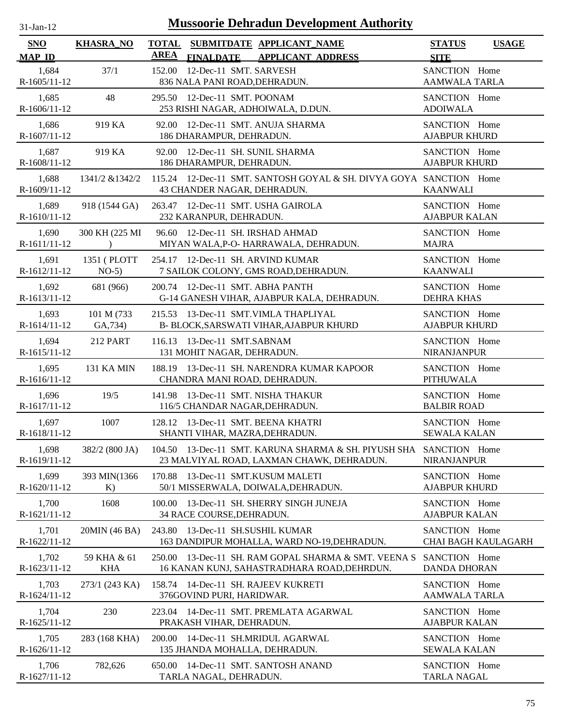| <b>Mussoorie Dehradun Development Authority</b><br>$31$ -Jan-12 |                             |                                                                                                          |                                       |                     |  |  |  |
|-----------------------------------------------------------------|-----------------------------|----------------------------------------------------------------------------------------------------------|---------------------------------------|---------------------|--|--|--|
| <b>SNO</b><br><b>MAP ID</b>                                     | <b>KHASRA_NO</b>            | <b>TOTAL</b><br>SUBMITDATE APPLICANT_NAME<br><b>AREA</b><br><b>FINALDATE</b><br><b>APPLICANT ADDRESS</b> | <b>STATUS</b><br><b>SITE</b>          | <b>USAGE</b>        |  |  |  |
| 1,684<br>$R-1605/11-12$                                         | 37/1                        | 152.00<br>12-Dec-11 SMT. SARVESH<br>836 NALA PANI ROAD, DEHRADUN.                                        | SANCTION Home<br><b>AAMWALA TARLA</b> |                     |  |  |  |
| 1,685<br>R-1606/11-12                                           | 48                          | 295.50 12-Dec-11 SMT. POONAM<br>253 RISHI NAGAR, ADHOIWALA, D.DUN.                                       | SANCTION Home<br><b>ADOIWALA</b>      |                     |  |  |  |
| 1,686<br>R-1607/11-12                                           | 919 KA                      | 92.00 12-Dec-11 SMT. ANUJA SHARMA<br>186 DHARAMPUR, DEHRADUN.                                            | SANCTION Home<br><b>AJABPUR KHURD</b> |                     |  |  |  |
| 1,687<br>R-1608/11-12                                           | 919 KA                      | 92.00 12-Dec-11 SH. SUNIL SHARMA<br>186 DHARAMPUR, DEHRADUN.                                             | SANCTION Home<br><b>AJABPUR KHURD</b> |                     |  |  |  |
| 1,688<br>R-1609/11-12                                           | 1341/2 & 1342/2             | 115.24 12-Dec-11 SMT. SANTOSH GOYAL & SH. DIVYA GOYA SANCTION Home<br>43 CHANDER NAGAR, DEHRADUN.        | <b>KAANWALI</b>                       |                     |  |  |  |
| 1,689<br>R-1610/11-12                                           | 918 (1544 GA)               | 263.47 12-Dec-11 SMT. USHA GAIROLA<br>232 KARANPUR, DEHRADUN.                                            | SANCTION Home<br><b>AJABPUR KALAN</b> |                     |  |  |  |
| 1,690<br>R-1611/11-12                                           | 300 KH (225 MI<br>$\lambda$ | 96.60 12-Dec-11 SH. IRSHAD AHMAD<br>MIYAN WALA, P-O- HARRAWALA, DEHRADUN.                                | SANCTION Home<br><b>MAJRA</b>         |                     |  |  |  |
| 1,691<br>R-1612/11-12                                           | 1351 (PLOTT<br>$NO-5)$      | 254.17 12-Dec-11 SH. ARVIND KUMAR<br>7 SAILOK COLONY, GMS ROAD, DEHRADUN.                                | SANCTION Home<br><b>KAANWALI</b>      |                     |  |  |  |
| 1,692<br>R-1613/11-12                                           | 681 (966)                   | 200.74 12-Dec-11 SMT. ABHA PANTH<br>G-14 GANESH VIHAR, AJABPUR KALA, DEHRADUN.                           | SANCTION Home<br><b>DEHRA KHAS</b>    |                     |  |  |  |
| 1,693<br>R-1614/11-12                                           | 101 M (733)<br>GA, 734)     | 215.53<br>13-Dec-11 SMT.VIMLA THAPLIYAL<br>B- BLOCK, SARSWATI VIHAR, AJABPUR KHURD                       | SANCTION Home<br><b>AJABPUR KHURD</b> |                     |  |  |  |
| 1,694<br>R-1615/11-12                                           | <b>212 PART</b>             | 116.13 13-Dec-11 SMT.SABNAM<br>131 MOHIT NAGAR, DEHRADUN.                                                | SANCTION Home<br><b>NIRANJANPUR</b>   |                     |  |  |  |
| 1,695<br>R-1616/11-12                                           | <b>131 KA MIN</b>           | 188.19 13-Dec-11 SH. NARENDRA KUMAR KAPOOR<br>CHANDRA MANI ROAD, DEHRADUN.                               | SANCTION Home<br><b>PITHUWALA</b>     |                     |  |  |  |
| 1,696<br>R-1617/11-12                                           | 19/5                        | 13-Dec-11 SMT. NISHA THAKUR<br>141.98<br>116/5 CHANDAR NAGAR, DEHRADUN.                                  | SANCTION Home<br><b>BALBIR ROAD</b>   |                     |  |  |  |
| 1,697<br>R-1618/11-12                                           | 1007                        | 128.12 13-Dec-11 SMT. BEENA KHATRI<br>SHANTI VIHAR, MAZRA, DEHRADUN.                                     | SANCTION Home<br><b>SEWALA KALAN</b>  |                     |  |  |  |
| 1,698<br>R-1619/11-12                                           | 382/2 (800 JA)              | 104.50 13-Dec-11 SMT. KARUNA SHARMA & SH. PIYUSH SHA<br>23 MALVIYAL ROAD, LAXMAN CHAWK, DEHRADUN.        | SANCTION Home<br><b>NIRANJANPUR</b>   |                     |  |  |  |
| 1,699<br>R-1620/11-12                                           | 393 MIN(1366<br>K)          | 13-Dec-11 SMT.KUSUM MALETI<br>170.88<br>50/1 MISSERWALA, DOIWALA, DEHRADUN.                              | SANCTION Home<br><b>AJABPUR KHURD</b> |                     |  |  |  |
| 1,700<br>R-1621/11-12                                           | 1608                        | 13-Dec-11 SH. SHERRY SINGH JUNEJA<br>100.00<br>34 RACE COURSE, DEHRADUN.                                 | SANCTION Home<br><b>AJABPUR KALAN</b> |                     |  |  |  |
| 1,701<br>R-1622/11-12                                           | 20MIN (46 BA)               | 243.80<br>13-Dec-11 SH.SUSHIL KUMAR<br>163 DANDIPUR MOHALLA, WARD NO-19, DEHRADUN.                       | SANCTION Home                         | CHAI BAGH KAULAGARH |  |  |  |
| 1,702<br>R-1623/11-12                                           | 59 KHA & 61<br><b>KHA</b>   | 13-Dec-11 SH. RAM GOPAL SHARMA & SMT. VEENA S<br>250.00<br>16 KANAN KUNJ, SAHASTRADHARA ROAD, DEHRDUN.   | SANCTION Home<br><b>DANDA DHORAN</b>  |                     |  |  |  |
| 1,703<br>R-1624/11-12                                           | 273/1 (243 KA)              | 158.74<br>14-Dec-11 SH. RAJEEV KUKRETI<br>376GOVIND PURI, HARIDWAR.                                      | SANCTION Home<br>AAMWALA TARLA        |                     |  |  |  |
| 1,704<br>R-1625/11-12                                           | 230                         | 14-Dec-11 SMT. PREMLATA AGARWAL<br>223.04<br>PRAKASH VIHAR, DEHRADUN.                                    | SANCTION Home<br><b>AJABPUR KALAN</b> |                     |  |  |  |
| 1,705<br>R-1626/11-12                                           | 283 (168 KHA)               | 14-Dec-11 SH.MRIDUL AGARWAL<br>200.00<br>135 JHANDA MOHALLA, DEHRADUN.                                   | SANCTION Home<br><b>SEWALA KALAN</b>  |                     |  |  |  |
| 1,706<br>R-1627/11-12                                           | 782,626                     | 14-Dec-11 SMT. SANTOSH ANAND<br>650.00<br>TARLA NAGAL, DEHRADUN.                                         | SANCTION Home<br><b>TARLA NAGAL</b>   |                     |  |  |  |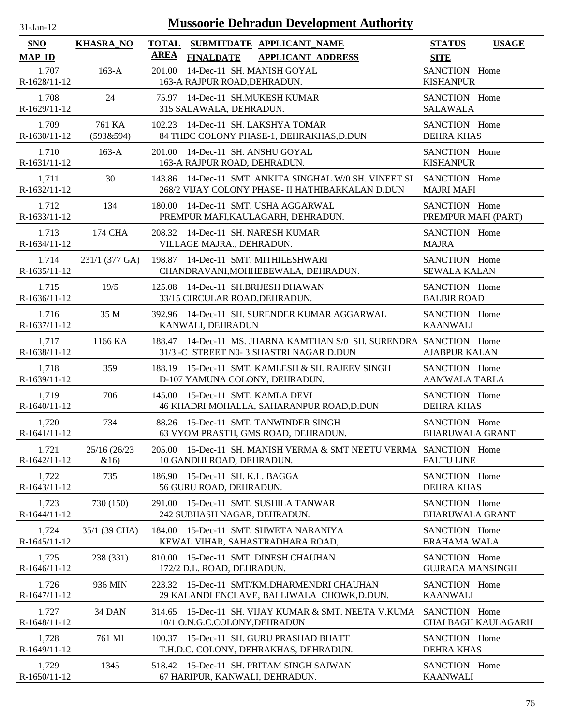| $31-Jan-12$                 |                  | <b>Mussoorie Dehradun Development Authority</b>                                                                   |                                              |
|-----------------------------|------------------|-------------------------------------------------------------------------------------------------------------------|----------------------------------------------|
| <b>SNO</b><br><b>MAP ID</b> | <b>KHASRA_NO</b> | SUBMITDATE APPLICANT_NAME<br><b>TOTAL</b><br><b>AREA</b><br><b>FINALDATE</b><br><b>APPLICANT ADDRESS</b>          | <b>STATUS</b><br><b>USAGE</b><br><b>SITE</b> |
| 1,707<br>R-1628/11-12       | $163-A$          | 14-Dec-11 SH. MANISH GOYAL<br>201.00<br>163-A RAJPUR ROAD, DEHRADUN.                                              | SANCTION Home<br><b>KISHANPUR</b>            |
| 1,708                       | 24               | 75.97 14-Dec-11 SH.MUKESH KUMAR                                                                                   | SANCTION Home                                |
| R-1629/11-12                |                  | 315 SALAWALA, DEHRADUN.                                                                                           | <b>SALAWALA</b>                              |
| 1,709                       | 761 KA           | 102.23 14-Dec-11 SH. LAKSHYA TOMAR                                                                                | SANCTION Home                                |
| $R-1630/11-12$              | (593&594)        | 84 THDC COLONY PHASE-1, DEHRAKHAS, D.DUN                                                                          | <b>DEHRA KHAS</b>                            |
| 1,710                       | $163-A$          | 201.00 14-Dec-11 SH. ANSHU GOYAL                                                                                  | SANCTION Home                                |
| R-1631/11-12                |                  | 163-A RAJPUR ROAD, DEHRADUN.                                                                                      | <b>KISHANPUR</b>                             |
| 1,711<br>R-1632/11-12       | 30               | 14-Dec-11 SMT. ANKITA SINGHAL W/0 SH. VINEET SI<br>143.86<br>268/2 VIJAY COLONY PHASE- II HATHIBARKALAN D.DUN     | SANCTION Home<br><b>MAJRI MAFI</b>           |
| 1,712                       | 134              | 180.00 14-Dec-11 SMT. USHA AGGARWAL                                                                               | SANCTION Home                                |
| R-1633/11-12                |                  | PREMPUR MAFI, KAULAGARH, DEHRADUN.                                                                                | PREMPUR MAFI (PART)                          |
| 1,713                       | 174 CHA          | 208.32 14-Dec-11 SH. NARESH KUMAR                                                                                 | SANCTION Home                                |
| R-1634/11-12                |                  | VILLAGE MAJRA., DEHRADUN.                                                                                         | <b>MAJRA</b>                                 |
| 1,714                       | 231/1 (377 GA)   | 198.87 14-Dec-11 SMT. MITHILESHWARI                                                                               | SANCTION Home                                |
| R-1635/11-12                |                  | CHANDRAVANI, MOHHEBEWALA, DEHRADUN.                                                                               | <b>SEWALA KALAN</b>                          |
| 1,715<br>R-1636/11-12       | 19/5             | 14-Dec-11 SH.BRIJESH DHAWAN<br>125.08<br>33/15 CIRCULAR ROAD, DEHRADUN.                                           | SANCTION Home<br><b>BALBIR ROAD</b>          |
| 1,716                       | 35 M             | 392.96 14-Dec-11 SH. SURENDER KUMAR AGGARWAL                                                                      | SANCTION Home                                |
| R-1637/11-12                |                  | KANWALI, DEHRADUN                                                                                                 | <b>KAANWALI</b>                              |
| 1,717<br>R-1638/11-12       | 1166 KA          | 14-Dec-11 MS. JHARNA KAMTHAN S/0 SH. SURENDRA SANCTION Home<br>188.47<br>31/3 -C STREET N0- 3 SHASTRI NAGAR D.DUN | <b>AJABPUR KALAN</b>                         |
| 1,718                       | 359              | 188.19 15-Dec-11 SMT. KAMLESH & SH. RAJEEV SINGH                                                                  | SANCTION Home                                |
| R-1639/11-12                |                  | D-107 YAMUNA COLONY, DEHRADUN.                                                                                    | <b>AAMWALA TARLA</b>                         |
| 1,719                       | 706              | 145.00 15-Dec-11 SMT. KAMLA DEVI                                                                                  | SANCTION Home                                |
| R-1640/11-12                |                  | 46 KHADRI MOHALLA, SAHARANPUR ROAD, D.DUN                                                                         | <b>DEHRA KHAS</b>                            |
| 1,720                       | 734              | 88.26 15-Dec-11 SMT. TANWINDER SINGH                                                                              | SANCTION Home                                |
| R-1641/11-12                |                  | 63 VYOM PRASTH, GMS ROAD, DEHRADUN.                                                                               | <b>BHARUWALA GRANT</b>                       |
| 1,721                       | 25/16 (26/23     | 205.00 15-Dec-11 SH. MANISH VERMA & SMT NEETU VERMA SANCTION Home                                                 | <b>FALTU LINE</b>                            |
| R-1642/11-12                | &16)             | 10 GANDHI ROAD, DEHRADUN.                                                                                         |                                              |
| 1,722<br>R-1643/11-12       | 735              | 15-Dec-11 SH. K.L. BAGGA<br>186.90<br>56 GURU ROAD, DEHRADUN.                                                     | SANCTION Home<br><b>DEHRA KHAS</b>           |
| 1,723<br>R-1644/11-12       | 730 (150)        | 15-Dec-11 SMT. SUSHILA TANWAR<br>291.00<br>242 SUBHASH NAGAR, DEHRADUN.                                           | SANCTION Home<br><b>BHARUWALA GRANT</b>      |
| 1,724<br>R-1645/11-12       | 35/1 (39 CHA)    | 184.00<br>15-Dec-11 SMT. SHWETA NARANIYA<br>KEWAL VIHAR, SAHASTRADHARA ROAD,                                      | SANCTION Home<br><b>BRAHAMA WALA</b>         |
| 1,725<br>$R-1646/11-12$     | 238 (331)        | 15-Dec-11 SMT. DINESH CHAUHAN<br>810.00<br>172/2 D.L. ROAD, DEHRADUN.                                             | SANCTION Home<br><b>GUJRADA MANSINGH</b>     |
| 1,726                       | 936 MIN          | 223.32 15-Dec-11 SMT/KM.DHARMENDRI CHAUHAN                                                                        | SANCTION Home                                |
| R-1647/11-12                |                  | 29 KALANDI ENCLAVE, BALLIWALA CHOWK, D.DUN.                                                                       | <b>KAANWALI</b>                              |
| 1,727<br>R-1648/11-12       | 34 DAN           | 15-Dec-11 SH. VIJAY KUMAR & SMT. NEETA V.KUMA<br>314.65<br>10/1 O.N.G.C.COLONY, DEHRADUN                          | SANCTION Home<br>CHAI BAGH KAULAGARH         |
| 1,728                       | 761 MI           | 100.37 15-Dec-11 SH. GURU PRASHAD BHATT                                                                           | SANCTION Home                                |
| R-1649/11-12                |                  | T.H.D.C. COLONY, DEHRAKHAS, DEHRADUN.                                                                             | <b>DEHRA KHAS</b>                            |
| 1,729<br>R-1650/11-12       | 1345             | 15-Dec-11 SH. PRITAM SINGH SAJWAN<br>518.42<br>67 HARIPUR, KANWALI, DEHRADUN.                                     | SANCTION Home<br><b>KAANWALI</b>             |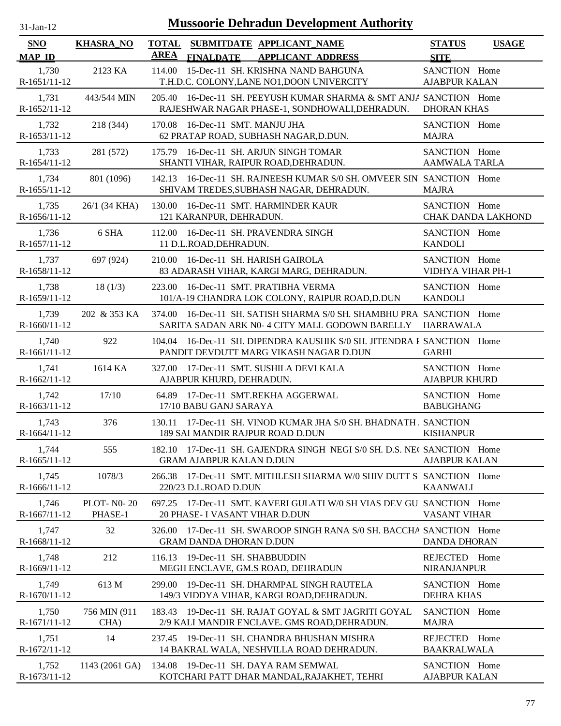| 1-Jan-1<br>$\mathbf{L}$ |  |
|-------------------------|--|

| <b>SNO</b><br><b>MAP ID</b> | <b>KHASRA_NO</b>             | <b>TOTAL</b><br><b>AREA</b><br><b>FINALDATE</b> | SUBMITDATE APPLICANT_NAME<br><b>APPLICANT ADDRESS</b>                                                                      | <b>STATUS</b><br><b>SITE</b>          | <b>USAGE</b>              |
|-----------------------------|------------------------------|-------------------------------------------------|----------------------------------------------------------------------------------------------------------------------------|---------------------------------------|---------------------------|
| 1,730<br>R-1651/11-12       | 2123 KA                      | 114.00                                          | 15-Dec-11 SH. KRISHNA NAND BAHGUNA<br>T.H.D.C. COLONY, LANE NO1, DOON UNIVERCITY                                           | SANCTION Home<br><b>AJABPUR KALAN</b> |                           |
| 1,731<br>$R-1652/11-12$     | 443/544 MIN                  | 205.40                                          | 16-Dec-11 SH. PEEYUSH KUMAR SHARMA & SMT ANJA SANCTION Home<br>RAJESHWAR NAGAR PHASE-1, SONDHOWALI, DEHRADUN.              | <b>DHORAN KHAS</b>                    |                           |
| 1,732<br>R-1653/11-12       | 218 (344)                    | 170.08 16-Dec-11 SMT. MANJU JHA                 | 62 PRATAP ROAD, SUBHASH NAGAR, D.DUN.                                                                                      | SANCTION Home<br><b>MAJRA</b>         |                           |
| 1,733<br>$R-1654/11-12$     | 281 (572)                    |                                                 | 175.79 16-Dec-11 SH. ARJUN SINGH TOMAR<br>SHANTI VIHAR, RAIPUR ROAD, DEHRADUN.                                             | SANCTION Home<br><b>AAMWALA TARLA</b> |                           |
| 1,734<br>R-1655/11-12       | 801 (1096)                   |                                                 | 142.13 16-Dec-11 SH. RAJNEESH KUMAR S/0 SH. OMVEER SIN SANCTION Home<br>SHIVAM TREDES, SUBHASH NAGAR, DEHRADUN.            | <b>MAJRA</b>                          |                           |
| 1,735<br>R-1656/11-12       | 26/1 (34 KHA)                | 130.00<br>121 KARANPUR, DEHRADUN.               | 16-Dec-11 SMT. HARMINDER KAUR                                                                                              | SANCTION Home                         | <b>CHAK DANDA LAKHOND</b> |
| 1,736<br>R-1657/11-12       | 6 SHA                        | 112.00<br>11 D.L.ROAD, DEHRADUN.                | 16-Dec-11 SH. PRAVENDRA SINGH                                                                                              | SANCTION Home<br><b>KANDOLI</b>       |                           |
| 1.737<br>R-1658/11-12       | 697 (924)                    | 210.00                                          | 16-Dec-11 SH. HARISH GAIROLA<br>83 ADARASH VIHAR, KARGI MARG, DEHRADUN.                                                    | SANCTION Home<br>VIDHYA VIHAR PH-1    |                           |
| 1,738<br>R-1659/11-12       | 18(1/3)                      | 223.00                                          | 16-Dec-11 SMT. PRATIBHA VERMA<br>101/A-19 CHANDRA LOK COLONY, RAIPUR ROAD, D.DUN                                           | SANCTION Home<br><b>KANDOLI</b>       |                           |
| 1,739<br>R-1660/11-12       | 202 & 353 KA                 | 374.00                                          | 16-Dec-11 SH. SATISH SHARMA S/0 SH. SHAMBHU PRA, SANCTION Home<br>SARITA SADAN ARK N0-4 CITY MALL GODOWN BARELLY HARRAWALA |                                       |                           |
| 1,740<br>R-1661/11-12       | 922                          | 104.04                                          | 16-Dec-11 SH. DIPENDRA KAUSHIK S/0 SH. JITENDRA F SANCTION Home<br>PANDIT DEVDUTT MARG VIKASH NAGAR D.DUN                  | <b>GARHI</b>                          |                           |
| 1,741<br>R-1662/11-12       | 1614 KA                      | 327.00<br>AJABPUR KHURD, DEHRADUN.              | 17-Dec-11 SMT. SUSHILA DEVI KALA                                                                                           | SANCTION Home<br><b>AJABPUR KHURD</b> |                           |
| 1,742<br>R-1663/11-12       | 17/10                        | 17/10 BABU GANJ SARAYA                          | 64.89 17-Dec-11 SMT.REKHA AGGERWAL                                                                                         | SANCTION Home<br><b>BABUGHANG</b>     |                           |
| 1,743<br>$R-1664/11-12$     | 376                          |                                                 | 130.11 17-Dec-11 SH. VINOD KUMAR JHA S/0 SH. BHADNATH . SANCTION<br>189 SAI MANDIR RAJPUR ROAD D.DUN                       | <b>KISHANPUR</b>                      |                           |
| 1,744<br>R-1665/11-12       | 555                          | <b>GRAM AJABPUR KALAN D.DUN</b>                 | 182.10 17-Dec-11 SH. GAJENDRA SINGH NEGI S/0 SH. D.S. NEC SANCTION Home                                                    | <b>AJABPUR KALAN</b>                  |                           |
| 1,745<br>R-1666/11-12       | 1078/3                       | 266.38<br>220/23 D.L.ROAD D.DUN                 | 17-Dec-11 SMT. MITHLESH SHARMA W/0 SHIV DUTT S SANCTION Home                                                               | <b>KAANWALI</b>                       |                           |
| 1,746<br>R-1667/11-12       | <b>PLOT-N0-20</b><br>PHASE-1 | 697.25<br>20 PHASE- I VASANT VIHAR D.DUN        | 17-Dec-11 SMT. KAVERI GULATI W/0 SH VIAS DEV GU SANCTION Home                                                              | <b>VASANT VIHAR</b>                   |                           |
| 1,747<br>R-1668/11-12       | 32                           | 326.00<br><b>GRAM DANDA DHORAN D.DUN</b>        | 17-Dec-11 SH. SWAROOP SINGH RANA S/0 SH. BACCHA SANCTION Home                                                              | <b>DANDA DHORAN</b>                   |                           |
| 1,748<br>R-1669/11-12       | 212                          | 116.13                                          | 19-Dec-11 SH. SHABBUDDIN<br>MEGH ENCLAVE, GM.S ROAD, DEHRADUN                                                              | <b>REJECTED</b><br><b>NIRANJANPUR</b> | Home                      |
| 1,749<br>R-1670/11-12       | 613 M                        | 299.00                                          | 19-Dec-11 SH. DHARMPAL SINGH RAUTELA<br>149/3 VIDDYA VIHAR, KARGI ROAD, DEHRADUN.                                          | SANCTION Home<br><b>DEHRA KHAS</b>    |                           |
| 1,750<br>R-1671/11-12       | 756 MIN (911<br>CHA)         | 183.43                                          | 19-Dec-11 SH. RAJAT GOYAL & SMT JAGRITI GOYAL<br>2/9 KALI MANDIR ENCLAVE. GMS ROAD, DEHRADUN.                              | SANCTION Home<br><b>MAJRA</b>         |                           |
| 1,751<br>R-1672/11-12       | 14                           | 237.45                                          | 19-Dec-11 SH. CHANDRA BHUSHAN MISHRA<br>14 BAKRAL WALA, NESHVILLA ROAD DEHRADUN.                                           | REJECTED Home<br><b>BAAKRALWALA</b>   |                           |
| 1,752<br>R-1673/11-12       | 1143 (2061 GA)               |                                                 | 134.08 19-Dec-11 SH. DAYA RAM SEMWAL<br>KOTCHARI PATT DHAR MANDAL, RAJAKHET, TEHRI                                         | SANCTION Home<br><b>AJABPUR KALAN</b> |                           |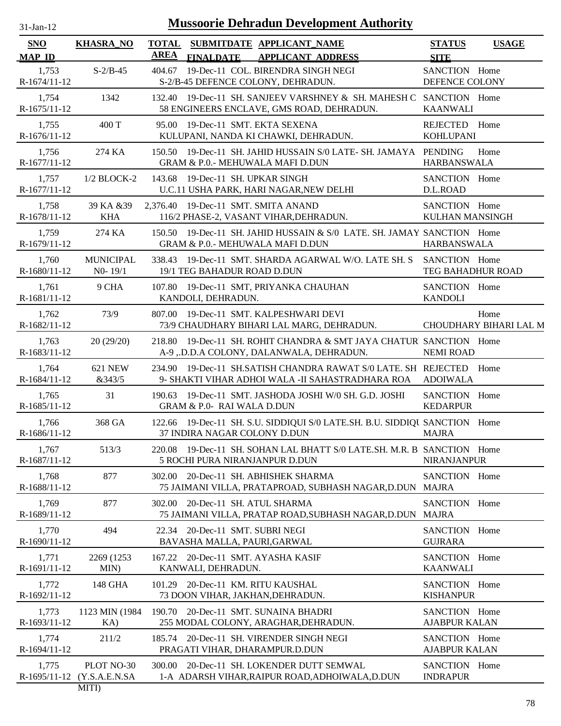| $31$ -Jan-12 |  |
|--------------|--|

| <b>SNO</b>              | <b>KHASRA_NO</b>                         | <b>TOTAL</b> | SUBMITDATE APPLICANT_NAME                                                                                          | <b>STATUS</b>                         | <b>USAGE</b>                   |
|-------------------------|------------------------------------------|--------------|--------------------------------------------------------------------------------------------------------------------|---------------------------------------|--------------------------------|
| <b>MAP ID</b>           |                                          | AREA         | <b>FINALDATE</b><br><b>APPLICANT ADDRESS</b>                                                                       | <b>SITE</b>                           |                                |
| 1,753<br>R-1674/11-12   | $S-2/B-45$                               | 404.67       | 19-Dec-11 COL. BIRENDRA SINGH NEGI<br>S-2/B-45 DEFENCE COLONY, DEHRADUN.                                           | SANCTION Home<br>DEFENCE COLONY       |                                |
| 1,754<br>$R-1675/11-12$ | 1342                                     |              | 132.40 19-Dec-11 SH. SANJEEV VARSHNEY & SH. MAHESH C SANCTION Home<br>58 ENGINEERS ENCLAVE, GMS ROAD, DEHRADUN.    | <b>KAANWALI</b>                       |                                |
| 1,755<br>R-1676/11-12   | 400 T                                    |              | 95.00 19-Dec-11 SMT. EKTA SEXENA<br>KULUPANI, NANDA KI CHAWKI, DEHRADUN.                                           | REJECTED Home<br><b>KOHLUPANI</b>     |                                |
| 1,756<br>R-1677/11-12   | 274 KA                                   |              | 150.50 19-Dec-11 SH. JAHID HUSSAIN S/0 LATE- SH. JAMAYA PENDING<br>GRAM & P.O.- MEHUWALA MAFI D.DUN                | <b>HARBANSWALA</b>                    | Home                           |
| 1,757<br>R-1677/11-12   | $1/2$ BLOCK-2                            |              | 143.68 19-Dec-11 SH. UPKAR SINGH<br>U.C.11 USHA PARK, HARI NAGAR, NEW DELHI                                        | SANCTION Home<br>D.L.ROAD             |                                |
| 1,758<br>R-1678/11-12   | 39 KA & 39<br><b>KHA</b>                 |              | 2,376.40 19-Dec-11 SMT. SMITA ANAND<br>116/2 PHASE-2, VASANT VIHAR, DEHRADUN.                                      | SANCTION Home<br>KULHAN MANSINGH      |                                |
| 1,759<br>R-1679/11-12   | 274 KA                                   | 150.50       | 19-Dec-11 SH. JAHID HUSSAIN & S/0 LATE. SH. JAMAY SANCTION Home<br>GRAM & P.O.- MEHUWALA MAFI D.DUN                | <b>HARBANSWALA</b>                    |                                |
| 1,760<br>R-1680/11-12   | <b>MUNICIPAL</b><br>$N0-19/1$            | 338.43       | 19-Dec-11 SMT. SHARDA AGARWAL W/O. LATE SH. S<br>19/1 TEG BAHADUR ROAD D.DUN                                       | SANCTION Home<br>TEG BAHADHUR ROAD    |                                |
| 1,761<br>R-1681/11-12   | 9 CHA                                    |              | 107.80 19-Dec-11 SMT, PRIYANKA CHAUHAN<br>KANDOLI, DEHRADUN.                                                       | SANCTION Home<br><b>KANDOLI</b>       |                                |
| 1,762<br>R-1682/11-12   | 73/9                                     |              | 807.00 19-Dec-11 SMT. KALPESHWARI DEVI<br>73/9 CHAUDHARY BIHARI LAL MARG, DEHRADUN.                                |                                       | Home<br>CHOUDHARY BIHARI LAL M |
| 1,763<br>R-1683/11-12   | 20(29/20)                                |              | 218.80 19-Dec-11 SH. ROHIT CHANDRA & SMT JAYA CHATUR SANCTION Home<br>A-9 , D.D.A COLONY, DALANWALA, DEHRADUN.     | <b>NEMI ROAD</b>                      |                                |
| 1,764<br>R-1684/11-12   | <b>621 NEW</b><br>&343/5                 |              | 234.90 19-Dec-11 SH.SATISH CHANDRA RAWAT S/0 LATE, SH REJECTED<br>9- SHAKTI VIHAR ADHOI WALA -II SAHASTRADHARA ROA | <b>ADOIWALA</b>                       | Home                           |
| 1,765<br>R-1685/11-12   | 31                                       | 190.63       | 19-Dec-11 SMT. JASHODA JOSHI W/0 SH. G.D. JOSHI<br>GRAM & P.0- RAI WALA D.DUN                                      | SANCTION Home<br><b>KEDARPUR</b>      |                                |
| 1,766<br>R-1686/11-12   | 368 GA                                   |              | 122.66 19-Dec-11 SH. S.U. SIDDIQUI S/0 LATE.SH. B.U. SIDDIQU SANCTION Home<br>37 INDIRA NAGAR COLONY D.DUN         | <b>MAJRA</b>                          |                                |
| 1,767<br>R-1687/11-12   | 513/3                                    |              | 220.08 19-Dec-11 SH. SOHAN LAL BHATT S/0 LATE.SH. M.R. B SANCTION Home<br>5 ROCHI PURA NIRANJANPUR D.DUN           | <b>NIRANJANPUR</b>                    |                                |
| 1,768<br>R-1688/11-12   | 877                                      |              | 302.00 20-Dec-11 SH. ABHISHEK SHARMA<br>75 JAIMANI VILLA, PRATAPROAD, SUBHASH NAGAR, D.DUN                         | SANCTION Home<br><b>MAJRA</b>         |                                |
| 1,769<br>R-1689/11-12   | 877                                      | 302.00       | 20-Dec-11 SH. ATUL SHARMA<br>75 JAIMANI VILLA, PRATAP ROAD, SUBHASH NAGAR, D.DUN                                   | SANCTION Home<br><b>MAJRA</b>         |                                |
| 1,770<br>R-1690/11-12   | 494                                      |              | 22.34 20-Dec-11 SMT. SUBRI NEGI<br>BAVASHA MALLA, PAURI, GARWAL                                                    | SANCTION Home<br><b>GUJRARA</b>       |                                |
| 1,771<br>R-1691/11-12   | 2269 (1253)<br>MIN)                      | 167.22       | 20-Dec-11 SMT. AYASHA KASIF<br>KANWALI, DEHRADUN.                                                                  | SANCTION Home<br><b>KAANWALI</b>      |                                |
| 1,772<br>R-1692/11-12   | 148 GHA                                  |              | 101.29 20-Dec-11 KM. RITU KAUSHAL<br>73 DOON VIHAR, JAKHAN, DEHRADUN.                                              | SANCTION Home<br><b>KISHANPUR</b>     |                                |
| 1,773<br>R-1693/11-12   | 1123 MIN (1984)<br>KA)                   |              | 190.70 20-Dec-11 SMT. SUNAINA BHADRI<br>255 MODAL COLONY, ARAGHAR, DEHRADUN.                                       | SANCTION Home<br><b>AJABPUR KALAN</b> |                                |
| 1,774<br>R-1694/11-12   | 211/2                                    |              | 185.74 20-Dec-11 SH. VIRENDER SINGH NEGI<br>PRAGATI VIHAR, DHARAMPUR.D.DUN                                         | SANCTION Home<br><b>AJABPUR KALAN</b> |                                |
| 1,775                   | PLOT NO-30<br>R-1695/11-12 (Y.S.A.E.N.SA | 300.00       | 20-Dec-11 SH. LOKENDER DUTT SEMWAL<br>1-A ADARSH VIHAR, RAIPUR ROAD, ADHOIWALA, D.DUN                              | SANCTION Home<br><b>INDRAPUR</b>      |                                |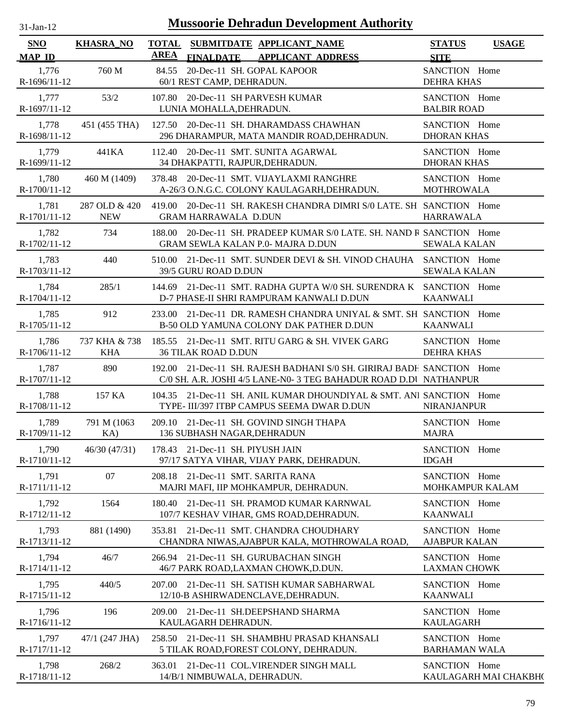| $31$ -Jan-12                | <b>Mussoorie Dehradun Development Authority</b> |             |                                                                                                                                             |                                       |                       |  |  |  |
|-----------------------------|-------------------------------------------------|-------------|---------------------------------------------------------------------------------------------------------------------------------------------|---------------------------------------|-----------------------|--|--|--|
| <b>SNO</b><br><b>MAP ID</b> | <b>KHASRA_NO</b>                                | <b>AREA</b> | TOTAL SUBMITDATE APPLICANT NAME<br><b>FINALDATE</b><br><b>APPLICANT ADDRESS</b>                                                             | <b>STATUS</b><br><b>SITE</b>          | <b>USAGE</b>          |  |  |  |
| 1,776<br>R-1696/11-12       | 760 M                                           |             | 84.55 20-Dec-11 SH. GOPAL KAPOOR<br>60/1 REST CAMP, DEHRADUN.                                                                               | SANCTION Home<br><b>DEHRA KHAS</b>    |                       |  |  |  |
| 1,777<br>R-1697/11-12       | 53/2                                            |             | 107.80 20-Dec-11 SH PARVESH KUMAR<br>LUNIA MOHALLA, DEHRADUN.                                                                               | SANCTION Home<br><b>BALBIR ROAD</b>   |                       |  |  |  |
| 1,778<br>R-1698/11-12       | 451 (455 THA)                                   |             | 127.50 20-Dec-11 SH, DHARAMDASS CHAWHAN<br>296 DHARAMPUR, MATA MANDIR ROAD, DEHRADUN.                                                       | SANCTION Home<br><b>DHORAN KHAS</b>   |                       |  |  |  |
| 1,779<br>R-1699/11-12       | 441KA                                           |             | 112.40 20-Dec-11 SMT. SUNITA AGARWAL<br>34 DHAKPATTI, RAJPUR, DEHRADUN.                                                                     | SANCTION Home<br><b>DHORAN KHAS</b>   |                       |  |  |  |
| 1,780<br>R-1700/11-12       | 460 M (1409)                                    |             | 378.48 20-Dec-11 SMT. VIJAYLAXMI RANGHRE<br>A-26/3 O.N.G.C. COLONY KAULAGARH, DEHRADUN.                                                     | SANCTION Home<br><b>MOTHROWALA</b>    |                       |  |  |  |
| 1,781<br>R-1701/11-12       | 287 OLD & 420<br><b>NEW</b>                     |             | 419.00 20-Dec-11 SH. RAKESH CHANDRA DIMRI S/0 LATE. SH SANCTION Home<br><b>GRAM HARRAWALA D.DUN</b>                                         | <b>HARRAWALA</b>                      |                       |  |  |  |
| 1,782<br>R-1702/11-12       | 734                                             |             | 188.00 20-Dec-11 SH. PRADEEP KUMAR S/0 LATE, SH. NAND R SANCTION Home<br><b>GRAM SEWLA KALAN P.0- MAJRA D.DUN</b>                           | <b>SEWALA KALAN</b>                   |                       |  |  |  |
| 1,783<br>R-1703/11-12       | 440                                             |             | 510.00 21-Dec-11 SMT. SUNDER DEVI & SH. VINOD CHAUHA SANCTION Home<br>39/5 GURU ROAD D.DUN                                                  | <b>SEWALA KALAN</b>                   |                       |  |  |  |
| 1,784<br>R-1704/11-12       | 285/1                                           |             | 144.69 21-Dec-11 SMT, RADHA GUPTA W/0 SH, SURENDRA K SANCTION Home<br>D-7 PHASE-II SHRI RAMPURAM KANWALI D.DUN                              | KAANWALI                              |                       |  |  |  |
| 1,785<br>R-1705/11-12       | 912                                             |             | 233.00 21-Dec-11 DR. RAMESH CHANDRA UNIYAL & SMT. SH SANCTION Home<br>B-50 OLD YAMUNA COLONY DAK PATHER D.DUN                               | <b>KAANWALI</b>                       |                       |  |  |  |
| 1,786<br>R-1706/11-12       | 737 KHA & 738<br><b>KHA</b>                     |             | 185.55 21-Dec-11 SMT. RITU GARG & SH. VIVEK GARG<br><b>36 TILAK ROAD D.DUN</b>                                                              | SANCTION Home<br>DEHRA KHAS           |                       |  |  |  |
| 1,787<br>R-1707/11-12       | 890                                             |             | 192.00 21-Dec-11 SH. RAJESH BADHANI S/0 SH. GIRIRAJ BADH SANCTION Home<br>C/0 SH. A.R. JOSHI 4/5 LANE-N0- 3 TEG BAHADUR ROAD D.DI NATHANPUR |                                       |                       |  |  |  |
| 1,788<br>R-1708/11-12       | 157 KA                                          |             | 104.35 21-Dec-11 SH. ANIL KUMAR DHOUNDIYAL & SMT. ANI SANCTION Home<br>TYPE- III/397 ITBP CAMPUS SEEMA DWAR D.DUN                           | <b>NIRANJANPUR</b>                    |                       |  |  |  |
| 1,789<br>R-1709/11-12       | 791 M (1063)<br>KA)                             |             | 209.10 21-Dec-11 SH. GOVIND SINGH THAPA<br>136 SUBHASH NAGAR, DEHRADUN                                                                      | SANCTION Home<br><b>MAJRA</b>         |                       |  |  |  |
| 1,790<br>R-1710/11-12       | 46/30 (47/31)                                   |             | 178.43 21-Dec-11 SH. PIYUSH JAIN<br>97/17 SATYA VIHAR, VIJAY PARK, DEHRADUN.                                                                | SANCTION Home<br><b>IDGAH</b>         |                       |  |  |  |
| 1,791<br>R-1711/11-12       | 07                                              | 208.18      | 21-Dec-11 SMT. SARITA RANA<br>MAJRI MAFI, IIP MOHKAMPUR, DEHRADUN.                                                                          | SANCTION Home<br>MOHKAMPUR KALAM      |                       |  |  |  |
| 1,792<br>R-1712/11-12       | 1564                                            | 180.40      | 21-Dec-11 SH. PRAMOD KUMAR KARNWAL<br>107/7 KESHAV VIHAR, GMS ROAD, DEHRADUN.                                                               | SANCTION Home<br><b>KAANWALI</b>      |                       |  |  |  |
| 1,793<br>R-1713/11-12       | 881 (1490)                                      | 353.81      | 21-Dec-11 SMT. CHANDRA CHOUDHARY<br>CHANDRA NIWAS, AJABPUR KALA, MOTHROWALA ROAD,                                                           | SANCTION Home<br><b>AJABPUR KALAN</b> |                       |  |  |  |
| 1,794<br>R-1714/11-12       | 46/7                                            |             | 266.94 21-Dec-11 SH. GURUBACHAN SINGH<br>46/7 PARK ROAD, LAXMAN CHOWK, D.DUN.                                                               | SANCTION Home<br><b>LAXMAN CHOWK</b>  |                       |  |  |  |
| 1,795<br>R-1715/11-12       | 440/5                                           | 207.00      | 21-Dec-11 SH. SATISH KUMAR SABHARWAL<br>12/10-B ASHIRWADENCLAVE, DEHRADUN.                                                                  | SANCTION Home<br><b>KAANWALI</b>      |                       |  |  |  |
| 1,796<br>R-1716/11-12       | 196                                             | 209.00      | 21-Dec-11 SH.DEEPSHAND SHARMA<br>KAULAGARH DEHRADUN.                                                                                        | SANCTION Home<br><b>KAULAGARH</b>     |                       |  |  |  |
| 1,797<br>R-1717/11-12       | 47/1 (247 JHA)                                  |             | 258.50 21-Dec-11 SH. SHAMBHU PRASAD KHANSALI<br>5 TILAK ROAD, FOREST COLONY, DEHRADUN.                                                      | SANCTION Home<br><b>BARHAMAN WALA</b> |                       |  |  |  |
| 1,798<br>R-1718/11-12       | 268/2                                           | 363.01      | 21-Dec-11 COL.VIRENDER SINGH MALL<br>14/B/1 NIMBUWALA, DEHRADUN.                                                                            | SANCTION Home                         | KAULAGARH MAI CHAKBH( |  |  |  |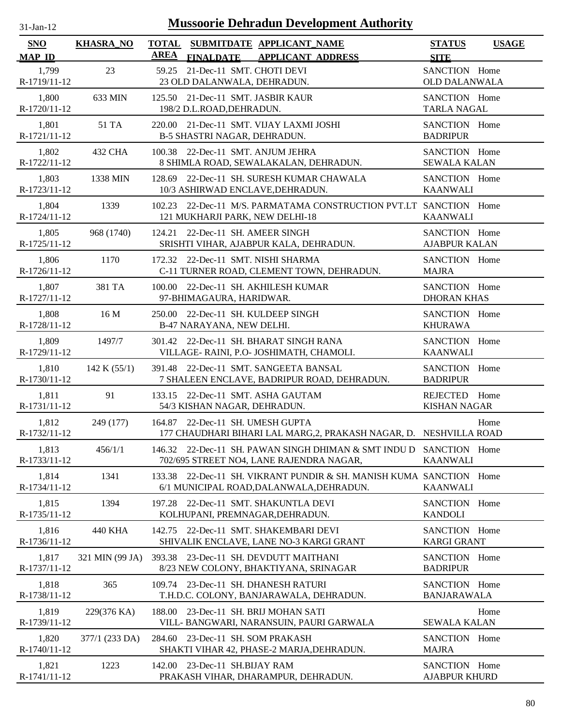| <b>Mussoorie Dehradun Development Authority</b><br>$31-Jan-12$ |                  |                                                                                                                    |                                       |              |  |  |
|----------------------------------------------------------------|------------------|--------------------------------------------------------------------------------------------------------------------|---------------------------------------|--------------|--|--|
| <b>SNO</b><br><b>MAP ID</b>                                    | <b>KHASRA_NO</b> | <b>TOTAL</b><br>SUBMITDATE APPLICANT_NAME<br><b>AREA</b><br><b>FINALDATE</b><br><b>APPLICANT ADDRESS</b>           | <b>STATUS</b><br><b>SITE</b>          | <b>USAGE</b> |  |  |
| 1,799<br>R-1719/11-12                                          | 23               | 21-Dec-11 SMT. CHOTI DEVI<br>59.25<br>23 OLD DALANWALA, DEHRADUN.                                                  | SANCTION Home<br><b>OLD DALANWALA</b> |              |  |  |
| 1,800<br>R-1720/11-12                                          | 633 MIN          | 125.50 21-Dec-11 SMT. JASBIR KAUR<br>198/2 D.L.ROAD, DEHRADUN.                                                     | SANCTION Home<br><b>TARLA NAGAL</b>   |              |  |  |
| 1,801<br>R-1721/11-12                                          | 51 TA            | 220.00 21-Dec-11 SMT. VIJAY LAXMI JOSHI<br>B-5 SHASTRI NAGAR, DEHRADUN.                                            | SANCTION Home<br><b>BADRIPUR</b>      |              |  |  |
| 1,802<br>R-1722/11-12                                          | 432 CHA          | 22-Dec-11 SMT. ANJUM JEHRA<br>100.38<br>8 SHIMLA ROAD, SEWALAKALAN, DEHRADUN.                                      | SANCTION Home<br><b>SEWALA KALAN</b>  |              |  |  |
| 1,803<br>R-1723/11-12                                          | 1338 MIN         | 22-Dec-11 SH. SURESH KUMAR CHAWALA<br>128.69<br>10/3 ASHIRWAD ENCLAVE, DEHRADUN.                                   | SANCTION Home<br><b>KAANWALI</b>      |              |  |  |
| 1,804<br>R-1724/11-12                                          | 1339             | 22-Dec-11 M/S. PARMATAMA CONSTRUCTION PVT.LT SANCTION Home<br>102.23<br>121 MUKHARJI PARK, NEW DELHI-18            | <b>KAANWALI</b>                       |              |  |  |
| 1,805<br>R-1725/11-12                                          | 968 (1740)       | 22-Dec-11 SH. AMEER SINGH<br>124.21<br>SRISHTI VIHAR, AJABPUR KALA, DEHRADUN.                                      | SANCTION Home<br><b>AJABPUR KALAN</b> |              |  |  |
| 1,806<br>R-1726/11-12                                          | 1170             | 172.32 22-Dec-11 SMT. NISHI SHARMA<br>C-11 TURNER ROAD, CLEMENT TOWN, DEHRADUN.                                    | SANCTION Home<br><b>MAJRA</b>         |              |  |  |
| 1,807<br>R-1727/11-12                                          | 381 TA           | 100.00 22-Dec-11 SH. AKHILESH KUMAR<br>97-BHIMAGAURA, HARIDWAR.                                                    | SANCTION Home<br><b>DHORAN KHAS</b>   |              |  |  |
| 1,808<br>R-1728/11-12                                          | 16 M             | 250.00 22-Dec-11 SH. KULDEEP SINGH<br>B-47 NARAYANA, NEW DELHI.                                                    | SANCTION Home<br><b>KHURAWA</b>       |              |  |  |
| 1,809<br>R-1729/11-12                                          | 1497/7           | 301.42 22-Dec-11 SH. BHARAT SINGH RANA<br>VILLAGE- RAINI, P.O- JOSHIMATH, CHAMOLI.                                 | SANCTION Home<br><b>KAANWALI</b>      |              |  |  |
| 1,810<br>R-1730/11-12                                          | 142 K $(55/1)$   | 391.48 22-Dec-11 SMT. SANGEETA BANSAL<br>7 SHALEEN ENCLAVE, BADRIPUR ROAD, DEHRADUN.                               | SANCTION Home<br><b>BADRIPUR</b>      |              |  |  |
| 1,811<br>R-1731/11-12                                          | 91               | 133.15 22-Dec-11 SMT. ASHA GAUTAM<br>54/3 KISHAN NAGAR, DEHRADUN.                                                  | REJECTED Home<br><b>KISHAN NAGAR</b>  |              |  |  |
| 1,812<br>R-1732/11-12                                          | 249 (177)        | 164.87 22-Dec-11 SH. UMESH GUPTA<br>177 CHAUDHARI BIHARI LAL MARG,2, PRAKASH NAGAR, D. NESHVILLA ROAD              |                                       | Home         |  |  |
| 1,813<br>R-1733/11-12                                          | 456/1/1          | 146.32 22-Dec-11 SH. PAWAN SINGH DHIMAN & SMT INDU D<br>702/695 STREET NO4, LANE RAJENDRA NAGAR,                   | SANCTION Home<br><b>KAANWALI</b>      |              |  |  |
| 1,814<br>R-1734/11-12                                          | 1341             | 22-Dec-11 SH. VIKRANT PUNDIR & SH. MANISH KUMA SANCTION Home<br>133.38<br>6/1 MUNICIPAL ROAD, DALANWALA, DEHRADUN. | <b>KAANWALI</b>                       |              |  |  |
| 1,815<br>R-1735/11-12                                          | 1394             | 22-Dec-11 SMT. SHAKUNTLA DEVI<br>197.28<br>KOLHUPANI, PREMNAGAR, DEHRADUN.                                         | SANCTION Home<br><b>KANDOLI</b>       |              |  |  |
| 1,816<br>R-1736/11-12                                          | 440 KHA          | 22-Dec-11 SMT. SHAKEMBARI DEVI<br>142.75<br>SHIVALIK ENCLAVE, LANE NO-3 KARGI GRANT                                | SANCTION Home<br><b>KARGI GRANT</b>   |              |  |  |
| 1,817<br>R-1737/11-12                                          | 321 MIN (99 JA)  | 393.38<br>23-Dec-11 SH. DEVDUTT MAITHANI<br>8/23 NEW COLONY, BHAKTIYANA, SRINAGAR                                  | SANCTION Home<br><b>BADRIPUR</b>      |              |  |  |
| 1,818<br>R-1738/11-12                                          | 365              | 109.74 23-Dec-11 SH. DHANESH RATURI<br>T.H.D.C. COLONY, BANJARAWALA, DEHRADUN.                                     | SANCTION Home<br><b>BANJARAWALA</b>   |              |  |  |
| 1,819<br>R-1739/11-12                                          | 229(376 KA)      | 23-Dec-11 SH. BRIJ MOHAN SATI<br>188.00<br>VILL- BANGWARI, NARANSUIN, PAURI GARWALA                                | <b>SEWALA KALAN</b>                   | Home         |  |  |
| 1,820<br>R-1740/11-12                                          | 377/1 (233 DA)   | 284.60 23-Dec-11 SH. SOM PRAKASH<br>SHAKTI VIHAR 42, PHASE-2 MARJA, DEHRADUN.                                      | SANCTION Home<br><b>MAJRA</b>         |              |  |  |
| 1,821<br>R-1741/11-12                                          | 1223             | 142.00 23-Dec-11 SH.BIJAY RAM<br>PRAKASH VIHAR, DHARAMPUR, DEHRADUN.                                               | SANCTION Home<br><b>AJABPUR KHURD</b> |              |  |  |

۰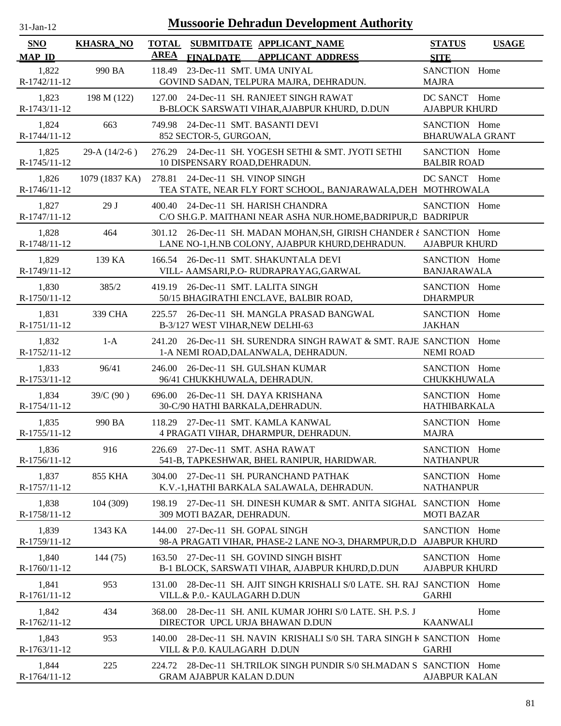| $31-Jan-12$                            | <b>Mussoorie Dehradun Development Authority</b> |                                           |                                                                                                                          |                                              |              |  |  |
|----------------------------------------|-------------------------------------------------|-------------------------------------------|--------------------------------------------------------------------------------------------------------------------------|----------------------------------------------|--------------|--|--|
| <b>SNO</b>                             | <b>KHASRA_NO</b>                                | <b>TOTAL</b>                              | SUBMITDATE APPLICANT_NAME                                                                                                | <b>STATUS</b>                                | <b>USAGE</b> |  |  |
| <b>MAP ID</b><br>1,822<br>R-1742/11-12 | 990 BA                                          | <b>AREA</b><br><b>FINALDATE</b><br>118.49 | <b>APPLICANT ADDRESS</b><br>23-Dec-11 SMT. UMA UNIYAL<br>GOVIND SADAN, TELPURA MAJRA, DEHRADUN.                          | <b>SITE</b><br>SANCTION Home<br><b>MAJRA</b> |              |  |  |
| 1,823<br>R-1743/11-12                  | 198 M (122)                                     |                                           | 127.00 24-Dec-11 SH. RANJEET SINGH RAWAT<br>B-BLOCK SARSWATI VIHAR, AJABPUR KHURD, D.DUN                                 | DC SANCT Home<br><b>AJABPUR KHURD</b>        |              |  |  |
| 1,824<br>R-1744/11-12                  | 663                                             | 852 SECTOR-5, GURGOAN,                    | 749.98 24-Dec-11 SMT. BASANTI DEVI                                                                                       | SANCTION Home<br><b>BHARUWALA GRANT</b>      |              |  |  |
| 1,825<br>R-1745/11-12                  | 29-A $(14/2-6)$                                 |                                           | 276.29 24-Dec-11 SH. YOGESH SETHI & SMT. JYOTI SETHI<br>10 DISPENSARY ROAD, DEHRADUN.                                    | SANCTION Home<br><b>BALBIR ROAD</b>          |              |  |  |
| 1,826<br>R-1746/11-12                  | 1079 (1837 KA)                                  |                                           | 278.81 24-Dec-11 SH. VINOP SINGH<br>TEA STATE, NEAR FLY FORT SCHOOL, BANJARAWALA, DEH MOTHROWALA                         | DC SANCT Home                                |              |  |  |
| 1,827<br>R-1747/11-12                  | 29 J                                            |                                           | 400.40 24-Dec-11 SH. HARISH CHANDRA<br>C/O SH.G.P. MAITHANI NEAR ASHA NUR.HOME, BADRIPUR, D BADRIPUR                     | SANCTION Home                                |              |  |  |
| 1,828<br>R-1748/11-12                  | 464                                             |                                           | 301.12 26-Dec-11 SH. MADAN MOHAN, SH, GIRISH CHANDER & SANCTION Home<br>LANE NO-1, H.NB COLONY, AJABPUR KHURD, DEHRADUN. | <b>AJABPUR KHURD</b>                         |              |  |  |
| 1,829<br>R-1749/11-12                  | 139 KA                                          |                                           | 166.54 26-Dec-11 SMT. SHAKUNTALA DEVI<br>VILL- AAMSARI, P.O- RUDRAPRAYAG, GARWAL                                         | SANCTION Home<br><b>BANJARAWALA</b>          |              |  |  |
| 1,830<br>R-1750/11-12                  | 385/2                                           |                                           | 419.19 26-Dec-11 SMT. LALITA SINGH<br>50/15 BHAGIRATHI ENCLAVE, BALBIR ROAD,                                             | SANCTION Home<br><b>DHARMPUR</b>             |              |  |  |
| 1,831<br>R-1751/11-12                  | 339 CHA                                         | 225.57                                    | 26-Dec-11 SH. MANGLA PRASAD BANGWAL<br>B-3/127 WEST VIHAR, NEW DELHI-63                                                  | SANCTION Home<br><b>JAKHAN</b>               |              |  |  |
| 1,832<br>R-1752/11-12                  | $1-A$                                           | 241.20                                    | 26-Dec-11 SH. SURENDRA SINGH RAWAT & SMT. RAJE SANCTION Home<br>1-A NEMI ROAD, DALANWALA, DEHRADUN.                      | <b>NEMI ROAD</b>                             |              |  |  |
| 1,833<br>R-1753/11-12                  | 96/41                                           | 246.00                                    | 26-Dec-11 SH. GULSHAN KUMAR<br>96/41 CHUKKHUWALA, DEHRADUN.                                                              | SANCTION Home<br>CHUKKHUWALA                 |              |  |  |
| 1,834<br>R-1754/11-12                  | 39/C (90)                                       | 696.00                                    | 26-Dec-11 SH. DAYA KRISHANA<br>30-C/90 HATHI BARKALA, DEHRADUN.                                                          | SANCTION Home<br><b>HATHIBARKALA</b>         |              |  |  |
| 1,835<br>R-1755/11-12                  | 990 BA                                          |                                           | 118.29 27-Dec-11 SMT. KAMLA KANWAL<br>4 PRAGATI VIHAR, DHARMPUR, DEHRADUN.                                               | SANCTION Home<br><b>MAJRA</b>                |              |  |  |
| 1,836<br>R-1756/11-12                  | 916                                             |                                           | 226.69 27-Dec-11 SMT, ASHA RAWAT<br>541-B, TAPKESHWAR, BHEL RANIPUR, HARIDWAR.                                           | SANCTION Home<br><b>NATHANPUR</b>            |              |  |  |
| 1,837<br>R-1757/11-12                  | 855 KHA                                         |                                           | 304.00 27-Dec-11 SH. PURANCHAND PATHAK<br>K.V.-1, HATHI BARKALA SALAWALA, DEHRADUN.                                      | SANCTION Home<br><b>NATHANPUR</b>            |              |  |  |
| 1,838<br>R-1758/11-12                  | 104 (309)                                       | 198.19                                    | 27-Dec-11 SH. DINESH KUMAR & SMT. ANITA SIGHAL<br>309 MOTI BAZAR, DEHRADUN.                                              | SANCTION Home<br><b>MOTI BAZAR</b>           |              |  |  |
| 1,839<br>R-1759/11-12                  | 1343 KA                                         | 144.00                                    | 27-Dec-11 SH. GOPAL SINGH<br>98-A PRAGATI VIHAR, PHASE-2 LANE NO-3, DHARMPUR,D.D                                         | SANCTION Home<br><b>AJABPUR KHURD</b>        |              |  |  |
| 1,840<br>$R-1760/11-12$                | 144 (75)                                        | 163.50                                    | 27-Dec-11 SH. GOVIND SINGH BISHT<br>B-1 BLOCK, SARSWATI VIHAR, AJABPUR KHURD, D.DUN                                      | SANCTION Home<br><b>AJABPUR KHURD</b>        |              |  |  |
| 1,841<br>R-1761/11-12                  | 953                                             | 131.00                                    | 28-Dec-11 SH. AJIT SINGH KRISHALI S/0 LATE, SH. RAJ SANCTION Home<br>VILL.& P.O.- KAULAGARH D.DUN                        | <b>GARHI</b>                                 |              |  |  |
| 1,842<br>R-1762/11-12                  | 434                                             | 368.00                                    | 28-Dec-11 SH. ANIL KUMAR JOHRI S/0 LATE. SH. P.S. J<br>DIRECTOR UPCL URJA BHAWAN D.DUN                                   | <b>KAANWALI</b>                              | Home         |  |  |
| 1,843<br>R-1763/11-12                  | 953                                             | 140.00                                    | 28-Dec-11 SH. NAVIN KRISHALI S/0 SH. TARA SINGH K SANCTION Home<br>VILL & P.O. KAULAGARH D.DUN                           | <b>GARHI</b>                                 |              |  |  |
| 1,844<br>R-1764/11-12                  | 225                                             | 224.72                                    | 28-Dec-11 SH.TRILOK SINGH PUNDIR S/0 SH.MADAN S SANCTION Home<br><b>GRAM AJABPUR KALAN D.DUN</b>                         | <b>AJABPUR KALAN</b>                         |              |  |  |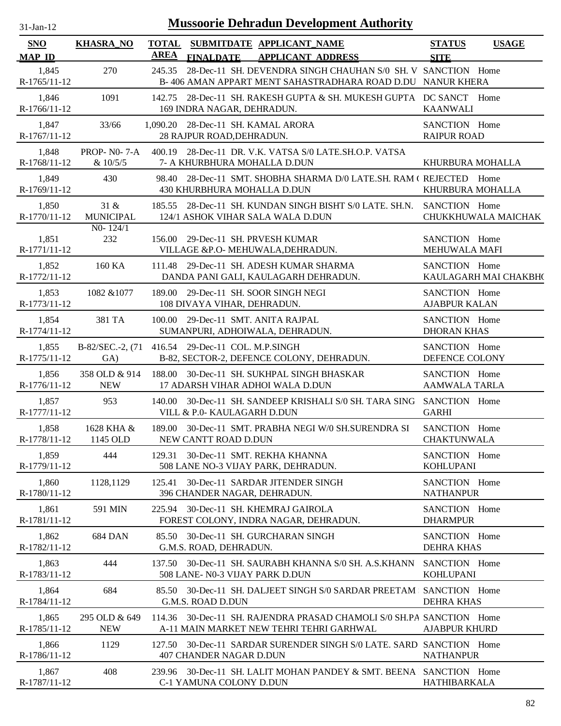| $31$ -Jan-12          |                                | <b>Mussoorie Dehradun Development Authority</b>                                                                  |                                       |                       |
|-----------------------|--------------------------------|------------------------------------------------------------------------------------------------------------------|---------------------------------------|-----------------------|
| <b>SNO</b>            | <b>KHASRA_NO</b>               | TOTAL SUBMITDATE APPLICANT NAME<br>AREA                                                                          | <b>STATUS</b>                         | <b>USAGE</b>          |
| <b>MAP ID</b>         |                                | <b>FINALDATE</b><br><b>APPLICANT ADDRESS</b><br>28-Dec-11 SH. DEVENDRA SINGH CHAUHAN S/0 SH. V SANCTION Home     | <b>SITE</b>                           |                       |
| 1,845<br>R-1765/11-12 | 270                            | 245.35<br>B-406 AMAN APPART MENT SAHASTRADHARA ROAD D.DU NANUR KHERA                                             |                                       |                       |
| 1,846<br>R-1766/11-12 | 1091                           | 142.75 28-Dec-11 SH. RAKESH GUPTA & SH. MUKESH GUPTA DC SANCT Home<br>169 INDRA NAGAR, DEHRADUN.                 | <b>KAANWALI</b>                       |                       |
| 1,847<br>R-1767/11-12 | 33/66                          | 1,090.20 28-Dec-11 SH. KAMAL ARORA<br>28 RAJPUR ROAD, DEHRADUN.                                                  | SANCTION Home<br><b>RAIPUR ROAD</b>   |                       |
| 1,848<br>R-1768/11-12 | <b>PROP-NO-7-A</b><br>& 10/5/5 | 400.19 28-Dec-11 DR. V.K. VATSA S/0 LATE.SH.O.P. VATSA<br>7- A KHURBHURA MOHALLA D.DUN                           | KHURBURA MOHALLA                      |                       |
| 1,849<br>R-1769/11-12 | 430                            | 98.40 28-Dec-11 SMT. SHOBHA SHARMA D/0 LATE.SH. RAM (REJECTED Home<br>430 KHURBHURA MOHALLA D.DUN                | KHURBURA MOHALLA                      |                       |
| 1,850<br>R-1770/11-12 | 31 &<br><b>MUNICIPAL</b>       | 185.55 28-Dec-11 SH, KUNDAN SINGH BISHT S/0 LATE, SH,N, SANCTION Home<br>124/1 ASHOK VIHAR SALA WALA D.DUN       |                                       | CHUKKHUWALA MAICHAK   |
| 1,851<br>R-1771/11-12 | $N0-124/1$<br>232              | 156.00 29-Dec-11 SH. PRVESH KUMAR<br>VILLAGE &P.O- MEHUWALA, DEHRADUN.                                           | SANCTION Home<br>MEHUWALA MAFI        |                       |
| 1,852<br>R-1772/11-12 | 160 KA                         | 111.48 29-Dec-11 SH. ADESH KUMAR SHARMA<br>DANDA PANI GALI, KAULAGARH DEHRADUN.                                  | SANCTION Home                         | KAULAGARH MAI CHAKBH( |
| 1,853<br>R-1773/11-12 | 1082 & 1077                    | 189.00 29-Dec-11 SH. SOOR SINGH NEGI<br>108 DIVAYA VIHAR, DEHRADUN.                                              | SANCTION Home<br><b>AJABPUR KALAN</b> |                       |
| 1,854<br>R-1774/11-12 | 381 TA                         | 100.00 29-Dec-11 SMT. ANITA RAJPAL<br>SUMANPURI, ADHOIWALA, DEHRADUN.                                            | SANCTION Home<br><b>DHORAN KHAS</b>   |                       |
| 1,855<br>R-1775/11-12 | GA)                            | B-82/SEC.-2, (71 416.54 29-Dec-11 COL. M.P.SINGH<br>B-82, SECTOR-2, DEFENCE COLONY, DEHRADUN.                    | SANCTION Home<br>DEFENCE COLONY       |                       |
| 1,856<br>R-1776/11-12 | 358 OLD & 914<br><b>NEW</b>    | 188.00 30-Dec-11 SH. SUKHPAL SINGH BHASKAR<br>17 ADARSH VIHAR ADHOI WALA D.DUN                                   | SANCTION Home<br><b>AAMWALA TARLA</b> |                       |
| 1,857<br>R-1777/11-12 | 953                            | 140.00 30-Dec-11 SH. SANDEEP KRISHALI S/0 SH. TARA SING SANCTION Home<br>VILL & P.0- KAULAGARH D.DUN             | <b>GARHI</b>                          |                       |
| 1,858<br>R-1778/11-12 | 1628 KHA &<br>1145 OLD         | 189.00 30-Dec-11 SMT. PRABHA NEGI W/0 SH.SURENDRA SI<br>NEW CANTT ROAD D.DUN                                     | SANCTION Home<br><b>CHAKTUNWALA</b>   |                       |
| 1,859<br>R-1779/11-12 | 444                            | 129.31 30-Dec-11 SMT. REKHA KHANNA<br>508 LANE NO-3 VIJAY PARK, DEHRADUN.                                        | SANCTION Home<br><b>KOHLUPANI</b>     |                       |
| 1,860<br>R-1780/11-12 | 1128,1129                      | 125.41 30-Dec-11 SARDAR JITENDER SINGH<br>396 CHANDER NAGAR, DEHRADUN.                                           | SANCTION Home<br><b>NATHANPUR</b>     |                       |
| 1,861<br>R-1781/11-12 | 591 MIN                        | 225.94 30-Dec-11 SH. KHEMRAJ GAIROLA<br>FOREST COLONY, INDRA NAGAR, DEHRADUN.                                    | SANCTION Home<br><b>DHARMPUR</b>      |                       |
| 1,862<br>R-1782/11-12 | <b>684 DAN</b>                 | 85.50 30-Dec-11 SH. GURCHARAN SINGH<br>G.M.S. ROAD, DEHRADUN.                                                    | SANCTION Home<br>DEHRA KHAS           |                       |
| 1,863<br>R-1783/11-12 | 444                            | 137.50 30-Dec-11 SH. SAURABH KHANNA S/0 SH. A.S.KHANN SANCTION Home<br>508 LANE- N0-3 VIJAY PARK D.DUN           | <b>KOHLUPANI</b>                      |                       |
| 1,864<br>R-1784/11-12 | 684                            | 85.50 30-Dec-11 SH. DALJEET SINGH S/0 SARDAR PREETAM : SANCTION Home<br>G.M.S. ROAD D.DUN                        | <b>DEHRA KHAS</b>                     |                       |
| 1,865<br>R-1785/11-12 | 295 OLD & 649<br><b>NEW</b>    | 114.36 30-Dec-11 SH. RAJENDRA PRASAD CHAMOLI S/0 SH.PA SANCTION Home<br>A-11 MAIN MARKET NEW TEHRI TEHRI GARHWAL | <b>AJABPUR KHURD</b>                  |                       |
| 1,866<br>R-1786/11-12 | 1129                           | 127.50 30-Dec-11 SARDAR SURENDER SINGH S/0 LATE. SARD SANCTION Home<br>407 CHANDER NAGAR D.DUN                   | <b>NATHANPUR</b>                      |                       |
| 1,867<br>R-1787/11-12 | 408                            | 239.96 30-Dec-11 SH. LALIT MOHAN PANDEY & SMT. BEENA SANCTION Home<br>C-1 YAMUNA COLONY D.DUN                    | HATHIBARKALA                          |                       |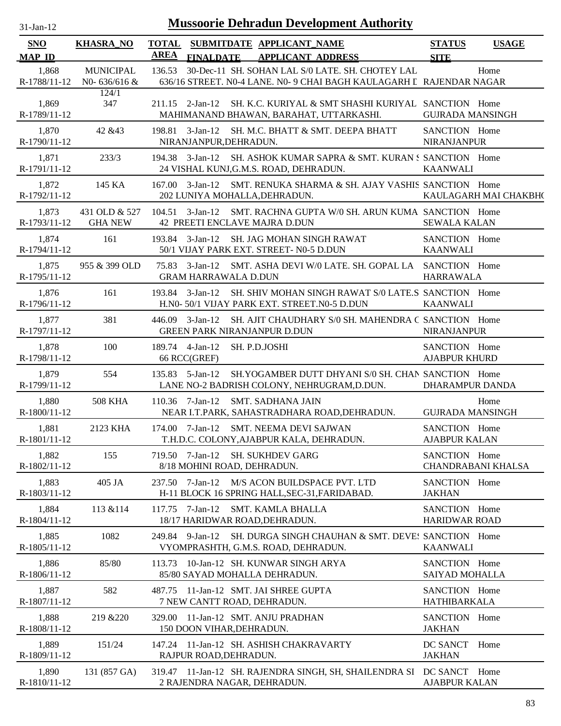| <b>SNO</b><br><b>MAP ID</b> | <b>KHASRA_NO</b>                    | AREA   | <b>FINALDATE</b>                               | TOTAL SUBMITDATE APPLICANT_NAME<br><b>APPLICANT ADDRESS</b>                                                              | <b>STATUS</b><br><b>SITE</b>               | <b>USAGE</b>          |
|-----------------------------|-------------------------------------|--------|------------------------------------------------|--------------------------------------------------------------------------------------------------------------------------|--------------------------------------------|-----------------------|
| 1,868<br>R-1788/11-12       | <b>MUNICIPAL</b><br>N0- $636/616$ & | 136.53 |                                                | 30-Dec-11 SH. SOHAN LAL S/0 LATE. SH. CHOTEY LAL<br>636/16 STREET. N0-4 LANE. N0- 9 CHAI BAGH KAULAGARH L RAJENDAR NAGAR |                                            | Home                  |
| 1,869<br>R-1789/11-12       | 124/1<br>347                        |        | $211.15$ 2-Jan-12                              | SH. K.C. KURIYAL & SMT SHASHI KURIYAL SANCTION Home<br>MAHIMANAND BHAWAN, BARAHAT, UTTARKASHI.                           | <b>GUJRADA MANSINGH</b>                    |                       |
| 1,870<br>R-1790/11-12       | 42 & 43                             |        | 198.81 3-Jan-12<br>NIRANJANPUR, DEHRADUN.      | SH. M.C. BHATT & SMT. DEEPA BHATT                                                                                        | SANCTION Home<br><b>NIRANJANPUR</b>        |                       |
| 1,871<br>R-1791/11-12       | 233/3                               |        |                                                | 194.38 3-Jan-12 SH. ASHOK KUMAR SAPRA & SMT. KURAN S SANCTION Home<br>24 VISHAL KUNJ, G.M.S. ROAD, DEHRADUN.             | <b>KAANWALI</b>                            |                       |
| 1,872<br>R-1792/11-12       | 145 KA                              |        |                                                | 167.00 3-Jan-12 SMT. RENUKA SHARMA & SH. AJAY VASHIS SANCTION Home<br>202 LUNIYA MOHALLA, DEHRADUN.                      |                                            | KAULAGARH MAI CHAKBH( |
| 1,873<br>R-1793/11-12       | 431 OLD & 527<br><b>GHA NEW</b>     |        |                                                | 104.51 3-Jan-12 SMT. RACHNA GUPTA W/0 SH. ARUN KUMA SANCTION Home<br>42 PREETI ENCLAVE MAJRA D.DUN                       | <b>SEWALA KALAN</b>                        |                       |
| 1,874<br>R-1794/11-12       | 161                                 |        |                                                | 193.84 3-Jan-12 SH. JAG MOHAN SINGH RAWAT<br>50/1 VIJAY PARK EXT. STREET- N0-5 D.DUN                                     | SANCTION Home<br><b>KAANWALI</b>           |                       |
| 1,875<br>R-1795/11-12       | 955 & 399 OLD                       |        | <b>GRAM HARRAWALA D.DUN</b>                    | 75.83 3-Jan-12 SMT. ASHA DEVI W/0 LATE. SH. GOPAL LA SANCTION Home                                                       | <b>HARRAWALA</b>                           |                       |
| 1,876<br>R-1796/11-12       | 161                                 |        | 193.84 3-Jan-12                                | SH. SHIV MOHAN SINGH RAWAT S/0 LATE.S SANCTION Home<br>H.N0- 50/1 VIJAY PARK EXT. STREET.N0-5 D.DUN                      | <b>KAANWALI</b>                            |                       |
| 1,877<br>R-1797/11-12       | 381                                 |        |                                                | 446.09 3-Jan-12 SH. AJIT CHAUDHARY S/0 SH. MAHENDRA C SANCTION Home<br><b>GREEN PARK NIRANJANPUR D.DUN</b>               | <b>NIRANJANPUR</b>                         |                       |
| 1,878<br>R-1798/11-12       | 100                                 |        | 189.74 4-Jan-12<br>66 RCC(GREF)                | SH. P.D.JOSHI                                                                                                            | SANCTION Home<br><b>AJABPUR KHURD</b>      |                       |
| 1,879<br>R-1799/11-12       | 554                                 |        | 135.83 5-Jan-12                                | SH.YOGAMBER DUTT DHYANI S/0 SH. CHAN SANCTION Home<br>LANE NO-2 BADRISH COLONY, NEHRUGRAM, D.DUN.                        | DHARAMPUR DANDA                            |                       |
| 1,880<br>R-1800/11-12       | <b>508 KHA</b>                      |        | $110.36$ 7-Jan-12                              | <b>SMT. SADHANA JAIN</b><br>NEAR I.T.PARK, SAHASTRADHARA ROAD, DEHRADUN.                                                 | <b>GUJRADA MANSINGH</b>                    | Home                  |
| 1,881<br>R-1801/11-12       | 2123 KHA                            |        |                                                | 174.00 7-Jan-12 SMT. NEEMA DEVI SAJWAN<br>T.H.D.C. COLONY, AJABPUR KALA, DEHRADUN.                                       | SANCTION Home<br><b>AJABPUR KALAN</b>      |                       |
| 1,882<br>R-1802/11-12       | 155                                 |        | 719.50 7-Jan-12<br>8/18 MOHINI ROAD, DEHRADUN. | <b>SH. SUKHDEV GARG</b>                                                                                                  | SANCTION Home<br><b>CHANDRABANI KHALSA</b> |                       |
| 1,883<br>R-1803/11-12       | 405 JA                              |        | 237.50 7-Jan-12                                | M/S ACON BUILDSPACE PVT. LTD<br>H-11 BLOCK 16 SPRING HALL, SEC-31, FARIDABAD.                                            | SANCTION Home<br><b>JAKHAN</b>             |                       |
| 1,884<br>R-1804/11-12       | 113 & 114                           |        | 117.75 7-Jan-12                                | <b>SMT. KAMLA BHALLA</b><br>18/17 HARIDWAR ROAD, DEHRADUN.                                                               | SANCTION Home<br><b>HARIDWAR ROAD</b>      |                       |
| 1,885<br>R-1805/11-12       | 1082                                |        | 249.84 9-Jan-12                                | SH. DURGA SINGH CHAUHAN & SMT. DEVE! SANCTION Home<br>VYOMPRASHTH, G.M.S. ROAD, DEHRADUN.                                | <b>KAANWALI</b>                            |                       |
| 1,886<br>R-1806/11-12       | 85/80                               |        |                                                | 113.73 10-Jan-12 SH. KUNWAR SINGH ARYA<br>85/80 SAYAD MOHALLA DEHRADUN.                                                  | SANCTION Home<br>SAIYAD MOHALLA            |                       |
| 1,887<br>R-1807/11-12       | 582                                 | 487.75 |                                                | 11-Jan-12 SMT. JAI SHREE GUPTA<br>7 NEW CANTT ROAD, DEHRADUN.                                                            | SANCTION Home<br><b>HATHIBARKALA</b>       |                       |
| 1,888<br>R-1808/11-12       | 219 & 220                           |        | 150 DOON VIHAR, DEHRADUN.                      | 329.00 11-Jan-12 SMT. ANJU PRADHAN                                                                                       | SANCTION Home<br><b>JAKHAN</b>             |                       |
| 1,889<br>R-1809/11-12       | 151/24                              |        | RAJPUR ROAD, DEHRADUN.                         | 147.24 11-Jan-12 SH. ASHISH CHAKRAVARTY                                                                                  | DC SANCT Home<br><b>JAKHAN</b>             |                       |
| 1,890<br>R-1810/11-12       | 131 (857 GA)                        |        |                                                | 319.47 11-Jan-12 SH. RAJENDRA SINGH, SH, SHAILENDRA SI DC SANCT Home<br>2 RAJENDRA NAGAR, DEHRADUN.                      | <b>AJABPUR KALAN</b>                       |                       |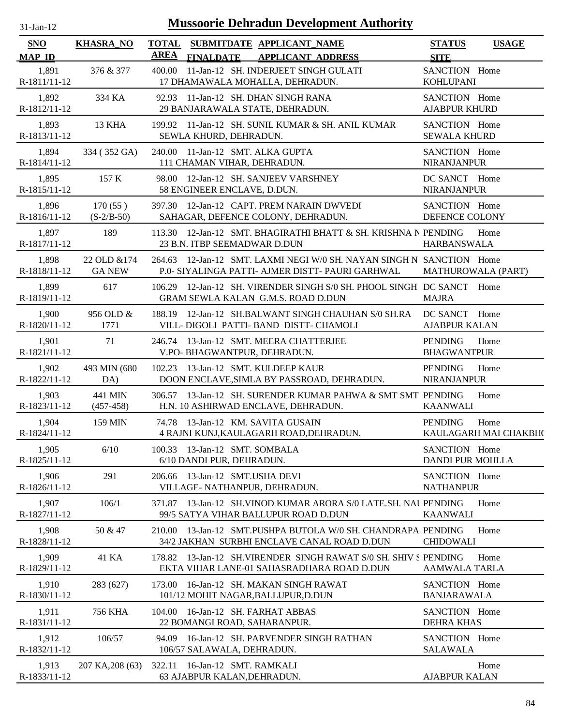| $31$ -Jan-12 |
|--------------|
|              |

| <b>SNO</b><br><b>MAP ID</b> | <b>KHASRA_NO</b>              | <b>AREA</b> | <b>FINALDATE</b>                                                  | TOTAL SUBMITDATE APPLICANT NAME<br><b>APPLICANT ADDRESS</b>                                                              | <b>STATUS</b><br><b>SITE</b>             | <b>USAGE</b>                  |
|-----------------------------|-------------------------------|-------------|-------------------------------------------------------------------|--------------------------------------------------------------------------------------------------------------------------|------------------------------------------|-------------------------------|
| 1,891<br>R-1811/11-12       | 376 & 377                     |             |                                                                   | 400.00 11-Jan-12 SH. INDERJEET SINGH GULATI<br>17 DHAMAWALA MOHALLA, DEHRADUN.                                           | SANCTION Home<br><b>KOHLUPANI</b>        |                               |
| 1,892<br>R-1812/11-12       | 334 KA                        |             |                                                                   | 92.93 11-Jan-12 SH. DHAN SINGH RANA<br>29 BANJARAWALA STATE, DEHRADUN.                                                   | SANCTION Home<br><b>AJABPUR KHURD</b>    |                               |
| 1,893<br>R-1813/11-12       | 13 KHA                        |             | SEWLA KHURD, DEHRADUN.                                            | 199.92 11-Jan-12 SH. SUNIL KUMAR & SH. ANIL KUMAR                                                                        | SANCTION Home<br><b>SEWALA KHURD</b>     |                               |
| 1,894<br>R-1814/11-12       | 334 (352 GA)                  |             | 240.00 11-Jan-12 SMT. ALKA GUPTA<br>111 CHAMAN VIHAR, DEHRADUN.   |                                                                                                                          | SANCTION Home<br><b>NIRANJANPUR</b>      |                               |
| 1,895<br>R-1815/11-12       | 157 K                         |             | 58 ENGINEER ENCLAVE, D.DUN.                                       | 98.00 12-Jan-12 SH. SANJEEV VARSHNEY                                                                                     | DC SANCT Home<br><b>NIRANJANPUR</b>      |                               |
| 1,896<br>R-1816/11-12       | 170(55)<br>$(S-2/B-50)$       |             |                                                                   | 397.30 12-Jan-12 CAPT. PREM NARAIN DWVEDI<br>SAHAGAR, DEFENCE COLONY, DEHRADUN.                                          | SANCTION Home<br>DEFENCE COLONY          |                               |
| 1,897<br>R-1817/11-12       | 189                           |             | 23 B.N. ITBP SEEMADWAR D.DUN                                      | 113.30 12-Jan-12 SMT. BHAGIRATHI BHATT & SH. KRISHNA N PENDING                                                           | <b>HARBANSWALA</b>                       | Home                          |
| 1,898<br>R-1818/11-12       | 22 OLD & 174<br><b>GA NEW</b> |             |                                                                   | 264.63 12-Jan-12 SMT. LAXMI NEGI W/0 SH. NAYAN SINGH N SANCTION Home<br>P.O. SIYALINGA PATTI- AJMER DISTT- PAURI GARHWAL | MATHUROWALA (PART)                       |                               |
| 1,899<br>R-1819/11-12       | 617                           |             |                                                                   | 106.29 12-Jan-12 SH. VIRENDER SINGH S/0 SH. PHOOL SINGH DC SANCT Home<br><b>GRAM SEWLA KALAN G.M.S. ROAD D.DUN</b>       | <b>MAJRA</b>                             |                               |
| 1,900<br>R-1820/11-12       | 956 OLD &<br>1771             |             |                                                                   | 188.19 12-Jan-12 SH.BALWANT SINGH CHAUHAN S/0 SH.RA<br>VILL- DIGOLI PATTI- BAND DISTT- CHAMOLI                           | DC SANCT Home<br><b>AJABPUR KALAN</b>    |                               |
| 1,901<br>R-1821/11-12       | 71                            |             | V.PO- BHAGWANTPUR, DEHRADUN.                                      | 246.74 13-Jan-12 SMT. MEERA CHATTERJEE                                                                                   | <b>PENDING</b><br><b>BHAGWANTPUR</b>     | Home                          |
| 1,902<br>R-1822/11-12       | 493 MIN (680)<br>DA)          |             | 102.23 13-Jan-12 SMT. KULDEEP KAUR                                | DOON ENCLAVE, SIMLA BY PASSROAD, DEHRADUN.                                                                               | PENDING<br><b>NIRANJANPUR</b>            | Home                          |
| 1,903<br>R-1823/11-12       | 441 MIN<br>$(457-458)$        |             |                                                                   | 306.57 13-Jan-12 SH. SURENDER KUMAR PAHWA & SMT SMT PENDING<br>H.N. 10 ASHIRWAD ENCLAVE, DEHRADUN.                       | <b>KAANWALI</b>                          | Home                          |
| 1,904<br>R-1824/11-12       | 159 MIN                       |             | 74.78 13-Jan-12 KM, SAVITA GUSAIN                                 | 4 RAJNI KUNJ, KAULAGARH ROAD, DEHRADUN.                                                                                  | <b>PENDING</b>                           | Home<br>KAULAGARH MAI CHAKBH( |
| 1,905<br>R-1825/11-12       | 6/10                          |             | 100.33 13-Jan-12 SMT. SOMBALA<br>6/10 DANDI PUR, DEHRADUN.        |                                                                                                                          | SANCTION Home<br><b>DANDI PUR MOHLLA</b> |                               |
| 1,906<br>R-1826/11-12       | 291                           |             | 206.66 13-Jan-12 SMT.USHA DEVI<br>VILLAGE- NATHANPUR, DEHRADUN.   |                                                                                                                          | SANCTION Home<br><b>NATHANPUR</b>        |                               |
| 1,907<br>R-1827/11-12       | 106/1                         |             |                                                                   | 371.87 13-Jan-12 SH. VINOD KUMAR ARORA S/0 LATE.SH. NAJ PENDING<br>99/5 SATYA VIHAR BALLUPUR ROAD D.DUN                  | <b>KAANWALI</b>                          | Home                          |
| 1,908<br>R-1828/11-12       | 50 & 47                       |             |                                                                   | 210.00 13-Jan-12 SMT.PUSHPA BUTOLA W/0 SH. CHANDRAPA PENDING<br>34/2 JAKHAN SURBHI ENCLAVE CANAL ROAD D.DUN              | <b>CHIDOWALI</b>                         | Home                          |
| 1,909<br>R-1829/11-12       | 41 KA                         |             |                                                                   | 178.82 13-Jan-12 SH.VIRENDER SINGH RAWAT S/0 SH. SHIV S PENDING<br>EKTA VIHAR LANE-01 SAHASRADHARA ROAD D.DUN            | <b>AAMWALA TARLA</b>                     | Home                          |
| 1,910<br>R-1830/11-12       | 283 (627)                     |             |                                                                   | 173.00 16-Jan-12 SH. MAKAN SINGH RAWAT<br>101/12 MOHIT NAGAR, BALLUPUR, D.DUN                                            | SANCTION Home<br><b>BANJARAWALA</b>      |                               |
| 1,911<br>R-1831/11-12       | 756 KHA                       |             | 104.00 16-Jan-12 SH. FARHAT ABBAS<br>22 BOMANGI ROAD, SAHARANPUR. |                                                                                                                          | SANCTION Home<br><b>DEHRA KHAS</b>       |                               |
| 1,912<br>R-1832/11-12       | 106/57                        |             | 106/57 SALAWALA, DEHRADUN.                                        | 94.09 16-Jan-12 SH. PARVENDER SINGH RATHAN                                                                               | SANCTION Home<br><b>SALAWALA</b>         |                               |
| 1,913<br>R-1833/11-12       | 207 KA, 208 (63)              |             | 322.11 16-Jan-12 SMT. RAMKALI<br>63 AJABPUR KALAN, DEHRADUN.      |                                                                                                                          | <b>AJABPUR KALAN</b>                     | Home                          |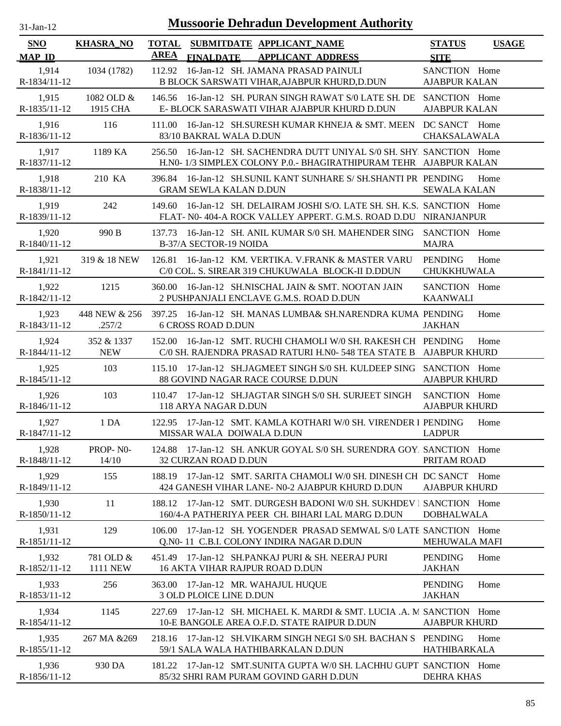| $31$ -Jan-12 |  |
|--------------|--|
|              |  |

| <b>SNO</b>              | <b>KHASRA_NO</b>             | <b>TOTAL</b><br><b>AREA</b> |                               | SUBMITDATE APPLICANT NAME                                                                                                            | <b>STATUS</b>                         | <b>USAGE</b> |
|-------------------------|------------------------------|-----------------------------|-------------------------------|--------------------------------------------------------------------------------------------------------------------------------------|---------------------------------------|--------------|
| <b>MAP ID</b>           |                              |                             | <b>FINALDATE</b>              | <b>APPLICANT ADDRESS</b>                                                                                                             | <b>SITE</b>                           |              |
| 1,914<br>R-1834/11-12   | 1034 (1782)                  | 112.92                      |                               | 16-Jan-12 SH. JAMANA PRASAD PAINULI<br>B BLOCK SARSWATI VIHAR, AJABPUR KHURD, D.DUN                                                  | SANCTION Home<br><b>AJABPUR KALAN</b> |              |
| 1,915<br>R-1835/11-12   | 1082 OLD &<br>1915 CHA       | 146.56                      |                               | 16-Jan-12 SH. PURAN SINGH RAWAT S/0 LATE SH. DE<br>E- BLOCK SARASWATI VIHAR AJABPUR KHURD D.DUN                                      | SANCTION Home<br><b>AJABPUR KALAN</b> |              |
| 1,916<br>R-1836/11-12   | 116                          | 111.00                      | 83/10 BAKRAL WALA D.DUN       | 16-Jan-12 SH.SURESH KUMAR KHNEJA & SMT. MEEN DC SANCT Home                                                                           | CHAKSALAWALA                          |              |
| 1.917<br>R-1837/11-12   | 1189 KA                      | 256.50                      |                               | 16-Jan-12 SH. SACHENDRA DUTT UNIYAL S/0 SH. SHY. SANCTION Home<br>H.NO-1/3 SIMPLEX COLONY P.O.- BHAGIRATHIPURAM TEHR AJABPUR KALAN   |                                       |              |
| 1,918<br>R-1838/11-12   | 210 KA                       | 396.84                      | <b>GRAM SEWLA KALAN D.DUN</b> | 16-Jan-12 SH.SUNIL KANT SUNHARE S/ SH.SHANTI PR PENDING                                                                              | <b>SEWALA KALAN</b>                   | Home         |
| 1,919<br>R-1839/11-12   | 242                          | 149.60                      |                               | 16-Jan-12 SH. DELAIRAM JOSHI S/O. LATE SH. SH. K.S. SANCTION Home<br>FLAT- N0-404-A ROCK VALLEY APPERT. G.M.S. ROAD D.DU NIRANJANPUR |                                       |              |
| 1,920<br>R-1840/11-12   | 990 B                        | 137.73                      | B-37/A SECTOR-19 NOIDA        | 16-Jan-12 SH. ANIL KUMAR S/0 SH. MAHENDER SING                                                                                       | SANCTION Home<br><b>MAJRA</b>         |              |
| 1,921<br>R-1841/11-12   | 319 & 18 NEW                 |                             |                               | 126.81 16-Jan-12 KM. VERTIKA. V.FRANK & MASTER VARU<br>C/0 COL. S. SIREAR 319 CHUKUWALA BLOCK-II D.DDUN                              | <b>PENDING</b><br>CHUKKHUWALA         | Home         |
| 1,922<br>R-1842/11-12   | 1215                         | 360.00                      |                               | 16-Jan-12 SH.NISCHAL JAIN & SMT. NOOTAN JAIN<br>2 PUSHPANJALI ENCLAVE G.M.S. ROAD D.DUN                                              | SANCTION Home<br><b>KAANWALI</b>      |              |
| 1,923<br>R-1843/11-12   | 448 NEW & 256<br>.257/2      |                             | <b>6 CROSS ROAD D.DUN</b>     | 397.25 16-Jan-12 SH, MANAS LUMBA& SH, NARENDRA KUMA PENDING                                                                          | <b>JAKHAN</b>                         | Home         |
| 1,924<br>R-1844/11-12   | 352 & 1337<br><b>NEW</b>     | 152.00                      |                               | 16-Jan-12 SMT. RUCHI CHAMOLI W/0 SH. RAKESH CH PENDING<br>C/0 SH. RAJENDRA PRASAD RATURI H.NO- 548 TEA STATE B AJABPUR KHURD         |                                       | Home         |
| 1,925<br>R-1845/11-12   | 103                          |                             |                               | 115.10 17-Jan-12 SH.JAGMEET SINGH S/0 SH. KULDEEP SING SANCTION Home<br>88 GOVIND NAGAR RACE COURSE D.DUN                            | <b>AJABPUR KHURD</b>                  |              |
| 1,926<br>R-1846/11-12   | 103                          | 110.47                      | 118 ARYA NAGAR D.DUN          | 17-Jan-12 SH.JAGTAR SINGH S/0 SH. SURJEET SINGH                                                                                      | SANCTION Home<br><b>AJABPUR KHURD</b> |              |
| 1,927<br>R-1847/11-12   | 1 DA                         | 122.95                      | MISSAR WALA DOIWALA D.DUN     | 17-Jan-12 SMT. KAMLA KOTHARI W/0 SH. VIRENDER I PENDING                                                                              | <b>LADPUR</b>                         | Home         |
| 1,928<br>R-1848/11-12   | PROP-NO-<br>14/10            |                             | <b>32 CURZAN ROAD D.DUN</b>   | 124.88 17-Jan-12 SH. ANKUR GOYAL S/0 SH. SURENDRA GOY. SANCTION Home                                                                 | PRITAM ROAD                           |              |
| 1.929<br>R-1849/11-12   | 155                          |                             |                               | 188.19 17-Jan-12 SMT. SARITA CHAMOLI W/0 SH. DINESH CH DC SANCT Home<br>424 GANESH VIHAR LANE- N0-2 AJABPUR KHURD D.DUN              | <b>AJABPUR KHURD</b>                  |              |
| 1,930<br>$R-1850/11-12$ | 11                           |                             |                               | 188.12 17-Jan-12 SMT, DURGESH BADONI W/0 SH, SUKHDEV   SANCTION Home<br>160/4-A PATHERIYA PEER CH. BIHARI LAL MARG D.DUN             | <b>DOBHALWALA</b>                     |              |
| 1,931<br>R-1851/11-12   | 129                          | 106.00                      |                               | 17-Jan-12 SH, YOGENDER PRASAD SEMWAL S/0 LATE SANCTION Home<br>Q.N0-11 C.B.I. COLONY INDIRA NAGAR D.DUN                              | <b>MEHUWALA MAFI</b>                  |              |
| 1,932<br>R-1852/11-12   | 781 OLD &<br><b>1111 NEW</b> |                             |                               | 451.49 17-Jan-12 SH.PANKAJ PURI & SH. NEERAJ PURI<br><b>16 AKTA VIHAR RAJPUR ROAD D.DUN</b>                                          | <b>PENDING</b><br>JAKHAN              | Home         |
| 1,933<br>R-1853/11-12   | 256                          |                             | 3 OLD PLOICE LINE D.DUN       | 363.00 17-Jan-12 MR. WAHAJUL HUQUE                                                                                                   | <b>PENDING</b><br><b>JAKHAN</b>       | Home         |
| 1,934<br>R-1854/11-12   | 1145                         |                             |                               | 227.69 17-Jan-12 SH. MICHAEL K. MARDI & SMT. LUCIA .A. M SANCTION Home<br>10-E BANGOLE AREA O.F.D. STATE RAIPUR D.DUN                | <b>AJABPUR KHURD</b>                  |              |
| 1,935<br>R-1855/11-12   | 267 MA & 269                 |                             |                               | 218.16 17-Jan-12 SH. VIKARM SINGH NEGI S/0 SH. BACHAN S PENDING<br>59/1 SALA WALA HATHIBARKALAN D.DUN                                | <b>HATHIBARKALA</b>                   | Home         |
| 1,936<br>R-1856/11-12   | 930 DA                       |                             |                               | 181.22 17-Jan-12 SMT.SUNITA GUPTA W/0 SH. LACHHU GUPT SANCTION Home<br>85/32 SHRI RAM PURAM GOVIND GARH D.DUN                        | <b>DEHRA KHAS</b>                     |              |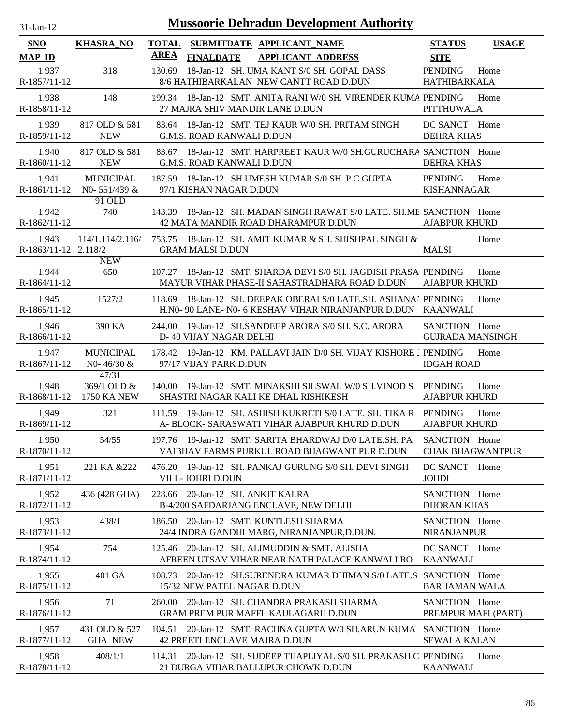| 31-Jan-12 |  |
|-----------|--|

| SNO                           | <b>KHASRA_NO</b>                                 | <b>TOTAL</b><br><b>AREA</b>           |                  | SUBMITDATE APPLICANT NAME                                                                                                | <b>STATUS</b>                            | <b>USAGE</b> |
|-------------------------------|--------------------------------------------------|---------------------------------------|------------------|--------------------------------------------------------------------------------------------------------------------------|------------------------------------------|--------------|
| <b>MAP ID</b>                 |                                                  |                                       | <b>FINALDATE</b> | <b>APPLICANT ADDRESS</b>                                                                                                 | <b>SITE</b>                              |              |
| 1,937<br>R-1857/11-12         | 318                                              | 130.69                                |                  | 18-Jan-12 SH. UMA KANT S/0 SH. GOPAL DASS<br>8/6 HATHIBARKALAN NEW CANTT ROAD D.DUN                                      | <b>PENDING</b><br><b>HATHIBARKALA</b>    | Home         |
| 1,938<br>R-1858/11-12         | 148                                              |                                       |                  | 199.34 18-Jan-12 SMT. ANITA RANI W/0 SH. VIRENDER KUMA PENDING<br>27 MAJRA SHIV MANDIR LANE D.DUN                        | <b>PITTHUWALA</b>                        | Home         |
| 1,939<br>R-1859/11-12         | 817 OLD & 581<br><b>NEW</b>                      | G.M.S. ROAD KANWALI D.DUN             |                  | 83.64 18-Jan-12 SMT. TEJ KAUR W/0 SH. PRITAM SINGH                                                                       | DC SANCT Home<br><b>DEHRA KHAS</b>       |              |
| 1,940<br>$R-1860/11-12$       | 817 OLD & 581<br><b>NEW</b>                      | G.M.S. ROAD KANWALI D.DUN             |                  | 83.67 18-Jan-12 SMT. HARPREET KAUR W/0 SH.GURUCHARA SANCTION Home                                                        | <b>DEHRA KHAS</b>                        |              |
| 1,941<br>R-1861/11-12         | <b>MUNICIPAL</b><br>N0-551/439 &                 | 97/1 KISHAN NAGAR D.DUN               |                  | 187.59 18-Jan-12 SH.UMESH KUMAR S/0 SH. P.C.GUPTA                                                                        | <b>PENDING</b><br><b>KISHANNAGAR</b>     | Home         |
| 1,942<br>R-1862/11-12         | 91 OLD<br>740                                    |                                       |                  | 143.39 18-Jan-12 SH. MADAN SINGH RAWAT S/0 LATE. SH.ME SANCTION Home<br>42 MATA MANDIR ROAD DHARAMPUR D.DUN              | <b>AJABPUR KHURD</b>                     |              |
| 1,943<br>R-1863/11-12 2.118/2 | 114/1.114/2.116/                                 | 753.75<br><b>GRAM MALSI D.DUN</b>     |                  | 18-Jan-12 SH. AMIT KUMAR & SH. SHISHPAL SINGH &                                                                          | <b>MALSI</b>                             | Home         |
| 1,944<br>R-1864/11-12         | <b>NEW</b><br>650                                | 107.27                                |                  | 18-Jan-12 SMT. SHARDA DEVI S/0 SH. JAGDISH PRASA PENDING<br>MAYUR VIHAR PHASE-II SAHASTRADHARA ROAD D.DUN                | <b>AJABPUR KHURD</b>                     | Home         |
| 1,945<br>R-1865/11-12         | 1527/2                                           | 118.69                                |                  | 18-Jan-12 SH. DEEPAK OBERAI S/0 LATE.SH. ASHANAI PENDING<br>H.N0- 90 LANE- N0- 6 KESHAV VIHAR NIRANJANPUR D.DUN KAANWALI |                                          | Home         |
| 1,946<br>R-1866/11-12         | 390 KA                                           | 244.00<br>D-40 VIJAY NAGAR DELHI      |                  | 19-Jan-12 SH.SANDEEP ARORA S/0 SH. S.C. ARORA                                                                            | SANCTION Home<br><b>GUJRADA MANSINGH</b> |              |
| 1,947<br>R-1867/11-12         | <b>MUNICIPAL</b><br>N0-46/30 &                   | 178.42<br>97/17 VIJAY PARK D.DUN      |                  | 19-Jan-12 KM. PALLAVI JAIN D/0 SH. VIJAY KISHORE J PENDING                                                               | <b>IDGAH ROAD</b>                        | Home         |
| 1,948                         | 47/31<br>369/1 OLD &<br>R-1868/11-12 1750 KA NEW | 140.00                                |                  | 19-Jan-12 SMT. MINAKSHI SILSWAL W/0 SH. VINOD S<br>SHASTRI NAGAR KALI KE DHAL RISHIKESH                                  | PENDING<br><b>AJABPUR KHURD</b>          | Home         |
| 1,949<br>R-1869/11-12         | 321                                              | 111.59                                |                  | 19-Jan-12 SH, ASHISH KUKRETI S/0 LATE, SH, TIKA R PENDING<br>A- BLOCK- SARASWATI VIHAR AJABPUR KHURD D.DUN               | <b>AJABPUR KHURD</b>                     | Home         |
| 1,950<br>R-1870/11-12         | 54/55                                            |                                       |                  | 197.76 19-Jan-12 SMT. SARITA BHARDWAJ D/0 LATE.SH. PA<br>VAIBHAV FARMS PURKUL ROAD BHAGWANT PUR D.DUN                    | SANCTION Home<br><b>CHAK BHAGWANTPUR</b> |              |
| 1,951<br>R-1871/11-12         | 221 KA & 222                                     | 476.20<br>VILL- JOHRI D.DUN           |                  | 19-Jan-12 SH. PANKAJ GURUNG S/0 SH. DEVI SINGH                                                                           | DC SANCT Home<br><b>JOHDI</b>            |              |
| 1,952<br>R-1872/11-12         | 436 (428 GHA)                                    | 228.66                                |                  | 20-Jan-12 SH. ANKIT KALRA<br>B-4/200 SAFDARJANG ENCLAVE, NEW DELHI                                                       | SANCTION Home<br><b>DHORAN KHAS</b>      |              |
| 1,953<br>R-1873/11-12         | 438/1                                            |                                       |                  | 186.50 20-Jan-12 SMT. KUNTLESH SHARMA<br>24/4 INDRA GANDHI MARG, NIRANJANPUR, D.DUN.                                     | SANCTION Home<br><b>NIRANJANPUR</b>      |              |
| 1,954<br>R-1874/11-12         | 754                                              | 125.46                                |                  | 20-Jan-12 SH. ALIMUDDIN & SMT. ALISHA<br>AFREEN UTSAV VIHAR NEAR NATH PALACE KANWALI RO                                  | DC SANCT Home<br><b>KAANWALI</b>         |              |
| 1,955<br>R-1875/11-12         | 401 GA                                           | 108.73<br>15/32 NEW PATEL NAGAR D.DUN |                  | 20-Jan-12 SH.SURENDRA KUMAR DHIMAN S/0 LATE.S SANCTION Home                                                              | <b>BARHAMAN WALA</b>                     |              |
| 1,956<br>R-1876/11-12         | 71                                               | 260.00                                |                  | 20-Jan-12 SH. CHANDRA PRAKASH SHARMA<br>GRAM PREM PUR MAFFI KAULAGARH D.DUN                                              | SANCTION Home<br>PREMPUR MAFI (PART)     |              |
| 1,957<br>R-1877/11-12         | 431 OLD & 527<br><b>GHA NEW</b>                  | 104.51                                |                  | 20-Jan-12 SMT. RACHNA GUPTA W/0 SH.ARUN KUMA SANCTION Home<br>42 PREETI ENCLAVE MAJRA D.DUN                              | <b>SEWALA KALAN</b>                      |              |
| 1,958<br>R-1878/11-12         | 408/1/1                                          | 114.31                                |                  | 20-Jan-12 SH. SUDEEP THAPLIYAL S/0 SH. PRAKASH C PENDING<br>21 DURGA VIHAR BALLUPUR CHOWK D.DUN                          | <b>KAANWALI</b>                          | Home         |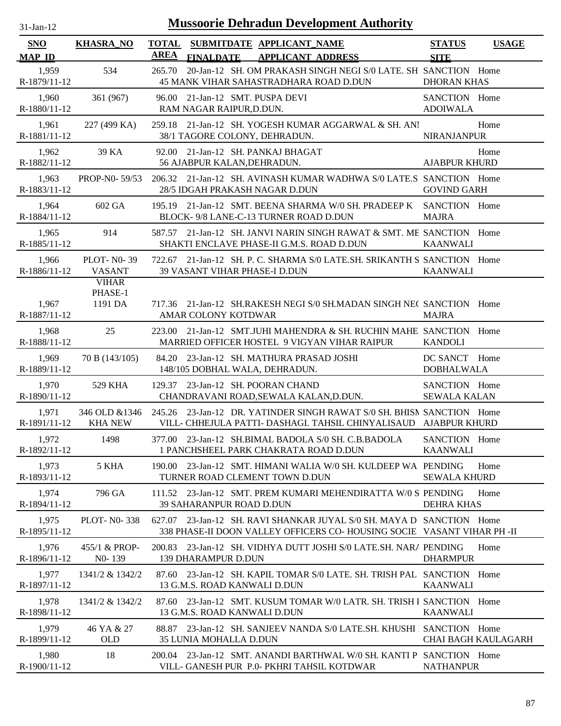| <b>Mussoorie Dehradun Development Authority</b><br>$31$ -Jan-12 |                                                    |                                                                                                                                                |                                      |                            |  |  |  |
|-----------------------------------------------------------------|----------------------------------------------------|------------------------------------------------------------------------------------------------------------------------------------------------|--------------------------------------|----------------------------|--|--|--|
| <b>SNO</b><br><b>MAP ID</b>                                     | <b>KHASRA_NO</b>                                   | TOTAL SUBMITDATE APPLICANT NAME<br><b>AREA</b><br><b>APPLICANT ADDRESS</b><br><b>FINALDATE</b>                                                 | <b>STATUS</b><br><b>SITE</b>         | <b>USAGE</b>               |  |  |  |
| 1,959<br>R-1879/11-12                                           | 534                                                | 20-Jan-12 SH. OM PRAKASH SINGH NEGI S/0 LATE. SH SANCTION Home<br>265.70<br>45 MANK VIHAR SAHASTRADHARA ROAD D.DUN                             | <b>DHORAN KHAS</b>                   |                            |  |  |  |
| 1,960<br>R-1880/11-12                                           | 361 (967)                                          | 96.00 21-Jan-12 SMT. PUSPA DEVI<br>RAM NAGAR RAIPUR, D.DUN.                                                                                    | SANCTION Home<br><b>ADOIWALA</b>     |                            |  |  |  |
| 1,961<br>R-1881/11-12                                           | 227 (499 KA)                                       | 259.18 21-Jan-12 SH. YOGESH KUMAR AGGARWAL & SH. ANI<br>38/1 TAGORE COLONY, DEHRADUN.                                                          | <b>NIRANJANPUR</b>                   | Home                       |  |  |  |
| 1,962<br>R-1882/11-12                                           | 39 KA                                              | 92.00 21-Jan-12 SH, PANKAJ BHAGAT<br>56 AJABPUR KALAN, DEHRADUN.                                                                               | <b>AJABPUR KHURD</b>                 | Home                       |  |  |  |
| 1,963<br>R-1883/11-12                                           | PROP-N0-59/53                                      | 206.32 21-Jan-12 SH. AVINASH KUMAR WADHWA S/0 LATE.S SANCTION Home<br>28/5 IDGAH PRAKASH NAGAR D.DUN                                           | <b>GOVIND GARH</b>                   |                            |  |  |  |
| 1,964<br>R-1884/11-12                                           | 602 GA                                             | 195.19 21-Jan-12 SMT, BEENA SHARMA W/0 SH, PRADEEP K<br>BLOCK- 9/8 LANE-C-13 TURNER ROAD D.DUN                                                 | SANCTION Home<br><b>MAJRA</b>        |                            |  |  |  |
| 1,965<br>R-1885/11-12                                           | 914                                                | 587.57 21-Jan-12 SH, JANVI NARIN SINGH RAWAT & SMT, ME SANCTION Home<br>SHAKTI ENCLAVE PHASE-II G.M.S. ROAD D.DUN                              | <b>KAANWALI</b>                      |                            |  |  |  |
| 1,966<br>R-1886/11-12                                           | <b>PLOT-N0-39</b><br><b>VASANT</b><br><b>VIHAR</b> | 722.67 21-Jan-12 SH. P. C. SHARMA S/0 LATE.SH. SRIKANTH S SANCTION Home<br>39 VASANT VIHAR PHASE-I D.DUN                                       | <b>KAANWALI</b>                      |                            |  |  |  |
| 1,967<br>R-1887/11-12                                           | PHASE-1<br>1191 DA                                 | 717.36 21-Jan-12 SH.RAKESH NEGI S/0 SH.MADAN SINGH NEC SANCTION Home<br>AMAR COLONY KOTDWAR                                                    | <b>MAJRA</b>                         |                            |  |  |  |
| 1,968<br>R-1888/11-12                                           | 25                                                 | 223.00 21-Jan-12 SMT.JUHI MAHENDRA & SH. RUCHIN MAHE SANCTION Home<br>MARRIED OFFICER HOSTEL 9 VIGYAN VIHAR RAIPUR                             | <b>KANDOLI</b>                       |                            |  |  |  |
| 1,969<br>R-1889/11-12                                           | 70 B (143/105)                                     | 84.20 23-Jan-12 SH. MATHURA PRASAD JOSHI<br>148/105 DOBHAL WALA, DEHRADUN.                                                                     | DC SANCT Home<br><b>DOBHALWALA</b>   |                            |  |  |  |
| 1,970<br>R-1890/11-12                                           | 529 KHA                                            | 129.37 23-Jan-12 SH. POORAN CHAND<br>CHANDRAVANI ROAD, SEWALA KALAN, D.DUN.                                                                    | SANCTION Home<br><b>SEWALA KALAN</b> |                            |  |  |  |
| 1,971<br>R-1891/11-12                                           | 346 OLD &1346<br><b>KHA NEW</b>                    | 245.26 23-Jan-12 DR. YATINDER SINGH RAWAT S/0 SH. BHISN SANCTION Home<br>VILL- CHHEJULA PATTI- DASHAGI. TAHSIL CHINYALISAUD AJABPUR KHURD      |                                      |                            |  |  |  |
| 1,972<br>R-1892/11-12                                           | 1498                                               | 377.00 23-Jan-12 SH.BIMAL BADOLA S/0 SH. C.B.BADOLA<br>1 PANCHSHEEL PARK CHAKRATA ROAD D.DUN                                                   | SANCTION Home<br><b>KAANWALI</b>     |                            |  |  |  |
| 1,973<br>R-1893/11-12                                           | 5 KHA                                              | 190.00 23-Jan-12 SMT. HIMANI WALIA W/0 SH. KULDEEP WA PENDING<br>TURNER ROAD CLEMENT TOWN D.DUN                                                | <b>SEWALA KHURD</b>                  | Home                       |  |  |  |
| 1,974<br>R-1894/11-12                                           | 796 GA                                             | 111.52 23-Jan-12 SMT. PREM KUMARI MEHENDIRATTA W/0 S PENDING<br><b>39 SAHARANPUR ROAD D.DUN</b>                                                | <b>DEHRA KHAS</b>                    | Home                       |  |  |  |
| 1,975<br>R-1895/11-12                                           | <b>PLOT-N0-338</b>                                 | 627.07 23-Jan-12 SH, RAVI SHANKAR JUYAL S/0 SH, MAYA D SANCTION Home<br>338 PHASE-II DOON VALLEY OFFICERS CO-HOUSING SOCIE VASANT VIHAR PH -II |                                      |                            |  |  |  |
| 1,976<br>R-1896/11-12                                           | 455/1 & PROP-<br>N <sub>0</sub> -139               | 200.83 23-Jan-12 SH. VIDHYA DUTT JOSHI S/0 LATE.SH. NARA PENDING<br><b>139 DHARAMPUR D.DUN</b>                                                 | <b>DHARMPUR</b>                      | Home                       |  |  |  |
| 1,977<br>R-1897/11-12                                           | 1341/2 & 1342/2                                    | 87.60 23-Jan-12 SH. KAPIL TOMAR S/0 LATE, SH. TRISH PAL SANCTION Home<br>13 G.M.S. ROAD KANWALI D.DUN                                          | <b>KAANWALI</b>                      |                            |  |  |  |
| 1,978<br>R-1898/11-12                                           | 1341/2 & 1342/2                                    | 87.60 23-Jan-12 SMT. KUSUM TOMAR W/0 LATR. SH. TRISH I SANCTION Home<br>13 G.M.S. ROAD KANWALI D.DUN                                           | <b>KAANWALI</b>                      |                            |  |  |  |
| 1,979<br>R-1899/11-12                                           | 46 YA & 27<br><b>OLD</b>                           | 88.87 23-Jan-12 SH. SANJEEV NANDA S/0 LATE.SH. KHUSHI   SANCTION Home<br>35 LUNIA MOHALLA D.DUN                                                |                                      | <b>CHAI BAGH KAULAGARH</b> |  |  |  |
| 1,980<br>R-1900/11-12                                           | 18                                                 | 200.04 23-Jan-12 SMT. ANANDI BARTHWAL W/0 SH. KANTI P SANCTION Home<br>VILL- GANESH PUR P.0- PKHRI TAHSIL KOTDWAR                              | <b>NATHANPUR</b>                     |                            |  |  |  |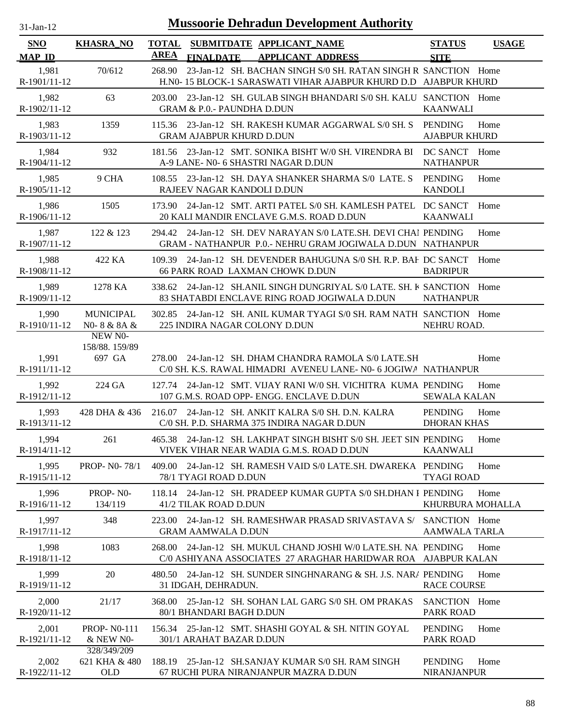| $31-Jan-12$             |                                     | <b>Mussoorie Dehradun Development Authority</b>                                                                                              |                                              |
|-------------------------|-------------------------------------|----------------------------------------------------------------------------------------------------------------------------------------------|----------------------------------------------|
| SNO<br><b>MAP ID</b>    | <b>KHASRA_NO</b>                    | <b>TOTAL</b><br>SUBMITDATE APPLICANT NAME<br><b>AREA</b><br><b>APPLICANT ADDRESS</b><br><b>FINALDATE</b>                                     | <b>STATUS</b><br><b>USAGE</b><br><b>SITE</b> |
| 1,981<br>R-1901/11-12   | 70/612                              | 23-Jan-12 SH. BACHAN SINGH S/0 SH. RATAN SINGH R SANCTION Home<br>268.90<br>H.NO- 15 BLOCK-1 SARASWATI VIHAR AJABPUR KHURD D.D AJABPUR KHURD |                                              |
| 1,982<br>R-1902/11-12   | 63                                  | 203.00 23-Jan-12 SH, GULAB SINGH BHANDARI S/0 SH, KALU SANCTION Home<br><b>GRAM &amp; P.O.- PAUNDHA D.DUN</b>                                | <b>KAANWALI</b>                              |
| 1,983<br>R-1903/11-12   | 1359                                | 115.36 23-Jan-12 SH. RAKESH KUMAR AGGARWAL S/0 SH. S<br><b>GRAM AJABPUR KHURD D.DUN</b>                                                      | PENDING<br>Home<br><b>AJABPUR KHURD</b>      |
| 1,984<br>R-1904/11-12   | 932                                 | 181.56 23-Jan-12 SMT. SONIKA BISHT W/0 SH. VIRENDRA BI<br>A-9 LANE- N0- 6 SHASTRI NAGAR D.DUN                                                | DC SANCT Home<br><b>NATHANPUR</b>            |
| 1,985<br>R-1905/11-12   | 9 CHA                               | 108.55 23-Jan-12 SH. DAYA SHANKER SHARMA S/0 LATE. S<br>RAJEEV NAGAR KANDOLI D.DUN                                                           | <b>PENDING</b><br>Home<br><b>KANDOLI</b>     |
| 1,986<br>R-1906/11-12   | 1505                                | 173.90 24-Jan-12 SMT. ARTI PATEL S/0 SH. KAMLESH PATEL<br>20 KALI MANDIR ENCLAVE G.M.S. ROAD D.DUN                                           | DC SANCT<br>Home<br><b>KAANWALI</b>          |
| 1,987<br>R-1907/11-12   | 122 & 123                           | 294.42 24-Jan-12 SH. DEV NARAYAN S/0 LATE.SH. DEVI CHAI PENDING<br>GRAM - NATHANPUR P.O.- NEHRU GRAM JOGIWALA D.DUN NATHANPUR                | Home                                         |
| 1,988<br>R-1908/11-12   | 422 KA                              | 109.39 24-Jan-12 SH. DEVENDER BAHUGUNA S/0 SH. R.P. BAF. DC SANCT<br><b>66 PARK ROAD LAXMAN CHOWK D.DUN</b>                                  | Home<br><b>BADRIPUR</b>                      |
| 1,989<br>R-1909/11-12   | 1278 KA                             | 338.62 24-Jan-12 SH.ANIL SINGH DUNGRIYAL S/0 LATE, SH. K SANCTION Home<br>83 SHATABDI ENCLAVE RING ROAD JOGIWALA D.DUN                       | <b>NATHANPUR</b>                             |
| 1,990<br>R-1910/11-12   | <b>MUNICIPAL</b><br>N0-8 & 8A &     | 302.85 24-Jan-12 SH, ANIL KUMAR TYAGI S/0 SH, RAM NATH SANCTION Home<br>225 INDIRA NAGAR COLONY D.DUN                                        | NEHRU ROAD.                                  |
|                         | NEW NO-                             |                                                                                                                                              |                                              |
| 1,991<br>R-1911/11-12   | 158/88.159/89<br>697 GA             | 278.00 24-Jan-12 SH. DHAM CHANDRA RAMOLA S/0 LATE.SH<br>C/0 SH. K.S. RAWAL HIMADRI AVENEU LANE- N0- 6 JOGIWA NATHANPUR                       | Home                                         |
| 1,992<br>$R-1912/11-12$ | 224 GA                              | 127.74 24-Jan-12 SMT. VIJAY RANI W/0 SH. VICHITRA KUMA PENDING<br>107 G.M.S. ROAD OPP- ENGG. ENCLAVE D.DUN                                   | Home<br><b>SEWALA KALAN</b>                  |
| 1,993<br>R-1913/11-12   | 428 DHA & 436                       | 216.07 24-Jan-12 SH. ANKIT KALRA S/0 SH. D.N. KALRA<br>C/0 SH. P.D. SHARMA 375 INDIRA NAGAR D.DUN                                            | <b>PENDING</b><br>Home<br><b>DHORAN KHAS</b> |
| 1,994<br>R-1914/11-12   | 261                                 | 465.38 24-Jan-12 SH. LAKHPAT SINGH BISHT S/0 SH. JEET SIN PENDING<br>VIVEK VIHAR NEAR WADIA G.M.S. ROAD D.DUN                                | Home<br><b>KAANWALI</b>                      |
| 1,995<br>R-1915/11-12   | <b>PROP-NO-78/1</b>                 | 409.00<br>24-Jan-12 SH, RAMESH VAID S/0 LATE.SH, DWAREKA, PENDING<br>78/1 TYAGI ROAD D.DUN                                                   | Home<br><b>TYAGI ROAD</b>                    |
| 1,996<br>R-1916/11-12   | PROP-NO-<br>134/119                 | 118.14 24-Jan-12 SH. PRADEEP KUMAR GUPTA S/0 SH.DHAN I PENDING<br>41/2 TILAK ROAD D.DUN                                                      | Home<br>KHURBURA MOHALLA                     |
| 1,997<br>R-1917/11-12   | 348                                 | 24-Jan-12 SH. RAMESHWAR PRASAD SRIVASTAVA S/<br>223.00<br><b>GRAM AAMWALA D.DUN</b>                                                          | SANCTION Home<br><b>AAMWALA TARLA</b>        |
| 1,998<br>R-1918/11-12   | 1083                                | 24-Jan-12 SH. MUKUL CHAND JOSHI W/0 LATE.SH. NAJ PENDING<br>268.00<br>C/0 ASHIYANA ASSOCIATES 27 ARAGHAR HARIDWAR ROA AJABPUR KALAN          | Home                                         |
| 1,999<br>R-1919/11-12   | 20                                  | 480.50 24-Jan-12 SH. SUNDER SINGHNARANG & SH. J.S. NARA PENDING<br>31 IDGAH, DEHRADUN.                                                       | Home<br><b>RACE COURSE</b>                   |
| 2,000<br>R-1920/11-12   | 21/17                               | 25-Jan-12 SH. SOHAN LAL GARG S/0 SH. OM PRAKAS<br>368.00<br>80/1 BHANDARI BAGH D.DUN                                                         | SANCTION Home<br><b>PARK ROAD</b>            |
| 2,001<br>R-1921/11-12   | <b>PROP-N0-111</b><br>& NEW N0-     | 25-Jan-12 SMT. SHASHI GOYAL & SH. NITIN GOYAL<br>156.34<br>301/1 ARAHAT BAZAR D.DUN                                                          | <b>PENDING</b><br>Home<br><b>PARK ROAD</b>   |
| 2,002<br>R-1922/11-12   | 328/349/209<br>621 KHA & 480<br>OLD | 188.19 25-Jan-12 SH.SANJAY KUMAR S/0 SH. RAM SINGH<br>67 RUCHI PURA NIRANJANPUR MAZRA D.DUN                                                  | <b>PENDING</b><br>Home<br><b>NIRANJANPUR</b> |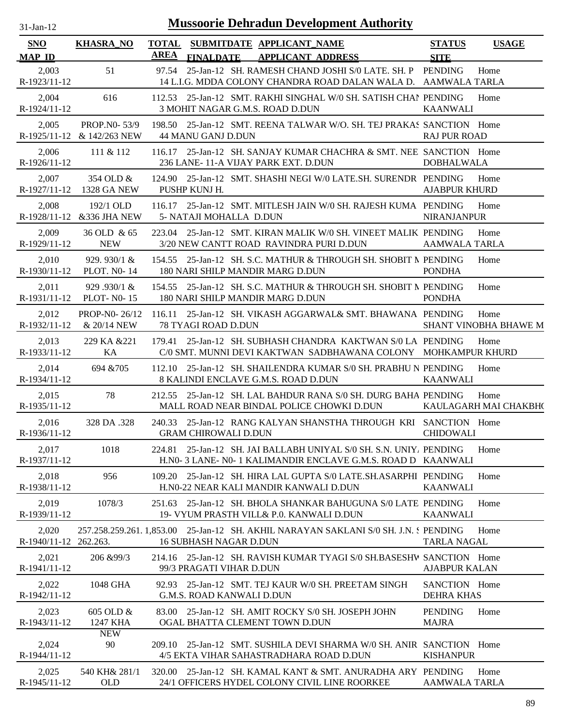| <b>Mussoorie Dehradun Development Authority</b><br>$31$ -Jan-12 |                                            |                      |                                                                                                                           |                                    |                               |  |
|-----------------------------------------------------------------|--------------------------------------------|----------------------|---------------------------------------------------------------------------------------------------------------------------|------------------------------------|-------------------------------|--|
| <b>SNO</b><br><b>MAP ID</b>                                     | <b>KHASRA_NO</b>                           | <b>TOTAL</b><br>AREA | SUBMITDATE APPLICANT_NAME<br><b>FINALDATE</b><br><b>APPLICANT ADDRESS</b>                                                 | <b>STATUS</b><br><b>SITE</b>       | <b>USAGE</b>                  |  |
| 2,003<br>R-1923/11-12                                           | 51                                         | 97.54                | 25-Jan-12 SH. RAMESH CHAND JOSHI S/0 LATE. SH. P<br>14 L.I.G. MDDA COLONY CHANDRA ROAD DALAN WALA D. AAMWALA TARLA        | <b>PENDING</b>                     | Home                          |  |
| 2,004<br>R-1924/11-12                                           | 616                                        |                      | 112.53 25-Jan-12 SMT. RAKHI SINGHAL W/0 SH. SATISH CHAN PENDING<br>3 MOHIT NAGAR G.M.S. ROAD D.DUN                        | <b>KAANWALI</b>                    | Home                          |  |
| 2,005                                                           | PROP.NO-53/9<br>R-1925/11-12 & 142/263 NEW |                      | 198.50 25-Jan-12 SMT, REENA TALWAR W/O, SH, TEJ PRAKAS SANCTION Home<br>44 MANU GANJ D.DUN                                | <b>RAJ PUR ROAD</b>                |                               |  |
| 2,006<br>R-1926/11-12                                           | 111 & 112                                  |                      | 116.17 25-Jan-12 SH. SANJAY KUMAR CHACHRA & SMT. NEE SANCTION Home<br>236 LANE-11-A VIJAY PARK EXT. D.DUN                 | <b>DOBHALWALA</b>                  |                               |  |
| 2,007<br>R-1927/11-12                                           | 354 OLD &<br>1328 GA NEW                   |                      | 124.90 25-Jan-12 SMT, SHASHI NEGI W/0 LATE.SH, SURENDR PENDING<br>PUSHP KUNJ H.                                           | <b>AJABPUR KHURD</b>               | Home                          |  |
| 2,008<br>R-1928/11-12                                           | 192/1 OLD<br>&336 JHA NEW                  | 116.17               | 25-Jan-12 SMT. MITLESH JAIN W/0 SH. RAJESH KUMA PENDING<br>5- NATAJI MOHALLA D.DUN                                        | NIRANJANPUR                        | Home                          |  |
| 2,009<br>R-1929/11-12                                           | 36 OLD & 65<br><b>NEW</b>                  |                      | 223.04 25-Jan-12 SMT. KIRAN MALIK W/0 SH. VINEET MALIK PENDING<br>3/20 NEW CANTT ROAD RAVINDRA PURI D.DUN                 | AAMWALA TARLA                      | Home                          |  |
| 2,010<br>R-1930/11-12                                           | 929.930/1 $\&$<br><b>PLOT. NO-14</b>       |                      | 154.55 25-Jan-12 SH. S.C. MATHUR & THROUGH SH. SHOBIT N PENDING<br>180 NARI SHILP MANDIR MARG D.DUN                       | <b>PONDHA</b>                      | Home                          |  |
| 2,011                                                           | 929.930/1 &<br>R-1931/11-12 PLOT- N0-15    |                      | 154.55 25-Jan-12 SH. S.C. MATHUR & THROUGH SH. SHOBIT N PENDING<br>180 NARI SHILP MANDIR MARG D.DUN                       | <b>PONDHA</b>                      | Home                          |  |
| 2,012<br>R-1932/11-12                                           | PROP-N0-26/12<br>& 20/14 NEW               | 116.11               | 25-Jan-12 SH. VIKASH AGGARWAL& SMT. BHAWANA PENDING<br>78 TYAGI ROAD D.DUN                                                |                                    | Home<br>SHANT VINOBHA BHAWE M |  |
| 2,013<br>R-1933/11-12                                           | 229 KA & 221<br>KA                         | 179.41               | 25-Jan-12 SH, SUBHASH CHANDRA KAKTWAN S/0 LA PENDING<br>C/0 SMT. MUNNI DEVI KAKTWAN SADBHAWANA COLONY MOHKAMPUR KHURD     |                                    | Home                          |  |
| 2,014<br>R-1934/11-12                                           | 694 & 705                                  | 112.10               | 25-Jan-12 SH, SHAILENDRA KUMAR S/0 SH, PRABHU N PENDING<br>8 KALINDI ENCLAVE G.M.S. ROAD D.DUN                            | <b>KAANWALI</b>                    | Home                          |  |
| 2,015<br>R-1935/11-12                                           | 78                                         |                      | 212.55 25-Jan-12 SH. LAL BAHDUR RANA S/0 SH. DURG BAHA PENDING<br>MALL ROAD NEAR BINDAL POLICE CHOWKI D.DUN               |                                    | Home<br>KAULAGARH MAI CHAKBH( |  |
| 2,016<br>R-1936/11-12                                           | 328 DA .328                                |                      | 240.33 25-Jan-12 RANG KALYAN SHANSTHA THROUGH KRI SANCTION Home<br><b>GRAM CHIROWALI D.DUN</b>                            | <b>CHIDOWALI</b>                   |                               |  |
| 2,017<br>R-1937/11-12                                           | 1018                                       | 224.81               | 25-Jan-12 SH, JAI BALLABH UNIYAL S/0 SH, S.N. UNIY, PENDING<br>H.NO-3 LANE-NO-1 KALIMANDIR ENCLAVE G.M.S. ROAD D KAANWALI |                                    | Home                          |  |
| 2,018<br>R-1938/11-12                                           | 956                                        |                      | 109.20 25-Jan-12 SH. HIRA LAL GUPTA S/0 LATE.SH.ASARPHI PENDING<br>H.N0-22 NEAR KALI MANDIR KANWALI D.DUN                 | <b>KAANWALI</b>                    | Home                          |  |
| 2,019<br>R-1939/11-12                                           | 1078/3                                     |                      | 251.63 25-Jan-12 SH, BHOLA SHANKAR BAHUGUNA S/0 LATE PENDING<br>19- VYUM PRASTH VILL& P.O. KANWALI D.DUN                  | <b>KAANWALI</b>                    | Home                          |  |
| 2,020<br>R-1940/11-12 262.263.                                  |                                            |                      | 257.258.259.261. 1,853.00 25-Jan-12 SH. AKHIL NARAYAN SAKLANI S/0 SH. J.N. S PENDING<br><b>16 SUBHASH NAGAR D.DUN</b>     | <b>TARLA NAGAL</b>                 | Home                          |  |
| 2,021<br>R-1941/11-12                                           | 206 & 99/3                                 |                      | 214.16 25-Jan-12 SH. RAVISH KUMAR TYAGI S/0 SH.BASESHW SANCTION Home<br>99/3 PRAGATI VIHAR D.DUN                          | <b>AJABPUR KALAN</b>               |                               |  |
| 2,022<br>R-1942/11-12                                           | 1048 GHA                                   |                      | 92.93 25-Jan-12 SMT. TEJ KAUR W/0 SH. PREETAM SINGH<br><b>G.M.S. ROAD KANWALI D.DUN</b>                                   | SANCTION Home<br><b>DEHRA KHAS</b> |                               |  |
| 2,023<br>R-1943/11-12                                           | 605 OLD &<br>1247 KHA                      |                      | 83.00 25-Jan-12 SH. AMIT ROCKY S/0 SH. JOSEPH JOHN<br>OGAL BHATTA CLEMENT TOWN D.DUN                                      | <b>PENDING</b><br><b>MAJRA</b>     | Home                          |  |
| 2,024<br>R-1944/11-12                                           | <b>NEW</b><br>90                           |                      | 209.10 25-Jan-12 SMT. SUSHILA DEVI SHARMA W/0 SH. ANIR SANCTION Home<br>4/5 EKTA VIHAR SAHASTRADHARA ROAD D.DUN           | <b>KISHANPUR</b>                   |                               |  |
| 2,025<br>R-1945/11-12                                           | 540 KH& 281/1<br><b>OLD</b>                |                      | 320.00 25-Jan-12 SH. KAMAL KANT & SMT. ANURADHA ARY PENDING<br>24/1 OFFICERS HYDEL COLONY CIVIL LINE ROORKEE              | <b>AAMWALA TARLA</b>               | Home                          |  |